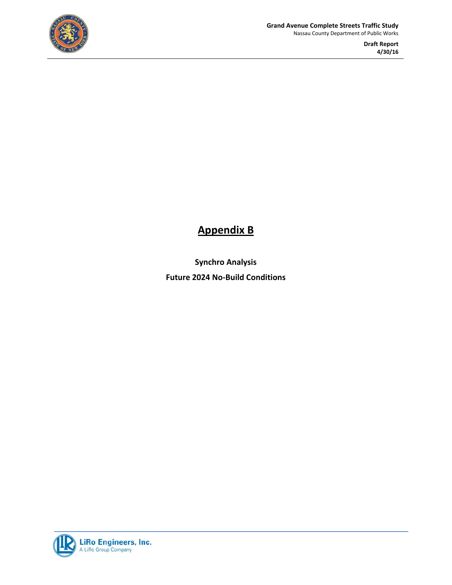

## **Appendix B**

**Synchro Analysis Future 2024 No‐Build Conditions**

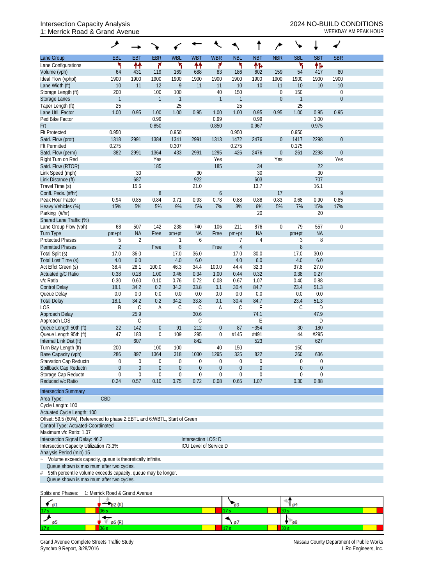## Intersection Capacity Analysis 2024 NO-BUILD CONDITIONS 1: Merrick Road & Grand Avenue WEEKDAY AM PEAK HOUR

|                                                                           | ۶                              |                     |                     |                  |                        |                    |                     |            |                                      |                     |                  |                                 |  |
|---------------------------------------------------------------------------|--------------------------------|---------------------|---------------------|------------------|------------------------|--------------------|---------------------|------------|--------------------------------------|---------------------|------------------|---------------------------------|--|
| Lane Group                                                                | <b>EBL</b>                     | <b>EBT</b>          | <b>EBR</b>          | <b>WBL</b>       | <b>WBT</b>             | <b>WBR</b>         | <b>NBL</b>          | <b>NBT</b> | <b>NBR</b>                           | <b>SBL</b>          | <b>SBT</b>       | <b>SBR</b>                      |  |
| Lane Configurations                                                       | ۲                              | ↟↟                  | ۴                   | ۲                | ₩                      | ۴                  | ኻ                   | 怍          |                                      | ۲                   | 怍                |                                 |  |
| Volume (vph)                                                              | 64                             | 431                 | 119                 | 169              | 688                    | 83                 | 186                 | 602        | 159                                  | 54                  | 417              | 80                              |  |
| Ideal Flow (vphpl)                                                        | 1900                           | 1900                | 1900                | 1900             | 1900                   | 1900               | 1900                | 1900       | 1900                                 | 1900                | 1900             | 1900                            |  |
| Lane Width (ft)                                                           | 10                             | 11                  | 12                  | 9                | 11                     | 11                 | 10                  | 10         | 11                                   | 10                  | 10               | 10                              |  |
| Storage Length (ft)                                                       | 200<br>$\mathbf{1}$            |                     | 100<br>$\mathbf{1}$ | 100<br>1         |                        | 40<br>$\mathbf{1}$ | 150<br>$\mathbf{1}$ |            | $\boldsymbol{0}$<br>$\boldsymbol{0}$ | 150<br>$\mathbf{1}$ |                  | $\mathbf 0$<br>$\boldsymbol{0}$ |  |
| Storage Lanes<br>Taper Length (ft)                                        | 25                             |                     |                     | 25               |                        |                    | 25                  |            |                                      | 25                  |                  |                                 |  |
| Lane Util. Factor                                                         | 1.00                           | 0.95                | 1.00                | 1.00             | 0.95                   | 1.00               | 1.00                | 0.95       | 0.95                                 | 1.00                | 0.95             | 0.95                            |  |
| Ped Bike Factor                                                           |                                |                     | 0.99                |                  |                        | 0.99               |                     | 0.99       |                                      |                     | 1.00             |                                 |  |
| Frt                                                                       |                                |                     | 0.850               |                  |                        | 0.850              |                     | 0.967      |                                      |                     | 0.975            |                                 |  |
| <b>Flt Protected</b>                                                      | 0.950                          |                     |                     | 0.950            |                        |                    | 0.950               |            |                                      | 0.950               |                  |                                 |  |
| Satd. Flow (prot)                                                         | 1318                           | 2991                | 1384                | 1341             | 2991                   | 1313               | 1472                | 2476       | $\theta$                             | 1417                | 2298             | $\boldsymbol{0}$                |  |
| <b>Flt Permitted</b>                                                      | 0.275                          |                     |                     | 0.307            |                        |                    | 0.275               |            |                                      | 0.175               |                  |                                 |  |
| Satd. Flow (perm)                                                         | 382                            | 2991                | 1364                | 433              | 2991                   | 1295               | 426                 | 2476       | $\theta$                             | 261                 | 2298             | $\boldsymbol{0}$                |  |
| Right Turn on Red                                                         |                                |                     | Yes                 |                  |                        | Yes                |                     |            | Yes                                  |                     |                  | Yes                             |  |
| Satd. Flow (RTOR)                                                         |                                |                     | 185                 |                  |                        | 185                |                     | 34         |                                      |                     | 22               |                                 |  |
| Link Speed (mph)                                                          |                                | 30                  |                     |                  | 30                     |                    |                     | 30         |                                      |                     | 30               |                                 |  |
| Link Distance (ft)                                                        |                                | 687                 |                     |                  | 922                    |                    |                     | 603        |                                      |                     | 707              |                                 |  |
| Travel Time (s)                                                           |                                | 15.6                |                     |                  | 21.0                   |                    |                     | 13.7       |                                      |                     | 16.1             |                                 |  |
| Confl. Peds. (#/hr)<br>Peak Hour Factor                                   | 0.94                           | 0.85                | $8\,$<br>0.84       | 0.71             | 0.93                   | 6<br>0.78          | 0.88                | 0.88       | 17<br>0.83                           | 0.68                | 0.90             | 9<br>0.85                       |  |
| Heavy Vehicles (%)                                                        | 15%                            | 5%                  | 5%                  | 9%               | 5%                     | 7%                 | 3%                  | 6%         | 5%                                   | 7%                  | 15%              | 17%                             |  |
| Parking (#/hr)                                                            |                                |                     |                     |                  |                        |                    |                     | 20         |                                      |                     | 20               |                                 |  |
| Shared Lane Traffic (%)                                                   |                                |                     |                     |                  |                        |                    |                     |            |                                      |                     |                  |                                 |  |
| Lane Group Flow (vph)                                                     | 68                             | 507                 | 142                 | 238              | 740                    | 106                | 211                 | 876        | $\boldsymbol{0}$                     | 79                  | 557              | $\mathbf 0$                     |  |
| <b>Turn Type</b>                                                          | pm+pt                          | <b>NA</b>           | Free                | pm+pt            | <b>NA</b>              | Free               | pm+pt               | <b>NA</b>  |                                      | pm+pt               | <b>NA</b>        |                                 |  |
| <b>Protected Phases</b>                                                   | 5                              | $\overline{2}$      |                     | 1                | 6                      |                    | 7                   | 4          |                                      | 3                   | 8                |                                 |  |
| <b>Permitted Phases</b>                                                   | $\overline{2}$                 |                     | Free                | 6                |                        | Free               | $\overline{4}$      |            |                                      | 8                   |                  |                                 |  |
| Total Split (s)                                                           | 17.0                           | 36.0                |                     | 17.0             | 36.0                   |                    | 17.0                | 30.0       |                                      | 17.0                | 30.0             |                                 |  |
| Total Lost Time (s)                                                       | 4.0                            | 6.0                 |                     | 4.0              | 6.0                    |                    | 4.0                 | 6.0        |                                      | 4.0                 | 6.0              |                                 |  |
| Act Effct Green (s)                                                       | 38.4                           | 28.1                | 100.0               | 46.3             | 34.4                   | 100.0              | 44.4                | 32.3       |                                      | 37.8                | 27.0             |                                 |  |
| Actuated g/C Ratio                                                        | 0.38                           | 0.28                | 1.00                | 0.46             | 0.34                   | 1.00               | 0.44                | 0.32       |                                      | 0.38                | 0.27             |                                 |  |
| v/c Ratio                                                                 | 0.30                           | 0.60                | 0.10                | 0.76             | 0.72                   | 0.08               | 0.67                | 1.07       |                                      | 0.40                | 0.88             |                                 |  |
| <b>Control Delay</b>                                                      | 18.1                           | 34.2                | 0.2                 | 34.2             | 33.8                   | 0.1                | 30.4                | 84.7       |                                      | 23.4                | 51.3             |                                 |  |
| Queue Delay                                                               | 0.0                            | 0.0                 | 0.0                 | 0.0              | 0.0                    | 0.0                | 0.0                 | 0.0        |                                      | 0.0                 | 0.0              |                                 |  |
| <b>Total Delay</b>                                                        | 18.1                           | 34.2                | 0.2                 | 34.2             | 33.8                   | 0.1                | 30.4                | 84.7       |                                      | 23.4                | 51.3             |                                 |  |
| <b>LOS</b>                                                                | B                              | $\mathsf C$         | Α                   | C                | $\mathsf C$            | A                  | C                   | F          |                                      | C                   | D                |                                 |  |
| Approach Delay<br>Approach LOS                                            |                                | 25.9<br>$\mathsf C$ |                     |                  | 30.6<br>C              |                    |                     | 74.1<br>E  |                                      |                     | 47.9<br>D        |                                 |  |
| Queue Length 50th (ft)                                                    | 22                             | 142                 | $\boldsymbol{0}$    | 91               | 212                    | $\overline{0}$     | 87                  | $-354$     |                                      | 30                  | 180              |                                 |  |
| Queue Length 95th (ft)                                                    | 47                             | 183                 | $\boldsymbol{0}$    | 109              | 295                    | $\mathbf{0}$       | #145                | #491       |                                      | 44                  | #295             |                                 |  |
| Internal Link Dist (ft)                                                   |                                | 607                 |                     |                  | 842                    |                    |                     | 523        |                                      |                     | 627              |                                 |  |
| Turn Bay Length (ft)                                                      | 200                            |                     | 100                 | 100              |                        | 40                 | 150                 |            |                                      | 150                 |                  |                                 |  |
| Base Capacity (vph)                                                       | 286                            | 897                 | 1364                | 318              | 1030                   | 1295               | 325                 | 822        |                                      | 260                 | 636              |                                 |  |
| Starvation Cap Reductn                                                    | 0                              | $\overline{0}$      | 0                   | $\boldsymbol{0}$ | 0                      | 0                  | $\theta$            | 0          |                                      | $\overline{0}$      | $\theta$         |                                 |  |
| Spillback Cap Reductn                                                     | $\overline{0}$                 | $\overline{0}$      | $\boldsymbol{0}$    | $\theta$         | $\boldsymbol{0}$       | $\overline{0}$     | $\theta$            | 0          |                                      | $\overline{0}$      | $\boldsymbol{0}$ |                                 |  |
| Storage Cap Reductn                                                       | 0                              | $\overline{0}$      | 0                   | $\mathbf 0$      | $\boldsymbol{0}$       | $\boldsymbol{0}$   | $\theta$            | 0          |                                      | 0                   | $\mathbf 0$      |                                 |  |
| Reduced v/c Ratio                                                         | 0.24                           | 0.57                | 0.10                | 0.75             | 0.72                   | 0.08               | 0.65                | 1.07       |                                      | 0.30                | 0.88             |                                 |  |
| <b>Intersection Summary</b>                                               |                                |                     |                     |                  |                        |                    |                     |            |                                      |                     |                  |                                 |  |
| Area Type:                                                                | CBD                            |                     |                     |                  |                        |                    |                     |            |                                      |                     |                  |                                 |  |
| Cycle Length: 100                                                         |                                |                     |                     |                  |                        |                    |                     |            |                                      |                     |                  |                                 |  |
| Actuated Cycle Length: 100                                                |                                |                     |                     |                  |                        |                    |                     |            |                                      |                     |                  |                                 |  |
| Offset: 59.5 (60%), Referenced to phase 2:EBTL and 6:WBTL, Start of Green |                                |                     |                     |                  |                        |                    |                     |            |                                      |                     |                  |                                 |  |
| Control Type: Actuated-Coordinated                                        |                                |                     |                     |                  |                        |                    |                     |            |                                      |                     |                  |                                 |  |
| Maximum v/c Ratio: 1.07                                                   |                                |                     |                     |                  |                        |                    |                     |            |                                      |                     |                  |                                 |  |
| Intersection Signal Delay: 46.2                                           |                                |                     |                     |                  | Intersection LOS: D    |                    |                     |            |                                      |                     |                  |                                 |  |
| Intersection Capacity Utilization 73.3%                                   |                                |                     |                     |                  | ICU Level of Service D |                    |                     |            |                                      |                     |                  |                                 |  |
| Analysis Period (min) 15                                                  |                                |                     |                     |                  |                        |                    |                     |            |                                      |                     |                  |                                 |  |
| Volume exceeds capacity, queue is theoretically infinite.<br>$\sim$       |                                |                     |                     |                  |                        |                    |                     |            |                                      |                     |                  |                                 |  |
| Queue shown is maximum after two cycles.                                  |                                |                     |                     |                  |                        |                    |                     |            |                                      |                     |                  |                                 |  |
| 95th percentile volume exceeds capacity, queue may be longer.<br>#        |                                |                     |                     |                  |                        |                    |                     |            |                                      |                     |                  |                                 |  |
| Queue shown is maximum after two cycles.                                  |                                |                     |                     |                  |                        |                    |                     |            |                                      |                     |                  |                                 |  |
| Splits and Phases:                                                        | 1: Merrick Road & Grand Avenue |                     |                     |                  |                        |                    |                     |            |                                      |                     |                  |                                 |  |
| $\epsilon_{\mathfrak{s}1}$                                                | $\varphi$ 2 (R)                |                     |                     |                  |                        |                    | $\sqrt{93}$         |            |                                      | 64                  |                  |                                 |  |
|                                                                           | 36 s                           |                     |                     |                  |                        |                    | 17 s                |            | 30 s                                 |                     |                  |                                 |  |
| ø5                                                                        | ø6 (R)                         |                     |                     |                  |                        |                    | 97                  |            |                                      | 08                  |                  |                                 |  |
|                                                                           | 36 s                           |                     |                     |                  |                        |                    |                     |            | 30 s                                 |                     |                  |                                 |  |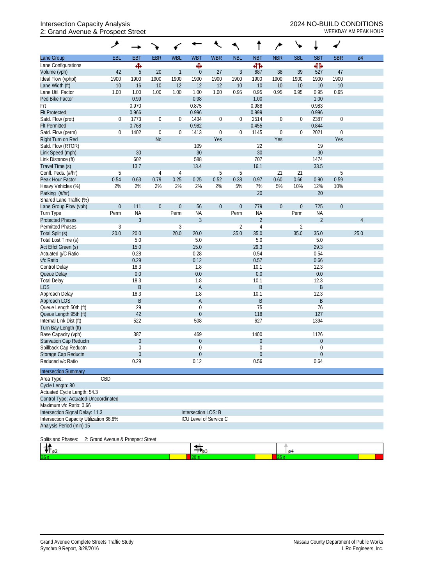## Intersection Capacity Analysis 2024 NO-BUILD CONDITIONS 2: Grand Avenue & Prospect Street WEEKDAY AM PEAK HOUR

|                                                                     | ۸                                 |                            |                  |                  |                               |                        |                  |                |                  |                  | ۰                |                  |      |
|---------------------------------------------------------------------|-----------------------------------|----------------------------|------------------|------------------|-------------------------------|------------------------|------------------|----------------|------------------|------------------|------------------|------------------|------|
| Lane Group                                                          | EBL                               | EBT                        | <b>EBR</b>       | <b>WBL</b>       | <b>WBT</b>                    | <b>WBR</b>             | <b>NBL</b>       | <b>NBT</b>     | <b>NBR</b>       | <b>SBL</b>       | <b>SBT</b>       | <b>SBR</b>       | Ø4   |
| Lane Configurations                                                 |                                   | ф                          |                  |                  | Ф                             |                        |                  | 41             |                  |                  | 41               |                  |      |
| Volume (vph)                                                        | 42                                | 5                          | 20               | $\mathbf{1}$     | $\boldsymbol{0}$              | 27                     | $\mathfrak{Z}$   | 687            | 38               | 39               | 527              | 47               |      |
| Ideal Flow (vphpl)                                                  | 1900                              | 1900                       | 1900             | 1900             | 1900                          | 1900                   | 1900             | 1900           | 1900             | 1900             | 1900             | 1900             |      |
| Lane Width (ft)                                                     | 10                                | 16                         | 10               | 12               | 12                            | 12                     | 10               | 10             | 10               | 10               | 10               | 10               |      |
| Lane Util. Factor                                                   | 1.00                              | 1.00                       | 1.00             | 1.00             | 1.00                          | 1.00                   | 0.95             | 0.95           | 0.95             | 0.95             | 0.95             | 0.95             |      |
| Ped Bike Factor                                                     |                                   | 0.99                       |                  |                  | 0.98                          |                        |                  | 1.00           |                  |                  | 1.00             |                  |      |
| Frt                                                                 |                                   | 0.970                      |                  |                  | 0.875                         |                        |                  | 0.988          |                  |                  | 0.983            |                  |      |
| <b>Flt Protected</b>                                                |                                   | 0.966                      |                  |                  | 0.996                         |                        |                  | 0.999          |                  |                  | 0.996            |                  |      |
| Satd. Flow (prot)                                                   | $\boldsymbol{0}$                  | 1773                       | $\boldsymbol{0}$ | $\mathbf{0}$     | 1434                          | $\boldsymbol{0}$       | $\mathbf 0$      | 2514           | $\boldsymbol{0}$ | 0                | 2387             | $\boldsymbol{0}$ |      |
| <b>Flt Permitted</b>                                                |                                   | 0.768                      |                  |                  | 0.982                         |                        |                  | 0.455          |                  |                  | 0.844            |                  |      |
| Satd. Flow (perm)                                                   | 0                                 | 1402                       | $\mathbf 0$      | 0                | 1413                          | $\boldsymbol{0}$       | $\overline{0}$   | 1145           | $\boldsymbol{0}$ | 0                | 2021             | $\boldsymbol{0}$ |      |
| Right Turn on Red                                                   |                                   |                            | <b>No</b>        |                  |                               | Yes                    |                  |                | Yes              |                  |                  | Yes              |      |
| Satd. Flow (RTOR)                                                   |                                   |                            |                  |                  | 109                           |                        |                  | 22             |                  |                  | 19               |                  |      |
| Link Speed (mph)                                                    |                                   | 30                         |                  |                  | 30                            |                        |                  | 30             |                  |                  | 30               |                  |      |
| Link Distance (ft)                                                  |                                   | 602                        |                  |                  | 588                           |                        |                  | 707            |                  |                  | 1474             |                  |      |
| Travel Time (s)                                                     |                                   | 13.7                       |                  |                  | 13.4                          |                        |                  | 16.1           |                  |                  | 33.5             |                  |      |
| Confl. Peds. (#/hr)                                                 | 5                                 |                            | $\overline{4}$   | 4                |                               | 5                      | 5                |                | 21               | 21               |                  | 5                |      |
| Peak Hour Factor                                                    | 0.54                              | 0.63                       | 0.79             | 0.25             | 0.25                          | 0.52                   | 0.38             | 0.97           | 0.60             | 0.66             | 0.90             | 0.59             |      |
| Heavy Vehicles (%)                                                  | 2%                                | 2%                         | 2%               | 2%               | 2%                            | 2%                     | 5%               | 7%             | 5%               | 10%              | 12%              | 10%              |      |
| Parking (#/hr)                                                      |                                   |                            |                  |                  |                               |                        |                  | 20             |                  |                  | 20               |                  |      |
| Shared Lane Traffic (%)                                             |                                   |                            |                  |                  |                               |                        |                  |                |                  |                  |                  |                  |      |
| Lane Group Flow (vph)                                               | $\boldsymbol{0}$                  | 111                        | $\boldsymbol{0}$ | $\boldsymbol{0}$ | 56                            | $\boldsymbol{0}$       | $\boldsymbol{0}$ | 779            | $\theta$         | $\boldsymbol{0}$ | 725              | $\mathbf 0$      |      |
| Turn Type                                                           | Perm                              | <b>NA</b>                  |                  | Perm             | <b>NA</b>                     |                        | Perm             | <b>NA</b>      |                  | Perm             | <b>NA</b>        |                  |      |
| <b>Protected Phases</b>                                             |                                   | 3                          |                  |                  | $\mathfrak{Z}$                |                        |                  | $\overline{2}$ |                  |                  | $\overline{2}$   |                  | 4    |
| <b>Permitted Phases</b>                                             | $\mathfrak{Z}$                    |                            |                  | 3                |                               |                        | $\overline{2}$   | $\sqrt{4}$     |                  | 2                |                  |                  |      |
| Total Split (s)                                                     | 20.0                              | 20.0                       |                  | 20.0             | 20.0                          |                        | 35.0             | 35.0           |                  | 35.0             | 35.0             |                  | 25.0 |
| Total Lost Time (s)                                                 |                                   | 5.0                        |                  |                  | 5.0                           |                        |                  | 5.0            |                  |                  | 5.0              |                  |      |
| Act Effct Green (s)                                                 |                                   | 15.0                       |                  |                  | 15.0                          |                        |                  | 29.3           |                  |                  | 29.3             |                  |      |
| Actuated g/C Ratio                                                  |                                   | 0.28                       |                  |                  | 0.28                          |                        |                  | 0.54           |                  |                  | 0.54             |                  |      |
| v/c Ratio                                                           |                                   | 0.29                       |                  |                  | 0.12                          |                        |                  | 0.57           |                  |                  | 0.66             |                  |      |
| <b>Control Delay</b>                                                |                                   | 18.3                       |                  |                  | 1.8                           |                        |                  | 10.1           |                  |                  | 12.3             |                  |      |
| Queue Delay                                                         |                                   | $0.0\,$                    |                  |                  | 0.0                           |                        |                  | 0.0            |                  |                  | 0.0              |                  |      |
| <b>Total Delay</b>                                                  |                                   | 18.3                       |                  |                  | 1.8                           |                        |                  | 10.1           |                  |                  | 12.3             |                  |      |
| <b>LOS</b>                                                          |                                   | $\sf B$                    |                  |                  | $\mathsf{A}$                  |                        |                  | $\sf B$        |                  |                  | B                |                  |      |
| Approach Delay                                                      |                                   | 18.3                       |                  |                  | 1.8                           |                        |                  | 10.1           |                  |                  | 12.3             |                  |      |
| Approach LOS                                                        |                                   | B                          |                  |                  | A                             |                        |                  | B              |                  |                  | B                |                  |      |
| Queue Length 50th (ft)                                              |                                   | 29                         |                  |                  | $\theta$                      |                        |                  | 75             |                  |                  | 76               |                  |      |
| Queue Length 95th (ft)                                              |                                   | 42                         |                  |                  | $\boldsymbol{0}$              |                        |                  | 118            |                  |                  | 127              |                  |      |
| Internal Link Dist (ft)                                             |                                   | 522                        |                  |                  | 508                           |                        |                  | 627            |                  |                  | 1394             |                  |      |
| Turn Bay Length (ft)                                                |                                   |                            |                  |                  |                               |                        |                  |                |                  |                  |                  |                  |      |
| Base Capacity (vph)                                                 |                                   | 387                        |                  |                  | 469                           |                        |                  | 1400           |                  |                  | 1126<br>$\theta$ |                  |      |
| Starvation Cap Reductn<br>Spillback Cap Reductn                     |                                   | $\overline{0}$<br>$\Omega$ |                  |                  | $\theta$<br>$\mathbf 0$       |                        |                  | 0<br>0         |                  |                  | 0                |                  |      |
| Storage Cap Reductn                                                 |                                   | 0                          |                  |                  | $\boldsymbol{0}$              |                        |                  | $\mathbf 0$    |                  |                  | $\boldsymbol{0}$ |                  |      |
| Reduced v/c Ratio                                                   |                                   | 0.29                       |                  |                  | 0.12                          |                        |                  | 0.56           |                  |                  | 0.64             |                  |      |
| <b>Intersection Summary</b>                                         |                                   |                            |                  |                  |                               |                        |                  |                |                  |                  |                  |                  |      |
| Area Type:                                                          | CBD                               |                            |                  |                  |                               |                        |                  |                |                  |                  |                  |                  |      |
| Cycle Length: 80                                                    |                                   |                            |                  |                  |                               |                        |                  |                |                  |                  |                  |                  |      |
| Actuated Cycle Length: 54.3                                         |                                   |                            |                  |                  |                               |                        |                  |                |                  |                  |                  |                  |      |
|                                                                     |                                   |                            |                  |                  |                               |                        |                  |                |                  |                  |                  |                  |      |
| Control Type: Actuated-Uncoordinated<br>Maximum v/c Ratio: 0.66     |                                   |                            |                  |                  |                               |                        |                  |                |                  |                  |                  |                  |      |
| Intersection Signal Delay: 11.3                                     |                                   |                            |                  |                  | Intersection LOS: B           |                        |                  |                |                  |                  |                  |                  |      |
|                                                                     |                                   |                            |                  |                  |                               | ICU Level of Service C |                  |                |                  |                  |                  |                  |      |
| Intersection Capacity Utilization 66.8%<br>Analysis Period (min) 15 |                                   |                            |                  |                  |                               |                        |                  |                |                  |                  |                  |                  |      |
|                                                                     |                                   |                            |                  |                  |                               |                        |                  |                |                  |                  |                  |                  |      |
| Splits and Phases:                                                  | 2: Grand Avenue & Prospect Street |                            |                  |                  |                               |                        |                  |                |                  |                  |                  |                  |      |
| ి ల2                                                                |                                   |                            |                  |                  | $\overline{\mathcal{F}}_{63}$ |                        |                  |                |                  | 04               |                  |                  |      |
|                                                                     |                                   |                            |                  |                  |                               |                        |                  |                | 25 s             |                  |                  |                  |      |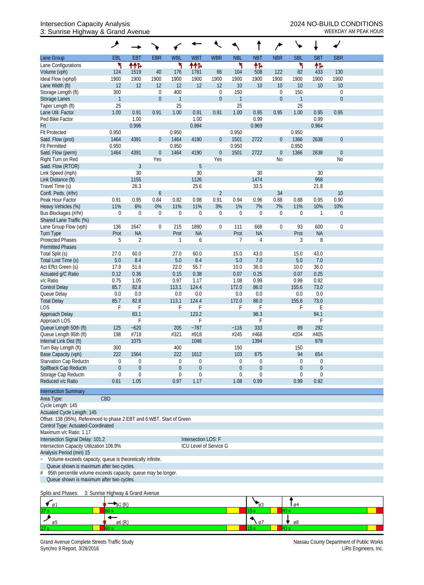## Intersection Capacity Analysis 2024 NO-BUILD CONDITIONS 3: Sunrise Highway & Grand Avenue WEEKDAY AM PEAK HOUR

|                                                                                       | ۸                |                         |                  |                              |                        |                  |                         |                       |                  |                                  |                                 |                  |  |
|---------------------------------------------------------------------------------------|------------------|-------------------------|------------------|------------------------------|------------------------|------------------|-------------------------|-----------------------|------------------|----------------------------------|---------------------------------|------------------|--|
| Lane Group                                                                            | EBL              | <b>EBT</b>              | <b>EBR</b>       | <b>WBL</b>                   | <b>WBT</b>             | <b>WBR</b>       | <b>NBL</b>              | <b>NBT</b>            | <b>NBR</b>       | <b>SBL</b>                       | <b>SBT</b>                      | <b>SBR</b>       |  |
| Lane Configurations                                                                   | ኻ                | ተተኈ                     |                  | ኻ                            | ተተኈ                    |                  | ۲                       | 怍                     |                  | ۲                                | 伟                               |                  |  |
| Volume (vph)                                                                          | 124              | 1519                    | 40               | 176                          | 1781                   | 66               | 104                     | 508                   | 122              | 82                               | 433                             | 130              |  |
| Ideal Flow (vphpl)                                                                    | 1900             | 1900                    | 1900             | 1900                         | 1900                   | 1900             | 1900                    | 1900                  | 1900             | 1900                             | 1900                            | 1900             |  |
| Lane Width (ft)                                                                       | 12               | 12                      | 12               | 12                           | 12                     | 12               | 10                      | 10                    | 10               | 10                               | 10                              | $10$             |  |
| Storage Length (ft)                                                                   | 300              |                         | $\boldsymbol{0}$ | 400                          |                        | $\boldsymbol{0}$ | 150                     |                       | $\boldsymbol{0}$ | 150                              |                                 | $\boldsymbol{0}$ |  |
| <b>Storage Lanes</b>                                                                  | $\mathbf{1}$     |                         | $\boldsymbol{0}$ | $\mathbf{1}$                 |                        | $\boldsymbol{0}$ | $\overline{1}$          |                       | $\boldsymbol{0}$ | $\overline{1}$                   |                                 | $\boldsymbol{0}$ |  |
| Taper Length (ft)                                                                     | 25               |                         |                  | 25                           |                        |                  | 25                      |                       |                  | 25                               |                                 |                  |  |
| Lane Util. Factor                                                                     | 1.00             | 0.91                    | 0.91             | 1.00                         | 0.91                   | 0.91             | 1.00                    | 0.95                  | 0.95             | 1.00                             | 0.95                            | 0.95             |  |
| Ped Bike Factor                                                                       |                  | 1.00                    |                  |                              | 1.00                   |                  |                         | 0.99                  |                  |                                  | 0.99                            |                  |  |
| Frt                                                                                   |                  | 0.996                   |                  |                              | 0.994                  |                  |                         | 0.969                 |                  |                                  | 0.964                           |                  |  |
| <b>Flt Protected</b>                                                                  | 0.950            |                         |                  | 0.950                        |                        |                  | 0.950                   |                       |                  | 0.950                            |                                 |                  |  |
| Satd. Flow (prot)                                                                     | 1464             | 4391                    | $\overline{0}$   | 1464                         | 4190                   | $\overline{0}$   | 1501                    | 2722                  | $\boldsymbol{0}$ | 1366                             | 2638                            | $\boldsymbol{0}$ |  |
| <b>Flt Permitted</b>                                                                  | 0.950            |                         |                  | 0.950                        |                        |                  | 0.950                   |                       |                  | 0.950                            |                                 |                  |  |
| Satd. Flow (perm)                                                                     | 1464             | 4391                    | $\boldsymbol{0}$ | 1464                         | 4190                   | $\overline{0}$   | 1501                    | 2722                  | $\boldsymbol{0}$ | 1366                             | 2638                            | $\boldsymbol{0}$ |  |
| Right Turn on Red<br>Satd. Flow (RTOR)                                                |                  | $\mathfrak{Z}$          | Yes              |                              | $\sqrt{5}$             | Yes              |                         |                       | N <sub>0</sub>   |                                  |                                 | No               |  |
| Link Speed (mph)                                                                      |                  | 30                      |                  |                              | 30                     |                  |                         | 30                    |                  |                                  | 30                              |                  |  |
| Link Distance (ft)                                                                    |                  | 1155                    |                  |                              | 1126                   |                  |                         | 1474                  |                  |                                  | 958                             |                  |  |
| Travel Time (s)                                                                       |                  | 26.3                    |                  |                              | 25.6                   |                  |                         | 33.5                  |                  |                                  | 21.8                            |                  |  |
| Confl. Peds. (#/hr)                                                                   |                  |                         | $\boldsymbol{6}$ |                              |                        | $\overline{2}$   |                         |                       | 34               |                                  |                                 | 10               |  |
| Peak Hour Factor                                                                      | 0.91             | 0.95                    | 0.84             | 0.82                         | 0.98                   | 0.91             | 0.94                    | 0.96                  | 0.88             | 0.88                             | 0.95                            | 0.90             |  |
| Heavy Vehicles (%)                                                                    | 11%              | 6%                      | 0%               | 11%                          | 11%                    | 3%               | $1\%$                   | 7%                    | 7%               | 11%                              | 10%                             | 10%              |  |
| Bus Blockages (#/hr)                                                                  | $\boldsymbol{0}$ | $\mathbf 0$             | $\boldsymbol{0}$ | $\mathbf 0$                  | $\boldsymbol{0}$       | $\boldsymbol{0}$ | $\mathbf 0$             | $\boldsymbol{0}$      | $\boldsymbol{0}$ | $\mathbf 0$                      | $\mathbf{1}$                    | $\boldsymbol{0}$ |  |
| Shared Lane Traffic (%)                                                               |                  |                         |                  |                              |                        |                  |                         |                       |                  |                                  |                                 |                  |  |
| Lane Group Flow (vph)                                                                 | 136              | 1647                    | 0                | 215                          | 1890                   | 0                | 111                     | 668                   | $\boldsymbol{0}$ | 93                               | 600                             | $\mathbf 0$      |  |
| <b>Turn Type</b>                                                                      | Prot             | <b>NA</b>               |                  | Prot                         | <b>NA</b>              |                  | Prot                    | <b>NA</b>             |                  | Prot                             | <b>NA</b>                       |                  |  |
| <b>Protected Phases</b>                                                               | 5                | $\overline{2}$          |                  | $\mathbf{1}$                 | 6                      |                  | $\overline{7}$          | $\overline{4}$        |                  | 3                                | 8                               |                  |  |
| <b>Permitted Phases</b>                                                               |                  |                         |                  |                              |                        |                  |                         |                       |                  |                                  |                                 |                  |  |
| Total Split (s)                                                                       | 27.0             | 60.0                    |                  | 27.0                         | 60.0                   |                  | 15.0                    | 43.0                  |                  | 15.0                             | 43.0                            |                  |  |
| Total Lost Time (s)                                                                   | 5.0              | 8.4                     |                  | 5.0                          | 8.4                    |                  | 5.0                     | 7.0                   |                  | 5.0                              | 7.0                             |                  |  |
| Act Effct Green (s)                                                                   | 17.9             | 51.6                    |                  | 22.0                         | 55.7                   |                  | 10.0                    | 36.0                  |                  | 10.0                             | 36.0                            |                  |  |
| Actuated g/C Ratio                                                                    | 0.12             | 0.36                    |                  | 0.15                         | 0.38                   |                  | 0.07                    | 0.25                  |                  | 0.07                             | 0.25                            |                  |  |
| v/c Ratio                                                                             | 0.75             | 1.05                    |                  | 0.97                         | 1.17                   |                  | 1.08                    | 0.99                  |                  | 0.99                             | 0.92                            |                  |  |
| <b>Control Delay</b>                                                                  | 85.7             | 82.8                    |                  | 113.1                        | 124.4                  |                  | 172.0                   | 86.0                  |                  | 155.6                            | 73.0                            |                  |  |
| Queue Delay                                                                           | 0.0              | 0.0                     |                  | 0.0                          | 0.0                    |                  | 0.0                     | 0.0                   |                  | 0.0                              | 0.0                             |                  |  |
| <b>Total Delay</b>                                                                    | 85.7             | 82.8                    |                  | 113.1                        | 124.4                  |                  | 172.0                   | 86.0                  |                  | 155.6                            | 73.0                            |                  |  |
| <b>LOS</b>                                                                            | F                | F                       |                  | F                            | F                      |                  | F                       | F                     |                  | F                                | E                               |                  |  |
| Approach Delay                                                                        |                  | 83.1                    |                  |                              | 123.2                  |                  |                         | 98.3                  |                  |                                  | 84.1                            |                  |  |
| Approach LOS                                                                          |                  | F                       |                  |                              | F                      |                  |                         | F                     |                  |                                  | F                               |                  |  |
| Queue Length 50th (ft)                                                                | 125              | $-620$                  |                  | 205                          | $-787$                 |                  | ~116                    | 333                   |                  | 89                               | 292                             |                  |  |
| Queue Length 95th (ft)                                                                | 198              | #719                    |                  | #321                         | #918                   |                  | #245                    | #468                  |                  | #204                             | #405                            |                  |  |
| Internal Link Dist (ft)                                                               |                  | 1075                    |                  |                              | 1046                   |                  |                         | 1394                  |                  |                                  | 878                             |                  |  |
| Turn Bay Length (ft)                                                                  | 300              |                         |                  | 400                          |                        |                  | 150                     |                       |                  | 150                              |                                 |                  |  |
| Base Capacity (vph)                                                                   | 222              | 1564                    |                  | 222                          | 1612                   |                  | 103                     | 675                   |                  | 94                               | 654                             |                  |  |
| Starvation Cap Reductn<br>Spillback Cap Reductn                                       | 0<br>$\mathbf 0$ | $\mathbf 0$<br>$\theta$ |                  | $\boldsymbol{0}$<br>$\theta$ | 0<br>$\boldsymbol{0}$  |                  | $\mathbf 0$<br>$\theta$ | 0<br>$\boldsymbol{0}$ |                  | $\mathbf{0}$<br>$\boldsymbol{0}$ | $\mathbf 0$<br>$\boldsymbol{0}$ |                  |  |
| Storage Cap Reductn                                                                   | 0                | 0                       |                  | $\mathbf 0$                  | $\boldsymbol{0}$       |                  | $\mathbf 0$             | $\boldsymbol{0}$      |                  | $\mathbf 0$                      | $\mathbf 0$                     |                  |  |
| Reduced v/c Ratio                                                                     | 0.61             | 1.05                    |                  | 0.97                         | 1.17                   |                  | 1.08                    | 0.99                  |                  | 0.99                             | 0.92                            |                  |  |
| <b>Intersection Summary</b>                                                           |                  |                         |                  |                              |                        |                  |                         |                       |                  |                                  |                                 |                  |  |
| CBD<br>Area Type:                                                                     |                  |                         |                  |                              |                        |                  |                         |                       |                  |                                  |                                 |                  |  |
| Cycle Length: 145                                                                     |                  |                         |                  |                              |                        |                  |                         |                       |                  |                                  |                                 |                  |  |
| Actuated Cycle Length: 145                                                            |                  |                         |                  |                              |                        |                  |                         |                       |                  |                                  |                                 |                  |  |
| Offset: 138 (95%), Referenced to phase 2:EBT and 6:WBT, Start of Green                |                  |                         |                  |                              |                        |                  |                         |                       |                  |                                  |                                 |                  |  |
| Control Type: Actuated-Coordinated                                                    |                  |                         |                  |                              |                        |                  |                         |                       |                  |                                  |                                 |                  |  |
| Maximum v/c Ratio: 1.17                                                               |                  |                         |                  |                              |                        |                  |                         |                       |                  |                                  |                                 |                  |  |
| Intersection Signal Delay: 101.2                                                      |                  |                         |                  |                              | Intersection LOS: F    |                  |                         |                       |                  |                                  |                                 |                  |  |
| Intersection Capacity Utilization 106.9%                                              |                  |                         |                  |                              | ICU Level of Service G |                  |                         |                       |                  |                                  |                                 |                  |  |
| Analysis Period (min) 15                                                              |                  |                         |                  |                              |                        |                  |                         |                       |                  |                                  |                                 |                  |  |
| Volume exceeds capacity, queue is theoretically infinite.<br>$\overline{\phantom{0}}$ |                  |                         |                  |                              |                        |                  |                         |                       |                  |                                  |                                 |                  |  |
| Queue shown is maximum after two cycles.                                              |                  |                         |                  |                              |                        |                  |                         |                       |                  |                                  |                                 |                  |  |
| 95th percentile volume exceeds capacity, queue may be longer.<br>#                    |                  |                         |                  |                              |                        |                  |                         |                       |                  |                                  |                                 |                  |  |
| Queue shown is maximum after two cycles.                                              |                  |                         |                  |                              |                        |                  |                         |                       |                  |                                  |                                 |                  |  |
|                                                                                       |                  |                         |                  |                              |                        |                  |                         |                       |                  |                                  |                                 |                  |  |

#### Splits and Phases: 3: Sunrise Highway & Grand Avenue

| øı  |  | - 09 |
|-----|--|------|
| 27s |  |      |
|     |  | ø8   |
| 27: |  |      |

Grand Avenue Complete Streets Traffic Study<br>Synchro 9 Report, 3/28/2016<br>LiRo Engineers, Inc. Synchro 9 Report, 3/28/2016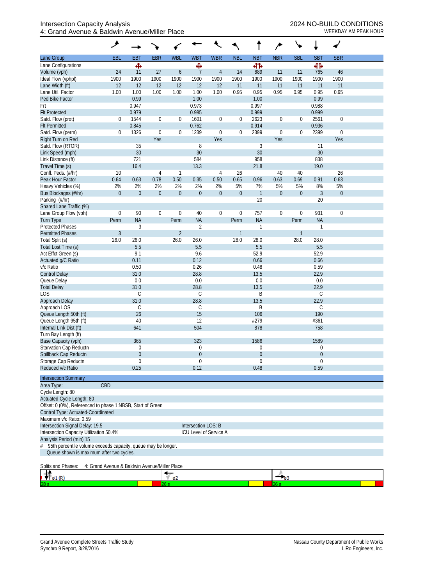|                                                            | مر                                                            |                |                  |                  |                             |                  |                  |                           | ∕                |                  |                |             |  |
|------------------------------------------------------------|---------------------------------------------------------------|----------------|------------------|------------------|-----------------------------|------------------|------------------|---------------------------|------------------|------------------|----------------|-------------|--|
| Lane Group                                                 | <b>EBL</b>                                                    | <b>EBT</b>     | <b>EBR</b>       | <b>WBL</b>       | <b>WBT</b>                  | <b>WBR</b>       | <b>NBL</b>       | <b>NBT</b>                | <b>NBR</b>       | <b>SBL</b>       | <b>SBT</b>     | <b>SBR</b>  |  |
| Lane Configurations                                        |                                                               | Ф              |                  |                  | Ф                           |                  |                  | 412                       |                  |                  | बीर्क          |             |  |
| Volume (vph)                                               | 24                                                            | 11             | 27               | 6                | $\overline{7}$              | $\overline{4}$   | 14               | 689                       | 11               | 12               | 765            | 46          |  |
| Ideal Flow (vphpl)                                         | 1900                                                          | 1900           | 1900             | 1900             | 1900                        | 1900             | 1900             | 1900                      | 1900             | 1900             | 1900           | 1900        |  |
| Lane Width (ft)                                            | 12                                                            | 12             | 12               | 12               | 12                          | 12               | 11               | 11                        | 11               | 11               | 11             | 11          |  |
| Lane Util. Factor                                          | 1.00                                                          | 1.00           | 1.00             | 1.00             | 1.00                        | 1.00             | 0.95             | 0.95                      | 0.95             | 0.95             | 0.95           | 0.95        |  |
| Ped Bike Factor                                            |                                                               | 0.99           |                  |                  | 1.00                        |                  |                  | 1.00                      |                  |                  | 0.99           |             |  |
| Frt<br><b>Flt Protected</b>                                |                                                               | 0.947<br>0.979 |                  |                  | 0.973<br>0.985              |                  |                  | 0.997<br>0.999            |                  |                  | 0.988<br>0.999 |             |  |
| Satd. Flow (prot)                                          | 0                                                             | 1544           | $\boldsymbol{0}$ | 0                | 1601                        | $\boldsymbol{0}$ | $\boldsymbol{0}$ | 2623                      | $\boldsymbol{0}$ | $\boldsymbol{0}$ | 2561           | $\mathbf 0$ |  |
| <b>Flt Permitted</b>                                       |                                                               | 0.845          |                  |                  | 0.762                       |                  |                  | 0.914                     |                  |                  | 0.936          |             |  |
| Satd. Flow (perm)                                          | 0                                                             | 1326           | $\mathbf 0$      | 0                | 1239                        | $\boldsymbol{0}$ | $\mathbf 0$      | 2399                      | $\mathbf 0$      | $\boldsymbol{0}$ | 2399           | $\mathbf 0$ |  |
| Right Turn on Red                                          |                                                               |                | Yes              |                  |                             | Yes              |                  |                           | Yes              |                  |                | Yes         |  |
| Satd. Flow (RTOR)                                          |                                                               | 35             |                  |                  | 8                           |                  |                  | $\mathfrak{Z}$            |                  |                  | 11             |             |  |
| Link Speed (mph)                                           |                                                               | $30\,$         |                  |                  | 30                          |                  |                  | 30                        |                  |                  | 30             |             |  |
| Link Distance (ft)                                         |                                                               | 721            |                  |                  | 584                         |                  |                  | 958                       |                  |                  | 838            |             |  |
| Travel Time (s)                                            |                                                               | 16.4           |                  |                  | 13.3                        |                  |                  | 21.8                      |                  |                  | 19.0           |             |  |
| Confl. Peds. (#/hr)                                        | 10                                                            |                | 4                | 1                |                             | $\overline{4}$   | 26               |                           | 40               | 40               |                | 26          |  |
| Peak Hour Factor                                           | 0.64                                                          | 0.63           | 0.78             | 0.50             | 0.35                        | 0.50             | 0.65             | 0.96                      | 0.63             | 0.69             | 0.91           | 0.63        |  |
| Heavy Vehicles (%)                                         | 2%                                                            | 2%             | 2%               | 2%               | 2%                          | 2%               | 5%               | 7%                        | 5%               | 5%               | 8%             | 5%          |  |
| Bus Blockages (#/hr)                                       | $\mathbf{0}$                                                  | $\overline{0}$ | $\boldsymbol{0}$ | $\boldsymbol{0}$ | $\mathbf 0$                 | $\mathbf 0$      | $\boldsymbol{0}$ | $\mathbf{1}$              | $\boldsymbol{0}$ | $\boldsymbol{0}$ | $\mathfrak{Z}$ | $\theta$    |  |
| Parking (#/hr)                                             |                                                               |                |                  |                  |                             |                  |                  | 20                        |                  |                  | 20             |             |  |
| Shared Lane Traffic (%)                                    |                                                               |                |                  |                  |                             |                  |                  |                           |                  |                  |                |             |  |
| Lane Group Flow (vph)                                      | $\boldsymbol{0}$                                              | 90             | $\boldsymbol{0}$ | $\boldsymbol{0}$ | 40                          | $\boldsymbol{0}$ | $\boldsymbol{0}$ | 757                       | $\mathbf 0$      | $\boldsymbol{0}$ | 931            | $\mathbf 0$ |  |
| <b>Turn Type</b><br><b>Protected Phases</b>                | Perm                                                          | <b>NA</b><br>3 |                  | Perm             | <b>NA</b><br>$\overline{2}$ |                  | Perm             | <b>NA</b><br>$\mathbf{1}$ |                  | Perm             | <b>NA</b><br>1 |             |  |
| <b>Permitted Phases</b>                                    | $\mathfrak{Z}$                                                |                |                  | $\overline{2}$   |                             |                  | $\mathbf{1}$     |                           |                  | $\mathbf{1}$     |                |             |  |
| Total Split (s)                                            | 26.0                                                          | 26.0           |                  | 26.0             | 26.0                        |                  | 28.0             | 28.0                      |                  | 28.0             | 28.0           |             |  |
| Total Lost Time (s)                                        |                                                               | 5.5            |                  |                  | 5.5                         |                  |                  | 5.5                       |                  |                  | 5.5            |             |  |
| Act Effct Green (s)                                        |                                                               | 9.1            |                  |                  | 9.6                         |                  |                  | 52.9                      |                  |                  | 52.9           |             |  |
| Actuated g/C Ratio                                         |                                                               | 0.11           |                  |                  | 0.12                        |                  |                  | 0.66                      |                  |                  | 0.66           |             |  |
| v/c Ratio                                                  |                                                               | 0.50           |                  |                  | 0.26                        |                  |                  | 0.48                      |                  |                  | 0.59           |             |  |
| <b>Control Delay</b>                                       |                                                               | 31.0           |                  |                  | 28.8                        |                  |                  | 13.5                      |                  |                  | 22.9           |             |  |
| Queue Delay                                                |                                                               | 0.0            |                  |                  | 0.0                         |                  |                  | 0.0                       |                  |                  | 0.0            |             |  |
| <b>Total Delay</b>                                         |                                                               | 31.0           |                  |                  | 28.8                        |                  |                  | 13.5                      |                  |                  | 22.9           |             |  |
| <b>LOS</b>                                                 |                                                               | $\mathsf C$    |                  |                  | C                           |                  |                  | B                         |                  |                  | C              |             |  |
| Approach Delay                                             |                                                               | 31.0           |                  |                  | 28.8                        |                  |                  | 13.5                      |                  |                  | 22.9           |             |  |
| Approach LOS                                               |                                                               | C              |                  |                  | C                           |                  |                  | B                         |                  |                  | C              |             |  |
| Queue Length 50th (ft)                                     |                                                               | 26             |                  |                  | 15                          |                  |                  | 106                       |                  |                  | 190            |             |  |
| Queue Length 95th (ft)<br>Internal Link Dist (ft)          |                                                               | 40<br>641      |                  |                  | 12<br>504                   |                  |                  | #279<br>878               |                  |                  | #361<br>758    |             |  |
| Turn Bay Length (ft)                                       |                                                               |                |                  |                  |                             |                  |                  |                           |                  |                  |                |             |  |
| Base Capacity (vph)                                        |                                                               | 365            |                  |                  | 323                         |                  |                  | 1586                      |                  |                  | 1589           |             |  |
| Starvation Cap Reductn                                     |                                                               | $\Omega$       |                  |                  | 0                           |                  |                  | $\mathbf 0$               |                  |                  | 0              |             |  |
| Spillback Cap Reductn                                      |                                                               | $\overline{0}$ |                  |                  | $\overline{0}$              |                  |                  | $\theta$                  |                  |                  | 0              |             |  |
| Storage Cap Reductn                                        |                                                               | $\theta$       |                  |                  | 0                           |                  |                  | $\theta$                  |                  |                  | $\mathbf 0$    |             |  |
| Reduced v/c Ratio                                          |                                                               | 0.25           |                  |                  | 0.12                        |                  |                  | 0.48                      |                  |                  | 0.59           |             |  |
| <b>Intersection Summary</b>                                |                                                               |                |                  |                  |                             |                  |                  |                           |                  |                  |                |             |  |
| Area Type:                                                 | CBD                                                           |                |                  |                  |                             |                  |                  |                           |                  |                  |                |             |  |
| Cycle Length: 80                                           |                                                               |                |                  |                  |                             |                  |                  |                           |                  |                  |                |             |  |
| Actuated Cycle Length: 80                                  |                                                               |                |                  |                  |                             |                  |                  |                           |                  |                  |                |             |  |
| Offset: 0 (0%), Referenced to phase 1:NBSB, Start of Green |                                                               |                |                  |                  |                             |                  |                  |                           |                  |                  |                |             |  |
| Control Type: Actuated-Coordinated                         |                                                               |                |                  |                  |                             |                  |                  |                           |                  |                  |                |             |  |
| Maximum v/c Ratio: 0.59                                    |                                                               |                |                  |                  |                             |                  |                  |                           |                  |                  |                |             |  |
| Intersection Signal Delay: 19.5                            |                                                               |                |                  |                  | Intersection LOS: B         |                  |                  |                           |                  |                  |                |             |  |
| Intersection Capacity Utilization 50.4%                    |                                                               |                |                  |                  | ICU Level of Service A      |                  |                  |                           |                  |                  |                |             |  |
| Analysis Period (min) 15                                   |                                                               |                |                  |                  |                             |                  |                  |                           |                  |                  |                |             |  |
| #                                                          | 95th percentile volume exceeds capacity, queue may be longer. |                |                  |                  |                             |                  |                  |                           |                  |                  |                |             |  |
| Queue shown is maximum after two cycles.                   |                                                               |                |                  |                  |                             |                  |                  |                           |                  |                  |                |             |  |
|                                                            |                                                               |                |                  |                  |                             |                  |                  |                           |                  |                  |                |             |  |
| Splits and Phases:                                         | 4: Grand Avenue & Baldwin Avenue/Miller Place                 |                |                  |                  |                             |                  |                  |                           |                  |                  |                |             |  |
| $\mathfrak{g}_1(\mathbb{R})$                               |                                                               |                |                  | $\mathfrak{g}_2$ |                             |                  |                  |                           | $ _{93}$         |                  |                |             |  |
|                                                            |                                                               |                |                  | 26 s             |                             |                  |                  |                           |                  |                  |                |             |  |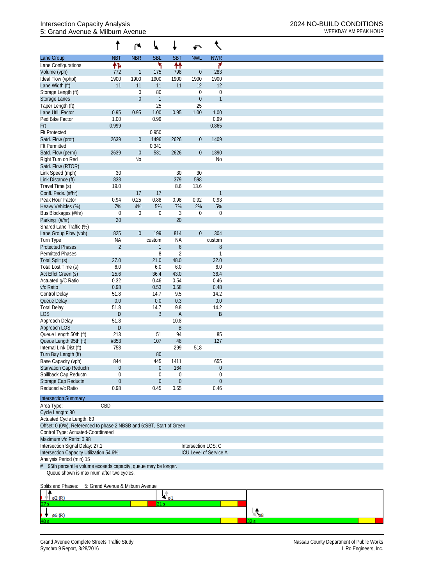## Intersection Capacity Analysis 2024 NO-BUILD CONDITIONS<br>5: Grand Avenue & Milburn Avenue 5: Grand Avenue & Milburn Avenue

|                                                                      |                                  | ۴                | ₩            |                  | ↶                |                        |  |  |  |  |  |
|----------------------------------------------------------------------|----------------------------------|------------------|--------------|------------------|------------------|------------------------|--|--|--|--|--|
| Lane Group                                                           | <b>NBT</b>                       | <b>NBR</b>       | <b>SBL</b>   | <b>SBT</b>       | <b>NWL</b>       | <b>NWR</b>             |  |  |  |  |  |
| Lane Configurations                                                  | 怍                                |                  | ۲            | ₩                |                  | ۴                      |  |  |  |  |  |
| Volume (vph)                                                         | 772                              | $\mathbf{1}$     | 175          | 798              | $\boldsymbol{0}$ | 283                    |  |  |  |  |  |
| Ideal Flow (vphpl)                                                   | 1900                             | 1900             | 1900         | 1900             | 1900             | 1900                   |  |  |  |  |  |
| Lane Width (ft)                                                      | 11                               | 11               | 11           | 11               | 12               | 12                     |  |  |  |  |  |
| Storage Length (ft)                                                  |                                  | $\theta$         | 80           |                  | 0                | $\boldsymbol{0}$       |  |  |  |  |  |
| <b>Storage Lanes</b>                                                 |                                  | $\mathbf{0}$     | $\mathbf{1}$ |                  | $\boldsymbol{0}$ | $\mathbf{1}$           |  |  |  |  |  |
| Taper Length (ft)                                                    |                                  |                  | 25           | 0.95             | 25               |                        |  |  |  |  |  |
| Lane Util. Factor<br>Ped Bike Factor                                 | 0.95<br>1.00                     | 0.95             | 1.00<br>0.99 |                  | 1.00             | 1.00<br>0.99           |  |  |  |  |  |
| Frt                                                                  | 0.999                            |                  |              |                  |                  | 0.865                  |  |  |  |  |  |
| <b>Flt Protected</b>                                                 |                                  |                  | 0.950        |                  |                  |                        |  |  |  |  |  |
| Satd. Flow (prot)                                                    | 2639                             | $\theta$         | 1496         | 2626             | $\boldsymbol{0}$ | 1409                   |  |  |  |  |  |
| <b>Flt Permitted</b>                                                 |                                  |                  | 0.341        |                  |                  |                        |  |  |  |  |  |
| Satd. Flow (perm)                                                    | 2639                             | $\boldsymbol{0}$ | 531          | 2626             | $\boldsymbol{0}$ | 1390                   |  |  |  |  |  |
| Right Turn on Red                                                    |                                  | N <sub>0</sub>   |              |                  |                  | N <sub>0</sub>         |  |  |  |  |  |
| Satd. Flow (RTOR)                                                    |                                  |                  |              |                  |                  |                        |  |  |  |  |  |
| Link Speed (mph)                                                     | 30                               |                  |              | 30               | 30               |                        |  |  |  |  |  |
| Link Distance (ft)                                                   | 838                              |                  |              | 379              | 598              |                        |  |  |  |  |  |
| Travel Time (s)                                                      | 19.0                             |                  |              | 8.6              | 13.6             |                        |  |  |  |  |  |
| Confl. Peds. (#/hr)                                                  |                                  | 17               | 17           |                  |                  | 1                      |  |  |  |  |  |
| Peak Hour Factor                                                     | 0.94                             | 0.25             | 0.88         | 0.98             | 0.92             | 0.93                   |  |  |  |  |  |
| Heavy Vehicles (%)                                                   | 7%                               | 4%               | 5%           | 7%               | 2%               | 5%                     |  |  |  |  |  |
| Bus Blockages (#/hr)                                                 | $\mathbf 0$                      | $\mathbf 0$      | 0            | $\mathfrak{Z}$   | 0                | $\mathbf 0$            |  |  |  |  |  |
| Parking (#/hr)                                                       | 20                               |                  |              | 20               |                  |                        |  |  |  |  |  |
| Shared Lane Traffic (%)                                              | 825                              | $\mathbf 0$      | 199          | 814              | $\overline{0}$   | 304                    |  |  |  |  |  |
| Lane Group Flow (vph)<br>Turn Type                                   | <b>NA</b>                        |                  | custom       | <b>NA</b>        |                  | custom                 |  |  |  |  |  |
| <b>Protected Phases</b>                                              | $\overline{2}$                   |                  | $\mathbf{1}$ | $\boldsymbol{6}$ |                  | $\, 8$                 |  |  |  |  |  |
| <b>Permitted Phases</b>                                              |                                  |                  | 8            | $\overline{2}$   |                  | 1                      |  |  |  |  |  |
| Total Split (s)                                                      | 27.0                             |                  | 21.0         | 48.0             |                  | 32.0                   |  |  |  |  |  |
| Total Lost Time (s)                                                  | 6.0                              |                  | 6.0          | 6.0              |                  | 6.0                    |  |  |  |  |  |
| Act Effct Green (s)                                                  | 25.6                             |                  | 36.4         | 43.0             |                  | 36.4                   |  |  |  |  |  |
| Actuated g/C Ratio                                                   | 0.32                             |                  | 0.46         | 0.54             |                  | 0.46                   |  |  |  |  |  |
| v/c Ratio                                                            | 0.98                             |                  | 0.53         | 0.58             |                  | 0.48                   |  |  |  |  |  |
| <b>Control Delay</b>                                                 | 51.8                             |                  | 14.7         | 9.5              |                  | 14.2                   |  |  |  |  |  |
| Queue Delay                                                          | 0.0                              |                  | 0.0          | 0.3              |                  | 0.0                    |  |  |  |  |  |
| <b>Total Delay</b>                                                   | 51.8                             |                  | 14.7         | 9.8              |                  | 14.2                   |  |  |  |  |  |
| <b>LOS</b>                                                           | D                                |                  | B            | $\mathsf{A}$     |                  | $\sf B$                |  |  |  |  |  |
| Approach Delay                                                       | 51.8                             |                  |              | 10.8             |                  |                        |  |  |  |  |  |
| Approach LOS                                                         | D                                |                  |              | B                |                  |                        |  |  |  |  |  |
| Queue Length 50th (ft)                                               | 213                              |                  | 51           | 94               |                  | 85                     |  |  |  |  |  |
| Queue Length 95th (ft)                                               | #353                             |                  | 107          | 48<br>299        | 518              | 127                    |  |  |  |  |  |
| Internal Link Dist (ft)<br>Turn Bay Length (ft)                      | 758                              |                  | 80           |                  |                  |                        |  |  |  |  |  |
| Base Capacity (vph)                                                  | 844                              |                  | 445          | 1411             |                  | 655                    |  |  |  |  |  |
| Starvation Cap Reductn                                               | $\boldsymbol{0}$                 |                  | $\mathbf 0$  | 164              |                  | $\boldsymbol{0}$       |  |  |  |  |  |
| Spillback Cap Reductn                                                | 0                                |                  | 0            | $\boldsymbol{0}$ |                  | 0                      |  |  |  |  |  |
| Storage Cap Reductn                                                  | $\boldsymbol{0}$                 |                  | 0            | $\mathbf{0}$     |                  | $\theta$               |  |  |  |  |  |
| Reduced v/c Ratio                                                    | 0.98                             |                  | 0.45         | 0.65             |                  | 0.46                   |  |  |  |  |  |
|                                                                      |                                  |                  |              |                  |                  |                        |  |  |  |  |  |
| <b>Intersection Summary</b>                                          |                                  |                  |              |                  |                  |                        |  |  |  |  |  |
| Area Type:                                                           | CBD                              |                  |              |                  |                  |                        |  |  |  |  |  |
| Cycle Length: 80                                                     |                                  |                  |              |                  |                  |                        |  |  |  |  |  |
| Actuated Cycle Length: 80                                            |                                  |                  |              |                  |                  |                        |  |  |  |  |  |
| Offset: 0 (0%), Referenced to phase 2:NBSB and 6:SBT, Start of Green |                                  |                  |              |                  |                  |                        |  |  |  |  |  |
| Control Type: Actuated-Coordinated<br>Maximum v/c Ratio: 0.98        |                                  |                  |              |                  |                  |                        |  |  |  |  |  |
| Intersection LOS: C<br>Intersection Signal Delay: 27.1               |                                  |                  |              |                  |                  |                        |  |  |  |  |  |
| Intersection Capacity Utilization 54.6%                              |                                  |                  |              |                  |                  | ICU Level of Service A |  |  |  |  |  |
| Analysis Period (min) 15                                             |                                  |                  |              |                  |                  |                        |  |  |  |  |  |
| 95th percentile volume exceeds capacity, queue may be longer.        |                                  |                  |              |                  |                  |                        |  |  |  |  |  |
| Queue shown is maximum after two cycles.                             |                                  |                  |              |                  |                  |                        |  |  |  |  |  |
|                                                                      |                                  |                  |              |                  |                  |                        |  |  |  |  |  |
| Splits and Phases:                                                   | 5: Grand Avenue & Milburn Avenue |                  |              |                  |                  |                        |  |  |  |  |  |

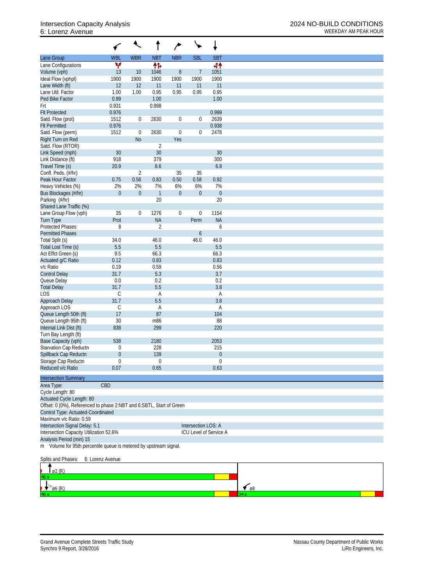# 6: Lorenz Avenue WEEKDAY AM PEAK HOUR

|                                                                      |                  |                |                | $\overline{r}$   |                     |                        |
|----------------------------------------------------------------------|------------------|----------------|----------------|------------------|---------------------|------------------------|
| Lane Group                                                           | <b>WBL</b>       | <b>WBR</b>     | <b>NBT</b>     | <b>NBR</b>       | <b>SBL</b>          | <b>SBT</b>             |
| Lane Configurations                                                  | v                |                | 怍              |                  |                     | 41                     |
| Volume (vph)                                                         | 13               | 10             | 1046           | $8\,$            | $\overline{7}$      | 1051                   |
| Ideal Flow (vphpl)                                                   | 1900             | 1900           | 1900           | 1900             | 1900                | 1900                   |
| Lane Width (ft)                                                      | 12               | 12             | 11             | 11               | 11                  | 11                     |
| Lane Util. Factor                                                    | 1.00             | 1.00           | 0.95           | 0.95             | 0.95                | 0.95                   |
| Ped Bike Factor                                                      | 0.99             |                | 1.00           |                  |                     | 1.00                   |
| Frt                                                                  | 0.931            |                | 0.998          |                  |                     |                        |
| <b>Flt Protected</b>                                                 | 0.976            |                |                |                  |                     | 0.999                  |
| Satd. Flow (prot)                                                    | 1512             | $\overline{0}$ | 2630           | $\boldsymbol{0}$ | $\boldsymbol{0}$    | 2639                   |
| <b>Flt Permitted</b>                                                 | 0.976            |                |                |                  |                     | 0.938                  |
| Satd. Flow (perm)                                                    | 1512             | $\mathbf 0$    | 2630           | $\mathbf 0$      | $\boldsymbol{0}$    | 2478                   |
| Right Turn on Red                                                    |                  | N <sub>o</sub> |                | Yes              |                     |                        |
| Satd. Flow (RTOR)                                                    |                  |                | $\overline{2}$ |                  |                     |                        |
| Link Speed (mph)                                                     | 30               |                | 30             |                  |                     | 30                     |
| Link Distance (ft)                                                   | 918              |                | 379            |                  |                     | 300                    |
| Travel Time (s)                                                      | 20.9             |                | 8.6            |                  |                     | 6.8                    |
| Confl. Peds. (#/hr)                                                  |                  | $\overline{2}$ |                | 35               | 35                  |                        |
| Peak Hour Factor                                                     | 0.75             | 0.56           | 0.83           | 0.50             | 0.58                | 0.92                   |
| Heavy Vehicles (%)                                                   | 2%               | 2%             | 7%             | 6%               | 6%                  | 7%                     |
| Bus Blockages (#/hr)                                                 | $\mathbf 0$      | $\overline{0}$ | $\mathbf{1}$   | $\boldsymbol{0}$ | $\boldsymbol{0}$    | $\boldsymbol{0}$       |
| Parking (#/hr)                                                       |                  |                | 20             |                  |                     | 20                     |
| Shared Lane Traffic (%)                                              |                  |                |                |                  |                     |                        |
| Lane Group Flow (vph)                                                | 35               | $\mathbf 0$    | 1276           | $\boldsymbol{0}$ | $\boldsymbol{0}$    | 1154                   |
| <b>Turn Type</b>                                                     | Prot             |                | <b>NA</b>      |                  | Perm                | <b>NA</b>              |
| <b>Protected Phases</b>                                              | 8                |                | $\overline{2}$ |                  |                     | 6                      |
| <b>Permitted Phases</b>                                              |                  |                |                |                  | 6                   |                        |
| Total Split (s)                                                      | 34.0             |                | 46.0           |                  | 46.0                | 46.0                   |
| Total Lost Time (s)                                                  | 5.5              |                | 5.5            |                  |                     | 5.5                    |
| Act Effct Green (s)                                                  | 9.5              |                | 66.3           |                  |                     | 66.3                   |
| Actuated g/C Ratio                                                   | 0.12             |                | 0.83           |                  |                     | 0.83                   |
| v/c Ratio                                                            | 0.19             |                | 0.59           |                  |                     | 0.56                   |
| <b>Control Delay</b>                                                 | 31.7             |                | 5.3            |                  |                     | 3.7                    |
| Queue Delay                                                          | 0.0              |                | 0.2            |                  |                     | 0.2                    |
| <b>Total Delay</b>                                                   | 31.7             |                | 5.5            |                  |                     | 3.8                    |
| LOS                                                                  | C                |                | A              |                  |                     | A                      |
| Approach Delay                                                       | 31.7             |                | 5.5            |                  |                     | 3.8                    |
| Approach LOS                                                         | С                |                | Α              |                  |                     | A                      |
| Queue Length 50th (ft)                                               | 17               |                | 87             |                  |                     | 104                    |
| Queue Length 95th (ft)                                               | 30               |                | m86            |                  |                     | 88                     |
| Internal Link Dist (ft)                                              | 838              |                | 299            |                  |                     | 220                    |
| Turn Bay Length (ft)                                                 |                  |                |                |                  |                     |                        |
| Base Capacity (vph)                                                  | 538              |                | 2180           |                  |                     | 2053                   |
| Starvation Cap Reductn                                               | 0                |                | 228            |                  |                     | 215                    |
| Spillback Cap Reductn                                                | $\mathbf{0}$     |                | 139            |                  |                     | $\boldsymbol{0}$       |
| Storage Cap Reductn                                                  | $\boldsymbol{0}$ |                | $\mathbf 0$    |                  |                     | $\mathbf 0$            |
| Reduced v/c Ratio                                                    | 0.07             |                | 0.65           |                  |                     | 0.63                   |
| <b>Intersection Summary</b>                                          |                  |                |                |                  |                     |                        |
|                                                                      |                  |                |                |                  |                     |                        |
| Area Type:                                                           | CBD              |                |                |                  |                     |                        |
| Cycle Length: 80                                                     |                  |                |                |                  |                     |                        |
| Actuated Cycle Length: 80                                            |                  |                |                |                  |                     |                        |
| Offset: 0 (0%), Referenced to phase 2:NBT and 6:SBTL, Start of Green |                  |                |                |                  |                     |                        |
| Control Type: Actuated-Coordinated                                   |                  |                |                |                  |                     |                        |
| Maximum v/c Ratio: 0.59                                              |                  |                |                |                  |                     |                        |
| Intersection Signal Delay: 5.1                                       |                  |                |                |                  | Intersection LOS: A |                        |
| Intersection Capacity Utilization 52.6%                              |                  |                |                |                  |                     | ICU Level of Service A |
| Analysis Period (min) 15                                             |                  |                |                |                  |                     |                        |
| m Volume for 95th percentile queue is metered by upstream signal.    |                  |                |                |                  |                     |                        |
|                                                                      |                  |                |                |                  |                     |                        |
| Splits and Phases:                                                   | 6: Lorenz Avenue |                |                |                  |                     |                        |
|                                                                      |                  |                |                |                  |                     |                        |

| —<br>$\varnothing$ 2 $(R)$ |            |  |
|----------------------------|------------|--|
| 46s                        |            |  |
| $\frac{1}{46}$ s $( R )$   | $\sqrt{8}$ |  |
|                            |            |  |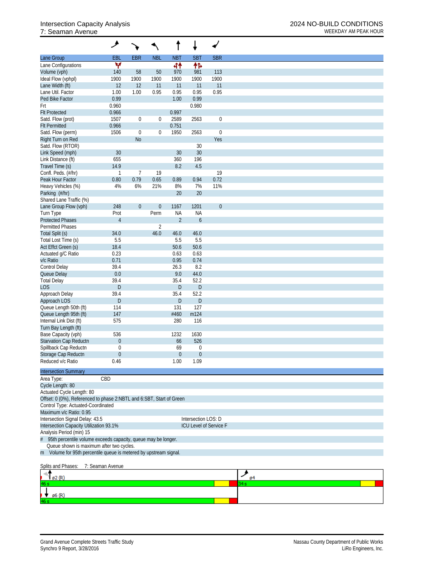## 7: Seaman Avenue

|                                                                      | مر                     |                |                  |                             |                     |                        |
|----------------------------------------------------------------------|------------------------|----------------|------------------|-----------------------------|---------------------|------------------------|
| Lane Group                                                           | EBL                    | <b>EBR</b>     | <b>NBL</b>       | <b>NBT</b>                  | <b>SBT</b>          | <b>SBR</b>             |
| Lane Configurations                                                  | v                      |                |                  | 44                          | 怍                   |                        |
| Volume (vph)                                                         | 140                    | 58             | 50               | 970                         | 981                 | 113                    |
| Ideal Flow (vphpl)                                                   | 1900                   | 1900           | 1900             | 1900                        | 1900                | 1900                   |
| Lane Width (ft)                                                      | 12                     | 12             | 11               | 11                          | 11                  | 11                     |
| Lane Util. Factor<br>Ped Bike Factor                                 | 1.00<br>0.99           | 1.00           | 0.95             | 0.95<br>1.00                | 0.95<br>0.99        | 0.95                   |
| Frt                                                                  | 0.960                  |                |                  |                             | 0.980               |                        |
| <b>Flt Protected</b>                                                 | 0.966                  |                |                  | 0.997                       |                     |                        |
| Satd. Flow (prot)                                                    | 1507                   | 0              | 0                | 2589                        | 2563                | $\boldsymbol{0}$       |
| <b>Flt Permitted</b>                                                 | 0.966                  |                |                  | 0.751                       |                     |                        |
| Satd. Flow (perm)                                                    | 1506                   | $\mathbf 0$    | $\boldsymbol{0}$ | 1950                        | 2563                | $\boldsymbol{0}$       |
| Right Turn on Red                                                    |                        | N <sub>o</sub> |                  |                             |                     | Yes                    |
| Satd. Flow (RTOR)                                                    |                        |                |                  |                             | 30                  |                        |
| Link Speed (mph)                                                     | 30                     |                |                  | 30                          | 30                  |                        |
| Link Distance (ft)                                                   | 655                    |                |                  | 360                         | 196                 |                        |
| Travel Time (s)                                                      | 14.9                   |                |                  | 8.2                         | 4.5                 |                        |
| Confl. Peds. (#/hr)                                                  | $\mathbf{1}$           | $\overline{7}$ | 19               |                             |                     | 19                     |
| Peak Hour Factor                                                     | 0.80                   | 0.79           | 0.65             | 0.89                        | 0.94                | 0.72                   |
| Heavy Vehicles (%)                                                   | 4%                     | 6%             | 21%              | 8%                          | 7%                  | 11%                    |
| Parking (#/hr)                                                       |                        |                |                  | 20                          | 20                  |                        |
| Shared Lane Traffic (%)                                              |                        |                |                  |                             |                     |                        |
| Lane Group Flow (vph)                                                | 248                    | $\mathbf 0$    | $\boldsymbol{0}$ | 1167                        | 1201                | $\boldsymbol{0}$       |
| Turn Type<br><b>Protected Phases</b>                                 | Prot<br>$\overline{4}$ |                | Perm             | <b>NA</b><br>$\overline{2}$ | <b>NA</b>           |                        |
| <b>Permitted Phases</b>                                              |                        |                | $\overline{2}$   |                             | $\boldsymbol{6}$    |                        |
| Total Split (s)                                                      | 34.0                   |                | 46.0             | 46.0                        | 46.0                |                        |
| Total Lost Time (s)                                                  | 5.5                    |                |                  | 5.5                         | 5.5                 |                        |
| Act Effct Green (s)                                                  | 18.4                   |                |                  | 50.6                        | 50.6                |                        |
| Actuated g/C Ratio                                                   | 0.23                   |                |                  | 0.63                        | 0.63                |                        |
| v/c Ratio                                                            | 0.71                   |                |                  | 0.95                        | 0.74                |                        |
| Control Delay                                                        | 39.4                   |                |                  | 26.3                        | 8.2                 |                        |
| Queue Delay                                                          | 0.0                    |                |                  | 9.0                         | 44.0                |                        |
| <b>Total Delay</b>                                                   | 39.4                   |                |                  | 35.4                        | 52.2                |                        |
| <b>LOS</b>                                                           | D                      |                |                  | D                           | D                   |                        |
| Approach Delay                                                       | 39.4                   |                |                  | 35.4                        | 52.2                |                        |
| Approach LOS                                                         | $\mathsf{D}%$          |                |                  | D                           | $\mathsf{D}$        |                        |
| Queue Length 50th (ft)                                               | 114                    |                |                  | 131                         | 127                 |                        |
| Queue Length 95th (ft)                                               | 147                    |                |                  | #460                        | m124                |                        |
| Internal Link Dist (ft)                                              | 575                    |                |                  | 280                         | 116                 |                        |
| Turn Bay Length (ft)                                                 |                        |                |                  |                             |                     |                        |
| Base Capacity (vph)                                                  | 536                    |                |                  | 1232                        | 1630                |                        |
| Starvation Cap Reductn                                               | $\boldsymbol{0}$       |                |                  | 66                          | 526                 |                        |
| Spillback Cap Reductn                                                | $\mathbf 0$            |                |                  | 69                          | $\boldsymbol{0}$    |                        |
| Storage Cap Reductn                                                  | $\mathbf 0$            |                |                  | $\mathbf{0}$                | $\mathbf 0$         |                        |
| Reduced v/c Ratio                                                    | 0.46                   |                |                  | 1.00                        | 1.09                |                        |
| <b>Intersection Summary</b>                                          |                        |                |                  |                             |                     |                        |
| Area Type:                                                           | CBD                    |                |                  |                             |                     |                        |
| Cycle Length: 80                                                     |                        |                |                  |                             |                     |                        |
| Actuated Cycle Length: 80                                            |                        |                |                  |                             |                     |                        |
| Offset: 0 (0%), Referenced to phase 2:NBTL and 6:SBT, Start of Green |                        |                |                  |                             |                     |                        |
| Control Type: Actuated-Coordinated                                   |                        |                |                  |                             |                     |                        |
| Maximum v/c Ratio: 0.95                                              |                        |                |                  |                             |                     |                        |
| Intersection Signal Delay: 43.5                                      |                        |                |                  |                             | Intersection LOS: D |                        |
| Intersection Capacity Utilization 93.1%                              |                        |                |                  |                             |                     | ICU Level of Service F |
| Analysis Period (min) 15                                             |                        |                |                  |                             |                     |                        |
| 95th percentile volume exceeds capacity, queue may be longer.        |                        |                |                  |                             |                     |                        |
| Queue shown is maximum after two cycles.                             |                        |                |                  |                             |                     |                        |
| m Volume for 95th percentile queue is metered by upstream signal.    |                        |                |                  |                             |                     |                        |
|                                                                      |                        |                |                  |                             |                     |                        |
| Splits and Phases:                                                   | 7: Seaman Avenue       |                |                  |                             |                     |                        |
| ø2 (R)                                                               |                        |                |                  |                             |                     |                        |
| ьs                                                                   |                        |                |                  |                             |                     |                        |
|                                                                      |                        |                |                  |                             |                     |                        |
| ø6 (R)                                                               |                        |                |                  |                             |                     |                        |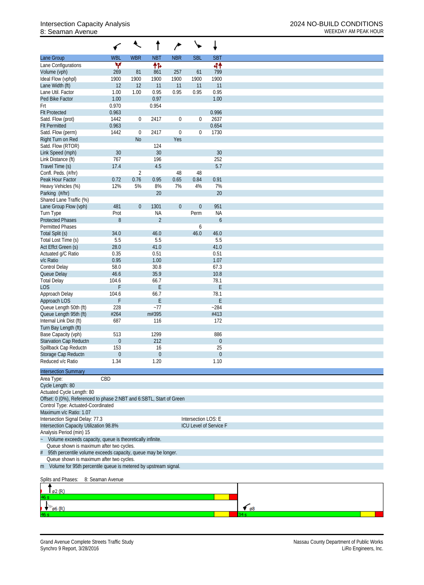# 8: Seaman Avenue WEEKDAY AM PEAK HOUR

|                                                                                                                |                         |                  |                   | ∕                |                          |                        |               |
|----------------------------------------------------------------------------------------------------------------|-------------------------|------------------|-------------------|------------------|--------------------------|------------------------|---------------|
| Lane Group                                                                                                     | <b>WBL</b>              | <b>WBR</b>       | <b>NBT</b>        | <b>NBR</b>       | <b>SBL</b>               | <b>SBT</b>             |               |
| Lane Configurations                                                                                            | W                       |                  | 怍                 |                  |                          | 41                     |               |
| Volume (vph)<br>Ideal Flow (vphpl)                                                                             | 269                     | 81<br>1900       | 861<br>1900       | 257<br>1900      | 61<br>1900               | 799                    |               |
| Lane Width (ft)                                                                                                | 1900<br>12              | 12               | 11                | 11               | 11                       | 1900<br>11             |               |
| Lane Util. Factor                                                                                              | 1.00                    | 1.00             | 0.95              | 0.95             | 0.95                     | 0.95                   |               |
| Ped Bike Factor                                                                                                | 1.00                    |                  | 0.97              |                  |                          | 1.00                   |               |
| Frt                                                                                                            | 0.970                   |                  | 0.954             |                  |                          |                        |               |
| <b>Flt Protected</b>                                                                                           | 0.963                   |                  |                   |                  |                          | 0.996                  |               |
| Satd. Flow (prot)<br><b>Flt Permitted</b>                                                                      | 1442<br>0.963           | $\boldsymbol{0}$ | 2417              | $\boldsymbol{0}$ | $\boldsymbol{0}$         | 2637<br>0.654          |               |
| Satd. Flow (perm)                                                                                              | 1442                    | $\mathbf 0$      | 2417              | $\mathbf 0$      | $\boldsymbol{0}$         | 1730                   |               |
| Right Turn on Red                                                                                              |                         | N <sub>o</sub>   |                   | Yes              |                          |                        |               |
| Satd. Flow (RTOR)                                                                                              |                         |                  | 124               |                  |                          |                        |               |
| Link Speed (mph)                                                                                               | 30                      |                  | 30                |                  |                          | 30                     |               |
| Link Distance (ft)<br>Travel Time (s)                                                                          | 767<br>17.4             |                  | 196<br>4.5        |                  |                          | 252<br>5.7             |               |
| Confl. Peds. (#/hr)                                                                                            |                         | $\overline{2}$   |                   | 48               | 48                       |                        |               |
| Peak Hour Factor                                                                                               | 0.72                    | 0.76             | 0.95              | 0.65             | 0.84                     | 0.91                   |               |
| Heavy Vehicles (%)                                                                                             | 12%                     | 5%               | 8%                | 7%               | 4%                       | 7%                     |               |
| Parking (#/hr)                                                                                                 |                         |                  | 20                |                  |                          | 20                     |               |
| Shared Lane Traffic (%)                                                                                        |                         |                  |                   |                  |                          |                        |               |
| Lane Group Flow (vph)<br>Turn Type                                                                             | 481<br>Prot             | $\boldsymbol{0}$ | 1301<br><b>NA</b> | $\boldsymbol{0}$ | $\boldsymbol{0}$<br>Perm | 951<br><b>NA</b>       |               |
| <b>Protected Phases</b>                                                                                        | 8                       |                  | $\overline{2}$    |                  |                          | 6                      |               |
| <b>Permitted Phases</b>                                                                                        |                         |                  |                   |                  | 6                        |                        |               |
| Total Split (s)                                                                                                | 34.0                    |                  | 46.0              |                  | 46.0                     | 46.0                   |               |
| Total Lost Time (s)                                                                                            | 5.5                     |                  | 5.5               |                  |                          | 5.5                    |               |
| Act Effct Green (s)                                                                                            | 28.0                    |                  | 41.0<br>0.51      |                  |                          | 41.0                   |               |
| Actuated g/C Ratio<br>v/c Ratio                                                                                | 0.35<br>0.95            |                  | 1.00              |                  |                          | 0.51<br>1.07           |               |
| Control Delay                                                                                                  | 58.0                    |                  | 30.8              |                  |                          | 67.3                   |               |
| Queue Delay                                                                                                    | 46.6                    |                  | 35.9              |                  |                          | 10.8                   |               |
| <b>Total Delay</b>                                                                                             | 104.6                   |                  | 66.7              |                  |                          | 78.1                   |               |
| LOS <sup></sup>                                                                                                | F                       |                  | F                 |                  |                          | F                      |               |
| Approach Delay<br>Approach LOS                                                                                 | 104.6<br>F              |                  | 66.7<br>Е         |                  |                          | 78.1<br>E              |               |
| Queue Length 50th (ft)                                                                                         | 228                     |                  | $-77$             |                  |                          | $-284$                 |               |
| Queue Length 95th (ft)                                                                                         | #264                    |                  | m#395             |                  |                          | #413                   |               |
| Internal Link Dist (ft)                                                                                        | 687                     |                  | 116               |                  |                          | 172                    |               |
| Turn Bay Length (ft)                                                                                           |                         |                  |                   |                  |                          |                        |               |
| Base Capacity (vph)                                                                                            | 513                     |                  | 1299<br>212       |                  |                          | 886                    |               |
| <b>Starvation Cap Reductn</b><br>Spillback Cap Reductn                                                         | $\boldsymbol{0}$<br>153 |                  | 16                |                  |                          | $\boldsymbol{0}$<br>25 |               |
| Storage Cap Reductn                                                                                            | $\boldsymbol{0}$        |                  | $\mathbf 0$       |                  |                          | $\theta$               |               |
| Reduced v/c Ratio                                                                                              | 1.34                    |                  | 1.20              |                  |                          | 1.10                   |               |
| <b>Intersection Summary</b>                                                                                    |                         |                  |                   |                  |                          |                        |               |
| Area Type:                                                                                                     | CBD                     |                  |                   |                  |                          |                        |               |
| Cycle Length: 80                                                                                               |                         |                  |                   |                  |                          |                        |               |
| Actuated Cycle Length: 80                                                                                      |                         |                  |                   |                  |                          |                        |               |
| Offset: 0 (0%), Referenced to phase 2:NBT and 6:SBTL, Start of Green                                           |                         |                  |                   |                  |                          |                        |               |
| Control Type: Actuated-Coordinated<br>Maximum v/c Ratio: 1.07                                                  |                         |                  |                   |                  |                          |                        |               |
| Intersection Signal Delay: 77.3                                                                                |                         |                  |                   |                  | Intersection LOS: E      |                        |               |
| Intersection Capacity Utilization 98.8%                                                                        |                         |                  |                   |                  |                          | ICU Level of Service F |               |
| Analysis Period (min) 15                                                                                       |                         |                  |                   |                  |                          |                        |               |
| Volume exceeds capacity, queue is theoretically infinite.                                                      |                         |                  |                   |                  |                          |                        |               |
| Queue shown is maximum after two cycles.                                                                       |                         |                  |                   |                  |                          |                        |               |
| 95th percentile volume exceeds capacity, queue may be longer.<br>#<br>Queue shown is maximum after two cycles. |                         |                  |                   |                  |                          |                        |               |
| m Volume for 95th percentile queue is metered by upstream signal.                                              |                         |                  |                   |                  |                          |                        |               |
| Splits and Phases:                                                                                             | 8: Seaman Avenue        |                  |                   |                  |                          |                        |               |
| ø2 (R)                                                                                                         |                         |                  |                   |                  |                          |                        |               |
| 16 s                                                                                                           |                         |                  |                   |                  |                          |                        |               |
| $\emptyset$ 6 (R)                                                                                              |                         |                  |                   |                  |                          |                        | $\epsilon$ 68 |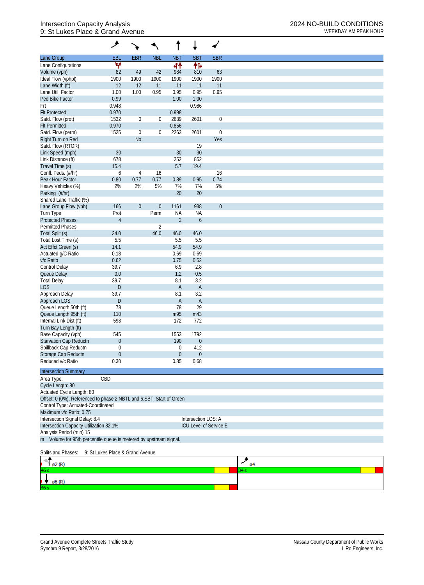## Intersection Capacity Analysis 2024 NO-BUILD CONDITIONS 9: St Lukes Place & Grand Avenue WEEKDAY AM PEAK HOUR

| <b>EBR</b><br><b>NBL</b><br><b>NBT</b><br><b>SBT</b><br><b>SBR</b><br>Lane Group<br>EBL<br>۷<br>伟<br>44<br>Lane Configurations<br>82<br>Volume (vph)<br>49<br>42<br>984<br>810<br>63<br>1900<br>1900<br>1900<br>1900<br>Ideal Flow (vphpl)<br>1900<br>1900<br>12<br>11<br>Lane Width (ft)<br>12<br>11<br>11<br>11<br>1.00<br>0.95<br>0.95<br>0.95<br>Lane Util. Factor<br>1.00<br>0.95<br>Ped Bike Factor<br>0.99<br>1.00<br>1.00<br>0.948<br>0.986<br>Frt<br>0.970<br><b>Flt Protected</b><br>0.998<br>1532<br>2639<br>$\boldsymbol{0}$<br>$\boldsymbol{0}$<br>$\boldsymbol{0}$<br>2601<br>Satd. Flow (prot)<br>0.970<br>0.856<br><b>Flt Permitted</b><br>$\boldsymbol{0}$<br>Satd. Flow (perm)<br>1525<br>$\mathbf 0$<br>0<br>2263<br>2601<br>Yes<br>Right Turn on Red<br><b>No</b><br>Satd. Flow (RTOR)<br>19<br>30<br>Link Speed (mph)<br>30<br>30<br>252<br>852<br>Link Distance (ft)<br>678<br>5.7<br>19.4<br>Travel Time (s)<br>15.4<br>Confl. Peds. (#/hr)<br>16<br>16<br>6<br>4<br>0.77<br>0.77<br>0.95<br>0.74<br>Peak Hour Factor<br>0.80<br>0.89<br>5%<br>7%<br>5%<br>Heavy Vehicles (%)<br>2%<br>2%<br>7%<br>20<br>20<br>Parking (#/hr)<br>Shared Lane Traffic (%)<br>166<br>938<br>$\boldsymbol{0}$<br>$\boldsymbol{0}$<br>$\boldsymbol{0}$<br>1161<br>Lane Group Flow (vph) |
|--------------------------------------------------------------------------------------------------------------------------------------------------------------------------------------------------------------------------------------------------------------------------------------------------------------------------------------------------------------------------------------------------------------------------------------------------------------------------------------------------------------------------------------------------------------------------------------------------------------------------------------------------------------------------------------------------------------------------------------------------------------------------------------------------------------------------------------------------------------------------------------------------------------------------------------------------------------------------------------------------------------------------------------------------------------------------------------------------------------------------------------------------------------------------------------------------------------------------------------------------------------------------------------------|
|                                                                                                                                                                                                                                                                                                                                                                                                                                                                                                                                                                                                                                                                                                                                                                                                                                                                                                                                                                                                                                                                                                                                                                                                                                                                                            |
|                                                                                                                                                                                                                                                                                                                                                                                                                                                                                                                                                                                                                                                                                                                                                                                                                                                                                                                                                                                                                                                                                                                                                                                                                                                                                            |
|                                                                                                                                                                                                                                                                                                                                                                                                                                                                                                                                                                                                                                                                                                                                                                                                                                                                                                                                                                                                                                                                                                                                                                                                                                                                                            |
|                                                                                                                                                                                                                                                                                                                                                                                                                                                                                                                                                                                                                                                                                                                                                                                                                                                                                                                                                                                                                                                                                                                                                                                                                                                                                            |
|                                                                                                                                                                                                                                                                                                                                                                                                                                                                                                                                                                                                                                                                                                                                                                                                                                                                                                                                                                                                                                                                                                                                                                                                                                                                                            |
|                                                                                                                                                                                                                                                                                                                                                                                                                                                                                                                                                                                                                                                                                                                                                                                                                                                                                                                                                                                                                                                                                                                                                                                                                                                                                            |
|                                                                                                                                                                                                                                                                                                                                                                                                                                                                                                                                                                                                                                                                                                                                                                                                                                                                                                                                                                                                                                                                                                                                                                                                                                                                                            |
|                                                                                                                                                                                                                                                                                                                                                                                                                                                                                                                                                                                                                                                                                                                                                                                                                                                                                                                                                                                                                                                                                                                                                                                                                                                                                            |
|                                                                                                                                                                                                                                                                                                                                                                                                                                                                                                                                                                                                                                                                                                                                                                                                                                                                                                                                                                                                                                                                                                                                                                                                                                                                                            |
|                                                                                                                                                                                                                                                                                                                                                                                                                                                                                                                                                                                                                                                                                                                                                                                                                                                                                                                                                                                                                                                                                                                                                                                                                                                                                            |
|                                                                                                                                                                                                                                                                                                                                                                                                                                                                                                                                                                                                                                                                                                                                                                                                                                                                                                                                                                                                                                                                                                                                                                                                                                                                                            |
|                                                                                                                                                                                                                                                                                                                                                                                                                                                                                                                                                                                                                                                                                                                                                                                                                                                                                                                                                                                                                                                                                                                                                                                                                                                                                            |
|                                                                                                                                                                                                                                                                                                                                                                                                                                                                                                                                                                                                                                                                                                                                                                                                                                                                                                                                                                                                                                                                                                                                                                                                                                                                                            |
|                                                                                                                                                                                                                                                                                                                                                                                                                                                                                                                                                                                                                                                                                                                                                                                                                                                                                                                                                                                                                                                                                                                                                                                                                                                                                            |
|                                                                                                                                                                                                                                                                                                                                                                                                                                                                                                                                                                                                                                                                                                                                                                                                                                                                                                                                                                                                                                                                                                                                                                                                                                                                                            |
|                                                                                                                                                                                                                                                                                                                                                                                                                                                                                                                                                                                                                                                                                                                                                                                                                                                                                                                                                                                                                                                                                                                                                                                                                                                                                            |
|                                                                                                                                                                                                                                                                                                                                                                                                                                                                                                                                                                                                                                                                                                                                                                                                                                                                                                                                                                                                                                                                                                                                                                                                                                                                                            |
|                                                                                                                                                                                                                                                                                                                                                                                                                                                                                                                                                                                                                                                                                                                                                                                                                                                                                                                                                                                                                                                                                                                                                                                                                                                                                            |
|                                                                                                                                                                                                                                                                                                                                                                                                                                                                                                                                                                                                                                                                                                                                                                                                                                                                                                                                                                                                                                                                                                                                                                                                                                                                                            |
|                                                                                                                                                                                                                                                                                                                                                                                                                                                                                                                                                                                                                                                                                                                                                                                                                                                                                                                                                                                                                                                                                                                                                                                                                                                                                            |
|                                                                                                                                                                                                                                                                                                                                                                                                                                                                                                                                                                                                                                                                                                                                                                                                                                                                                                                                                                                                                                                                                                                                                                                                                                                                                            |
|                                                                                                                                                                                                                                                                                                                                                                                                                                                                                                                                                                                                                                                                                                                                                                                                                                                                                                                                                                                                                                                                                                                                                                                                                                                                                            |
| Turn Type<br>Perm<br><b>NA</b><br><b>NA</b><br>Prot                                                                                                                                                                                                                                                                                                                                                                                                                                                                                                                                                                                                                                                                                                                                                                                                                                                                                                                                                                                                                                                                                                                                                                                                                                        |
| $\overline{2}$<br><b>Protected Phases</b><br>$\overline{4}$<br>$\boldsymbol{6}$                                                                                                                                                                                                                                                                                                                                                                                                                                                                                                                                                                                                                                                                                                                                                                                                                                                                                                                                                                                                                                                                                                                                                                                                            |
| <b>Permitted Phases</b><br>2                                                                                                                                                                                                                                                                                                                                                                                                                                                                                                                                                                                                                                                                                                                                                                                                                                                                                                                                                                                                                                                                                                                                                                                                                                                               |
| 46.0<br>46.0<br>Total Split (s)<br>34.0<br>46.0                                                                                                                                                                                                                                                                                                                                                                                                                                                                                                                                                                                                                                                                                                                                                                                                                                                                                                                                                                                                                                                                                                                                                                                                                                            |
| 5.5<br>5.5<br>Total Lost Time (s)<br>5.5                                                                                                                                                                                                                                                                                                                                                                                                                                                                                                                                                                                                                                                                                                                                                                                                                                                                                                                                                                                                                                                                                                                                                                                                                                                   |
| 54.9<br>54.9<br>Act Effct Green (s)<br>14.1<br>0.69                                                                                                                                                                                                                                                                                                                                                                                                                                                                                                                                                                                                                                                                                                                                                                                                                                                                                                                                                                                                                                                                                                                                                                                                                                        |
| 0.18<br>0.69<br>Actuated g/C Ratio<br>0.75<br>0.52<br>v/c Ratio<br>0.62                                                                                                                                                                                                                                                                                                                                                                                                                                                                                                                                                                                                                                                                                                                                                                                                                                                                                                                                                                                                                                                                                                                                                                                                                    |
| Control Delay<br>39.7<br>6.9<br>2.8                                                                                                                                                                                                                                                                                                                                                                                                                                                                                                                                                                                                                                                                                                                                                                                                                                                                                                                                                                                                                                                                                                                                                                                                                                                        |
| $0.0\,$<br>1.2<br>0.5<br>Queue Delay                                                                                                                                                                                                                                                                                                                                                                                                                                                                                                                                                                                                                                                                                                                                                                                                                                                                                                                                                                                                                                                                                                                                                                                                                                                       |
| 39.7<br>8.1<br>3.2<br><b>Total Delay</b>                                                                                                                                                                                                                                                                                                                                                                                                                                                                                                                                                                                                                                                                                                                                                                                                                                                                                                                                                                                                                                                                                                                                                                                                                                                   |
| <b>LOS</b><br>D<br>$\mathsf{A}$<br>A                                                                                                                                                                                                                                                                                                                                                                                                                                                                                                                                                                                                                                                                                                                                                                                                                                                                                                                                                                                                                                                                                                                                                                                                                                                       |
| 39.7<br>8.1<br>3.2<br>Approach Delay                                                                                                                                                                                                                                                                                                                                                                                                                                                                                                                                                                                                                                                                                                                                                                                                                                                                                                                                                                                                                                                                                                                                                                                                                                                       |
| Approach LOS<br>A<br>A<br>D                                                                                                                                                                                                                                                                                                                                                                                                                                                                                                                                                                                                                                                                                                                                                                                                                                                                                                                                                                                                                                                                                                                                                                                                                                                                |
| Queue Length 50th (ft)<br>78<br>29<br>78                                                                                                                                                                                                                                                                                                                                                                                                                                                                                                                                                                                                                                                                                                                                                                                                                                                                                                                                                                                                                                                                                                                                                                                                                                                   |
| Queue Length 95th (ft)<br>m95<br>m43<br>110                                                                                                                                                                                                                                                                                                                                                                                                                                                                                                                                                                                                                                                                                                                                                                                                                                                                                                                                                                                                                                                                                                                                                                                                                                                |
| Internal Link Dist (ft)<br>598<br>172<br>772                                                                                                                                                                                                                                                                                                                                                                                                                                                                                                                                                                                                                                                                                                                                                                                                                                                                                                                                                                                                                                                                                                                                                                                                                                               |
| Turn Bay Length (ft)                                                                                                                                                                                                                                                                                                                                                                                                                                                                                                                                                                                                                                                                                                                                                                                                                                                                                                                                                                                                                                                                                                                                                                                                                                                                       |
| Base Capacity (vph)<br>545<br>1553<br>1792                                                                                                                                                                                                                                                                                                                                                                                                                                                                                                                                                                                                                                                                                                                                                                                                                                                                                                                                                                                                                                                                                                                                                                                                                                                 |
| Starvation Cap Reductn<br>190<br>$\overline{0}$<br>$\overline{0}$                                                                                                                                                                                                                                                                                                                                                                                                                                                                                                                                                                                                                                                                                                                                                                                                                                                                                                                                                                                                                                                                                                                                                                                                                          |
| Spillback Cap Reductn<br>412<br>$\mathbf 0$<br>0                                                                                                                                                                                                                                                                                                                                                                                                                                                                                                                                                                                                                                                                                                                                                                                                                                                                                                                                                                                                                                                                                                                                                                                                                                           |
| Storage Cap Reductn<br>$\theta$<br>$\mathbf 0$<br>$\boldsymbol{0}$                                                                                                                                                                                                                                                                                                                                                                                                                                                                                                                                                                                                                                                                                                                                                                                                                                                                                                                                                                                                                                                                                                                                                                                                                         |
| Reduced v/c Ratio<br>0.30<br>0.85<br>0.68                                                                                                                                                                                                                                                                                                                                                                                                                                                                                                                                                                                                                                                                                                                                                                                                                                                                                                                                                                                                                                                                                                                                                                                                                                                  |
|                                                                                                                                                                                                                                                                                                                                                                                                                                                                                                                                                                                                                                                                                                                                                                                                                                                                                                                                                                                                                                                                                                                                                                                                                                                                                            |
| <b>Intersection Summary</b>                                                                                                                                                                                                                                                                                                                                                                                                                                                                                                                                                                                                                                                                                                                                                                                                                                                                                                                                                                                                                                                                                                                                                                                                                                                                |
| CBD<br>Area Type:                                                                                                                                                                                                                                                                                                                                                                                                                                                                                                                                                                                                                                                                                                                                                                                                                                                                                                                                                                                                                                                                                                                                                                                                                                                                          |
| Cycle Length: 80                                                                                                                                                                                                                                                                                                                                                                                                                                                                                                                                                                                                                                                                                                                                                                                                                                                                                                                                                                                                                                                                                                                                                                                                                                                                           |
| Actuated Cycle Length: 80                                                                                                                                                                                                                                                                                                                                                                                                                                                                                                                                                                                                                                                                                                                                                                                                                                                                                                                                                                                                                                                                                                                                                                                                                                                                  |
| Offset: 0 (0%), Referenced to phase 2:NBTL and 6:SBT, Start of Green                                                                                                                                                                                                                                                                                                                                                                                                                                                                                                                                                                                                                                                                                                                                                                                                                                                                                                                                                                                                                                                                                                                                                                                                                       |
| Control Type: Actuated-Coordinated<br>Maximum v/c Ratio: 0.75                                                                                                                                                                                                                                                                                                                                                                                                                                                                                                                                                                                                                                                                                                                                                                                                                                                                                                                                                                                                                                                                                                                                                                                                                              |
| Intersection Signal Delay: 8.4<br>Intersection LOS: A                                                                                                                                                                                                                                                                                                                                                                                                                                                                                                                                                                                                                                                                                                                                                                                                                                                                                                                                                                                                                                                                                                                                                                                                                                      |
| Intersection Capacity Utilization 82.1%<br>ICU Level of Service E                                                                                                                                                                                                                                                                                                                                                                                                                                                                                                                                                                                                                                                                                                                                                                                                                                                                                                                                                                                                                                                                                                                                                                                                                          |
| Analysis Period (min) 15                                                                                                                                                                                                                                                                                                                                                                                                                                                                                                                                                                                                                                                                                                                                                                                                                                                                                                                                                                                                                                                                                                                                                                                                                                                                   |
| m Volume for 95th percentile queue is metered by upstream signal.                                                                                                                                                                                                                                                                                                                                                                                                                                                                                                                                                                                                                                                                                                                                                                                                                                                                                                                                                                                                                                                                                                                                                                                                                          |
| Splits and Phases:<br>9: St Lukes Place & Grand Avenue                                                                                                                                                                                                                                                                                                                                                                                                                                                                                                                                                                                                                                                                                                                                                                                                                                                                                                                                                                                                                                                                                                                                                                                                                                     |
| ≯                                                                                                                                                                                                                                                                                                                                                                                                                                                                                                                                                                                                                                                                                                                                                                                                                                                                                                                                                                                                                                                                                                                                                                                                                                                                                          |
| $\varnothing$ 2 $(R)$<br>0 <sup>4</sup>                                                                                                                                                                                                                                                                                                                                                                                                                                                                                                                                                                                                                                                                                                                                                                                                                                                                                                                                                                                                                                                                                                                                                                                                                                                    |
| 34 s<br>16 s                                                                                                                                                                                                                                                                                                                                                                                                                                                                                                                                                                                                                                                                                                                                                                                                                                                                                                                                                                                                                                                                                                                                                                                                                                                                               |
|                                                                                                                                                                                                                                                                                                                                                                                                                                                                                                                                                                                                                                                                                                                                                                                                                                                                                                                                                                                                                                                                                                                                                                                                                                                                                            |
| ø6 (R)                                                                                                                                                                                                                                                                                                                                                                                                                                                                                                                                                                                                                                                                                                                                                                                                                                                                                                                                                                                                                                                                                                                                                                                                                                                                                     |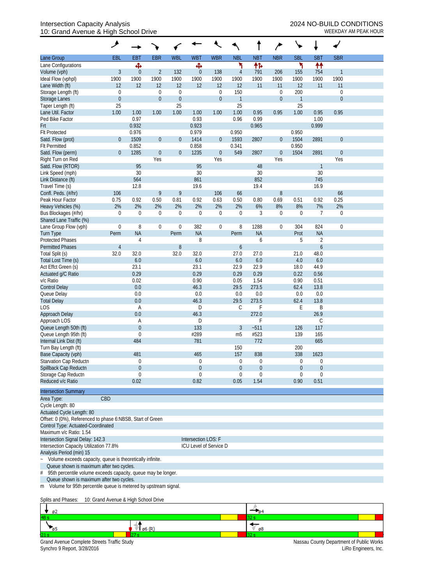## Intersection Capacity Analysis<br>10: Grand Avenue & High School Drive<br>WEEKDAY AM PEAK HOUR 10: Grand Avenue & High School Drive

|                                                                                                                | ᢣ                      |                |                  |                  |                  |                                                                                                               |                  |                  |                  |                |                  |              |  |  |  |  |
|----------------------------------------------------------------------------------------------------------------|------------------------|----------------|------------------|------------------|------------------|---------------------------------------------------------------------------------------------------------------|------------------|------------------|------------------|----------------|------------------|--------------|--|--|--|--|
| Lane Group                                                                                                     | EBL                    | <b>EBT</b>     | <b>EBR</b>       | <b>WBL</b>       | <b>WBT</b>       | <b>WBR</b>                                                                                                    | <b>NBL</b>       | <b>NBT</b>       | <b>NBR</b>       | <b>SBL</b>     | <b>SBT</b>       | <b>SBR</b>   |  |  |  |  |
| Lane Configurations                                                                                            |                        | Ф              |                  |                  | Ф                |                                                                                                               | ۲                | 怍                |                  | ۳              | ₩                |              |  |  |  |  |
| Volume (vph)                                                                                                   | 3                      | $\theta$       | $\overline{2}$   | 132              | $\theta$         | 138                                                                                                           | $\overline{4}$   | 791              | 206              | 155            | 754              | $\mathbf{1}$ |  |  |  |  |
| Ideal Flow (vphpl)                                                                                             | 1900                   | 1900           | 1900             | 1900             | 1900             | 1900                                                                                                          | 1900             | 1900             | 1900             | 1900           | 1900             | 1900         |  |  |  |  |
| Lane Width (ft)                                                                                                | 12                     | 12             | 12               | 12               | 12               | 12                                                                                                            | 12               | 11               | 11               | 12             | 11               | 11           |  |  |  |  |
| Storage Length (ft)                                                                                            | $\mathbf 0$            |                | $\boldsymbol{0}$ | $\boldsymbol{0}$ |                  | $\boldsymbol{0}$                                                                                              | 150              |                  | $\boldsymbol{0}$ | 200            |                  | $\mathbf 0$  |  |  |  |  |
| Storage Lanes                                                                                                  | $\boldsymbol{0}$       |                | $\boldsymbol{0}$ | $\boldsymbol{0}$ |                  | $\boldsymbol{0}$                                                                                              | $\overline{1}$   |                  | $\boldsymbol{0}$ | $\overline{1}$ |                  | $\mathbf{0}$ |  |  |  |  |
| Taper Length (ft)                                                                                              | 25                     |                |                  | 25               |                  |                                                                                                               | 25               |                  |                  | 25             |                  |              |  |  |  |  |
| Lane Util. Factor                                                                                              | 1.00                   | 1.00           | 1.00             | 1.00             | 1.00             | 1.00                                                                                                          | 1.00             | 0.95             | 0.95             | 1.00           | 0.95             | 0.95         |  |  |  |  |
| Ped Bike Factor                                                                                                |                        | 0.97           |                  |                  | 0.93             |                                                                                                               | 0.96             | 0.99             |                  |                | 1.00             |              |  |  |  |  |
| <b>Frt</b>                                                                                                     |                        | 0.932          |                  |                  | 0.923            |                                                                                                               |                  | 0.965            |                  |                | 0.999            |              |  |  |  |  |
| <b>Flt Protected</b>                                                                                           |                        | 0.976<br>1509  |                  |                  | 0.979<br>1414    |                                                                                                               | 0.950            | 2807             |                  | 0.950<br>1504  | 2891             | $\mathbf{0}$ |  |  |  |  |
| Satd. Flow (prot)<br><b>Flt Permitted</b>                                                                      | $\overline{0}$         | 0.852          | $\boldsymbol{0}$ | $\theta$         | 0.858            | $\overline{0}$                                                                                                | 1593<br>0.341    |                  | $\boldsymbol{0}$ | 0.950          |                  |              |  |  |  |  |
| Satd. Flow (perm)                                                                                              | $\mathbf{0}$           | 1285           | $\boldsymbol{0}$ | $\theta$         | 1235             | $\boldsymbol{0}$                                                                                              | 549              | 2807             | $\boldsymbol{0}$ | 1504           | 2891             | $\mathbf{0}$ |  |  |  |  |
| Right Turn on Red                                                                                              |                        |                | Yes              |                  |                  | Yes                                                                                                           |                  |                  | Yes              |                |                  | Yes          |  |  |  |  |
| Satd. Flow (RTOR)                                                                                              |                        | 95             |                  |                  | 95               |                                                                                                               |                  | 48               |                  |                | $\mathbf{1}$     |              |  |  |  |  |
| Link Speed (mph)                                                                                               |                        | 30             |                  |                  | 30               |                                                                                                               |                  | 30               |                  |                | 30               |              |  |  |  |  |
| Link Distance (ft)                                                                                             |                        | 564            |                  |                  | 861              |                                                                                                               |                  | 852              |                  |                | 745              |              |  |  |  |  |
| Travel Time (s)                                                                                                |                        | 12.8           |                  |                  | 19.6             |                                                                                                               |                  | 19.4             |                  |                | 16.9             |              |  |  |  |  |
| Confl. Peds. (#/hr)                                                                                            | 106                    |                | 9                | 9                |                  | 106                                                                                                           | 66               |                  | $\, 8$           |                |                  | 66           |  |  |  |  |
| Peak Hour Factor                                                                                               | 0.75                   | 0.92           | 0.50             | 0.81             | 0.92             | 0.63                                                                                                          | 0.50             | 0.80             | 0.69             | 0.51           | 0.92             | 0.25         |  |  |  |  |
| Heavy Vehicles (%)                                                                                             | 2%                     | 2%             | 2%               | 2%               | 2%               | 2%                                                                                                            | 2%               | 6%               | 8%               | 8%             | 7%               | 2%           |  |  |  |  |
| Bus Blockages (#/hr)                                                                                           | 0                      | $\mathbf 0$    | $\boldsymbol{0}$ | $\mathbf 0$      | $\boldsymbol{0}$ | $\mathbf 0$                                                                                                   | $\theta$         | 3                | $\boldsymbol{0}$ | $\Omega$       | $\overline{7}$   | $\mathbf 0$  |  |  |  |  |
| Shared Lane Traffic (%)                                                                                        |                        |                |                  |                  |                  |                                                                                                               |                  |                  |                  |                |                  |              |  |  |  |  |
| Lane Group Flow (vph)                                                                                          | $\boldsymbol{0}$       | 8              | $\boldsymbol{0}$ | $\boldsymbol{0}$ | 382              | $\boldsymbol{0}$                                                                                              | 8                | 1288             | $\boldsymbol{0}$ | 304            | 824              | $\mathbf 0$  |  |  |  |  |
| <b>Turn Type</b>                                                                                               | Perm                   | <b>NA</b>      |                  | Perm             | <b>NA</b>        |                                                                                                               | Perm             | <b>NA</b>        |                  | Prot           | <b>NA</b>        |              |  |  |  |  |
| <b>Protected Phases</b>                                                                                        |                        | 4              |                  |                  | 8                |                                                                                                               |                  | 6                |                  | 5              | $\overline{2}$   |              |  |  |  |  |
| <b>Permitted Phases</b>                                                                                        | $\overline{4}$         |                |                  | $\, 8$           |                  |                                                                                                               | 6                |                  |                  |                | $\boldsymbol{6}$ |              |  |  |  |  |
| Total Split (s)                                                                                                | 32.0                   | 32.0           |                  | 32.0             | 32.0             |                                                                                                               | 27.0             | 27.0             |                  | 21.0           | 48.0             |              |  |  |  |  |
| Total Lost Time (s)                                                                                            |                        | $6.0\,$        |                  |                  | 6.0              |                                                                                                               | 6.0              | 6.0              |                  | 4.0            | 6.0              |              |  |  |  |  |
| Act Effct Green (s)                                                                                            |                        | 23.1           |                  |                  | 23.1             |                                                                                                               | 22.9             | 22.9             |                  | 18.0           | 44.9             |              |  |  |  |  |
| Actuated g/C Ratio                                                                                             |                        | 0.29           |                  |                  | 0.29             |                                                                                                               | 0.29             | 0.29             |                  | 0.22           | 0.56             |              |  |  |  |  |
| v/c Ratio                                                                                                      |                        | 0.02           |                  |                  | 0.90             |                                                                                                               | 0.05             | 1.54             |                  | 0.90           | 0.51             |              |  |  |  |  |
| <b>Control Delay</b>                                                                                           |                        | 0.0            |                  |                  | 46.3             |                                                                                                               | 29.5             | 273.5            |                  | 62.4           | 13.8             |              |  |  |  |  |
| Queue Delay                                                                                                    |                        | 0.0            |                  |                  | 0.0              |                                                                                                               | 0.0              | 0.0              |                  | 0.0            | 0.0              |              |  |  |  |  |
| <b>Total Delay</b>                                                                                             |                        | 0.0            |                  |                  | 46.3             |                                                                                                               | 29.5             | 273.5<br>F       |                  | 62.4           | 13.8             |              |  |  |  |  |
| <b>LOS</b><br>Approach Delay                                                                                   |                        | A<br>0.0       |                  |                  | D<br>46.3        |                                                                                                               | С                | 272.0            |                  | E              | B<br>26.9        |              |  |  |  |  |
| Approach LOS                                                                                                   |                        | Α              |                  |                  | D                |                                                                                                               |                  | F                |                  |                | C                |              |  |  |  |  |
| Queue Length 50th (ft)                                                                                         |                        | $\theta$       |                  |                  | 133              |                                                                                                               | 3                | $-511$           |                  | 126            | 117              |              |  |  |  |  |
| Queue Length 95th (ft)                                                                                         |                        | $\mathbf 0$    |                  |                  | #289             |                                                                                                               | m <sub>5</sub>   | #523             |                  | 139            | 165              |              |  |  |  |  |
| Internal Link Dist (ft)                                                                                        |                        | 484            |                  |                  | 781              |                                                                                                               |                  | 772              |                  |                | 665              |              |  |  |  |  |
| Turn Bay Length (ft)                                                                                           |                        |                |                  |                  |                  |                                                                                                               | 150              |                  |                  | 200            |                  |              |  |  |  |  |
| Base Capacity (vph)                                                                                            |                        | 481            |                  |                  | 465              |                                                                                                               | 157              | 838              |                  | 338            | 1623             |              |  |  |  |  |
| Starvation Cap Reductn                                                                                         |                        | $\overline{0}$ |                  |                  | $\overline{0}$   |                                                                                                               | $\overline{0}$   | $\theta$         |                  | $\mathbf{0}$   | 0                |              |  |  |  |  |
| Spillback Cap Reductn                                                                                          |                        | $\mathbf 0$    |                  |                  | $\boldsymbol{0}$ |                                                                                                               | $\boldsymbol{0}$ | $\boldsymbol{0}$ |                  | $\overline{0}$ | $\boldsymbol{0}$ |              |  |  |  |  |
| Storage Cap Reductn                                                                                            |                        | $\mathbf 0$    |                  |                  | 0                |                                                                                                               | $\mathbf 0$      | 0                |                  | $\mathbf{0}$   | $\mathbf 0$      |              |  |  |  |  |
| Reduced v/c Ratio                                                                                              |                        | 0.02           |                  |                  | 0.82             |                                                                                                               | 0.05             | 1.54             |                  | 0.90           | 0.51             |              |  |  |  |  |
| <b>Intersection Summary</b>                                                                                    |                        |                |                  |                  |                  |                                                                                                               |                  |                  |                  |                |                  |              |  |  |  |  |
| CBD<br>Area Type:                                                                                              |                        |                |                  |                  |                  |                                                                                                               |                  |                  |                  |                |                  |              |  |  |  |  |
| Cycle Length: 80                                                                                               |                        |                |                  |                  |                  |                                                                                                               |                  |                  |                  |                |                  |              |  |  |  |  |
| Actuated Cycle Length: 80                                                                                      |                        |                |                  |                  |                  |                                                                                                               |                  |                  |                  |                |                  |              |  |  |  |  |
| Offset: 0 (0%), Referenced to phase 6:NBSB, Start of Green                                                     |                        |                |                  |                  |                  |                                                                                                               |                  |                  |                  |                |                  |              |  |  |  |  |
| Control Type: Actuated-Coordinated                                                                             |                        |                |                  |                  |                  |                                                                                                               |                  |                  |                  |                |                  |              |  |  |  |  |
| Maximum v/c Ratio: 1.54                                                                                        |                        |                |                  |                  |                  |                                                                                                               |                  |                  |                  |                |                  |              |  |  |  |  |
| Intersection Signal Delay: 142.3<br>Intersection LOS: F                                                        |                        |                |                  |                  |                  |                                                                                                               |                  |                  |                  |                |                  |              |  |  |  |  |
| Intersection Capacity Utilization 77.8%                                                                        | ICU Level of Service D |                |                  |                  |                  |                                                                                                               |                  |                  |                  |                |                  |              |  |  |  |  |
| Analysis Period (min) 15                                                                                       |                        |                |                  |                  |                  |                                                                                                               |                  |                  |                  |                |                  |              |  |  |  |  |
| Volume exceeds capacity, queue is theoretically infinite.<br>$\sim$                                            |                        |                |                  |                  |                  |                                                                                                               |                  |                  |                  |                |                  |              |  |  |  |  |
| Queue shown is maximum after two cycles.<br>95th percentile volume exceeds capacity, queue may be longer.<br># |                        |                |                  |                  |                  |                                                                                                               |                  |                  |                  |                |                  |              |  |  |  |  |
|                                                                                                                |                        |                |                  |                  |                  |                                                                                                               |                  |                  |                  |                |                  |              |  |  |  |  |
|                                                                                                                |                        |                |                  |                  |                  | Queue shown is maximum after two cycles.<br>m Volume for 95th percentile queue is metered by upstream signal. |                  |                  |                  |                |                  |              |  |  |  |  |

#### Splits and Phases: 10: Grand Avenue & High School Drive

| ø2              |       | - 64 |                                                                                                                                     |  |
|-----------------|-------|------|-------------------------------------------------------------------------------------------------------------------------------------|--|
| 48s             |       | --   |                                                                                                                                     |  |
|                 | 96(R) | ø8   |                                                                                                                                     |  |
| 21 <sub>s</sub> |       |      |                                                                                                                                     |  |
|                 |       |      | $\mathbf{r}$ and $\mathbf{r}$ and $\mathbf{r}$ and $\mathbf{r}$ and $\mathbf{r}$ and $\mathbf{r}$ and $\mathbf{r}$ and $\mathbf{r}$ |  |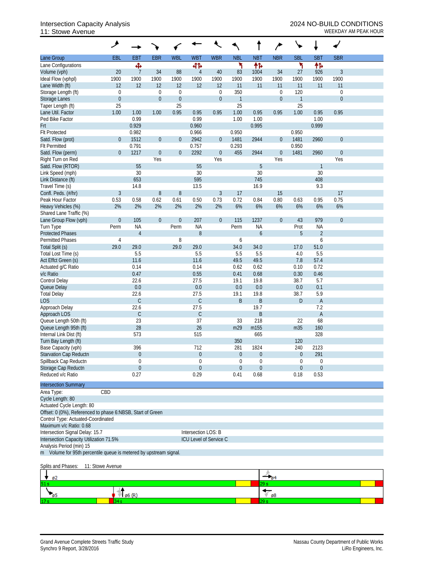## Intersection Capacity Analysis 2024 NO-BUILD CONDITIONS<br>11: Stowe Avenue 2008 11: Stowe Avenue

|                                                                   | ۸                      |                  |                  |                          |                        |                  |                      |                   |                                          |                    |                  |                  |  |
|-------------------------------------------------------------------|------------------------|------------------|------------------|--------------------------|------------------------|------------------|----------------------|-------------------|------------------------------------------|--------------------|------------------|------------------|--|
| Lane Group                                                        | EBL                    | <b>EBT</b>       | <b>EBR</b>       | <b>WBL</b>               | <b>WBT</b>             | <b>WBR</b>       | <b>NBL</b>           | <b>NBT</b>        | <b>NBR</b>                               | <b>SBL</b>         | <b>SBT</b>       | <b>SBR</b>       |  |
| Lane Configurations                                               |                        | ф                |                  |                          | 412                    |                  | ۲                    | 作                 |                                          | ۲                  | 伟                |                  |  |
| Volume (vph)                                                      | 20                     | $\overline{1}$   | 34               | 88                       | $\overline{4}$         | 40               | 83                   | 1004              | 34                                       | 27                 | 926              | $\mathfrak{Z}$   |  |
| Ideal Flow (vphpl)                                                | 1900                   | 1900             | 1900             | 1900                     | 1900                   | 1900             | 1900                 | 1900              | 1900                                     | 1900               | 1900             | 1900             |  |
| Lane Width (ft)                                                   | 12                     | 12               | 12               | 12                       | 12                     | 12               | 11                   | 11                | 11                                       | 11                 | 11               | 11               |  |
| Storage Length (ft)                                               | $\mathbf 0$            |                  | $\boldsymbol{0}$ | $\mathbf 0$              |                        | 0                | 350                  |                   | $\mathbf 0$                              | 120                |                  | $\boldsymbol{0}$ |  |
| Storage Lanes                                                     | $\boldsymbol{0}$<br>25 |                  | $\boldsymbol{0}$ | $\mathbf{0}$<br>25       |                        | $\boldsymbol{0}$ | $\overline{1}$<br>25 |                   | $\mathbf 0$                              | $\mathbf{1}$<br>25 |                  | $\mathbf 0$      |  |
| Taper Length (ft)<br>Lane Util. Factor                            | 1.00                   | 1.00             | 1.00             | 0.95                     | 0.95                   | 0.95             | 1.00                 | 0.95              | 0.95                                     | 1.00               | 0.95             | 0.95             |  |
| Ped Bike Factor                                                   |                        | 0.99             |                  |                          | 0.99                   |                  | 1.00                 | 1.00              |                                          |                    | 1.00             |                  |  |
| Frt                                                               |                        | 0.929            |                  |                          | 0.960                  |                  |                      | 0.995             |                                          |                    | 0.999            |                  |  |
| <b>Flt Protected</b>                                              |                        | 0.982            |                  |                          | 0.966                  |                  | 0.950                |                   |                                          | 0.950              |                  |                  |  |
| Satd. Flow (prot)                                                 | $\theta$               | 1512             | $\boldsymbol{0}$ | $\theta$                 | 2942                   | $\mathbf 0$      | 1481                 | 2944              | $\overline{0}$                           | 1481               | 2960             | $\theta$         |  |
| <b>Flt Permitted</b>                                              |                        | 0.791            |                  |                          | 0.757                  |                  | 0.293                |                   |                                          | 0.950              |                  |                  |  |
| Satd. Flow (perm)                                                 | $\theta$               | 1217             | $\boldsymbol{0}$ | $\boldsymbol{0}$         | 2292                   | $\boldsymbol{0}$ | 455                  | 2944              | $\mathbf 0$                              | 1481               | 2960             | $\theta$         |  |
| Right Turn on Red                                                 |                        |                  | Yes              |                          |                        | Yes              |                      |                   | Yes                                      |                    |                  | Yes              |  |
| Satd. Flow (RTOR)                                                 |                        | 55               |                  |                          | 55                     |                  |                      | 5                 |                                          |                    | $\mathbf{1}$     |                  |  |
| Link Speed (mph)                                                  |                        | 30               |                  |                          | 30                     |                  |                      | 30                |                                          |                    | 30               |                  |  |
| Link Distance (ft)                                                |                        | 653              |                  |                          | 595                    |                  |                      | 745               |                                          |                    | 408              |                  |  |
| Travel Time (s)                                                   |                        | 14.8             |                  |                          | 13.5                   |                  |                      | 16.9              |                                          |                    | 9.3              |                  |  |
| Confl. Peds. (#/hr)                                               | 3                      |                  | $\, 8$           | 8                        |                        | $\mathfrak{Z}$   | 17                   |                   | 15                                       |                    |                  | 17               |  |
| Peak Hour Factor                                                  | 0.53                   | 0.58             | 0.62             | 0.61                     | 0.50                   | 0.73             | 0.72                 | 0.84              | 0.80                                     | 0.63               | 0.95             | 0.75             |  |
| Heavy Vehicles (%)                                                | 2%                     | 2%               | 2%               | 2%                       | 2%                     | 2%               | 6%                   | 6%                | 6%                                       | 6%                 | 6%               | 6%               |  |
| Shared Lane Traffic (%)                                           |                        |                  |                  |                          |                        |                  |                      |                   |                                          |                    |                  |                  |  |
| Lane Group Flow (vph)<br>Turn Type                                | $\boldsymbol{0}$       | 105<br><b>NA</b> | $\boldsymbol{0}$ | $\boldsymbol{0}$<br>Perm | 207<br><b>NA</b>       | $\boldsymbol{0}$ | 115<br>Perm          | 1237<br><b>NA</b> | $\mathbf 0$                              | 43<br>Prot         | 979<br><b>NA</b> | $\mathbf 0$      |  |
| <b>Protected Phases</b>                                           | Perm                   | $\overline{4}$   |                  |                          | 8                      |                  |                      | 6                 |                                          | 5                  | $\overline{2}$   |                  |  |
| Permitted Phases                                                  | $\overline{4}$         |                  |                  | 8                        |                        |                  | 6                    |                   |                                          |                    | 6                |                  |  |
| Total Split (s)                                                   | 29.0                   | 29.0             |                  | 29.0                     | 29.0                   |                  | 34.0                 | 34.0              |                                          | 17.0               | 51.0             |                  |  |
| Total Lost Time (s)                                               |                        | 5.5              |                  |                          | 5.5                    |                  | 5.5                  | 5.5               |                                          | 4.0                | 5.5              |                  |  |
| Act Effct Green (s)                                               |                        | 11.6             |                  |                          | 11.6                   |                  | 49.5                 | 49.5              |                                          | 7.8                | 57.4             |                  |  |
| Actuated g/C Ratio                                                |                        | 0.14             |                  |                          | 0.14                   |                  | 0.62                 | 0.62              |                                          | 0.10               | 0.72             |                  |  |
| v/c Ratio                                                         |                        | 0.47             |                  |                          | 0.55                   |                  | 0.41                 | 0.68              |                                          | 0.30               | 0.46             |                  |  |
| Control Delay                                                     |                        | 22.6             |                  |                          | 27.5                   |                  | 19.1                 | 19.8              |                                          | 38.7               | 5.7              |                  |  |
| Queue Delay                                                       |                        | 0.0              |                  |                          | 0.0                    |                  | $0.0\,$              | 0.0               |                                          | $0.0\,$            | 0.1              |                  |  |
| <b>Total Delay</b>                                                |                        | 22.6             |                  |                          | 27.5                   |                  | 19.1                 | 19.8              |                                          | 38.7               | 5.9              |                  |  |
| <b>LOS</b>                                                        |                        | $\mathcal{C}$    |                  |                          | С                      |                  | B                    | B                 |                                          | D                  | A                |                  |  |
| Approach Delay                                                    |                        | 22.6             |                  |                          | 27.5                   |                  |                      | 19.7              |                                          |                    | 7.2              |                  |  |
| Approach LOS                                                      |                        | C                |                  |                          | $\mathsf C$            |                  |                      | B                 |                                          |                    | $\mathsf{A}$     |                  |  |
| Queue Length 50th (ft)                                            |                        | 23               |                  |                          | 37                     |                  | 33                   | 218               |                                          | 22                 | 68               |                  |  |
| Queue Length 95th (ft)                                            |                        | 28<br>573        |                  |                          | 26<br>515              |                  | m29                  | m155              |                                          | m35                | 160<br>328       |                  |  |
| Internal Link Dist (ft)<br>Turn Bay Length (ft)                   |                        |                  |                  |                          |                        |                  | 350                  | 665               |                                          | 120                |                  |                  |  |
| Base Capacity (vph)                                               |                        | 396              |                  |                          | 712                    |                  | 281                  | 1824              |                                          | 240                | 2123             |                  |  |
| Starvation Cap Reductn                                            |                        | $\overline{0}$   |                  |                          | $\theta$               |                  | $\overline{0}$       | 0                 |                                          | $\boldsymbol{0}$   | 291              |                  |  |
| Spillback Cap Reductn                                             |                        | $\Omega$         |                  |                          | $\theta$               |                  | $\theta$             | 0                 |                                          | 0                  | 0                |                  |  |
| Storage Cap Reductn                                               |                        | $\theta$         |                  |                          | $\theta$               |                  | $\theta$             | $\mathbf 0$       |                                          | $\theta$           | $\overline{0}$   |                  |  |
| Reduced v/c Ratio                                                 |                        | 0.27             |                  |                          | 0.29                   |                  | 0.41                 | 0.68              |                                          | 0.18               | 0.53             |                  |  |
|                                                                   |                        |                  |                  |                          |                        |                  |                      |                   |                                          |                    |                  |                  |  |
| <b>Intersection Summary</b>                                       |                        |                  |                  |                          |                        |                  |                      |                   |                                          |                    |                  |                  |  |
| Area Type:                                                        | CBD                    |                  |                  |                          |                        |                  |                      |                   |                                          |                    |                  |                  |  |
| Cycle Length: 80<br>Actuated Cycle Length: 80                     |                        |                  |                  |                          |                        |                  |                      |                   |                                          |                    |                  |                  |  |
| Offset: 0 (0%), Referenced to phase 6:NBSB, Start of Green        |                        |                  |                  |                          |                        |                  |                      |                   |                                          |                    |                  |                  |  |
| Control Type: Actuated-Coordinated                                |                        |                  |                  |                          |                        |                  |                      |                   |                                          |                    |                  |                  |  |
| Maximum v/c Ratio: 0.68                                           |                        |                  |                  |                          |                        |                  |                      |                   |                                          |                    |                  |                  |  |
| Intersection Signal Delay: 15.7                                   |                        |                  |                  |                          | Intersection LOS: B    |                  |                      |                   |                                          |                    |                  |                  |  |
| Intersection Capacity Utilization 71.5%                           |                        |                  |                  |                          | ICU Level of Service C |                  |                      |                   |                                          |                    |                  |                  |  |
| Analysis Period (min) 15                                          |                        |                  |                  |                          |                        |                  |                      |                   |                                          |                    |                  |                  |  |
| m Volume for 95th percentile queue is metered by upstream signal. |                        |                  |                  |                          |                        |                  |                      |                   |                                          |                    |                  |                  |  |
| Splits and Phases:                                                | 11: Stowe Avenue       |                  |                  |                          |                        |                  |                      |                   |                                          |                    |                  |                  |  |
|                                                                   |                        |                  |                  |                          |                        |                  |                      |                   | $\rightarrow$ <sub>04</sub>              |                    |                  |                  |  |
| ø2<br>11 S                                                        |                        |                  |                  |                          |                        |                  |                      | 29 s              |                                          |                    |                  |                  |  |
|                                                                   |                        |                  |                  |                          |                        |                  |                      |                   |                                          |                    |                  |                  |  |
| $^{\circ}$ ø5                                                     |                        | 6 (R)            |                  |                          |                        |                  |                      |                   | $\overline{\mathscr{C}}_{\mathfrak{g}8}$ |                    |                  |                  |  |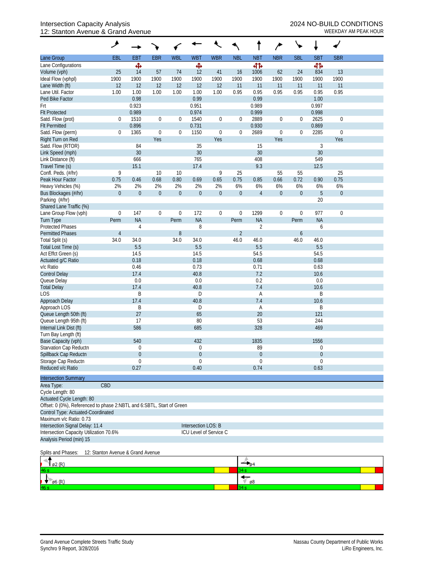## Intersection Capacity Analysis 2024 NO-BUILD CONDITIONS 12: Stanton Avenue & Grand Avenue WEEKDAY AM PEAK HOUR

| <b>SBL</b><br><b>EBL</b><br><b>EBT</b><br><b>EBR</b><br><b>WBL</b><br><b>WBT</b><br><b>WBR</b><br><b>NBL</b><br><b>NBT</b><br><b>NBR</b><br><b>SBT</b><br><b>SBR</b><br>Lane Group<br>Ф<br>Ф<br>बीर्क<br>Lane Configurations<br>बीर्क<br>25<br>14<br>57<br>74<br>12<br>41<br>16<br>1006<br>62<br>24<br>834<br>13<br>Volume (vph)<br>1900<br>1900<br>1900<br>1900<br>1900<br>1900<br>1900<br>1900<br>Ideal Flow (vphpl)<br>1900<br>1900<br>1900<br>1900<br>12<br>12<br>12<br>11<br>Lane Width (ft)<br>12<br>12<br>12<br>11<br>11<br>11<br>11<br>11<br>1.00<br>1.00<br>0.95<br>0.95<br>0.95<br>0.95<br>0.95<br>0.95<br>Lane Util. Factor<br>1.00<br>1.00<br>1.00<br>1.00<br>0.99<br>0.98<br>0.99<br>Ped Bike Factor<br>1.00<br>0.923<br>0.951<br>0.989<br>0.997<br>Frt<br>0.989<br>0.974<br>0.999<br>0.998<br><b>Flt Protected</b><br>1510<br>1540<br>2889<br>2625<br>Satd. Flow (prot)<br>0<br>$\boldsymbol{0}$<br>0<br>$\boldsymbol{0}$<br>$\boldsymbol{0}$<br>$\boldsymbol{0}$<br>$\boldsymbol{0}$<br>$\mathbf 0$<br>0.896<br>0.731<br>0.930<br>0.869<br><b>Flt Permitted</b><br>2689<br>2285<br>Satd. Flow (perm)<br>1365<br>$\boldsymbol{0}$<br>0<br>1150<br>$\boldsymbol{0}$<br>$\boldsymbol{0}$<br>$\mathbf 0$<br>$\boldsymbol{0}$<br>$\mathbf 0$<br>0<br>Right Turn on Red<br>Yes<br>Yes<br>Yes<br>Yes<br>84<br>35<br>Satd. Flow (RTOR)<br>15<br>3<br>30<br>30<br>30<br>30<br>Link Speed (mph)<br>408<br>549<br>Link Distance (ft)<br>666<br>765<br>9.3<br>Travel Time (s)<br>15.1<br>17.4<br>12.5<br>9<br>9<br>25<br>25<br>Confl. Peds. (#/hr)<br>10<br>10<br>55<br>55<br>0.46<br>0.68<br>0.80<br>0.75<br>0.66<br>0.75<br>Peak Hour Factor<br>0.75<br>0.69<br>0.65<br>0.85<br>0.72<br>0.90<br>Heavy Vehicles (%)<br>2%<br>2%<br>2%<br>2%<br>2%<br>2%<br>6%<br>6%<br>6%<br>6%<br>6%<br>6%<br>$\mathbf{0}$<br>$\boldsymbol{0}$<br>$\boldsymbol{0}$<br>$\mathbf 0$<br>$\boldsymbol{0}$<br>$\overline{5}$<br>Bus Blockages (#/hr)<br>$\boldsymbol{0}$<br>$\boldsymbol{0}$<br>$\overline{0}$<br>$\overline{4}$<br>$\boldsymbol{0}$<br>$\boldsymbol{0}$<br>Parking (#/hr)<br>20<br>Shared Lane Traffic (%)<br>147<br>172<br>1299<br>$\boldsymbol{0}$<br>977<br>Lane Group Flow (vph)<br>$\boldsymbol{0}$<br>$\boldsymbol{0}$<br>$\boldsymbol{0}$<br>$\boldsymbol{0}$<br>$\boldsymbol{0}$<br>$\boldsymbol{0}$<br>$\mathbf 0$<br><b>NA</b><br><b>NA</b><br><b>NA</b><br>Turn Type<br>Perm<br>Perm<br><b>NA</b><br>Perm<br>Perm<br>8<br>$\sqrt{2}$<br><b>Protected Phases</b><br>$\overline{4}$<br>6<br>$\, 8$<br>$\overline{2}$<br><b>Permitted Phases</b><br>$\overline{4}$<br>$\boldsymbol{6}$<br>34.0<br>Total Split (s)<br>34.0<br>34.0<br>34.0<br>46.0<br>46.0<br>46.0<br>46.0<br>5.5<br>5.5<br>Total Lost Time (s)<br>5.5<br>5.5<br>54.5<br>Act Effct Green (s)<br>14.5<br>14.5<br>54.5<br>Actuated g/C Ratio<br>0.18<br>0.18<br>0.68<br>0.68<br>v/c Ratio<br>0.73<br>0.71<br>0.46<br>0.63<br>7.2<br><b>Control Delay</b><br>17.4<br>40.8<br>10.6<br>0.0<br>0.0<br>0.2<br>0.0<br>Queue Delay<br><b>Total Delay</b><br>40.8<br>17.4<br>7.4<br>10.6<br><b>LOS</b><br>B<br>B<br>D<br>Α<br>17.4<br>40.8<br>7.4<br>Approach Delay<br>10.6<br>Approach LOS<br>B<br>B<br>D<br>Α<br>Queue Length 50th (ft)<br>27<br>20<br>121<br>65<br>Queue Length 95th (ft)<br>17<br>80<br>53<br>244<br>Internal Link Dist (ft)<br>586<br>328<br>469<br>685<br>Turn Bay Length (ft)<br>Base Capacity (vph)<br>540<br>1835<br>1556<br>432<br>Starvation Cap Reductn<br>89<br>0<br>0<br>$\Omega$<br>Spillback Cap Reductn<br>$\mathbf 0$<br>$\overline{0}$<br>$\overline{0}$<br>0<br>Storage Cap Reductn<br>$\theta$<br>$\theta$<br>$\Omega$<br>$\mathbf 0$<br>Reduced v/c Ratio<br>0.27<br>0.74<br>0.63<br>0.40<br><b>Intersection Summary</b><br>CBD<br>Area Type:<br>Cycle Length: 80<br>Actuated Cycle Length: 80<br>Offset: 0 (0%), Referenced to phase 2:NBTL and 6:SBTL, Start of Green<br>Control Type: Actuated-Coordinated<br>Maximum v/c Ratio: 0.73<br>Intersection Signal Delay: 11.4<br>Intersection LOS: B<br>Intersection Capacity Utilization 70.6%<br>ICU Level of Service C<br>Analysis Period (min) 15<br>Splits and Phases:<br>12: Stanton Avenue & Grand Avenue<br>ø2 (R)<br><b>64</b><br>ю.<br>ø8<br>$\emptyset$ 6 (R)<br>34 s | مر |  |  |  | ∕ |  |  |
|------------------------------------------------------------------------------------------------------------------------------------------------------------------------------------------------------------------------------------------------------------------------------------------------------------------------------------------------------------------------------------------------------------------------------------------------------------------------------------------------------------------------------------------------------------------------------------------------------------------------------------------------------------------------------------------------------------------------------------------------------------------------------------------------------------------------------------------------------------------------------------------------------------------------------------------------------------------------------------------------------------------------------------------------------------------------------------------------------------------------------------------------------------------------------------------------------------------------------------------------------------------------------------------------------------------------------------------------------------------------------------------------------------------------------------------------------------------------------------------------------------------------------------------------------------------------------------------------------------------------------------------------------------------------------------------------------------------------------------------------------------------------------------------------------------------------------------------------------------------------------------------------------------------------------------------------------------------------------------------------------------------------------------------------------------------------------------------------------------------------------------------------------------------------------------------------------------------------------------------------------------------------------------------------------------------------------------------------------------------------------------------------------------------------------------------------------------------------------------------------------------------------------------------------------------------------------------------------------------------------------------------------------------------------------------------------------------------------------------------------------------------------------------------------------------------------------------------------------------------------------------------------------------------------------------------------------------------------------------------------------------------------------------------------------------------------------------------------------------------------------------------------------------------------------------------------------------------------------------------------------------------------------------------------------------------------------------------------------------------------------------------------------------------------------------------------------------------------------------------------------------------------------------------------------------------------------------------------------------------------------------------------------------------------------------------------------------------------------------------------------------------------------------------------------------------------------------------------------------------------------------------------------------------------------------------------------------------------------------------------------------------------------------------------------------------------------------------------------------------------------------------------------------------------------------------------------------------------------------|----|--|--|--|---|--|--|
|                                                                                                                                                                                                                                                                                                                                                                                                                                                                                                                                                                                                                                                                                                                                                                                                                                                                                                                                                                                                                                                                                                                                                                                                                                                                                                                                                                                                                                                                                                                                                                                                                                                                                                                                                                                                                                                                                                                                                                                                                                                                                                                                                                                                                                                                                                                                                                                                                                                                                                                                                                                                                                                                                                                                                                                                                                                                                                                                                                                                                                                                                                                                                                                                                                                                                                                                                                                                                                                                                                                                                                                                                                                                                                                                                                                                                                                                                                                                                                                                                                                                                                                                                                                                                                    |    |  |  |  |   |  |  |
|                                                                                                                                                                                                                                                                                                                                                                                                                                                                                                                                                                                                                                                                                                                                                                                                                                                                                                                                                                                                                                                                                                                                                                                                                                                                                                                                                                                                                                                                                                                                                                                                                                                                                                                                                                                                                                                                                                                                                                                                                                                                                                                                                                                                                                                                                                                                                                                                                                                                                                                                                                                                                                                                                                                                                                                                                                                                                                                                                                                                                                                                                                                                                                                                                                                                                                                                                                                                                                                                                                                                                                                                                                                                                                                                                                                                                                                                                                                                                                                                                                                                                                                                                                                                                                    |    |  |  |  |   |  |  |
|                                                                                                                                                                                                                                                                                                                                                                                                                                                                                                                                                                                                                                                                                                                                                                                                                                                                                                                                                                                                                                                                                                                                                                                                                                                                                                                                                                                                                                                                                                                                                                                                                                                                                                                                                                                                                                                                                                                                                                                                                                                                                                                                                                                                                                                                                                                                                                                                                                                                                                                                                                                                                                                                                                                                                                                                                                                                                                                                                                                                                                                                                                                                                                                                                                                                                                                                                                                                                                                                                                                                                                                                                                                                                                                                                                                                                                                                                                                                                                                                                                                                                                                                                                                                                                    |    |  |  |  |   |  |  |
|                                                                                                                                                                                                                                                                                                                                                                                                                                                                                                                                                                                                                                                                                                                                                                                                                                                                                                                                                                                                                                                                                                                                                                                                                                                                                                                                                                                                                                                                                                                                                                                                                                                                                                                                                                                                                                                                                                                                                                                                                                                                                                                                                                                                                                                                                                                                                                                                                                                                                                                                                                                                                                                                                                                                                                                                                                                                                                                                                                                                                                                                                                                                                                                                                                                                                                                                                                                                                                                                                                                                                                                                                                                                                                                                                                                                                                                                                                                                                                                                                                                                                                                                                                                                                                    |    |  |  |  |   |  |  |
|                                                                                                                                                                                                                                                                                                                                                                                                                                                                                                                                                                                                                                                                                                                                                                                                                                                                                                                                                                                                                                                                                                                                                                                                                                                                                                                                                                                                                                                                                                                                                                                                                                                                                                                                                                                                                                                                                                                                                                                                                                                                                                                                                                                                                                                                                                                                                                                                                                                                                                                                                                                                                                                                                                                                                                                                                                                                                                                                                                                                                                                                                                                                                                                                                                                                                                                                                                                                                                                                                                                                                                                                                                                                                                                                                                                                                                                                                                                                                                                                                                                                                                                                                                                                                                    |    |  |  |  |   |  |  |
|                                                                                                                                                                                                                                                                                                                                                                                                                                                                                                                                                                                                                                                                                                                                                                                                                                                                                                                                                                                                                                                                                                                                                                                                                                                                                                                                                                                                                                                                                                                                                                                                                                                                                                                                                                                                                                                                                                                                                                                                                                                                                                                                                                                                                                                                                                                                                                                                                                                                                                                                                                                                                                                                                                                                                                                                                                                                                                                                                                                                                                                                                                                                                                                                                                                                                                                                                                                                                                                                                                                                                                                                                                                                                                                                                                                                                                                                                                                                                                                                                                                                                                                                                                                                                                    |    |  |  |  |   |  |  |
|                                                                                                                                                                                                                                                                                                                                                                                                                                                                                                                                                                                                                                                                                                                                                                                                                                                                                                                                                                                                                                                                                                                                                                                                                                                                                                                                                                                                                                                                                                                                                                                                                                                                                                                                                                                                                                                                                                                                                                                                                                                                                                                                                                                                                                                                                                                                                                                                                                                                                                                                                                                                                                                                                                                                                                                                                                                                                                                                                                                                                                                                                                                                                                                                                                                                                                                                                                                                                                                                                                                                                                                                                                                                                                                                                                                                                                                                                                                                                                                                                                                                                                                                                                                                                                    |    |  |  |  |   |  |  |
|                                                                                                                                                                                                                                                                                                                                                                                                                                                                                                                                                                                                                                                                                                                                                                                                                                                                                                                                                                                                                                                                                                                                                                                                                                                                                                                                                                                                                                                                                                                                                                                                                                                                                                                                                                                                                                                                                                                                                                                                                                                                                                                                                                                                                                                                                                                                                                                                                                                                                                                                                                                                                                                                                                                                                                                                                                                                                                                                                                                                                                                                                                                                                                                                                                                                                                                                                                                                                                                                                                                                                                                                                                                                                                                                                                                                                                                                                                                                                                                                                                                                                                                                                                                                                                    |    |  |  |  |   |  |  |
|                                                                                                                                                                                                                                                                                                                                                                                                                                                                                                                                                                                                                                                                                                                                                                                                                                                                                                                                                                                                                                                                                                                                                                                                                                                                                                                                                                                                                                                                                                                                                                                                                                                                                                                                                                                                                                                                                                                                                                                                                                                                                                                                                                                                                                                                                                                                                                                                                                                                                                                                                                                                                                                                                                                                                                                                                                                                                                                                                                                                                                                                                                                                                                                                                                                                                                                                                                                                                                                                                                                                                                                                                                                                                                                                                                                                                                                                                                                                                                                                                                                                                                                                                                                                                                    |    |  |  |  |   |  |  |
|                                                                                                                                                                                                                                                                                                                                                                                                                                                                                                                                                                                                                                                                                                                                                                                                                                                                                                                                                                                                                                                                                                                                                                                                                                                                                                                                                                                                                                                                                                                                                                                                                                                                                                                                                                                                                                                                                                                                                                                                                                                                                                                                                                                                                                                                                                                                                                                                                                                                                                                                                                                                                                                                                                                                                                                                                                                                                                                                                                                                                                                                                                                                                                                                                                                                                                                                                                                                                                                                                                                                                                                                                                                                                                                                                                                                                                                                                                                                                                                                                                                                                                                                                                                                                                    |    |  |  |  |   |  |  |
|                                                                                                                                                                                                                                                                                                                                                                                                                                                                                                                                                                                                                                                                                                                                                                                                                                                                                                                                                                                                                                                                                                                                                                                                                                                                                                                                                                                                                                                                                                                                                                                                                                                                                                                                                                                                                                                                                                                                                                                                                                                                                                                                                                                                                                                                                                                                                                                                                                                                                                                                                                                                                                                                                                                                                                                                                                                                                                                                                                                                                                                                                                                                                                                                                                                                                                                                                                                                                                                                                                                                                                                                                                                                                                                                                                                                                                                                                                                                                                                                                                                                                                                                                                                                                                    |    |  |  |  |   |  |  |
|                                                                                                                                                                                                                                                                                                                                                                                                                                                                                                                                                                                                                                                                                                                                                                                                                                                                                                                                                                                                                                                                                                                                                                                                                                                                                                                                                                                                                                                                                                                                                                                                                                                                                                                                                                                                                                                                                                                                                                                                                                                                                                                                                                                                                                                                                                                                                                                                                                                                                                                                                                                                                                                                                                                                                                                                                                                                                                                                                                                                                                                                                                                                                                                                                                                                                                                                                                                                                                                                                                                                                                                                                                                                                                                                                                                                                                                                                                                                                                                                                                                                                                                                                                                                                                    |    |  |  |  |   |  |  |
|                                                                                                                                                                                                                                                                                                                                                                                                                                                                                                                                                                                                                                                                                                                                                                                                                                                                                                                                                                                                                                                                                                                                                                                                                                                                                                                                                                                                                                                                                                                                                                                                                                                                                                                                                                                                                                                                                                                                                                                                                                                                                                                                                                                                                                                                                                                                                                                                                                                                                                                                                                                                                                                                                                                                                                                                                                                                                                                                                                                                                                                                                                                                                                                                                                                                                                                                                                                                                                                                                                                                                                                                                                                                                                                                                                                                                                                                                                                                                                                                                                                                                                                                                                                                                                    |    |  |  |  |   |  |  |
|                                                                                                                                                                                                                                                                                                                                                                                                                                                                                                                                                                                                                                                                                                                                                                                                                                                                                                                                                                                                                                                                                                                                                                                                                                                                                                                                                                                                                                                                                                                                                                                                                                                                                                                                                                                                                                                                                                                                                                                                                                                                                                                                                                                                                                                                                                                                                                                                                                                                                                                                                                                                                                                                                                                                                                                                                                                                                                                                                                                                                                                                                                                                                                                                                                                                                                                                                                                                                                                                                                                                                                                                                                                                                                                                                                                                                                                                                                                                                                                                                                                                                                                                                                                                                                    |    |  |  |  |   |  |  |
|                                                                                                                                                                                                                                                                                                                                                                                                                                                                                                                                                                                                                                                                                                                                                                                                                                                                                                                                                                                                                                                                                                                                                                                                                                                                                                                                                                                                                                                                                                                                                                                                                                                                                                                                                                                                                                                                                                                                                                                                                                                                                                                                                                                                                                                                                                                                                                                                                                                                                                                                                                                                                                                                                                                                                                                                                                                                                                                                                                                                                                                                                                                                                                                                                                                                                                                                                                                                                                                                                                                                                                                                                                                                                                                                                                                                                                                                                                                                                                                                                                                                                                                                                                                                                                    |    |  |  |  |   |  |  |
|                                                                                                                                                                                                                                                                                                                                                                                                                                                                                                                                                                                                                                                                                                                                                                                                                                                                                                                                                                                                                                                                                                                                                                                                                                                                                                                                                                                                                                                                                                                                                                                                                                                                                                                                                                                                                                                                                                                                                                                                                                                                                                                                                                                                                                                                                                                                                                                                                                                                                                                                                                                                                                                                                                                                                                                                                                                                                                                                                                                                                                                                                                                                                                                                                                                                                                                                                                                                                                                                                                                                                                                                                                                                                                                                                                                                                                                                                                                                                                                                                                                                                                                                                                                                                                    |    |  |  |  |   |  |  |
|                                                                                                                                                                                                                                                                                                                                                                                                                                                                                                                                                                                                                                                                                                                                                                                                                                                                                                                                                                                                                                                                                                                                                                                                                                                                                                                                                                                                                                                                                                                                                                                                                                                                                                                                                                                                                                                                                                                                                                                                                                                                                                                                                                                                                                                                                                                                                                                                                                                                                                                                                                                                                                                                                                                                                                                                                                                                                                                                                                                                                                                                                                                                                                                                                                                                                                                                                                                                                                                                                                                                                                                                                                                                                                                                                                                                                                                                                                                                                                                                                                                                                                                                                                                                                                    |    |  |  |  |   |  |  |
|                                                                                                                                                                                                                                                                                                                                                                                                                                                                                                                                                                                                                                                                                                                                                                                                                                                                                                                                                                                                                                                                                                                                                                                                                                                                                                                                                                                                                                                                                                                                                                                                                                                                                                                                                                                                                                                                                                                                                                                                                                                                                                                                                                                                                                                                                                                                                                                                                                                                                                                                                                                                                                                                                                                                                                                                                                                                                                                                                                                                                                                                                                                                                                                                                                                                                                                                                                                                                                                                                                                                                                                                                                                                                                                                                                                                                                                                                                                                                                                                                                                                                                                                                                                                                                    |    |  |  |  |   |  |  |
|                                                                                                                                                                                                                                                                                                                                                                                                                                                                                                                                                                                                                                                                                                                                                                                                                                                                                                                                                                                                                                                                                                                                                                                                                                                                                                                                                                                                                                                                                                                                                                                                                                                                                                                                                                                                                                                                                                                                                                                                                                                                                                                                                                                                                                                                                                                                                                                                                                                                                                                                                                                                                                                                                                                                                                                                                                                                                                                                                                                                                                                                                                                                                                                                                                                                                                                                                                                                                                                                                                                                                                                                                                                                                                                                                                                                                                                                                                                                                                                                                                                                                                                                                                                                                                    |    |  |  |  |   |  |  |
|                                                                                                                                                                                                                                                                                                                                                                                                                                                                                                                                                                                                                                                                                                                                                                                                                                                                                                                                                                                                                                                                                                                                                                                                                                                                                                                                                                                                                                                                                                                                                                                                                                                                                                                                                                                                                                                                                                                                                                                                                                                                                                                                                                                                                                                                                                                                                                                                                                                                                                                                                                                                                                                                                                                                                                                                                                                                                                                                                                                                                                                                                                                                                                                                                                                                                                                                                                                                                                                                                                                                                                                                                                                                                                                                                                                                                                                                                                                                                                                                                                                                                                                                                                                                                                    |    |  |  |  |   |  |  |
|                                                                                                                                                                                                                                                                                                                                                                                                                                                                                                                                                                                                                                                                                                                                                                                                                                                                                                                                                                                                                                                                                                                                                                                                                                                                                                                                                                                                                                                                                                                                                                                                                                                                                                                                                                                                                                                                                                                                                                                                                                                                                                                                                                                                                                                                                                                                                                                                                                                                                                                                                                                                                                                                                                                                                                                                                                                                                                                                                                                                                                                                                                                                                                                                                                                                                                                                                                                                                                                                                                                                                                                                                                                                                                                                                                                                                                                                                                                                                                                                                                                                                                                                                                                                                                    |    |  |  |  |   |  |  |
|                                                                                                                                                                                                                                                                                                                                                                                                                                                                                                                                                                                                                                                                                                                                                                                                                                                                                                                                                                                                                                                                                                                                                                                                                                                                                                                                                                                                                                                                                                                                                                                                                                                                                                                                                                                                                                                                                                                                                                                                                                                                                                                                                                                                                                                                                                                                                                                                                                                                                                                                                                                                                                                                                                                                                                                                                                                                                                                                                                                                                                                                                                                                                                                                                                                                                                                                                                                                                                                                                                                                                                                                                                                                                                                                                                                                                                                                                                                                                                                                                                                                                                                                                                                                                                    |    |  |  |  |   |  |  |
|                                                                                                                                                                                                                                                                                                                                                                                                                                                                                                                                                                                                                                                                                                                                                                                                                                                                                                                                                                                                                                                                                                                                                                                                                                                                                                                                                                                                                                                                                                                                                                                                                                                                                                                                                                                                                                                                                                                                                                                                                                                                                                                                                                                                                                                                                                                                                                                                                                                                                                                                                                                                                                                                                                                                                                                                                                                                                                                                                                                                                                                                                                                                                                                                                                                                                                                                                                                                                                                                                                                                                                                                                                                                                                                                                                                                                                                                                                                                                                                                                                                                                                                                                                                                                                    |    |  |  |  |   |  |  |
|                                                                                                                                                                                                                                                                                                                                                                                                                                                                                                                                                                                                                                                                                                                                                                                                                                                                                                                                                                                                                                                                                                                                                                                                                                                                                                                                                                                                                                                                                                                                                                                                                                                                                                                                                                                                                                                                                                                                                                                                                                                                                                                                                                                                                                                                                                                                                                                                                                                                                                                                                                                                                                                                                                                                                                                                                                                                                                                                                                                                                                                                                                                                                                                                                                                                                                                                                                                                                                                                                                                                                                                                                                                                                                                                                                                                                                                                                                                                                                                                                                                                                                                                                                                                                                    |    |  |  |  |   |  |  |
|                                                                                                                                                                                                                                                                                                                                                                                                                                                                                                                                                                                                                                                                                                                                                                                                                                                                                                                                                                                                                                                                                                                                                                                                                                                                                                                                                                                                                                                                                                                                                                                                                                                                                                                                                                                                                                                                                                                                                                                                                                                                                                                                                                                                                                                                                                                                                                                                                                                                                                                                                                                                                                                                                                                                                                                                                                                                                                                                                                                                                                                                                                                                                                                                                                                                                                                                                                                                                                                                                                                                                                                                                                                                                                                                                                                                                                                                                                                                                                                                                                                                                                                                                                                                                                    |    |  |  |  |   |  |  |
|                                                                                                                                                                                                                                                                                                                                                                                                                                                                                                                                                                                                                                                                                                                                                                                                                                                                                                                                                                                                                                                                                                                                                                                                                                                                                                                                                                                                                                                                                                                                                                                                                                                                                                                                                                                                                                                                                                                                                                                                                                                                                                                                                                                                                                                                                                                                                                                                                                                                                                                                                                                                                                                                                                                                                                                                                                                                                                                                                                                                                                                                                                                                                                                                                                                                                                                                                                                                                                                                                                                                                                                                                                                                                                                                                                                                                                                                                                                                                                                                                                                                                                                                                                                                                                    |    |  |  |  |   |  |  |
|                                                                                                                                                                                                                                                                                                                                                                                                                                                                                                                                                                                                                                                                                                                                                                                                                                                                                                                                                                                                                                                                                                                                                                                                                                                                                                                                                                                                                                                                                                                                                                                                                                                                                                                                                                                                                                                                                                                                                                                                                                                                                                                                                                                                                                                                                                                                                                                                                                                                                                                                                                                                                                                                                                                                                                                                                                                                                                                                                                                                                                                                                                                                                                                                                                                                                                                                                                                                                                                                                                                                                                                                                                                                                                                                                                                                                                                                                                                                                                                                                                                                                                                                                                                                                                    |    |  |  |  |   |  |  |
|                                                                                                                                                                                                                                                                                                                                                                                                                                                                                                                                                                                                                                                                                                                                                                                                                                                                                                                                                                                                                                                                                                                                                                                                                                                                                                                                                                                                                                                                                                                                                                                                                                                                                                                                                                                                                                                                                                                                                                                                                                                                                                                                                                                                                                                                                                                                                                                                                                                                                                                                                                                                                                                                                                                                                                                                                                                                                                                                                                                                                                                                                                                                                                                                                                                                                                                                                                                                                                                                                                                                                                                                                                                                                                                                                                                                                                                                                                                                                                                                                                                                                                                                                                                                                                    |    |  |  |  |   |  |  |
|                                                                                                                                                                                                                                                                                                                                                                                                                                                                                                                                                                                                                                                                                                                                                                                                                                                                                                                                                                                                                                                                                                                                                                                                                                                                                                                                                                                                                                                                                                                                                                                                                                                                                                                                                                                                                                                                                                                                                                                                                                                                                                                                                                                                                                                                                                                                                                                                                                                                                                                                                                                                                                                                                                                                                                                                                                                                                                                                                                                                                                                                                                                                                                                                                                                                                                                                                                                                                                                                                                                                                                                                                                                                                                                                                                                                                                                                                                                                                                                                                                                                                                                                                                                                                                    |    |  |  |  |   |  |  |
|                                                                                                                                                                                                                                                                                                                                                                                                                                                                                                                                                                                                                                                                                                                                                                                                                                                                                                                                                                                                                                                                                                                                                                                                                                                                                                                                                                                                                                                                                                                                                                                                                                                                                                                                                                                                                                                                                                                                                                                                                                                                                                                                                                                                                                                                                                                                                                                                                                                                                                                                                                                                                                                                                                                                                                                                                                                                                                                                                                                                                                                                                                                                                                                                                                                                                                                                                                                                                                                                                                                                                                                                                                                                                                                                                                                                                                                                                                                                                                                                                                                                                                                                                                                                                                    |    |  |  |  |   |  |  |
|                                                                                                                                                                                                                                                                                                                                                                                                                                                                                                                                                                                                                                                                                                                                                                                                                                                                                                                                                                                                                                                                                                                                                                                                                                                                                                                                                                                                                                                                                                                                                                                                                                                                                                                                                                                                                                                                                                                                                                                                                                                                                                                                                                                                                                                                                                                                                                                                                                                                                                                                                                                                                                                                                                                                                                                                                                                                                                                                                                                                                                                                                                                                                                                                                                                                                                                                                                                                                                                                                                                                                                                                                                                                                                                                                                                                                                                                                                                                                                                                                                                                                                                                                                                                                                    |    |  |  |  |   |  |  |
|                                                                                                                                                                                                                                                                                                                                                                                                                                                                                                                                                                                                                                                                                                                                                                                                                                                                                                                                                                                                                                                                                                                                                                                                                                                                                                                                                                                                                                                                                                                                                                                                                                                                                                                                                                                                                                                                                                                                                                                                                                                                                                                                                                                                                                                                                                                                                                                                                                                                                                                                                                                                                                                                                                                                                                                                                                                                                                                                                                                                                                                                                                                                                                                                                                                                                                                                                                                                                                                                                                                                                                                                                                                                                                                                                                                                                                                                                                                                                                                                                                                                                                                                                                                                                                    |    |  |  |  |   |  |  |
|                                                                                                                                                                                                                                                                                                                                                                                                                                                                                                                                                                                                                                                                                                                                                                                                                                                                                                                                                                                                                                                                                                                                                                                                                                                                                                                                                                                                                                                                                                                                                                                                                                                                                                                                                                                                                                                                                                                                                                                                                                                                                                                                                                                                                                                                                                                                                                                                                                                                                                                                                                                                                                                                                                                                                                                                                                                                                                                                                                                                                                                                                                                                                                                                                                                                                                                                                                                                                                                                                                                                                                                                                                                                                                                                                                                                                                                                                                                                                                                                                                                                                                                                                                                                                                    |    |  |  |  |   |  |  |
|                                                                                                                                                                                                                                                                                                                                                                                                                                                                                                                                                                                                                                                                                                                                                                                                                                                                                                                                                                                                                                                                                                                                                                                                                                                                                                                                                                                                                                                                                                                                                                                                                                                                                                                                                                                                                                                                                                                                                                                                                                                                                                                                                                                                                                                                                                                                                                                                                                                                                                                                                                                                                                                                                                                                                                                                                                                                                                                                                                                                                                                                                                                                                                                                                                                                                                                                                                                                                                                                                                                                                                                                                                                                                                                                                                                                                                                                                                                                                                                                                                                                                                                                                                                                                                    |    |  |  |  |   |  |  |
|                                                                                                                                                                                                                                                                                                                                                                                                                                                                                                                                                                                                                                                                                                                                                                                                                                                                                                                                                                                                                                                                                                                                                                                                                                                                                                                                                                                                                                                                                                                                                                                                                                                                                                                                                                                                                                                                                                                                                                                                                                                                                                                                                                                                                                                                                                                                                                                                                                                                                                                                                                                                                                                                                                                                                                                                                                                                                                                                                                                                                                                                                                                                                                                                                                                                                                                                                                                                                                                                                                                                                                                                                                                                                                                                                                                                                                                                                                                                                                                                                                                                                                                                                                                                                                    |    |  |  |  |   |  |  |
|                                                                                                                                                                                                                                                                                                                                                                                                                                                                                                                                                                                                                                                                                                                                                                                                                                                                                                                                                                                                                                                                                                                                                                                                                                                                                                                                                                                                                                                                                                                                                                                                                                                                                                                                                                                                                                                                                                                                                                                                                                                                                                                                                                                                                                                                                                                                                                                                                                                                                                                                                                                                                                                                                                                                                                                                                                                                                                                                                                                                                                                                                                                                                                                                                                                                                                                                                                                                                                                                                                                                                                                                                                                                                                                                                                                                                                                                                                                                                                                                                                                                                                                                                                                                                                    |    |  |  |  |   |  |  |
|                                                                                                                                                                                                                                                                                                                                                                                                                                                                                                                                                                                                                                                                                                                                                                                                                                                                                                                                                                                                                                                                                                                                                                                                                                                                                                                                                                                                                                                                                                                                                                                                                                                                                                                                                                                                                                                                                                                                                                                                                                                                                                                                                                                                                                                                                                                                                                                                                                                                                                                                                                                                                                                                                                                                                                                                                                                                                                                                                                                                                                                                                                                                                                                                                                                                                                                                                                                                                                                                                                                                                                                                                                                                                                                                                                                                                                                                                                                                                                                                                                                                                                                                                                                                                                    |    |  |  |  |   |  |  |
|                                                                                                                                                                                                                                                                                                                                                                                                                                                                                                                                                                                                                                                                                                                                                                                                                                                                                                                                                                                                                                                                                                                                                                                                                                                                                                                                                                                                                                                                                                                                                                                                                                                                                                                                                                                                                                                                                                                                                                                                                                                                                                                                                                                                                                                                                                                                                                                                                                                                                                                                                                                                                                                                                                                                                                                                                                                                                                                                                                                                                                                                                                                                                                                                                                                                                                                                                                                                                                                                                                                                                                                                                                                                                                                                                                                                                                                                                                                                                                                                                                                                                                                                                                                                                                    |    |  |  |  |   |  |  |
|                                                                                                                                                                                                                                                                                                                                                                                                                                                                                                                                                                                                                                                                                                                                                                                                                                                                                                                                                                                                                                                                                                                                                                                                                                                                                                                                                                                                                                                                                                                                                                                                                                                                                                                                                                                                                                                                                                                                                                                                                                                                                                                                                                                                                                                                                                                                                                                                                                                                                                                                                                                                                                                                                                                                                                                                                                                                                                                                                                                                                                                                                                                                                                                                                                                                                                                                                                                                                                                                                                                                                                                                                                                                                                                                                                                                                                                                                                                                                                                                                                                                                                                                                                                                                                    |    |  |  |  |   |  |  |
|                                                                                                                                                                                                                                                                                                                                                                                                                                                                                                                                                                                                                                                                                                                                                                                                                                                                                                                                                                                                                                                                                                                                                                                                                                                                                                                                                                                                                                                                                                                                                                                                                                                                                                                                                                                                                                                                                                                                                                                                                                                                                                                                                                                                                                                                                                                                                                                                                                                                                                                                                                                                                                                                                                                                                                                                                                                                                                                                                                                                                                                                                                                                                                                                                                                                                                                                                                                                                                                                                                                                                                                                                                                                                                                                                                                                                                                                                                                                                                                                                                                                                                                                                                                                                                    |    |  |  |  |   |  |  |
|                                                                                                                                                                                                                                                                                                                                                                                                                                                                                                                                                                                                                                                                                                                                                                                                                                                                                                                                                                                                                                                                                                                                                                                                                                                                                                                                                                                                                                                                                                                                                                                                                                                                                                                                                                                                                                                                                                                                                                                                                                                                                                                                                                                                                                                                                                                                                                                                                                                                                                                                                                                                                                                                                                                                                                                                                                                                                                                                                                                                                                                                                                                                                                                                                                                                                                                                                                                                                                                                                                                                                                                                                                                                                                                                                                                                                                                                                                                                                                                                                                                                                                                                                                                                                                    |    |  |  |  |   |  |  |
|                                                                                                                                                                                                                                                                                                                                                                                                                                                                                                                                                                                                                                                                                                                                                                                                                                                                                                                                                                                                                                                                                                                                                                                                                                                                                                                                                                                                                                                                                                                                                                                                                                                                                                                                                                                                                                                                                                                                                                                                                                                                                                                                                                                                                                                                                                                                                                                                                                                                                                                                                                                                                                                                                                                                                                                                                                                                                                                                                                                                                                                                                                                                                                                                                                                                                                                                                                                                                                                                                                                                                                                                                                                                                                                                                                                                                                                                                                                                                                                                                                                                                                                                                                                                                                    |    |  |  |  |   |  |  |
|                                                                                                                                                                                                                                                                                                                                                                                                                                                                                                                                                                                                                                                                                                                                                                                                                                                                                                                                                                                                                                                                                                                                                                                                                                                                                                                                                                                                                                                                                                                                                                                                                                                                                                                                                                                                                                                                                                                                                                                                                                                                                                                                                                                                                                                                                                                                                                                                                                                                                                                                                                                                                                                                                                                                                                                                                                                                                                                                                                                                                                                                                                                                                                                                                                                                                                                                                                                                                                                                                                                                                                                                                                                                                                                                                                                                                                                                                                                                                                                                                                                                                                                                                                                                                                    |    |  |  |  |   |  |  |
|                                                                                                                                                                                                                                                                                                                                                                                                                                                                                                                                                                                                                                                                                                                                                                                                                                                                                                                                                                                                                                                                                                                                                                                                                                                                                                                                                                                                                                                                                                                                                                                                                                                                                                                                                                                                                                                                                                                                                                                                                                                                                                                                                                                                                                                                                                                                                                                                                                                                                                                                                                                                                                                                                                                                                                                                                                                                                                                                                                                                                                                                                                                                                                                                                                                                                                                                                                                                                                                                                                                                                                                                                                                                                                                                                                                                                                                                                                                                                                                                                                                                                                                                                                                                                                    |    |  |  |  |   |  |  |
|                                                                                                                                                                                                                                                                                                                                                                                                                                                                                                                                                                                                                                                                                                                                                                                                                                                                                                                                                                                                                                                                                                                                                                                                                                                                                                                                                                                                                                                                                                                                                                                                                                                                                                                                                                                                                                                                                                                                                                                                                                                                                                                                                                                                                                                                                                                                                                                                                                                                                                                                                                                                                                                                                                                                                                                                                                                                                                                                                                                                                                                                                                                                                                                                                                                                                                                                                                                                                                                                                                                                                                                                                                                                                                                                                                                                                                                                                                                                                                                                                                                                                                                                                                                                                                    |    |  |  |  |   |  |  |
|                                                                                                                                                                                                                                                                                                                                                                                                                                                                                                                                                                                                                                                                                                                                                                                                                                                                                                                                                                                                                                                                                                                                                                                                                                                                                                                                                                                                                                                                                                                                                                                                                                                                                                                                                                                                                                                                                                                                                                                                                                                                                                                                                                                                                                                                                                                                                                                                                                                                                                                                                                                                                                                                                                                                                                                                                                                                                                                                                                                                                                                                                                                                                                                                                                                                                                                                                                                                                                                                                                                                                                                                                                                                                                                                                                                                                                                                                                                                                                                                                                                                                                                                                                                                                                    |    |  |  |  |   |  |  |
|                                                                                                                                                                                                                                                                                                                                                                                                                                                                                                                                                                                                                                                                                                                                                                                                                                                                                                                                                                                                                                                                                                                                                                                                                                                                                                                                                                                                                                                                                                                                                                                                                                                                                                                                                                                                                                                                                                                                                                                                                                                                                                                                                                                                                                                                                                                                                                                                                                                                                                                                                                                                                                                                                                                                                                                                                                                                                                                                                                                                                                                                                                                                                                                                                                                                                                                                                                                                                                                                                                                                                                                                                                                                                                                                                                                                                                                                                                                                                                                                                                                                                                                                                                                                                                    |    |  |  |  |   |  |  |
|                                                                                                                                                                                                                                                                                                                                                                                                                                                                                                                                                                                                                                                                                                                                                                                                                                                                                                                                                                                                                                                                                                                                                                                                                                                                                                                                                                                                                                                                                                                                                                                                                                                                                                                                                                                                                                                                                                                                                                                                                                                                                                                                                                                                                                                                                                                                                                                                                                                                                                                                                                                                                                                                                                                                                                                                                                                                                                                                                                                                                                                                                                                                                                                                                                                                                                                                                                                                                                                                                                                                                                                                                                                                                                                                                                                                                                                                                                                                                                                                                                                                                                                                                                                                                                    |    |  |  |  |   |  |  |
|                                                                                                                                                                                                                                                                                                                                                                                                                                                                                                                                                                                                                                                                                                                                                                                                                                                                                                                                                                                                                                                                                                                                                                                                                                                                                                                                                                                                                                                                                                                                                                                                                                                                                                                                                                                                                                                                                                                                                                                                                                                                                                                                                                                                                                                                                                                                                                                                                                                                                                                                                                                                                                                                                                                                                                                                                                                                                                                                                                                                                                                                                                                                                                                                                                                                                                                                                                                                                                                                                                                                                                                                                                                                                                                                                                                                                                                                                                                                                                                                                                                                                                                                                                                                                                    |    |  |  |  |   |  |  |
|                                                                                                                                                                                                                                                                                                                                                                                                                                                                                                                                                                                                                                                                                                                                                                                                                                                                                                                                                                                                                                                                                                                                                                                                                                                                                                                                                                                                                                                                                                                                                                                                                                                                                                                                                                                                                                                                                                                                                                                                                                                                                                                                                                                                                                                                                                                                                                                                                                                                                                                                                                                                                                                                                                                                                                                                                                                                                                                                                                                                                                                                                                                                                                                                                                                                                                                                                                                                                                                                                                                                                                                                                                                                                                                                                                                                                                                                                                                                                                                                                                                                                                                                                                                                                                    |    |  |  |  |   |  |  |
|                                                                                                                                                                                                                                                                                                                                                                                                                                                                                                                                                                                                                                                                                                                                                                                                                                                                                                                                                                                                                                                                                                                                                                                                                                                                                                                                                                                                                                                                                                                                                                                                                                                                                                                                                                                                                                                                                                                                                                                                                                                                                                                                                                                                                                                                                                                                                                                                                                                                                                                                                                                                                                                                                                                                                                                                                                                                                                                                                                                                                                                                                                                                                                                                                                                                                                                                                                                                                                                                                                                                                                                                                                                                                                                                                                                                                                                                                                                                                                                                                                                                                                                                                                                                                                    |    |  |  |  |   |  |  |
|                                                                                                                                                                                                                                                                                                                                                                                                                                                                                                                                                                                                                                                                                                                                                                                                                                                                                                                                                                                                                                                                                                                                                                                                                                                                                                                                                                                                                                                                                                                                                                                                                                                                                                                                                                                                                                                                                                                                                                                                                                                                                                                                                                                                                                                                                                                                                                                                                                                                                                                                                                                                                                                                                                                                                                                                                                                                                                                                                                                                                                                                                                                                                                                                                                                                                                                                                                                                                                                                                                                                                                                                                                                                                                                                                                                                                                                                                                                                                                                                                                                                                                                                                                                                                                    |    |  |  |  |   |  |  |
|                                                                                                                                                                                                                                                                                                                                                                                                                                                                                                                                                                                                                                                                                                                                                                                                                                                                                                                                                                                                                                                                                                                                                                                                                                                                                                                                                                                                                                                                                                                                                                                                                                                                                                                                                                                                                                                                                                                                                                                                                                                                                                                                                                                                                                                                                                                                                                                                                                                                                                                                                                                                                                                                                                                                                                                                                                                                                                                                                                                                                                                                                                                                                                                                                                                                                                                                                                                                                                                                                                                                                                                                                                                                                                                                                                                                                                                                                                                                                                                                                                                                                                                                                                                                                                    |    |  |  |  |   |  |  |
|                                                                                                                                                                                                                                                                                                                                                                                                                                                                                                                                                                                                                                                                                                                                                                                                                                                                                                                                                                                                                                                                                                                                                                                                                                                                                                                                                                                                                                                                                                                                                                                                                                                                                                                                                                                                                                                                                                                                                                                                                                                                                                                                                                                                                                                                                                                                                                                                                                                                                                                                                                                                                                                                                                                                                                                                                                                                                                                                                                                                                                                                                                                                                                                                                                                                                                                                                                                                                                                                                                                                                                                                                                                                                                                                                                                                                                                                                                                                                                                                                                                                                                                                                                                                                                    |    |  |  |  |   |  |  |
|                                                                                                                                                                                                                                                                                                                                                                                                                                                                                                                                                                                                                                                                                                                                                                                                                                                                                                                                                                                                                                                                                                                                                                                                                                                                                                                                                                                                                                                                                                                                                                                                                                                                                                                                                                                                                                                                                                                                                                                                                                                                                                                                                                                                                                                                                                                                                                                                                                                                                                                                                                                                                                                                                                                                                                                                                                                                                                                                                                                                                                                                                                                                                                                                                                                                                                                                                                                                                                                                                                                                                                                                                                                                                                                                                                                                                                                                                                                                                                                                                                                                                                                                                                                                                                    |    |  |  |  |   |  |  |
|                                                                                                                                                                                                                                                                                                                                                                                                                                                                                                                                                                                                                                                                                                                                                                                                                                                                                                                                                                                                                                                                                                                                                                                                                                                                                                                                                                                                                                                                                                                                                                                                                                                                                                                                                                                                                                                                                                                                                                                                                                                                                                                                                                                                                                                                                                                                                                                                                                                                                                                                                                                                                                                                                                                                                                                                                                                                                                                                                                                                                                                                                                                                                                                                                                                                                                                                                                                                                                                                                                                                                                                                                                                                                                                                                                                                                                                                                                                                                                                                                                                                                                                                                                                                                                    |    |  |  |  |   |  |  |
|                                                                                                                                                                                                                                                                                                                                                                                                                                                                                                                                                                                                                                                                                                                                                                                                                                                                                                                                                                                                                                                                                                                                                                                                                                                                                                                                                                                                                                                                                                                                                                                                                                                                                                                                                                                                                                                                                                                                                                                                                                                                                                                                                                                                                                                                                                                                                                                                                                                                                                                                                                                                                                                                                                                                                                                                                                                                                                                                                                                                                                                                                                                                                                                                                                                                                                                                                                                                                                                                                                                                                                                                                                                                                                                                                                                                                                                                                                                                                                                                                                                                                                                                                                                                                                    |    |  |  |  |   |  |  |
|                                                                                                                                                                                                                                                                                                                                                                                                                                                                                                                                                                                                                                                                                                                                                                                                                                                                                                                                                                                                                                                                                                                                                                                                                                                                                                                                                                                                                                                                                                                                                                                                                                                                                                                                                                                                                                                                                                                                                                                                                                                                                                                                                                                                                                                                                                                                                                                                                                                                                                                                                                                                                                                                                                                                                                                                                                                                                                                                                                                                                                                                                                                                                                                                                                                                                                                                                                                                                                                                                                                                                                                                                                                                                                                                                                                                                                                                                                                                                                                                                                                                                                                                                                                                                                    |    |  |  |  |   |  |  |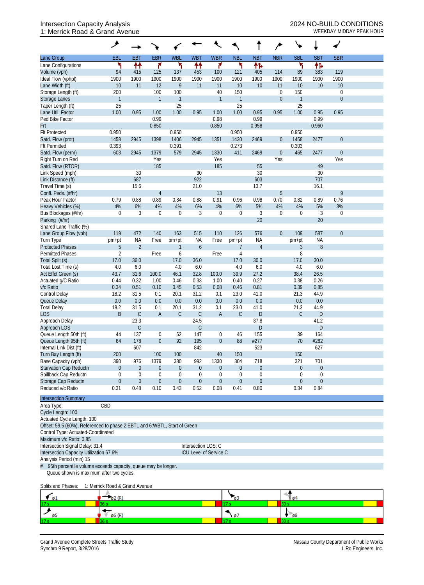## Intersection Capacity Analysis 2024 NO-BUILD CONDITIONS 1: Merrick Road & Grand Avenue WEEKDAY MIDDAY PEAK HOUR

|                                                                                                         | ۶                |                |                  |                  |                  |                  |                |                  |                  |              |                  |                  |  |
|---------------------------------------------------------------------------------------------------------|------------------|----------------|------------------|------------------|------------------|------------------|----------------|------------------|------------------|--------------|------------------|------------------|--|
| Lane Group                                                                                              | EBL              | <b>EBT</b>     | <b>EBR</b>       | <b>WBL</b>       | <b>WBT</b>       | <b>WBR</b>       | <b>NBL</b>     | <b>NBT</b>       | <b>NBR</b>       | <b>SBL</b>   | <b>SBT</b>       | <b>SBR</b>       |  |
| Lane Configurations                                                                                     | ኻ                | ↟↟             | ۴                | ۲                | ↟↟               | ۴                | ۲              | 伟                |                  | ۳            | 忭                |                  |  |
| Volume (vph)                                                                                            | 94               | 415            | 125              | 137              | 453              | 100              | 121            | 405              | 114              | 89           | 383              | 119              |  |
| Ideal Flow (vphpl)                                                                                      | 1900             | 1900           | 1900             | 1900             | 1900             | 1900             | 1900           | 1900             | 1900             | 1900         | 1900             | 1900             |  |
| Lane Width (ft)                                                                                         | 10               | 11             | 12               | 9                | 11               | 11               | 10             | 10               | 11               | 10           | 10               | 10               |  |
| Storage Length (ft)                                                                                     | 200              |                | 100              | 100              |                  | 40               | 150            |                  | $\mathbf 0$      | 150          |                  | $\boldsymbol{0}$ |  |
| Storage Lanes                                                                                           | $\mathbf{1}$     |                | $\mathbf{1}$     | $\mathbf{1}$     |                  | $\mathbf{1}$     | $\overline{1}$ |                  | $\mathbf 0$      | $\mathbf{1}$ |                  | $\theta$         |  |
| Taper Length (ft)                                                                                       | 25               |                |                  | 25               |                  |                  | 25             |                  |                  | 25           |                  |                  |  |
| Lane Util. Factor                                                                                       | 1.00             | 0.95           | 1.00             | 1.00             | 0.95             | 1.00             | 1.00           | 0.95             | 0.95             | 1.00         | 0.95             | 0.95             |  |
| Ped Bike Factor                                                                                         |                  |                | 0.99             |                  |                  | 0.98             |                | 0.99             |                  |              | 0.99             |                  |  |
| Frt                                                                                                     |                  |                | 0.850            |                  |                  | 0.850            |                | 0.958            |                  |              | 0.960            |                  |  |
| <b>Flt Protected</b>                                                                                    | 0.950            |                |                  | 0.950            |                  |                  | 0.950          |                  |                  | 0.950        |                  |                  |  |
| Satd. Flow (prot)                                                                                       | 1458             | 2945           | 1398             | 1406             | 2945             | 1351             | 1430           | 2469             | $\boldsymbol{0}$ | 1458         | 2477             | $\boldsymbol{0}$ |  |
| <b>Flt Permitted</b>                                                                                    | 0.393            |                |                  | 0.391            |                  |                  | 0.273          |                  |                  | 0.303        |                  |                  |  |
| Satd. Flow (perm)                                                                                       | 603              | 2945           | 1379             | 579              | 2945             | 1330             | 411            | 2469             | $\boldsymbol{0}$ | 465          | 2477             | $\boldsymbol{0}$ |  |
| Right Turn on Red                                                                                       |                  |                | Yes              |                  |                  | Yes              |                |                  | Yes              |              |                  | Yes              |  |
| Satd. Flow (RTOR)                                                                                       |                  |                | 185              |                  |                  | 185              |                | 55               |                  |              | 49               |                  |  |
| Link Speed (mph)                                                                                        |                  | 30             |                  |                  | 30               |                  |                | 30               |                  |              | 30               |                  |  |
| Link Distance (ft)                                                                                      |                  | 687            |                  |                  | 922              |                  |                | 603              |                  |              | 707              |                  |  |
| Travel Time (s)                                                                                         |                  | 15.6           |                  |                  | 21.0             |                  |                | 13.7             |                  |              | 16.1             |                  |  |
| Confl. Peds. (#/hr)                                                                                     |                  |                | 4                |                  |                  | 13               |                |                  | 5                |              |                  | 9                |  |
| Peak Hour Factor                                                                                        | 0.79             | 0.88           | 0.89             | 0.84             | 0.88             | 0.91             | 0.96           | 0.98             | 0.70             | 0.82         | 0.89             | 0.76             |  |
| Heavy Vehicles (%)                                                                                      | 4%               | 6%             | 4%               | 4%               | 6%               | 4%               | 6%             | 5%               | 4%               | 4%           | 5%               | 3%               |  |
| Bus Blockages (#/hr)                                                                                    | $\mathbf 0$      | 3              | $\boldsymbol{0}$ | $\mathbf 0$      | 3                | 0                | $\mathbf 0$    | 3                | $\mathbf 0$      | 0            | 3                | $\boldsymbol{0}$ |  |
| Parking (#/hr)                                                                                          |                  |                |                  |                  |                  |                  |                | 20               |                  |              | 20               |                  |  |
| Shared Lane Traffic (%)                                                                                 |                  |                |                  |                  |                  |                  |                |                  |                  |              |                  |                  |  |
| Lane Group Flow (vph)                                                                                   | 119              | 472            | 140              | 163              | 515              | 110              | 126            | 576              | $\mathbf{0}$     | 109          | 587              | $\boldsymbol{0}$ |  |
| Turn Type                                                                                               |                  | <b>NA</b>      | Free             | pm+pt            | <b>NA</b>        | Free             | pm+pt          | <b>NA</b>        |                  |              | <b>NA</b>        |                  |  |
| <b>Protected Phases</b>                                                                                 | pm+pt<br>5       | $\overline{2}$ |                  | $\mathbf{1}$     | 6                |                  | 7              | $\overline{4}$   |                  | pm+pt<br>3   | 8                |                  |  |
| <b>Permitted Phases</b>                                                                                 | $\overline{2}$   |                | Free             | 6                |                  | Free             | 4              |                  |                  | 8            |                  |                  |  |
| Total Split (s)                                                                                         | 17.0             | 36.0           |                  | 17.0             | 36.0             |                  | 17.0           | 30.0             |                  | 17.0         | 30.0             |                  |  |
| Total Lost Time (s)                                                                                     | 4.0              | 6.0            |                  | 4.0              | 6.0              |                  | 4.0            | 6.0              |                  | 4.0          | 6.0              |                  |  |
| Act Effct Green (s)                                                                                     | 43.7             | 31.6           | 100.0            | 46.1             | 32.8             | 100.0            | 39.9           | 27.2             |                  | 38.4         | 26.5             |                  |  |
|                                                                                                         | 0.44             | 0.32           | 1.00             | 0.46             | 0.33             | 1.00             | 0.40           | 0.27             |                  | 0.38         | 0.26             |                  |  |
| Actuated g/C Ratio                                                                                      | 0.34             | 0.51           | 0.10             | 0.45             | 0.53             | 0.08             | 0.46           | 0.81             |                  | 0.39         | 0.85             |                  |  |
| v/c Ratio                                                                                               | 18.2             | 31.5           |                  | 20.1             |                  | 0.1              | 23.0           | 41.0             |                  |              | 44.9             |                  |  |
| <b>Control Delay</b>                                                                                    | 0.0              | 0.0            | 0.1<br>0.0       | 0.0              | 31.2<br>0.0      | 0.0              | 0.0            | 0.0              |                  | 21.3<br>0.0  |                  |                  |  |
| Queue Delay                                                                                             | 18.2             |                |                  | 20.1             |                  |                  | 23.0           |                  |                  |              | 0.0              |                  |  |
| <b>Total Delay</b><br><b>LOS</b>                                                                        |                  | 31.5           | 0.1              |                  | 31.2             | 0.1              | $\mathsf C$    | 41.0             |                  | 21.3         | 44.9             |                  |  |
|                                                                                                         | B                | $\mathsf C$    | A                | $\mathsf C$      | С                | $\mathsf{A}$     |                | D                |                  | $\mathsf C$  | D                |                  |  |
| Approach Delay                                                                                          |                  | 23.3           |                  |                  | 24.5             |                  |                | 37.8             |                  |              | 41.2             |                  |  |
| Approach LOS                                                                                            |                  | $\mathsf C$    |                  |                  | С                |                  |                | D                |                  |              | $\mathsf{D}%$    |                  |  |
| Queue Length 50th (ft)                                                                                  | 44               | 137            | 0                | 62               | 147              | 0                | 46             | 155              |                  | 39           | 164              |                  |  |
| Queue Length 95th (ft)                                                                                  | 64               | 178            | $\boldsymbol{0}$ | 92               | 195              | $\boldsymbol{0}$ | 88             | #277             |                  | 70           | #282             |                  |  |
| Internal Link Dist (ft)                                                                                 |                  | 607            |                  |                  | 842              |                  |                | 523              |                  |              | 627              |                  |  |
| Turn Bay Length (ft)                                                                                    | 200              |                | 100              | 100              |                  | 40               | 150            |                  |                  | 150          |                  |                  |  |
| Base Capacity (vph)                                                                                     | 390              | 976            | 1379             | 380              | 992              | 1330             | 304            | 718              |                  | 321          | 701              |                  |  |
| Starvation Cap Reductn                                                                                  | $\boldsymbol{0}$ | $\overline{0}$ | $\boldsymbol{0}$ | $\boldsymbol{0}$ | $\pmb{0}$        | $\boldsymbol{0}$ | $\theta$       | $\pmb{0}$        |                  | $\theta$     | $\boldsymbol{0}$ |                  |  |
| Spillback Cap Reductn                                                                                   | $\mathbf 0$      | 0              | 0                | $\boldsymbol{0}$ | $\theta$         | 0                | $\mathbf 0$    | $\boldsymbol{0}$ |                  | 0            | $\boldsymbol{0}$ |                  |  |
| Storage Cap Reductn                                                                                     | $\boldsymbol{0}$ | $\theta$       | $\boldsymbol{0}$ | $\boldsymbol{0}$ | $\boldsymbol{0}$ | $\boldsymbol{0}$ | $\theta$       | $\boldsymbol{0}$ |                  | $\theta$     | $\boldsymbol{0}$ |                  |  |
| Reduced v/c Ratio                                                                                       | 0.31             | 0.48           | 0.10             | 0.43             | 0.52             | 0.08             | 0.41           | 0.80             |                  | 0.34         | 0.84             |                  |  |
| <b>Intersection Summary</b>                                                                             |                  |                |                  |                  |                  |                  |                |                  |                  |              |                  |                  |  |
| Area Type:                                                                                              | CBD              |                |                  |                  |                  |                  |                |                  |                  |              |                  |                  |  |
| Cycle Length: 100                                                                                       |                  |                |                  |                  |                  |                  |                |                  |                  |              |                  |                  |  |
| Actuated Cycle Length: 100<br>Offset: 59.5 (60%), Referenced to phase 2:EBTL and 6:WBTL, Start of Green |                  |                |                  |                  |                  |                  |                |                  |                  |              |                  |                  |  |

Control Type: Actuated-Coordinated

Maximum v/c Ratio: 0.85 Intersection Signal Delay: 31.4 Intersection LOS: C

Intersection Capacity Utilization 67.6% ICU Level of Service C

Analysis Period (min) 15

# 95th percentile volume exceeds capacity, queue may be longer. Queue shown is maximum after two cycles.

Splits and Phases: 1: Merrick Road & Grand Avenue

| $\blacksquare$ $\emptyset$ 1 | $\sim$ |    | 10 <sup>4</sup> |
|------------------------------|--------|----|-----------------|
| 17 <sub>s</sub>              |        |    |                 |
| юo                           | ø6 (R) | Ø. | - 68            |
| 17 <sub>0</sub>              |        |    |                 |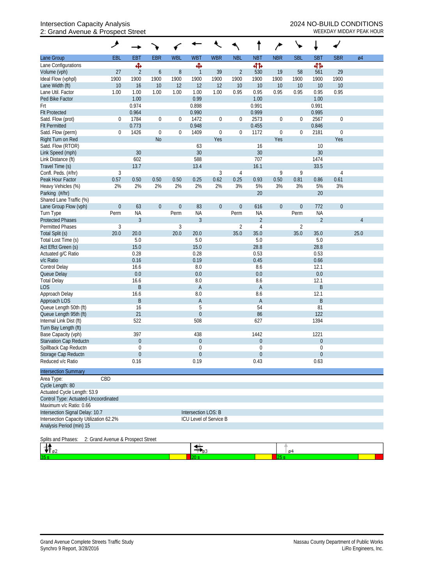## Intersection Capacity Analysis 2024 NO-BUILD CONDITIONS 2: Grand Avenue & Prospect Street WEEKDAY MIDDAY PEAK HOUR

|                                          | گر                                |                          |                  |                  |                                    |                  |                |                          |                  |                  | ŧ                |                  |      |
|------------------------------------------|-----------------------------------|--------------------------|------------------|------------------|------------------------------------|------------------|----------------|--------------------------|------------------|------------------|------------------|------------------|------|
| Lane Group                               | EBL                               | <b>EBT</b>               | <b>EBR</b>       | <b>WBL</b>       | <b>WBT</b>                         | <b>WBR</b>       | <b>NBL</b>     | <b>NBT</b>               | <b>NBR</b>       | <b>SBL</b>       | <b>SBT</b>       | <b>SBR</b>       | Ø4   |
| Lane Configurations                      |                                   | Ф                        |                  |                  | Ф                                  |                  |                | 41                       |                  |                  | 41               |                  |      |
| Volume (vph)                             | 27                                | $\overline{2}$           | $\boldsymbol{6}$ | 8                | $\mathbf{1}$                       | 39               | $\overline{2}$ | 530                      | 19               | 58               | 561              | 29               |      |
| Ideal Flow (vphpl)                       | 1900                              | 1900                     | 1900             | 1900             | 1900                               | 1900             | 1900           | 1900                     | 1900             | 1900             | 1900             | 1900             |      |
| Lane Width (ft)                          | 10                                | 16                       | 10               | 12               | 12                                 | 12               | 10             | 10                       | 10               | 10               | 10               | 10               |      |
| Lane Util. Factor                        | 1.00                              | 1.00                     | 1.00             | 1.00             | 1.00                               | 1.00             | 0.95           | 0.95                     | 0.95             | 0.95             | 0.95             | 0.95             |      |
| Ped Bike Factor                          |                                   | 1.00                     |                  |                  | 0.99                               |                  |                | 1.00                     |                  |                  | 1.00             |                  |      |
| Frt                                      |                                   | 0.974                    |                  |                  | 0.898                              |                  |                | 0.991                    |                  |                  | 0.991            |                  |      |
| <b>Flt Protected</b>                     |                                   | 0.964                    |                  |                  | 0.990                              |                  |                | 0.999                    |                  |                  | 0.995            |                  |      |
| Satd. Flow (prot)                        | 0                                 | 1784                     | $\boldsymbol{0}$ | $\boldsymbol{0}$ | 1472                               | $\boldsymbol{0}$ | 0              | 2573                     | $\boldsymbol{0}$ | 0                | 2567             | $\boldsymbol{0}$ |      |
| <b>Flt Permitted</b>                     |                                   | 0.773                    |                  |                  | 0.948                              |                  |                | 0.455                    |                  |                  | 0.846            |                  |      |
| Satd. Flow (perm)                        | 0                                 | 1426                     | $\boldsymbol{0}$ | $\boldsymbol{0}$ | 1409                               | $\boldsymbol{0}$ | $\mathbf{0}$   | 1172                     | $\boldsymbol{0}$ | 0                | 2181             | $\boldsymbol{0}$ |      |
| Right Turn on Red                        |                                   |                          | <b>No</b>        |                  |                                    | Yes              |                |                          | Yes              |                  |                  | Yes              |      |
| Satd. Flow (RTOR)                        |                                   |                          |                  |                  | 63                                 |                  |                | 16                       |                  |                  | 10               |                  |      |
| Link Speed (mph)                         |                                   | 30                       |                  |                  | 30                                 |                  |                | 30                       |                  |                  | 30               |                  |      |
| Link Distance (ft)                       |                                   | 602                      |                  |                  | 588                                |                  |                | 707                      |                  |                  | 1474             |                  |      |
| Travel Time (s)                          |                                   | 13.7                     |                  |                  | 13.4                               |                  |                | 16.1                     |                  |                  | 33.5             |                  |      |
| Confl. Peds. (#/hr)                      | $\sqrt{3}$                        |                          |                  |                  |                                    | 3                | 4              |                          | 9                | 9                |                  | 4                |      |
| Peak Hour Factor                         | 0.57                              | 0.50                     | 0.50             | 0.50             | 0.25                               | 0.62             | 0.25           | 0.93                     | 0.50             | 0.81             | 0.86             | 0.61             |      |
| Heavy Vehicles (%)                       | 2%                                | 2%                       | 2%               | 2%               | 2%                                 | 2%               | 3%             | 5%                       | 3%               | 3%               | 5%               | 3%               |      |
| Parking (#/hr)                           |                                   |                          |                  |                  |                                    |                  |                | 20                       |                  |                  | 20               |                  |      |
| Shared Lane Traffic (%)                  |                                   |                          |                  |                  |                                    |                  |                |                          |                  |                  |                  |                  |      |
| Lane Group Flow (vph)                    | $\boldsymbol{0}$                  | 63                       | $\boldsymbol{0}$ | $\theta$         | 83                                 | $\boldsymbol{0}$ | $\theta$       | 616                      | $\boldsymbol{0}$ | $\boldsymbol{0}$ | 772              | $\theta$         |      |
| Turn Type                                | Perm                              | <b>NA</b>                |                  | Perm             | NA                                 |                  | Perm           | <b>NA</b>                |                  | Perm             | <b>NA</b>        |                  |      |
| <b>Protected Phases</b>                  |                                   | $\mathfrak{Z}$           |                  |                  | $\mathfrak{Z}$                     |                  |                | $\sqrt{2}$               |                  |                  | $\overline{2}$   |                  | 4    |
| <b>Permitted Phases</b>                  | $\sqrt{3}$                        |                          |                  | 3                |                                    |                  | $\overline{2}$ | $\overline{4}$           |                  | $\overline{2}$   |                  |                  |      |
| Total Split (s)                          | 20.0                              | 20.0                     |                  | 20.0             | 20.0                               |                  | 35.0           | 35.0                     |                  | 35.0             | 35.0             |                  | 25.0 |
| Total Lost Time (s)                      |                                   | 5.0                      |                  |                  | 5.0                                |                  |                | 5.0                      |                  |                  | 5.0              |                  |      |
| Act Effct Green (s)                      |                                   | 15.0                     |                  |                  | 15.0                               |                  |                | 28.8                     |                  |                  | 28.8             |                  |      |
| Actuated g/C Ratio                       |                                   | 0.28                     |                  |                  | 0.28                               |                  |                | 0.53                     |                  |                  | 0.53             |                  |      |
| v/c Ratio                                |                                   | 0.16                     |                  |                  | 0.19                               |                  |                | 0.45                     |                  |                  | 0.66             |                  |      |
| Control Delay                            |                                   | 16.6                     |                  |                  | 8.0                                |                  |                | 8.6                      |                  |                  | 12.1             |                  |      |
| Queue Delay                              |                                   | 0.0                      |                  |                  | 0.0                                |                  |                | 0.0                      |                  |                  | 0.0              |                  |      |
| <b>Total Delay</b>                       |                                   | 16.6                     |                  |                  | $8.0\,$                            |                  |                | 8.6                      |                  |                  | 12.1             |                  |      |
| <b>LOS</b>                               |                                   | $\mathsf B$              |                  |                  | A                                  |                  |                | $\mathsf{A}$             |                  |                  | $\sf B$          |                  |      |
| Approach Delay                           |                                   | 16.6                     |                  |                  | 8.0                                |                  |                | 8.6                      |                  |                  | 12.1             |                  |      |
| Approach LOS                             |                                   | B                        |                  |                  | $\mathsf A$                        |                  |                | A                        |                  |                  | $\sf B$          |                  |      |
| Queue Length 50th (ft)                   |                                   | 16                       |                  |                  | 5                                  |                  |                | 54                       |                  |                  | 81               |                  |      |
| Queue Length 95th (ft)                   |                                   | 21                       |                  |                  | $\boldsymbol{0}$                   |                  |                | 86                       |                  |                  | 122              |                  |      |
| Internal Link Dist (ft)                  |                                   | 522                      |                  |                  | 508                                |                  |                | 627                      |                  |                  | 1394             |                  |      |
| Turn Bay Length (ft)                     |                                   |                          |                  |                  |                                    |                  |                |                          |                  |                  |                  |                  |      |
| Base Capacity (vph)                      |                                   | 397                      |                  |                  | 438                                |                  |                | 1442                     |                  |                  | 1221             |                  |      |
| <b>Starvation Cap Reductn</b>            |                                   | $\overline{0}$           |                  |                  | $\boldsymbol{0}$                   |                  |                | $\boldsymbol{0}$         |                  |                  | $\boldsymbol{0}$ |                  |      |
| Spillback Cap Reductn                    |                                   | 0                        |                  |                  | $\overline{0}$                     |                  |                | $\mathbf 0$              |                  |                  | 0                |                  |      |
| Storage Cap Reductn<br>Reduced v/c Ratio |                                   | $\boldsymbol{0}$<br>0.16 |                  |                  | 0<br>0.19                          |                  |                | $\boldsymbol{0}$<br>0.43 |                  |                  | $\theta$<br>0.63 |                  |      |
|                                          |                                   |                          |                  |                  |                                    |                  |                |                          |                  |                  |                  |                  |      |
| <b>Intersection Summary</b>              |                                   |                          |                  |                  |                                    |                  |                |                          |                  |                  |                  |                  |      |
| Area Type:                               | CBD                               |                          |                  |                  |                                    |                  |                |                          |                  |                  |                  |                  |      |
| Cycle Length: 80                         |                                   |                          |                  |                  |                                    |                  |                |                          |                  |                  |                  |                  |      |
| Actuated Cycle Length: 53.9              |                                   |                          |                  |                  |                                    |                  |                |                          |                  |                  |                  |                  |      |
| Control Type: Actuated-Uncoordinated     |                                   |                          |                  |                  |                                    |                  |                |                          |                  |                  |                  |                  |      |
| Maximum v/c Ratio: 0.66                  |                                   |                          |                  |                  |                                    |                  |                |                          |                  |                  |                  |                  |      |
| Intersection Signal Delay: 10.7          |                                   |                          |                  |                  | Intersection LOS: B                |                  |                |                          |                  |                  |                  |                  |      |
| Intersection Capacity Utilization 62.2%  |                                   |                          |                  |                  | ICU Level of Service B             |                  |                |                          |                  |                  |                  |                  |      |
| Analysis Period (min) 15                 |                                   |                          |                  |                  |                                    |                  |                |                          |                  |                  |                  |                  |      |
| Splits and Phases:                       | 2: Grand Avenue & Prospect Street |                          |                  |                  |                                    |                  |                |                          |                  |                  |                  |                  |      |
|                                          |                                   |                          |                  |                  | $\frac{1}{\sqrt{2}}$ <sub>03</sub> |                  |                |                          |                  | 04               |                  |                  |      |
|                                          |                                   |                          |                  |                  |                                    |                  |                |                          | 25s              |                  |                  |                  |      |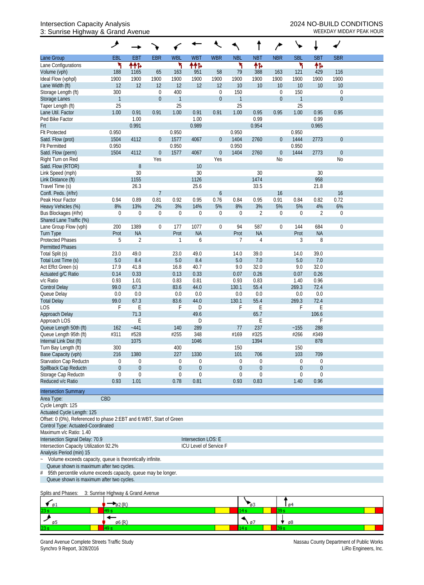## Intersection Capacity Analysis<br>
3: Sunrise Highway & Grand Avenue<br>
<sup>3:</sup> Sunrise Highway & Grand Avenue 3: Sunrise Highway & Grand Avenue

|                                                                     | ᢣ                                 |                |                  |              |                        |                  |              |                |                  |                |                |                  |  |
|---------------------------------------------------------------------|-----------------------------------|----------------|------------------|--------------|------------------------|------------------|--------------|----------------|------------------|----------------|----------------|------------------|--|
| Lane Group                                                          | EBL                               | <b>EBT</b>     | <b>EBR</b>       | <b>WBL</b>   | <b>WBT</b>             | <b>WBR</b>       | <b>NBL</b>   | <b>NBT</b>     | <b>NBR</b>       | <b>SBL</b>     | <b>SBT</b>     | <b>SBR</b>       |  |
| Lane Configurations                                                 | ۲                                 | ተተኈ            |                  | ۳            | ተተኈ                    |                  | ۲            | 怍              |                  | ۲              | 伟              |                  |  |
| Volume (vph)                                                        | 188                               | 1165           | 65               | 163          | 951                    | 58               | 79           | 388            | 163              | 121            | 429            | 116              |  |
| Ideal Flow (vphpl)                                                  | 1900                              | 1900           | 1900             | 1900         | 1900                   | 1900             | 1900         | 1900           | 1900             | 1900           | 1900           | 1900             |  |
| Lane Width (ft)                                                     | 12                                | 12             | 12               | 12           | 12                     | 12               | 10           | 10             | 10               | 10             | 10             | 10               |  |
| Storage Length (ft)                                                 | 300                               |                | $\mathbf 0$      | 400          |                        | $\boldsymbol{0}$ | 150          |                | 0                | 150            |                | $\boldsymbol{0}$ |  |
| Storage Lanes                                                       | $\mathbf{1}$                      |                | $\boldsymbol{0}$ | $\mathbf{1}$ |                        | $\boldsymbol{0}$ | $\mathbf{1}$ |                | $\boldsymbol{0}$ | $\mathbf{1}$   |                | $\overline{0}$   |  |
| Taper Length (ft)<br>Lane Util. Factor                              | 25<br>1.00                        | 0.91           | 0.91             | 25<br>1.00   | 0.91                   | 0.91             | 25<br>1.00   | 0.95           | 0.95             | 25<br>1.00     | 0.95           | 0.95             |  |
| Ped Bike Factor                                                     |                                   | 1.00           |                  |              | 1.00                   |                  |              | 0.99           |                  |                | 0.99           |                  |  |
| Frt                                                                 |                                   | 0.991          |                  |              | 0.989                  |                  |              | 0.954          |                  |                | 0.965          |                  |  |
| <b>Flt Protected</b>                                                | 0.950                             |                |                  | 0.950        |                        |                  | 0.950        |                |                  | 0.950          |                |                  |  |
| Satd. Flow (prot)                                                   | 1504                              | 4112           | $\overline{0}$   | 1577         | 4067                   | $\boldsymbol{0}$ | 1404         | 2760           | $\boldsymbol{0}$ | 1444           | 2773           | $\mathbf 0$      |  |
| <b>Flt Permitted</b>                                                | 0.950                             |                |                  | 0.950        |                        |                  | 0.950        |                |                  | 0.950          |                |                  |  |
| Satd. Flow (perm)                                                   | 1504                              | 4112           | $\boldsymbol{0}$ | 1577         | 4067                   | $\boldsymbol{0}$ | 1404         | 2760           | $\boldsymbol{0}$ | 1444           | 2773           | $\boldsymbol{0}$ |  |
| Right Turn on Red                                                   |                                   |                | Yes              |              |                        | Yes              |              |                | No               |                |                | N <sub>o</sub>   |  |
| Satd. Flow (RTOR)                                                   |                                   | $\, 8$         |                  |              | $10\,$                 |                  |              |                |                  |                |                |                  |  |
| Link Speed (mph)                                                    |                                   | 30             |                  |              | 30                     |                  |              | 30             |                  |                | 30             |                  |  |
| Link Distance (ft)                                                  |                                   | 1155           |                  |              | 1126                   |                  |              | 1474           |                  |                | 958            |                  |  |
| Travel Time (s)                                                     |                                   | 26.3           |                  |              | 25.6                   |                  |              | 33.5           |                  |                | 21.8           |                  |  |
| Confl. Peds. (#/hr)                                                 |                                   |                | $\overline{1}$   |              |                        | 6                |              |                | 16               |                |                | 16               |  |
| Peak Hour Factor                                                    | 0.94                              | 0.89           | 0.81             | 0.92         | 0.95                   | 0.76             | 0.84         | 0.95           | 0.91             | 0.84           | 0.82           | 0.72             |  |
| Heavy Vehicles (%)                                                  | 8%                                | 13%            | 2%               | 3%           | 14%                    | 5%               | 8%           | 3%             | 5%               | 5%             | 4%             | 6%               |  |
| Bus Blockages (#/hr)                                                | $\mathbf 0$                       | 0              | $\mathbf 0$      | $\theta$     | 0                      | 0                | $\theta$     | $\overline{2}$ | $\boldsymbol{0}$ | $\theta$       | $\overline{2}$ | $\mathbf 0$      |  |
| Shared Lane Traffic (%)                                             |                                   |                |                  |              |                        |                  |              |                |                  |                |                |                  |  |
| Lane Group Flow (vph)                                               | 200                               | 1389           | 0                | 177          | 1077                   | $\mathbf 0$      | 94           | 587            | $\boldsymbol{0}$ | 144            | 684            | $\mathbf 0$      |  |
| Turn Type                                                           | Prot                              | <b>NA</b>      |                  | Prot         | <b>NA</b>              |                  | Prot         | <b>NA</b>      |                  | Prot           | <b>NA</b>      |                  |  |
| <b>Protected Phases</b>                                             | 5                                 | $\overline{2}$ |                  | 1            | 6                      |                  | 7            | 4              |                  | 3              | 8              |                  |  |
| <b>Permitted Phases</b>                                             |                                   |                |                  |              |                        |                  |              |                |                  |                |                |                  |  |
| Total Split (s)                                                     | 23.0                              | 49.0           |                  | 23.0         | 49.0                   |                  | 14.0         | 39.0           |                  | 14.0           | 39.0           |                  |  |
| Total Lost Time (s)                                                 | 5.0                               | 8.4<br>41.8    |                  | 5.0<br>16.8  | 8.4<br>40.7            |                  | 5.0<br>9.0   | 7.0<br>32.0    |                  | 5.0<br>9.0     | 7.0<br>32.0    |                  |  |
| Act Effct Green (s)<br>Actuated g/C Ratio                           | 17.9<br>0.14                      | 0.33           |                  | 0.13         | 0.33                   |                  | 0.07         | 0.26           |                  | 0.07           | 0.26           |                  |  |
| v/c Ratio                                                           | 0.93                              | 1.01           |                  | 0.83         | 0.81                   |                  | 0.93         | 0.83           |                  | 1.40           | 0.96           |                  |  |
| <b>Control Delay</b>                                                | 99.0                              | 67.3           |                  | 83.6         | 44.0                   |                  | 130.1        | 55.4           |                  | 269.3          | 72.4           |                  |  |
| Queue Delay                                                         | 0.0                               | 0.0            |                  | 0.0          | 0.0                    |                  | 0.0          | 0.0            |                  | 0.0            | 0.0            |                  |  |
| <b>Total Delay</b>                                                  | 99.0                              | 67.3           |                  | 83.6         | 44.0                   |                  | 130.1        | 55.4           |                  | 269.3          | 72.4           |                  |  |
| <b>LOS</b>                                                          | F                                 | Ε              |                  | F            | D                      |                  | F            | Ε              |                  | F              | E              |                  |  |
| Approach Delay                                                      |                                   | 71.3           |                  |              | 49.6                   |                  |              | 65.7           |                  |                | 106.6          |                  |  |
| Approach LOS                                                        |                                   | E              |                  |              | D                      |                  |              | Ε              |                  |                | F              |                  |  |
| Queue Length 50th (ft)                                              | 162                               | $-441$         |                  | 140          | 289                    |                  | 77           | 237            |                  | ~155           | 288            |                  |  |
| Queue Length 95th (ft)                                              | #311                              | #528           |                  | #255         | 348                    |                  | #169         | #325           |                  | #266           | #349           |                  |  |
| Internal Link Dist (ft)                                             |                                   | 1075           |                  |              | 1046                   |                  |              | 1394           |                  |                | 878            |                  |  |
| Turn Bay Length (ft)                                                | 300                               |                |                  | 400          |                        |                  | 150          |                |                  | 150            |                |                  |  |
| Base Capacity (vph)                                                 | 216                               | 1380           |                  | 227          | 1330                   |                  | 101          | 706            |                  | 103            | 709            |                  |  |
| Starvation Cap Reductn                                              | 0                                 | 0              |                  | 0            | $\mathbf 0$            |                  | 0            | $\mathbf 0$    |                  | 0              | 0              |                  |  |
| Spillback Cap Reductn                                               | $\boldsymbol{0}$                  | $\mathbf 0$    |                  | $\theta$     | $\boldsymbol{0}$       |                  | $\mathbf{0}$ | 0              |                  | $\theta$       | $\mathbf 0$    |                  |  |
| Storage Cap Reductn                                                 | 0                                 | $\mathbf 0$    |                  | $\theta$     | $\mathbf 0$            |                  | 0            | 0              |                  | 0              | $\mathbf 0$    |                  |  |
| Reduced v/c Ratio                                                   | 0.93                              | 1.01           |                  | 0.78         | 0.81                   |                  | 0.93         | 0.83           |                  | 1.40           | 0.96           |                  |  |
| <b>Intersection Summary</b>                                         |                                   |                |                  |              |                        |                  |              |                |                  |                |                |                  |  |
| Area Type:                                                          | CBD                               |                |                  |              |                        |                  |              |                |                  |                |                |                  |  |
| Cycle Length: 125                                                   |                                   |                |                  |              |                        |                  |              |                |                  |                |                |                  |  |
| Actuated Cycle Length: 125                                          |                                   |                |                  |              |                        |                  |              |                |                  |                |                |                  |  |
| Offset: 0 (0%), Referenced to phase 2:EBT and 6:WBT, Start of Green |                                   |                |                  |              |                        |                  |              |                |                  |                |                |                  |  |
| Control Type: Actuated-Coordinated                                  |                                   |                |                  |              |                        |                  |              |                |                  |                |                |                  |  |
| Maximum v/c Ratio: 1.40                                             |                                   |                |                  |              |                        |                  |              |                |                  |                |                |                  |  |
| Intersection Signal Delay: 70.9                                     |                                   |                |                  |              | Intersection LOS: E    |                  |              |                |                  |                |                |                  |  |
| Intersection Capacity Utilization 92.2%                             |                                   |                |                  |              | ICU Level of Service F |                  |              |                |                  |                |                |                  |  |
| Analysis Period (min) 15                                            |                                   |                |                  |              |                        |                  |              |                |                  |                |                |                  |  |
| Volume exceeds capacity, queue is theoretically infinite.           |                                   |                |                  |              |                        |                  |              |                |                  |                |                |                  |  |
| Queue shown is maximum after two cycles.                            |                                   |                |                  |              |                        |                  |              |                |                  |                |                |                  |  |
| 95th percentile volume exceeds capacity, queue may be longer.<br>#  |                                   |                |                  |              |                        |                  |              |                |                  |                |                |                  |  |
| Queue shown is maximum after two cycles.                            |                                   |                |                  |              |                        |                  |              |                |                  |                |                |                  |  |
| Splits and Phases:                                                  | 3: Sunrise Highway & Grand Avenue |                |                  |              |                        |                  |              |                |                  |                |                |                  |  |
|                                                                     |                                   |                |                  |              |                        |                  |              |                |                  |                |                |                  |  |
| ø1                                                                  | 82 (R)                            |                |                  |              |                        |                  |              |                |                  | 0 <sup>4</sup> |                |                  |  |

 $\frac{238}{\cancel{65}}$  $\frac{1}{\sqrt{8}}$  $\frac{1}{\phi_0(R)}$  $\frac{1}{14s}$  $\overline{3}$ 49

Grand Avenue Complete Streets Traffic Study<br>Synchro 9 Report, 3/28/2016<br>LiRo Engineers, Inc. Synchro 9 Report, 3/28/2016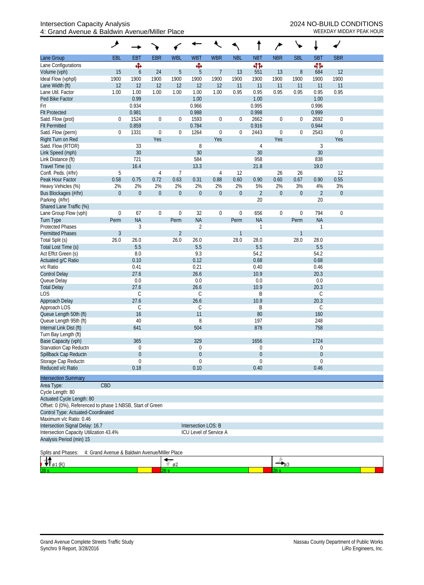## Intersection Capacity Analysis 2024 NO-BUILD CONDITIONS 4: Grand Avenue & Baldwin Avenue/Miller Place WEEKDAY MIDDAY PEAK HOUR

|                                                                     | ۶                |                |                        |                  |                     |                        |                  |                |                  |                  |                  |                  |  |
|---------------------------------------------------------------------|------------------|----------------|------------------------|------------------|---------------------|------------------------|------------------|----------------|------------------|------------------|------------------|------------------|--|
| Lane Group                                                          | EBL              | <b>EBT</b>     | <b>EBR</b>             | <b>WBL</b>       | <b>WBT</b>          | <b>WBR</b>             | <b>NBL</b>       | <b>NBT</b>     | <b>NBR</b>       | <b>SBL</b>       | <b>SBT</b>       | <b>SBR</b>       |  |
| Lane Configurations                                                 |                  | Ф              |                        |                  | Ф                   |                        |                  | 41             |                  |                  | 41               |                  |  |
| Volume (vph)                                                        | 15               | 6              | 24                     | $\overline{5}$   | 5                   | 7                      | 13               | 551            | 13               | 8                | 684              | 12               |  |
| Ideal Flow (vphpl)                                                  | 1900             | 1900           | 1900                   | 1900             | 1900                | 1900                   | 1900             | 1900           | 1900             | 1900             | 1900             | 1900             |  |
| Lane Width (ft)                                                     | 12               | 12             | 12                     | 12               | 12                  | 12                     | 11               | 11             | 11               | 11               | 11               | 11               |  |
| Lane Util. Factor                                                   | 1.00             | 1.00           | 1.00                   | 1.00             | 1.00                | 1.00                   | 0.95             | 0.95           | 0.95             | 0.95             | 0.95             | 0.95             |  |
| Ped Bike Factor                                                     |                  | 0.99           |                        |                  | 1.00                |                        |                  | 1.00           |                  |                  | 1.00             |                  |  |
| Frt                                                                 |                  | 0.934          |                        |                  | 0.966               |                        |                  | 0.995          |                  |                  | 0.996            |                  |  |
| <b>Flt Protected</b>                                                |                  | 0.981          |                        |                  | 0.988               |                        |                  | 0.998          |                  |                  | 0.999            |                  |  |
| Satd. Flow (prot)                                                   | $\mathbf 0$      | 1524           | $\boldsymbol{0}$       | $\boldsymbol{0}$ | 1593                | 0                      | $\boldsymbol{0}$ | 2662           | $\boldsymbol{0}$ | $\boldsymbol{0}$ | 2692             | $\boldsymbol{0}$ |  |
| <b>Flt Permitted</b>                                                |                  | 0.859          |                        |                  | 0.784               |                        |                  | 0.916          |                  |                  | 0.944            |                  |  |
| Satd. Flow (perm)                                                   | $\mathbf{0}$     | 1331           | $\mathbf 0$            | $\boldsymbol{0}$ | 1264                | 0                      | $\mathbf 0$      | 2443           | $\boldsymbol{0}$ | $\boldsymbol{0}$ | 2543             | $\boldsymbol{0}$ |  |
| Right Turn on Red                                                   |                  |                | Yes                    |                  |                     | Yes                    |                  |                | Yes              |                  |                  | Yes              |  |
| Satd. Flow (RTOR)                                                   |                  | 33             |                        |                  | 8                   |                        |                  | 4              |                  |                  | 3                |                  |  |
| Link Speed (mph)                                                    |                  | $30\,$         |                        |                  | 30                  |                        |                  | 30             |                  |                  | 30               |                  |  |
| Link Distance (ft)                                                  |                  | 721            |                        |                  | 584                 |                        |                  | 958            |                  |                  | 838              |                  |  |
| Travel Time (s)                                                     |                  | 16.4           |                        |                  | 13.3                |                        |                  | 21.8           |                  |                  | 19.0             |                  |  |
| Confl. Peds. (#/hr)<br>Peak Hour Factor                             | 5<br>0.58        | 0.75           | $\overline{4}$<br>0.72 | 7<br>0.63        |                     | $\overline{4}$<br>0.88 | 12<br>0.60       | 0.90           | 26<br>0.60       | 26<br>0.67       | 0.90             | 12<br>0.55       |  |
|                                                                     | 2%               | 2%             | 2%                     | 2%               | 0.31<br>2%          | 2%                     | 2%               | 5%             | 2%               | 3%               | 4%               | 3%               |  |
| Heavy Vehicles (%)<br>Bus Blockages (#/hr)                          | $\mathbf{0}$     | $\overline{0}$ | $\boldsymbol{0}$       | $\boldsymbol{0}$ | $\boldsymbol{0}$    | $\mathbf 0$            | $\boldsymbol{0}$ | $\overline{2}$ | $\boldsymbol{0}$ | $\boldsymbol{0}$ | $\overline{2}$   | $\boldsymbol{0}$ |  |
| Parking (#/hr)                                                      |                  |                |                        |                  |                     |                        |                  | 20             |                  |                  | 20               |                  |  |
| Shared Lane Traffic (%)                                             |                  |                |                        |                  |                     |                        |                  |                |                  |                  |                  |                  |  |
| Lane Group Flow (vph)                                               | $\boldsymbol{0}$ | 67             | $\boldsymbol{0}$       | $\mathbf 0$      | 32                  | 0                      | $\boldsymbol{0}$ | 656            | $\boldsymbol{0}$ | $\boldsymbol{0}$ | 794              | $\mathbf 0$      |  |
| Turn Type                                                           | Perm             | <b>NA</b>      |                        | Perm             | <b>NA</b>           |                        | Perm             | <b>NA</b>      |                  | Perm             | <b>NA</b>        |                  |  |
| <b>Protected Phases</b>                                             |                  | 3              |                        |                  | $\overline{2}$      |                        |                  | 1              |                  |                  | $\mathbf{1}$     |                  |  |
| <b>Permitted Phases</b>                                             | $\mathfrak{Z}$   |                |                        | $\overline{2}$   |                     |                        | $\mathbf{1}$     |                |                  | $\mathbf{1}$     |                  |                  |  |
| Total Split (s)                                                     | 26.0             | 26.0           |                        | 26.0             | 26.0                |                        | 28.0             | 28.0           |                  | 28.0             | 28.0             |                  |  |
| Total Lost Time (s)                                                 |                  | 5.5            |                        |                  | 5.5                 |                        |                  | 5.5            |                  |                  | 5.5              |                  |  |
| Act Effct Green (s)                                                 |                  | 8.0            |                        |                  | 9.3                 |                        |                  | 54.2           |                  |                  | 54.2             |                  |  |
| Actuated g/C Ratio                                                  |                  | 0.10           |                        |                  | 0.12                |                        |                  | 0.68           |                  |                  | 0.68             |                  |  |
| v/c Ratio                                                           |                  | 0.41           |                        |                  | 0.21                |                        |                  | 0.40           |                  |                  | 0.46             |                  |  |
| <b>Control Delay</b>                                                |                  | 27.6           |                        |                  | 26.6                |                        |                  | 10.9           |                  |                  | 20.3             |                  |  |
| Queue Delay                                                         |                  | 0.0            |                        |                  | 0.0                 |                        |                  | 0.0            |                  |                  | 0.0              |                  |  |
| <b>Total Delay</b>                                                  |                  | 27.6           |                        |                  | 26.6                |                        |                  | 10.9           |                  |                  | 20.3             |                  |  |
| LOS                                                                 |                  | $\mathsf C$    |                        |                  | C                   |                        |                  | B              |                  |                  | C                |                  |  |
| Approach Delay                                                      |                  | 27.6           |                        |                  | 26.6                |                        |                  | 10.9           |                  |                  | 20.3             |                  |  |
| Approach LOS                                                        |                  | C              |                        |                  | C                   |                        |                  | Β              |                  |                  | C                |                  |  |
| Queue Length 50th (ft)                                              |                  | 16             |                        |                  | 11                  |                        |                  | 80             |                  |                  | 160              |                  |  |
| Queue Length 95th (ft)                                              |                  | 40             |                        |                  | 8                   |                        |                  | 197            |                  |                  | 248              |                  |  |
| Internal Link Dist (ft)                                             |                  | 641            |                        |                  | 504                 |                        |                  | 878            |                  |                  | 758              |                  |  |
| Turn Bay Length (ft)                                                |                  | 365            |                        |                  | 329                 |                        |                  | 1656           |                  |                  | 1724             |                  |  |
| Base Capacity (vph)<br>Starvation Cap Reductn                       |                  | $\Omega$       |                        |                  | $\mathbf 0$         |                        |                  | 0              |                  |                  | 0                |                  |  |
| Spillback Cap Reductn                                               |                  | $\overline{0}$ |                        |                  | $\theta$            |                        |                  | 0              |                  |                  | $\boldsymbol{0}$ |                  |  |
| Storage Cap Reductn                                                 |                  | $\theta$       |                        |                  | $\theta$            |                        |                  | 0              |                  |                  | 0                |                  |  |
| Reduced v/c Ratio                                                   |                  | 0.18           |                        |                  | 0.10                |                        |                  | 0.40           |                  |                  | 0.46             |                  |  |
|                                                                     |                  |                |                        |                  |                     |                        |                  |                |                  |                  |                  |                  |  |
| <b>Intersection Summary</b>                                         |                  |                |                        |                  |                     |                        |                  |                |                  |                  |                  |                  |  |
| CBD<br>Area Type:                                                   |                  |                |                        |                  |                     |                        |                  |                |                  |                  |                  |                  |  |
| Cycle Length: 80<br>Actuated Cycle Length: 80                       |                  |                |                        |                  |                     |                        |                  |                |                  |                  |                  |                  |  |
| Offset: 0 (0%), Referenced to phase 1:NBSB, Start of Green          |                  |                |                        |                  |                     |                        |                  |                |                  |                  |                  |                  |  |
| Control Type: Actuated-Coordinated                                  |                  |                |                        |                  |                     |                        |                  |                |                  |                  |                  |                  |  |
| Maximum v/c Ratio: 0.46                                             |                  |                |                        |                  |                     |                        |                  |                |                  |                  |                  |                  |  |
| Intersection Signal Delay: 16.7                                     |                  |                |                        |                  | Intersection LOS: B |                        |                  |                |                  |                  |                  |                  |  |
| Intersection Capacity Utilization 43.4%                             |                  |                |                        |                  |                     | ICU Level of Service A |                  |                |                  |                  |                  |                  |  |
| Analysis Period (min) 15                                            |                  |                |                        |                  |                     |                        |                  |                |                  |                  |                  |                  |  |
| Splits and Phases:<br>4: Grand Avenue & Baldwin Avenue/Miller Place |                  |                |                        |                  |                     |                        |                  |                |                  |                  |                  |                  |  |
|                                                                     |                  |                |                        |                  |                     |                        |                  |                |                  |                  |                  |                  |  |
| $A_{\rho_1(\mathbb{R})}$                                            |                  |                |                        | 02<br>26 s       |                     |                        |                  |                | $ 63$<br>26 s    |                  |                  |                  |  |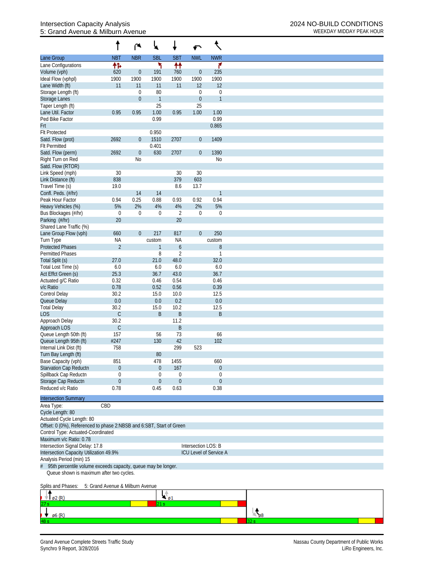## Intersection Capacity Analysis <br>
5: Grand Avenue & Milburn Avenue **Avenue Additional Connect Avenue** 2024 NO-BUILD CONDITIONS<br> **EXECUATE ANALY PEAK HOUR** 5: Grand Avenue & Milburn Avenue

|                                                                      |                                  | r                | ₩                |                  | ↶                |                               |
|----------------------------------------------------------------------|----------------------------------|------------------|------------------|------------------|------------------|-------------------------------|
| Lane Group                                                           | <b>NBT</b>                       | <b>NBR</b>       | <b>SBL</b>       | <b>SBT</b>       | <b>NWL</b>       | <b>NWR</b>                    |
| Lane Configurations                                                  | 怍                                |                  | ۲                | 枰                |                  | ۴                             |
| Volume (vph)                                                         | 620                              | $\boldsymbol{0}$ | 191              | 760              | $\boldsymbol{0}$ | 235                           |
| Ideal Flow (vphpl)                                                   | 1900                             | 1900             | 1900             | 1900             | 1900             | 1900                          |
| Lane Width (ft)                                                      | 11                               | 11               | 11               | 11               | 12               | 12                            |
| Storage Length (ft)                                                  |                                  | $\boldsymbol{0}$ | 80               |                  | 0                | $\boldsymbol{0}$              |
| Storage Lanes                                                        |                                  | $\mathbf{0}$     | $\mathbf{1}$     |                  | $\boldsymbol{0}$ | $\mathbf{1}$                  |
| Taper Length (ft)                                                    |                                  |                  | 25               |                  | 25               |                               |
| Lane Util. Factor                                                    | 0.95                             | 0.95             | 1.00             | 0.95             | 1.00             | 1.00                          |
| Ped Bike Factor                                                      |                                  |                  | 0.99             |                  |                  | 0.99                          |
| Frt                                                                  |                                  |                  |                  |                  |                  | 0.865                         |
| <b>Flt Protected</b>                                                 |                                  |                  | 0.950            |                  |                  |                               |
| Satd. Flow (prot)                                                    | 2692                             | $\theta$         | 1510             | 2707             | $\mathbf 0$      | 1409                          |
| <b>Flt Permitted</b>                                                 |                                  |                  | 0.401            |                  |                  |                               |
| Satd. Flow (perm)                                                    | 2692                             | $\boldsymbol{0}$ | 630              | 2707             | $\mathbf 0$      | 1390                          |
| Right Turn on Red                                                    |                                  | No               |                  |                  |                  | N <sub>0</sub>                |
| Satd. Flow (RTOR)                                                    |                                  |                  |                  |                  |                  |                               |
| Link Speed (mph)                                                     | $30\,$                           |                  |                  | 30               | 30               |                               |
| Link Distance (ft)                                                   | 838                              |                  |                  | 379              | 603              |                               |
| Travel Time (s)                                                      | 19.0                             |                  |                  | 8.6              | 13.7             |                               |
| Confl. Peds. (#/hr)                                                  |                                  | 14               | 14               |                  |                  | $\mathbf{1}$                  |
| Peak Hour Factor                                                     | 0.94                             | 0.25             | 0.88             | 0.93             | 0.92             | 0.94                          |
| Heavy Vehicles (%)                                                   | 5%                               | 2%               | 4%               | 4%               | 2%               | 5%                            |
| Bus Blockages (#/hr)                                                 | $\boldsymbol{0}$                 | $\boldsymbol{0}$ | $\boldsymbol{0}$ | $\overline{2}$   | 0                | $\mathbf 0$                   |
| Parking (#/hr)                                                       | 20                               |                  |                  | 20               |                  |                               |
| Shared Lane Traffic (%)                                              |                                  |                  |                  |                  |                  |                               |
| Lane Group Flow (vph)                                                | 660                              | $\mathbf 0$      | 217              | 817              | $\overline{0}$   | 250                           |
| Turn Type                                                            | NA                               |                  | custom           | <b>NA</b>        |                  | custom                        |
| <b>Protected Phases</b>                                              | $\overline{2}$                   |                  | 1                | $\boldsymbol{6}$ |                  | $8\,$                         |
| <b>Permitted Phases</b>                                              |                                  |                  | 8                | $\overline{2}$   |                  | $\mathbf{1}$                  |
| Total Split (s)                                                      | 27.0                             |                  | 21.0             | 48.0             |                  | 32.0                          |
| Total Lost Time (s)                                                  | 6.0                              |                  | 6.0              | 6.0              |                  | 6.0                           |
| Act Effct Green (s)                                                  | 25.3                             |                  | 36.7             | 43.0             |                  | 36.7                          |
| Actuated g/C Ratio                                                   | 0.32                             |                  | 0.46             | 0.54             |                  | 0.46                          |
| v/c Ratio                                                            | 0.78                             |                  | 0.52             | 0.56             |                  | 0.39                          |
| <b>Control Delay</b>                                                 | 30.2                             |                  | 15.0             | 10.0             |                  | 12.5                          |
| Queue Delay                                                          | 0.0                              |                  | 0.0              | 0.2              |                  | 0.0                           |
| <b>Total Delay</b>                                                   | 30.2                             |                  | 15.0             | 10.2             |                  | 12.5                          |
| <b>LOS</b>                                                           | $\mathsf C$                      |                  | B                | $\sf B$          |                  | $\sf B$                       |
| Approach Delay                                                       | 30.2                             |                  |                  | 11.2             |                  |                               |
| Approach LOS                                                         | $\mathsf C$                      |                  |                  | B                |                  |                               |
| Queue Length 50th (ft)                                               | 157                              |                  | 56               | 73               |                  | 66                            |
| Queue Length 95th (ft)                                               | #247                             |                  | 130              | 42               |                  | 102                           |
| Internal Link Dist (ft)                                              | 758                              |                  |                  | 299              | 523              |                               |
| Turn Bay Length (ft)                                                 |                                  |                  | 80               |                  |                  |                               |
| Base Capacity (vph)                                                  | 851                              |                  | 478              | 1455             |                  | 660                           |
| Starvation Cap Reductn                                               | 0                                |                  | $\mathbf{0}$     | 167              |                  | $\boldsymbol{0}$              |
| Spillback Cap Reductn                                                | 0                                |                  | $\boldsymbol{0}$ | 0                |                  | 0                             |
| Storage Cap Reductn                                                  | $\boldsymbol{0}$                 |                  | $\mathbf{0}$     | $\mathbf{0}$     |                  | $\theta$                      |
| Reduced v/c Ratio                                                    | 0.78                             |                  | 0.45             | 0.63             |                  | 0.38                          |
| <b>Intersection Summary</b>                                          |                                  |                  |                  |                  |                  |                               |
|                                                                      | CBD                              |                  |                  |                  |                  |                               |
| Area Type:<br>Cycle Length: 80                                       |                                  |                  |                  |                  |                  |                               |
| Actuated Cycle Length: 80                                            |                                  |                  |                  |                  |                  |                               |
| Offset: 0 (0%), Referenced to phase 2:NBSB and 6:SBT, Start of Green |                                  |                  |                  |                  |                  |                               |
| Control Type: Actuated-Coordinated                                   |                                  |                  |                  |                  |                  |                               |
| Maximum v/c Ratio: 0.78                                              |                                  |                  |                  |                  |                  |                               |
|                                                                      |                                  |                  |                  |                  |                  |                               |
| Intersection Signal Delay: 17.8                                      |                                  |                  |                  |                  |                  | Intersection LOS: B           |
| Intersection Capacity Utilization 49.9%                              |                                  |                  |                  |                  |                  | <b>ICU Level of Service A</b> |
| Analysis Period (min) 15                                             |                                  |                  |                  |                  |                  |                               |
| 95th percentile volume exceeds capacity, queue may be longer.        |                                  |                  |                  |                  |                  |                               |
| Queue shown is maximum after two cycles.                             |                                  |                  |                  |                  |                  |                               |
|                                                                      |                                  |                  |                  |                  |                  |                               |
| Splits and Phases:                                                   | 5: Grand Avenue & Milburn Avenue |                  |                  |                  |                  |                               |

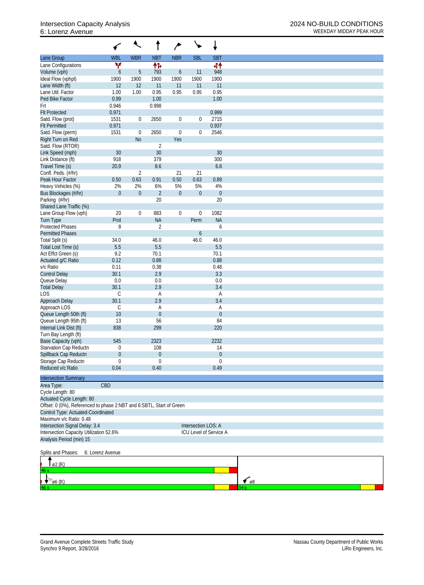## 6: Lorenz Avenue WEEKDAY MIDDAY PEAK HOUR

|                                                                      |                  | $\overline{\mathcal{L}}$ |                      | ∕                |                     | ↓                      |             |
|----------------------------------------------------------------------|------------------|--------------------------|----------------------|------------------|---------------------|------------------------|-------------|
| Lane Group                                                           | <b>WBL</b>       | <b>WBR</b>               | <b>NBT</b>           | <b>NBR</b>       | <b>SBL</b>          | <b>SBT</b>             |             |
| Lane Configurations                                                  | ۷                |                          | 柞                    |                  |                     | 44                     |             |
| Volume (vph)                                                         | $\boldsymbol{6}$ | 5                        | 793                  | 6                | 11                  | 948                    |             |
| Ideal Flow (vphpl)                                                   | 1900             | 1900                     | 1900                 | 1900             | 1900                | 1900                   |             |
| Lane Width (ft)                                                      | 12               | 12                       | 11                   | 11               | 11                  | 11                     |             |
| Lane Util. Factor                                                    | 1.00             | 1.00                     | 0.95                 | 0.95             | 0.95                | 0.95                   |             |
| Ped Bike Factor                                                      | 0.99             |                          | 1.00                 |                  |                     | 1.00                   |             |
| Frt                                                                  | 0.946            |                          | 0.998                |                  |                     |                        |             |
| <b>Flt Protected</b>                                                 | 0.971            |                          |                      |                  |                     | 0.999                  |             |
| Satd. Flow (prot)                                                    | 1531             | $\overline{0}$           | 2650                 | $\mathbf 0$      | $\boldsymbol{0}$    | 2715                   |             |
| <b>Flt Permitted</b>                                                 | 0.971            |                          |                      |                  |                     | 0.937                  |             |
| Satd. Flow (perm)                                                    | 1531             | $\boldsymbol{0}$         | 2650                 | $\mathbf 0$      | 0                   | 2546                   |             |
| Right Turn on Red                                                    |                  | N <sub>o</sub>           |                      | Yes              |                     |                        |             |
| Satd. Flow (RTOR)<br>Link Speed (mph)                                | 30               |                          | $\overline{2}$<br>30 |                  |                     | 30                     |             |
| Link Distance (ft)                                                   | 918              |                          | 379                  |                  |                     | 300                    |             |
| Travel Time (s)                                                      | 20.9             |                          | 8.6                  |                  |                     | 6.8                    |             |
| Confl. Peds. (#/hr)                                                  |                  | $\overline{2}$           |                      | 21               | 21                  |                        |             |
| Peak Hour Factor                                                     | 0.50             | 0.63                     | 0.91                 | 0.50             | 0.63                | 0.89                   |             |
| Heavy Vehicles (%)                                                   | 2%               | 2%                       | $6\%$                | 5%               | 5%                  | 4%                     |             |
| Bus Blockages (#/hr)                                                 | $\boldsymbol{0}$ | $\boldsymbol{0}$         | $\overline{2}$       | $\boldsymbol{0}$ | $\boldsymbol{0}$    | $\boldsymbol{0}$       |             |
| Parking (#/hr)                                                       |                  |                          | 20                   |                  |                     | 20                     |             |
| Shared Lane Traffic (%)                                              |                  |                          |                      |                  |                     |                        |             |
| Lane Group Flow (vph)                                                | 20               | $\overline{0}$           | 883                  | $\overline{0}$   | $\boldsymbol{0}$    | 1082                   |             |
| <b>Turn Type</b>                                                     | Prot             |                          | <b>NA</b>            |                  | Perm                | <b>NA</b>              |             |
| <b>Protected Phases</b>                                              | 8                |                          | $\overline{2}$       |                  |                     | 6                      |             |
| <b>Permitted Phases</b>                                              |                  |                          |                      |                  | 6                   |                        |             |
| Total Split (s)                                                      | 34.0             |                          | 46.0                 |                  | 46.0                | 46.0                   |             |
| Total Lost Time (s)                                                  | 5.5              |                          | 5.5                  |                  |                     | 5.5                    |             |
| Act Effct Green (s)                                                  | 9.2              |                          | 70.1                 |                  |                     | 70.1                   |             |
| Actuated g/C Ratio                                                   | 0.12             |                          | 0.88                 |                  |                     | 0.88                   |             |
| v/c Ratio                                                            | 0.11             |                          | 0.38                 |                  |                     | 0.48                   |             |
| <b>Control Delay</b>                                                 | 30.1             |                          | 2.9                  |                  |                     | 3.3                    |             |
| Queue Delay                                                          | $0.0\,$          |                          | 0.0                  |                  |                     | 0.0                    |             |
| <b>Total Delay</b>                                                   | 30.1             |                          | 2.9                  |                  |                     | 3.4                    |             |
| <b>LOS</b>                                                           | $\mathsf C$      |                          | Α                    |                  |                     | A                      |             |
| Approach Delay                                                       | 30.1             |                          | 2.9                  |                  |                     | 3.4                    |             |
| Approach LOS                                                         | C                |                          | Α                    |                  |                     | Α                      |             |
| Queue Length 50th (ft)                                               | 10               |                          | $\boldsymbol{0}$     |                  |                     | $\theta$               |             |
| Queue Length 95th (ft)                                               | 13               |                          | 56                   |                  |                     | 84                     |             |
| Internal Link Dist (ft)                                              | 838              |                          | 299                  |                  |                     | 220                    |             |
| Turn Bay Length (ft)                                                 |                  |                          |                      |                  |                     |                        |             |
| Base Capacity (vph)                                                  | 545              |                          | 2323                 |                  |                     | 2232                   |             |
| Starvation Cap Reductn                                               | 0                |                          | 108                  |                  |                     | 14                     |             |
| Spillback Cap Reductn                                                | 0                |                          | $\boldsymbol{0}$     |                  |                     | $\theta$               |             |
| Storage Cap Reductn<br>Reduced v/c Ratio                             | 0                |                          | $\mathbf 0$          |                  |                     | $\mathbf 0$            |             |
|                                                                      | 0.04             |                          | 0.40                 |                  |                     | 0.49                   |             |
| <b>Intersection Summary</b>                                          |                  |                          |                      |                  |                     |                        |             |
| Area Type:                                                           | CBD              |                          |                      |                  |                     |                        |             |
| Cycle Length: 80                                                     |                  |                          |                      |                  |                     |                        |             |
| Actuated Cycle Length: 80                                            |                  |                          |                      |                  |                     |                        |             |
| Offset: 0 (0%), Referenced to phase 2:NBT and 6:SBTL, Start of Green |                  |                          |                      |                  |                     |                        |             |
| Control Type: Actuated-Coordinated                                   |                  |                          |                      |                  |                     |                        |             |
| Maximum v/c Ratio: 0.48                                              |                  |                          |                      |                  |                     |                        |             |
| Intersection Signal Delay: 3.4                                       |                  |                          |                      |                  | Intersection LOS: A |                        |             |
| Intersection Capacity Utilization 52.6%                              |                  |                          |                      |                  |                     | ICU Level of Service A |             |
| Analysis Period (min) 15                                             |                  |                          |                      |                  |                     |                        |             |
|                                                                      |                  |                          |                      |                  |                     |                        |             |
| Splits and Phases:                                                   | 6: Lorenz Avenue |                          |                      |                  |                     |                        |             |
| ø2 (R)                                                               |                  |                          |                      |                  |                     |                        |             |
|                                                                      |                  |                          |                      |                  |                     |                        |             |
|                                                                      |                  |                          |                      |                  |                     |                        |             |
| $\varphi$ 6 (R)                                                      |                  |                          |                      |                  |                     |                        | $\sim$ $68$ |
|                                                                      |                  |                          |                      |                  |                     |                        | 34 s        |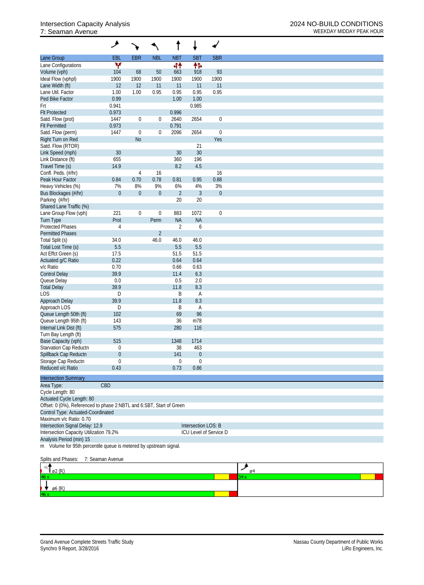## 7: Seaman Avenue WEEKDAY MIDDAY PEAK HOUR

|                                                                      | گر               |                  |                  |                  |                     |                        |
|----------------------------------------------------------------------|------------------|------------------|------------------|------------------|---------------------|------------------------|
| Lane Group                                                           | <b>EBL</b>       | <b>EBR</b>       | <b>NBL</b>       | <b>NBT</b>       | <b>SBT</b>          | <b>SBR</b>             |
| Lane Configurations                                                  | v                |                  |                  | 44               | 伟                   |                        |
| Volume (vph)                                                         | 104              | 68               | 50               | 663              | 918                 | 93                     |
| Ideal Flow (vphpl)                                                   | 1900             | 1900             | 1900             | 1900             | 1900                | 1900                   |
| Lane Width (ft)                                                      | 12               | 12               | 11               | 11               | 11                  | 11                     |
| Lane Util. Factor                                                    | 1.00             | 1.00             | 0.95             | 0.95             | 0.95                | 0.95                   |
| Ped Bike Factor                                                      | 0.99             |                  |                  | 1.00             | 1.00                |                        |
| Frt                                                                  | 0.941            |                  |                  |                  | 0.985               |                        |
| <b>Flt Protected</b>                                                 | 0.973            |                  |                  | 0.996            |                     |                        |
| Satd. Flow (prot)                                                    | 1447             | $\boldsymbol{0}$ | $\boldsymbol{0}$ | 2640             | 2654                | $\boldsymbol{0}$       |
| <b>Flt Permitted</b>                                                 | 0.973            |                  |                  | 0.791            |                     |                        |
| Satd. Flow (perm)                                                    | 1447             | $\boldsymbol{0}$ | $\boldsymbol{0}$ | 2096             | 2654                | $\boldsymbol{0}$       |
| Right Turn on Red                                                    |                  | N <sub>o</sub>   |                  |                  |                     | Yes                    |
| Satd. Flow (RTOR)                                                    |                  |                  |                  |                  | 21                  |                        |
| Link Speed (mph)                                                     | 30               |                  |                  | 30               | 30                  |                        |
| Link Distance (ft)                                                   | 655              |                  |                  | 360              | 196                 |                        |
| Travel Time (s)                                                      | 14.9             |                  |                  | 8.2              | 4.5                 |                        |
| Confl. Peds. (#/hr)                                                  |                  | 4                | 16               |                  |                     | 16                     |
| Peak Hour Factor                                                     | 0.84             | 0.70             | 0.78             | 0.81             | 0.95                | 0.88                   |
| Heavy Vehicles (%)                                                   | 7%               | 8%               | 9%               | 6%               | 4%                  | 3%                     |
| Bus Blockages (#/hr)                                                 | $\boldsymbol{0}$ | $\theta$         | $\boldsymbol{0}$ | $\overline{2}$   | $\mathfrak{Z}$      | $\boldsymbol{0}$       |
| Parking (#/hr)                                                       |                  |                  |                  | 20               | 20                  |                        |
| Shared Lane Traffic (%)                                              |                  |                  |                  |                  |                     |                        |
| Lane Group Flow (vph)                                                | 221              | $\boldsymbol{0}$ | $\boldsymbol{0}$ | 883              | 1072                | $\boldsymbol{0}$       |
| <b>Turn Type</b>                                                     | Prot             |                  | Perm             | <b>NA</b>        | <b>NA</b>           |                        |
| <b>Protected Phases</b>                                              | 4                |                  |                  | $\overline{2}$   | 6                   |                        |
| <b>Permitted Phases</b>                                              |                  |                  | $\overline{2}$   |                  |                     |                        |
| Total Split (s)                                                      | 34.0             |                  | 46.0             | 46.0             | 46.0                |                        |
| Total Lost Time (s)                                                  | 5.5              |                  |                  | 5.5              | 5.5                 |                        |
| Act Effct Green (s)                                                  | 17.5             |                  |                  | 51.5             | 51.5                |                        |
| Actuated g/C Ratio                                                   | 0.22             |                  |                  | 0.64             | 0.64                |                        |
| v/c Ratio                                                            | 0.70             |                  |                  | 0.66             | 0.63                |                        |
| <b>Control Delay</b>                                                 | 39.9             |                  |                  | 11.4             | 6.3                 |                        |
| Queue Delay                                                          | $0.0\,$          |                  |                  | 0.5              | 2.0                 |                        |
| <b>Total Delay</b>                                                   | 39.9             |                  |                  | 11.8             | 8.3                 |                        |
| LOS                                                                  | D                |                  |                  | B                | A                   |                        |
| Approach Delay                                                       | 39.9             |                  |                  | 11.8             | 8.3                 |                        |
| Approach LOS                                                         | D                |                  |                  | B                | A                   |                        |
| Queue Length 50th (ft)                                               | 102              |                  |                  | 69               | 96                  |                        |
| Queue Length 95th (ft)                                               | 143              |                  |                  | 36               | m78                 |                        |
| Internal Link Dist (ft)                                              | 575              |                  |                  | 280              | 116                 |                        |
| Turn Bay Length (ft)                                                 |                  |                  |                  |                  |                     |                        |
| Base Capacity (vph)                                                  | 515              |                  |                  | 1348             | 1714                |                        |
| Starvation Cap Reductn                                               | 0                |                  |                  | 38               | 463                 |                        |
| Spillback Cap Reductn                                                | 0                |                  |                  | 141              | $\boldsymbol{0}$    |                        |
| Storage Cap Reductn                                                  | 0                |                  |                  | $\boldsymbol{0}$ | 0                   |                        |
| Reduced v/c Ratio                                                    | 0.43             |                  |                  | 0.73             | 0.86                |                        |
|                                                                      |                  |                  |                  |                  |                     |                        |
| <b>Intersection Summary</b>                                          |                  |                  |                  |                  |                     |                        |
| Area Type:                                                           | CBD              |                  |                  |                  |                     |                        |
| Cycle Length: 80                                                     |                  |                  |                  |                  |                     |                        |
| Actuated Cycle Length: 80                                            |                  |                  |                  |                  |                     |                        |
| Offset: 0 (0%), Referenced to phase 2:NBTL and 6:SBT, Start of Green |                  |                  |                  |                  |                     |                        |
| Control Type: Actuated-Coordinated                                   |                  |                  |                  |                  |                     |                        |
| Maximum v/c Ratio: 0.70                                              |                  |                  |                  |                  |                     |                        |
| Intersection Signal Delay: 12.9                                      |                  |                  |                  |                  | Intersection LOS: B |                        |
| Intersection Capacity Utilization 79.2%                              |                  |                  |                  |                  |                     | ICU Level of Service D |
| Analysis Period (min) 15                                             |                  |                  |                  |                  |                     |                        |
| m Volume for 95th percentile queue is metered by upstream signal.    |                  |                  |                  |                  |                     |                        |
|                                                                      |                  |                  |                  |                  |                     |                        |
| Splits and Phases:                                                   | 7: Seaman Avenue |                  |                  |                  |                     |                        |

| ים/ ב           | ø4 |  |
|-----------------|----|--|
| 46 <sub>5</sub> |    |  |
| . .<br>ø6 (R)   |    |  |
| 46s             |    |  |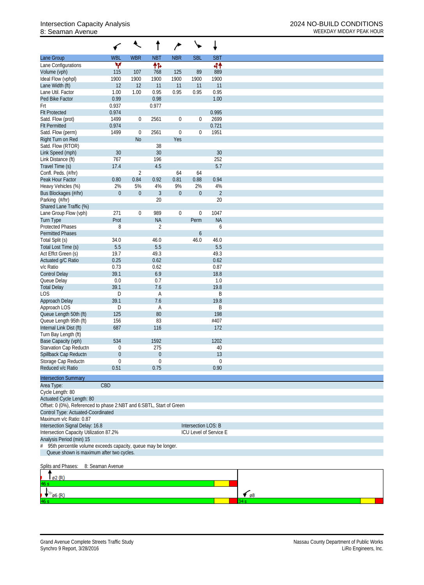## 8: Seaman Avenue WEEKDAY MIDDAY PEAK HOUR

|                                                                      |                  | $\overline{\mathcal{L}}$ |                  | ∕            |                     | ↓                      |             |
|----------------------------------------------------------------------|------------------|--------------------------|------------------|--------------|---------------------|------------------------|-------------|
| Lane Group                                                           | <b>WBL</b>       | <b>WBR</b>               | <b>NBT</b>       | <b>NBR</b>   | <b>SBL</b>          | <b>SBT</b>             |             |
| Lane Configurations                                                  | ۷                |                          | 怍                |              |                     | 44                     |             |
| Volume (vph)                                                         | 115              | 107                      | 768              | 125          | 89                  | 889                    |             |
| Ideal Flow (vphpl)                                                   | 1900             | 1900                     | 1900             | 1900         | 1900                | 1900                   |             |
| Lane Width (ft)                                                      | 12               | 12                       | 11               | 11           | 11                  | 11                     |             |
| Lane Util. Factor                                                    | 1.00             | 1.00                     | 0.95             | 0.95         | 0.95                | 0.95                   |             |
| Ped Bike Factor                                                      | 0.99             |                          | 0.98             |              |                     | 1.00                   |             |
| Frt                                                                  | 0.937            |                          | 0.977            |              |                     |                        |             |
| <b>Flt Protected</b>                                                 | 0.974            |                          |                  |              |                     | 0.995                  |             |
| Satd. Flow (prot)                                                    | 1499             | $\overline{0}$           | 2561             | $\mathbf 0$  | $\boldsymbol{0}$    | 2699                   |             |
| <b>Flt Permitted</b>                                                 | 0.974<br>1499    | $\boldsymbol{0}$         | 2561             | $\mathbf 0$  |                     | 0.721<br>1951          |             |
| Satd. Flow (perm)<br>Right Turn on Red                               |                  | N <sub>o</sub>           |                  | Yes          | 0                   |                        |             |
| Satd. Flow (RTOR)                                                    |                  |                          | 38               |              |                     |                        |             |
| Link Speed (mph)                                                     | 30               |                          | 30               |              |                     | 30                     |             |
| Link Distance (ft)                                                   | 767              |                          | 196              |              |                     | 252                    |             |
| Travel Time (s)                                                      | 17.4             |                          | 4.5              |              |                     | 5.7                    |             |
| Confl. Peds. (#/hr)                                                  |                  | $\overline{2}$           |                  | 64           | 64                  |                        |             |
| Peak Hour Factor                                                     | 0.80             | 0.84                     | 0.92             | 0.81         | 0.88                | 0.94                   |             |
| Heavy Vehicles (%)                                                   | 2%               | 5%                       | 4%               | 9%           | 2%                  | 4%                     |             |
| Bus Blockages (#/hr)                                                 | $\boldsymbol{0}$ | $\boldsymbol{0}$         | $\mathfrak{Z}$   | $\mathbf{0}$ | $\boldsymbol{0}$    | $\sqrt{2}$             |             |
| Parking (#/hr)                                                       |                  |                          | 20               |              |                     | 20                     |             |
| Shared Lane Traffic (%)                                              |                  |                          |                  |              |                     |                        |             |
| Lane Group Flow (vph)                                                | 271              | $\mathbf{0}$             | 989              | $\mathbf 0$  | $\boldsymbol{0}$    | 1047                   |             |
| <b>Turn Type</b>                                                     | Prot             |                          | <b>NA</b>        |              | Perm                | <b>NA</b>              |             |
| <b>Protected Phases</b><br><b>Permitted Phases</b>                   | 8                |                          | $\overline{2}$   |              |                     | 6                      |             |
| Total Split (s)                                                      | 34.0             |                          | 46.0             |              | 6<br>46.0           | 46.0                   |             |
| Total Lost Time (s)                                                  | 5.5              |                          | 5.5              |              |                     | 5.5                    |             |
| Act Effct Green (s)                                                  | 19.7             |                          | 49.3             |              |                     | 49.3                   |             |
| Actuated g/C Ratio                                                   | 0.25             |                          | 0.62             |              |                     | 0.62                   |             |
| v/c Ratio                                                            | 0.73             |                          | 0.62             |              |                     | 0.87                   |             |
| <b>Control Delay</b>                                                 | 39.1             |                          | 6.9              |              |                     | 18.8                   |             |
| Queue Delay                                                          | $0.0\,$          |                          | 0.7              |              |                     | 1.0                    |             |
| <b>Total Delay</b>                                                   | 39.1             |                          | 7.6              |              |                     | 19.8                   |             |
| <b>LOS</b>                                                           | D                |                          | Α                |              |                     | B                      |             |
| Approach Delay                                                       | 39.1             |                          | 7.6              |              |                     | 19.8                   |             |
| Approach LOS                                                         | D                |                          | Α                |              |                     | B                      |             |
| Queue Length 50th (ft)                                               | 125              |                          | 80               |              |                     | 198                    |             |
| Queue Length 95th (ft)                                               | 156              |                          | 83               |              |                     | #407                   |             |
| Internal Link Dist (ft)                                              | 687              |                          | 116              |              |                     | 172                    |             |
| Turn Bay Length (ft)<br>Base Capacity (vph)                          | 534              |                          | 1592             |              |                     | 1202                   |             |
| Starvation Cap Reductn                                               | 0                |                          | 275              |              |                     | 40                     |             |
| Spillback Cap Reductn                                                | 0                |                          | $\boldsymbol{0}$ |              |                     | 13                     |             |
| Storage Cap Reductn                                                  | $\boldsymbol{0}$ |                          | $\mathbf 0$      |              |                     | $\mathbf 0$            |             |
| Reduced v/c Ratio                                                    | 0.51             |                          | 0.75             |              |                     | 0.90                   |             |
|                                                                      |                  |                          |                  |              |                     |                        |             |
| <b>Intersection Summary</b>                                          |                  |                          |                  |              |                     |                        |             |
| Area Type:                                                           | CBD              |                          |                  |              |                     |                        |             |
| Cycle Length: 80<br>Actuated Cycle Length: 80                        |                  |                          |                  |              |                     |                        |             |
| Offset: 0 (0%), Referenced to phase 2:NBT and 6:SBTL, Start of Green |                  |                          |                  |              |                     |                        |             |
| Control Type: Actuated-Coordinated                                   |                  |                          |                  |              |                     |                        |             |
| Maximum v/c Ratio: 0.87                                              |                  |                          |                  |              |                     |                        |             |
| Intersection Signal Delay: 16.8                                      |                  |                          |                  |              | Intersection LOS: B |                        |             |
| Intersection Capacity Utilization 87.2%                              |                  |                          |                  |              |                     | ICU Level of Service E |             |
| Analysis Period (min) 15                                             |                  |                          |                  |              |                     |                        |             |
| 95th percentile volume exceeds capacity, queue may be longer.<br>#   |                  |                          |                  |              |                     |                        |             |
| Queue shown is maximum after two cycles.                             |                  |                          |                  |              |                     |                        |             |
| Splits and Phases:                                                   | 8: Seaman Avenue |                          |                  |              |                     |                        |             |
|                                                                      |                  |                          |                  |              |                     |                        |             |
| ø2 (R)                                                               |                  |                          |                  |              |                     |                        |             |
| $\emptyset$ 6 (R)                                                    |                  |                          |                  |              |                     |                        | $\sim$ $68$ |

63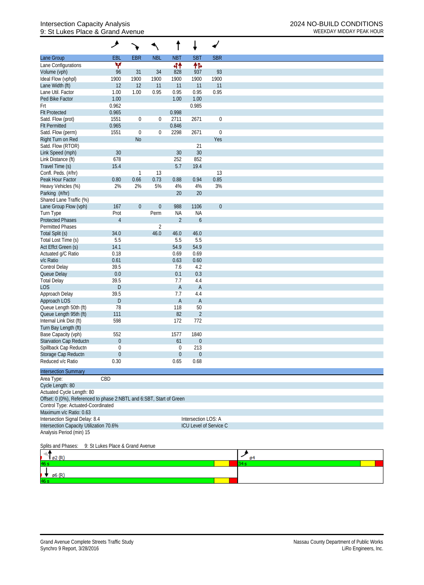## Intersection Capacity Analysis 2024 NO-BUILD CONDITIONS 9: St Lukes Place & Grand Avenue WEEKDAY MIDDAY PEAK HOUR

|                                                                      | ۶                                |                  |                  |                             |                     |                               |          |
|----------------------------------------------------------------------|----------------------------------|------------------|------------------|-----------------------------|---------------------|-------------------------------|----------|
| Lane Group                                                           | <b>EBL</b>                       | <b>EBR</b>       | <b>NBL</b>       | <b>NBT</b>                  | <b>SBT</b>          | <b>SBR</b>                    |          |
| Lane Configurations                                                  | ٧                                |                  |                  | 44                          | 伟                   |                               |          |
| Volume (vph)                                                         | 96                               | 31               | 34               | 828                         | 937                 | 93                            |          |
| Ideal Flow (vphpl)                                                   | 1900                             | 1900             | 1900             | 1900                        | 1900                | 1900                          |          |
| Lane Width (ft)                                                      | 12                               | 12               | 11               | 11                          | 11                  | 11                            |          |
| Lane Util. Factor                                                    | 1.00                             | 1.00             | 0.95             | 0.95                        | 0.95                | 0.95                          |          |
| Ped Bike Factor                                                      | 1.00                             |                  |                  | 1.00                        | 1.00                |                               |          |
| Frt                                                                  | 0.962                            |                  |                  |                             | 0.985               |                               |          |
| <b>Flt Protected</b>                                                 | 0.965                            |                  |                  | 0.998                       |                     |                               |          |
| Satd. Flow (prot)                                                    | 1551                             | $\boldsymbol{0}$ | $\boldsymbol{0}$ | 2711                        | 2671                | $\boldsymbol{0}$              |          |
| <b>Flt Permitted</b>                                                 | 0.965                            |                  |                  | 0.846                       |                     |                               |          |
| Satd. Flow (perm)                                                    | 1551                             | $\mathbf 0$      | $\boldsymbol{0}$ | 2298                        | 2671                | $\boldsymbol{0}$              |          |
| Right Turn on Red                                                    |                                  | N <sub>o</sub>   |                  |                             |                     | Yes                           |          |
| Satd. Flow (RTOR)                                                    |                                  |                  |                  |                             | 21                  |                               |          |
| Link Speed (mph)                                                     | 30                               |                  |                  | 30                          | $30\,$              |                               |          |
| Link Distance (ft)                                                   | 678                              |                  |                  | 252                         | 852                 |                               |          |
| Travel Time (s)                                                      | 15.4                             |                  |                  | 5.7                         | 19.4                |                               |          |
| Confl. Peds. (#/hr)                                                  |                                  | $\mathbf{1}$     | 13               |                             |                     | 13                            |          |
| Peak Hour Factor                                                     | 0.80                             | 0.66             | 0.73             | 0.88                        | 0.94                | 0.85                          |          |
| Heavy Vehicles (%)                                                   | 2%                               | 2%               | 5%               | 4%                          | 4%                  | 3%                            |          |
| Parking (#/hr)                                                       |                                  |                  |                  | 20                          | 20                  |                               |          |
| Shared Lane Traffic (%)                                              |                                  |                  |                  |                             |                     |                               |          |
| Lane Group Flow (vph)                                                | 167                              | $\boldsymbol{0}$ | $\boldsymbol{0}$ | 988                         | 1106                | $\boldsymbol{0}$              |          |
| Turn Type<br><b>Protected Phases</b>                                 | Prot<br>$\overline{4}$           |                  | Perm             | <b>NA</b><br>$\overline{2}$ | <b>NA</b>           |                               |          |
| <b>Permitted Phases</b>                                              |                                  |                  | $\overline{2}$   |                             | $\boldsymbol{6}$    |                               |          |
| Total Split (s)                                                      | 34.0                             |                  | 46.0             | 46.0                        | 46.0                |                               |          |
| Total Lost Time (s)                                                  | 5.5                              |                  |                  | 5.5                         | 5.5                 |                               |          |
| Act Effct Green (s)                                                  | 14.1                             |                  |                  | 54.9                        | 54.9                |                               |          |
| Actuated g/C Ratio                                                   | 0.18                             |                  |                  | 0.69                        | 0.69                |                               |          |
| v/c Ratio                                                            | 0.61                             |                  |                  | 0.63                        | 0.60                |                               |          |
| Control Delay                                                        | 39.5                             |                  |                  | 7.6                         | 4.2                 |                               |          |
| Queue Delay                                                          | 0.0                              |                  |                  | 0.1                         | 0.3                 |                               |          |
| <b>Total Delay</b>                                                   | 39.5                             |                  |                  | 7.7                         | 4.4                 |                               |          |
| <b>LOS</b>                                                           | D.                               |                  |                  | $\mathsf{A}$                | $\overline{A}$      |                               |          |
| Approach Delay                                                       | 39.5                             |                  |                  | 7.7                         | 4.4                 |                               |          |
| Approach LOS                                                         | D                                |                  |                  | $\mathsf{A}$                | $\overline{A}$      |                               |          |
| Queue Length 50th (ft)                                               | 78                               |                  |                  | 118                         | 50                  |                               |          |
| Queue Length 95th (ft)                                               | 111                              |                  |                  | 82                          | $\overline{2}$      |                               |          |
| Internal Link Dist (ft)                                              | 598                              |                  |                  | 172                         | 772                 |                               |          |
| Turn Bay Length (ft)                                                 |                                  |                  |                  |                             |                     |                               |          |
| Base Capacity (vph)                                                  | 552                              |                  |                  | 1577                        | 1840                |                               |          |
| <b>Starvation Cap Reductn</b>                                        | $\mathbf 0$                      |                  |                  | 61                          | $\boldsymbol{0}$    |                               |          |
| Spillback Cap Reductn                                                | 0                                |                  |                  | $\mathbf 0$                 | 213                 |                               |          |
| Storage Cap Reductn                                                  | $\boldsymbol{0}$                 |                  |                  | $\mathbf 0$                 | $\boldsymbol{0}$    |                               |          |
| Reduced v/c Ratio                                                    | 0.30                             |                  |                  | 0.65                        | 0.68                |                               |          |
| <b>Intersection Summary</b>                                          |                                  |                  |                  |                             |                     |                               |          |
|                                                                      | CBD                              |                  |                  |                             |                     |                               |          |
| Area Type:                                                           |                                  |                  |                  |                             |                     |                               |          |
| Cycle Length: 80                                                     |                                  |                  |                  |                             |                     |                               |          |
| Actuated Cycle Length: 80                                            |                                  |                  |                  |                             |                     |                               |          |
| Offset: 0 (0%), Referenced to phase 2:NBTL and 6:SBT, Start of Green |                                  |                  |                  |                             |                     |                               |          |
| Control Type: Actuated-Coordinated<br>Maximum v/c Ratio: 0.63        |                                  |                  |                  |                             |                     |                               |          |
| Intersection Signal Delay: 8.4                                       |                                  |                  |                  |                             | Intersection LOS: A |                               |          |
| Intersection Capacity Utilization 70.6%                              |                                  |                  |                  |                             |                     | <b>ICU Level of Service C</b> |          |
| Analysis Period (min) 15                                             |                                  |                  |                  |                             |                     |                               |          |
|                                                                      |                                  |                  |                  |                             |                     |                               |          |
| Splits and Phases:                                                   | 9: St Lukes Place & Grand Avenue |                  |                  |                             |                     |                               |          |
| ø2 (R)                                                               |                                  |                  |                  |                             |                     |                               | عر<br>ø4 |
| 16 s                                                                 |                                  |                  |                  |                             |                     |                               | 34 s     |
|                                                                      |                                  |                  |                  |                             |                     |                               |          |
| ø6 (R)                                                               |                                  |                  |                  |                             |                     |                               |          |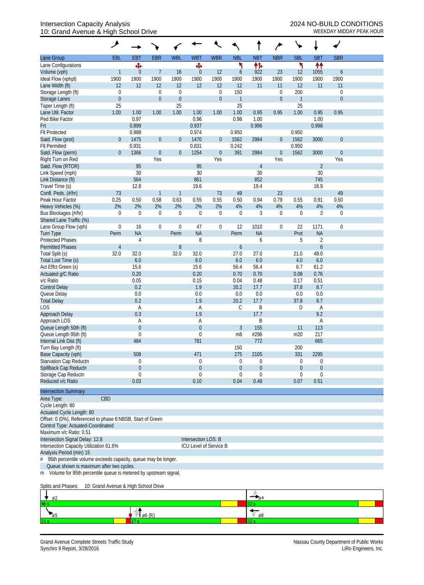### Intersection Capacity Analysis 2024 NO-BUILD CONDITIONS 10: Grand Avenue & High School Drive WEEKDAY MIDDAY PEAK HOUR

|                                                                    | ۶                |                |                  |                  |                        |                  |                |                  |                  |                  |                  |                  |  |
|--------------------------------------------------------------------|------------------|----------------|------------------|------------------|------------------------|------------------|----------------|------------------|------------------|------------------|------------------|------------------|--|
| Lane Group                                                         | EBL              | <b>EBT</b>     | <b>EBR</b>       | <b>WBL</b>       | <b>WBT</b>             | <b>WBR</b>       | <b>NBL</b>     | <b>NBT</b>       | <b>NBR</b>       | <b>SBL</b>       | <b>SBT</b>       | <b>SBR</b>       |  |
| Lane Configurations                                                |                  | Ф              |                  |                  | Ф                      |                  | ۲              | 怍                |                  | ۲                | ₩                |                  |  |
| Volume (vph)                                                       | $\mathbf{1}$     | $\overline{0}$ | 7                | 16               | $\overline{0}$         | 12               | 6              | 922              | 23               | 12               | 1055             | 6                |  |
| Ideal Flow (vphpl)                                                 | 1900             | 1900           | 1900             | 1900             | 1900                   | 1900             | 1900           | 1900             | 1900             | 1900             | 1900             | 1900             |  |
| Lane Width (ft)                                                    | 12               | 12             | 12               | 12               | 12                     | 12               | 12             | 11               | 11               | 12               | 11               | 11               |  |
| Storage Length (ft)                                                | $\boldsymbol{0}$ |                | $\boldsymbol{0}$ | $\boldsymbol{0}$ |                        | $\mathbf 0$      | 150            |                  | $\boldsymbol{0}$ | 200              |                  | $\mathbf 0$      |  |
| Storage Lanes                                                      | $\boldsymbol{0}$ |                | $\boldsymbol{0}$ | $\mathbf{0}$     |                        | $\boldsymbol{0}$ | $\overline{1}$ |                  | $\boldsymbol{0}$ | $\overline{1}$   |                  | $\mathbf{0}$     |  |
| Taper Length (ft)                                                  | 25               |                |                  | 25               |                        |                  | 25             |                  |                  | 25               |                  |                  |  |
| Lane Util. Factor                                                  | 1.00             | 1.00           | 1.00             | 1.00             | 1.00                   | 1.00             | 1.00           | 0.95             | 0.95             | 1.00             | 0.95             | 0.95             |  |
| Ped Bike Factor                                                    |                  | 0.97           |                  |                  | 0.96                   |                  | 0.98           | 1.00             |                  |                  | 1.00             |                  |  |
| Frt                                                                |                  | 0.899          |                  |                  | 0.937                  |                  |                | 0.996            |                  |                  | 0.998            |                  |  |
| <b>Flt Protected</b>                                               |                  | 0.988          |                  |                  | 0.974                  |                  | 0.950          |                  |                  | 0.950            |                  |                  |  |
| Satd. Flow (prot)                                                  | $\overline{0}$   | 1475           | $\boldsymbol{0}$ | $\theta$         | 1470                   | $\boldsymbol{0}$ | 1562           | 2984             | $\boldsymbol{0}$ | 1562             | 3000             | $\mathbf 0$      |  |
| <b>Flt Permitted</b>                                               |                  | 0.931          |                  |                  | 0.831                  |                  | 0.242          |                  |                  | 0.950            |                  |                  |  |
| Satd. Flow (perm)                                                  | $\boldsymbol{0}$ | 1366           | $\boldsymbol{0}$ | $\theta$         | 1254                   | $\boldsymbol{0}$ | 391            | 2984             | $\boldsymbol{0}$ | 1562             | 3000             | $\mathbf{0}$     |  |
| Right Turn on Red                                                  |                  |                | Yes              |                  |                        | Yes              |                |                  | Yes              |                  |                  | Yes              |  |
| Satd. Flow (RTOR)                                                  |                  | 95             |                  |                  | 95                     |                  |                | $\overline{4}$   |                  |                  | $\overline{2}$   |                  |  |
| Link Speed (mph)                                                   |                  | 30             |                  |                  | 30                     |                  |                | 30               |                  |                  | 30               |                  |  |
| Link Distance (ft)                                                 |                  | 564            |                  |                  | 861                    |                  |                | 852              |                  |                  | 745              |                  |  |
|                                                                    |                  |                |                  |                  |                        |                  |                | 19.4             |                  |                  | 16.9             |                  |  |
| Travel Time (s)                                                    |                  | 12.8           |                  |                  | 19.6                   |                  |                |                  |                  |                  |                  |                  |  |
| Confl. Peds. (#/hr)                                                | 73               |                | 1                | $\mathbf{1}$     |                        | 73               | 49             |                  | 23               |                  |                  | 49               |  |
| Peak Hour Factor                                                   | 0.25             | 0.50           | 0.58             | 0.63             | 0.55                   | 0.55             | 0.50           | 0.94             | 0.79             | 0.55             | 0.91             | 0.50             |  |
| Heavy Vehicles (%)                                                 | 2%               | 2%             | 2%               | 2%               | 2%                     | 2%               | 4%             | 4%               | $4\%$            | 4%               | 4%               | 4%               |  |
| Bus Blockages (#/hr)                                               | $\mathbf 0$      | $\mathbf 0$    | $\boldsymbol{0}$ | $\boldsymbol{0}$ | $\mathbf 0$            | $\mathbf 0$      | $\mathbf 0$    | 3                | $\boldsymbol{0}$ | $\mathbf 0$      | $\overline{2}$   | $\boldsymbol{0}$ |  |
| Shared Lane Traffic (%)                                            |                  |                |                  |                  |                        |                  |                |                  |                  |                  |                  |                  |  |
| Lane Group Flow (vph)                                              | $\boldsymbol{0}$ | 16             | $\boldsymbol{0}$ | $\boldsymbol{0}$ | 47                     | $\mathbf 0$      | 12             | 1010             | $\boldsymbol{0}$ | 22               | 1171             | $\mathbf 0$      |  |
| Turn Type                                                          | Perm             | <b>NA</b>      |                  | Perm             | <b>NA</b>              |                  | Perm           | <b>NA</b>        |                  | Prot             | <b>NA</b>        |                  |  |
| <b>Protected Phases</b>                                            |                  | 4              |                  |                  | 8                      |                  |                | 6                |                  | 5                | $\overline{2}$   |                  |  |
| <b>Permitted Phases</b>                                            | $\overline{4}$   |                |                  | 8                |                        |                  | 6              |                  |                  |                  | $\boldsymbol{6}$ |                  |  |
| Total Split (s)                                                    | 32.0             | 32.0           |                  | 32.0             | 32.0                   |                  | 27.0           | 27.0             |                  | 21.0             | 48.0             |                  |  |
| Total Lost Time (s)                                                |                  | 6.0            |                  |                  | 6.0                    |                  | 6.0            | 6.0              |                  | 4.0              | 6.0              |                  |  |
| Act Effct Green (s)                                                |                  | 15.6           |                  |                  | 15.6                   |                  | 56.4           | 56.4             |                  | 6.7              | 61.2             |                  |  |
| Actuated g/C Ratio                                                 |                  | 0.20           |                  |                  | 0.20                   |                  | 0.70           | 0.70             |                  | 0.08             | 0.76             |                  |  |
| v/c Ratio                                                          |                  | 0.05           |                  |                  | 0.15                   |                  | 0.04           | 0.48             |                  | 0.17             | 0.51             |                  |  |
| <b>Control Delay</b>                                               |                  | 0.2            |                  |                  | 1.9                    |                  | 20.2           | 17.7             |                  | 37.8             | 8.7              |                  |  |
| Queue Delay                                                        |                  | 0.0            |                  |                  | 0.0                    |                  | 0.0            | 0.0              |                  | 0.0              | 0.0              |                  |  |
| <b>Total Delay</b>                                                 |                  | 0.2            |                  |                  | 1.9                    |                  | 20.2           | 17.7             |                  | 37.8             | 8.7              |                  |  |
| LOS                                                                |                  | A              |                  |                  | A                      |                  | $\mathsf C$    | B                |                  | D                | Α                |                  |  |
| Approach Delay                                                     |                  | 0.3            |                  |                  | 1.9                    |                  |                | 17.7             |                  |                  | 9.2              |                  |  |
| Approach LOS                                                       |                  | Α              |                  |                  | Α                      |                  |                | B                |                  |                  | Α                |                  |  |
| Queue Length 50th (ft)                                             |                  | $\theta$       |                  |                  | $\boldsymbol{0}$       |                  | $\mathfrak{Z}$ | 155              |                  | 11               | 113              |                  |  |
| Queue Length 95th (ft)                                             |                  | $\mathbf 0$    |                  |                  | 0                      |                  | m8             | #296             |                  | m20              | 217              |                  |  |
| Internal Link Dist (ft)                                            |                  | 484            |                  |                  | 781                    |                  |                | 772              |                  |                  | 665              |                  |  |
| Turn Bay Length (ft)                                               |                  |                |                  |                  |                        |                  | 150            |                  |                  | 200              |                  |                  |  |
| Base Capacity (vph)                                                |                  | 508            |                  |                  | 471                    |                  | 275            | 2105             |                  | 331              | 2295             |                  |  |
| Starvation Cap Reductn                                             |                  | $\overline{0}$ |                  |                  | $\mathbf 0$            |                  | $\overline{0}$ | $\boldsymbol{0}$ |                  | $\boldsymbol{0}$ | 0                |                  |  |
| Spillback Cap Reductn                                              |                  | $\mathbf 0$    |                  |                  | $\mathbf 0$            |                  | $\overline{0}$ | $\boldsymbol{0}$ |                  | $\theta$         | $\boldsymbol{0}$ |                  |  |
| Storage Cap Reductn                                                |                  | $\theta$       |                  |                  | 0                      |                  | 0              | 0                |                  | $\mathbf{0}$     | $\mathbf 0$      |                  |  |
| Reduced v/c Ratio                                                  |                  | 0.03           |                  |                  | 0.10                   |                  | 0.04           | 0.48             |                  | 0.07             | 0.51             |                  |  |
|                                                                    |                  |                |                  |                  |                        |                  |                |                  |                  |                  |                  |                  |  |
| <b>Intersection Summary</b>                                        |                  |                |                  |                  |                        |                  |                |                  |                  |                  |                  |                  |  |
| Area Type:                                                         | CBD              |                |                  |                  |                        |                  |                |                  |                  |                  |                  |                  |  |
| Cycle Length: 80                                                   |                  |                |                  |                  |                        |                  |                |                  |                  |                  |                  |                  |  |
| Actuated Cycle Length: 80                                          |                  |                |                  |                  |                        |                  |                |                  |                  |                  |                  |                  |  |
| Offset: 0 (0%), Referenced to phase 6:NBSB, Start of Green         |                  |                |                  |                  |                        |                  |                |                  |                  |                  |                  |                  |  |
| Control Type: Actuated-Coordinated                                 |                  |                |                  |                  |                        |                  |                |                  |                  |                  |                  |                  |  |
| Maximum v/c Ratio: 0.51                                            |                  |                |                  |                  |                        |                  |                |                  |                  |                  |                  |                  |  |
| Intersection Signal Delay: 12.8                                    |                  |                |                  |                  | Intersection LOS: B    |                  |                |                  |                  |                  |                  |                  |  |
| Intersection Capacity Utilization 61.6%                            |                  |                |                  |                  | ICU Level of Service B |                  |                |                  |                  |                  |                  |                  |  |
| Analysis Period (min) 15                                           |                  |                |                  |                  |                        |                  |                |                  |                  |                  |                  |                  |  |
| #<br>95th percentile volume exceeds capacity, queue may be longer. |                  |                |                  |                  |                        |                  |                |                  |                  |                  |                  |                  |  |
| Queue shown is maximum after two cycles.                           |                  |                |                  |                  |                        |                  |                |                  |                  |                  |                  |                  |  |

m Volume for 95th percentile queue is metered by upstream signal.

Splits and Phases: 10: Grand Avenue & High School Drive

|     | ø2 |    |
|-----|----|----|
| 48. |    |    |
|     |    | ø8 |
| 21. |    |    |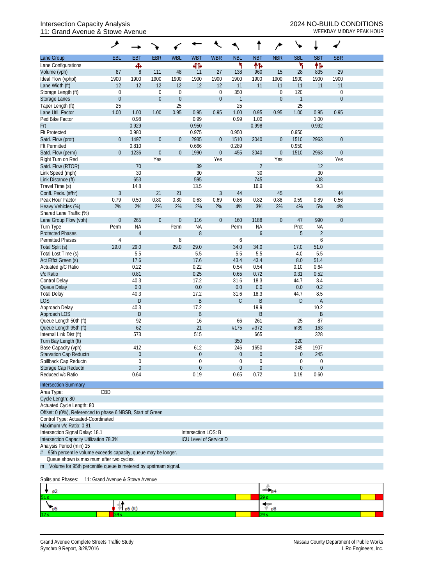## Intersection Capacity Analysis<br>
11: Grand Avenue & Stowe Avenue<br>
WEEKDAY MIDDAY PEAK HOUR 11: Grand Avenue & Stowe Avenue

|                                                                   | ۸                                    |                         |                                 |                            |                     |                                      |                     |                     |                                      | ↘                     |                |                                    |  |
|-------------------------------------------------------------------|--------------------------------------|-------------------------|---------------------------------|----------------------------|---------------------|--------------------------------------|---------------------|---------------------|--------------------------------------|-----------------------|----------------|------------------------------------|--|
| Lane Group                                                        | EBL                                  | EBT                     | <b>EBR</b>                      | <b>WBL</b>                 | <b>WBT</b>          | <b>WBR</b>                           | <b>NBL</b>          | <b>NBT</b>          | <b>NBR</b>                           | <b>SBL</b>            | <b>SBT</b>     | <b>SBR</b>                         |  |
| Lane Configurations                                               |                                      | Ф                       |                                 |                            | 41                  |                                      | ۲                   | 怍                   |                                      | ۲                     | 伟              |                                    |  |
| Volume (vph)                                                      | 87                                   | $\boldsymbol{8}$        | 111                             | 48                         | 11                  | 27                                   | 138                 | 960                 | 15                                   | 28                    | 835            | 29                                 |  |
| Ideal Flow (vphpl)                                                | 1900                                 | 1900                    | 1900                            | 1900                       | 1900                | 1900                                 | 1900                | 1900                | 1900                                 | 1900                  | 1900           | 1900                               |  |
| Lane Width (ft)                                                   | 12                                   | 12                      | 12                              | 12                         | 12                  | 12                                   | 11                  | 11                  | 11                                   | 11                    | 11             | 11                                 |  |
| Storage Length (ft)<br><b>Storage Lanes</b>                       | $\boldsymbol{0}$<br>$\boldsymbol{0}$ |                         | $\mathbf 0$<br>$\boldsymbol{0}$ | $\mathbf 0$<br>$\mathbf 0$ |                     | $\boldsymbol{0}$<br>$\boldsymbol{0}$ | 350<br>$\mathbf{1}$ |                     | $\boldsymbol{0}$<br>$\boldsymbol{0}$ | 120<br>$\overline{1}$ |                | $\boldsymbol{0}$<br>$\overline{0}$ |  |
| Taper Length (ft)                                                 | 25                                   |                         |                                 | 25                         |                     |                                      | 25                  |                     |                                      | 25                    |                |                                    |  |
| Lane Util. Factor                                                 | 1.00                                 | 1.00                    | 1.00                            | 0.95                       | 0.95                | 0.95                                 | 1.00                | 0.95                | 0.95                                 | 1.00                  | 0.95           | 0.95                               |  |
| Ped Bike Factor                                                   |                                      | 0.98                    |                                 |                            | 0.99                |                                      | 0.99                | 1.00                |                                      |                       | 1.00           |                                    |  |
| Frt                                                               |                                      | 0.929                   |                                 |                            | 0.950               |                                      |                     | 0.998               |                                      |                       | 0.992          |                                    |  |
| <b>Flt Protected</b>                                              |                                      | 0.980                   |                                 |                            | 0.975               |                                      | 0.950               |                     |                                      | 0.950                 |                |                                    |  |
| Satd. Flow (prot)                                                 | $\overline{0}$                       | 1497                    | $\boldsymbol{0}$                | $\theta$                   | 2935                | $\overline{0}$                       | 1510                | 3040                | $\mathbf 0$                          | 1510                  | 2963           | $\mathbf{0}$                       |  |
| <b>Flt Permitted</b>                                              |                                      | 0.810                   |                                 |                            | 0.666               |                                      | 0.289               |                     |                                      | 0.950                 |                |                                    |  |
| Satd. Flow (perm)                                                 | $\overline{0}$                       | 1236                    | $\boldsymbol{0}$                | $\mathbf 0$                | 1990                | $\boldsymbol{0}$                     | 455                 | 3040                | $\boldsymbol{0}$                     | 1510                  | 2963           | $\mathbf{0}$                       |  |
| Right Turn on Red                                                 |                                      |                         | Yes                             |                            |                     | Yes                                  |                     |                     | Yes                                  |                       |                | Yes                                |  |
| Satd. Flow (RTOR)                                                 |                                      | 70                      |                                 |                            | 39                  |                                      |                     | $\overline{2}$      |                                      |                       | 12             |                                    |  |
| Link Speed (mph)                                                  |                                      | 30                      |                                 |                            | 30                  |                                      |                     | 30                  |                                      |                       | 30             |                                    |  |
| Link Distance (ft)<br>Travel Time (s)                             |                                      | 653<br>14.8             |                                 |                            | 595<br>13.5         |                                      |                     | 745<br>16.9         |                                      |                       | 408<br>9.3     |                                    |  |
| Confl. Peds. (#/hr)                                               | $\overline{3}$                       |                         | 21                              | 21                         |                     | $\mathfrak{Z}$                       | 44                  |                     | 45                                   |                       |                | 44                                 |  |
| Peak Hour Factor                                                  | 0.79                                 | 0.50                    | 0.80                            | 0.80                       | 0.63                | 0.69                                 | 0.86                | 0.82                | 0.88                                 | 0.59                  | 0.89           | 0.56                               |  |
| Heavy Vehicles (%)                                                | 2%                                   | 2%                      | 2%                              | 2%                         | 2%                  | 2%                                   | 4%                  | 3%                  | 3%                                   | 4%                    | 5%             | 4%                                 |  |
| Shared Lane Traffic (%)                                           |                                      |                         |                                 |                            |                     |                                      |                     |                     |                                      |                       |                |                                    |  |
| Lane Group Flow (vph)                                             | $\overline{0}$                       | 265                     | $\boldsymbol{0}$                | $\boldsymbol{0}$           | 116                 | $\boldsymbol{0}$                     | 160                 | 1188                | $\boldsymbol{0}$                     | 47                    | 990            | $\overline{0}$                     |  |
| Turn Type                                                         | Perm                                 | <b>NA</b>               |                                 | Perm                       | <b>NA</b>           |                                      | Perm                | <b>NA</b>           |                                      | Prot                  | <b>NA</b>      |                                    |  |
| <b>Protected Phases</b>                                           |                                      | $\overline{4}$          |                                 |                            | 8                   |                                      |                     | 6                   |                                      | 5                     | $\overline{2}$ |                                    |  |
| <b>Permitted Phases</b>                                           | $\sqrt{4}$                           |                         |                                 | 8                          |                     |                                      | 6                   |                     |                                      |                       | 6              |                                    |  |
| Total Split (s)                                                   | 29.0                                 | 29.0                    |                                 | 29.0                       | 29.0                |                                      | 34.0                | 34.0                |                                      | 17.0                  | 51.0           |                                    |  |
| Total Lost Time (s)                                               |                                      | 5.5                     |                                 |                            | 5.5                 |                                      | 5.5                 | 5.5                 |                                      | 4.0                   | 5.5            |                                    |  |
| Act Effct Green (s)                                               |                                      | 17.6                    |                                 |                            | 17.6                |                                      | 43.4                | 43.4                |                                      | 8.0                   | 51.4           |                                    |  |
| Actuated g/C Ratio                                                |                                      | 0.22                    |                                 |                            | 0.22                |                                      | 0.54                | 0.54                |                                      | 0.10                  | 0.64           |                                    |  |
| v/c Ratio<br>Control Delay                                        |                                      | 0.81<br>40.3            |                                 |                            | 0.25<br>17.2        |                                      | 0.65<br>31.6        | 0.72<br>18.3        |                                      | 0.31<br>44.7          | 0.52<br>8.4    |                                    |  |
| Queue Delay                                                       |                                      | 0.0                     |                                 |                            | $0.0\,$             |                                      | 0.0                 | 0.0                 |                                      | 0.0                   | 0.2            |                                    |  |
| <b>Total Delay</b>                                                |                                      | 40.3                    |                                 |                            | 17.2                |                                      | 31.6                | 18.3                |                                      | 44.7                  | 8.5            |                                    |  |
| <b>LOS</b>                                                        |                                      | D                       |                                 |                            | B                   |                                      | $\mathsf{C}$        | B                   |                                      | D                     | A              |                                    |  |
| Approach Delay                                                    |                                      | 40.3                    |                                 |                            | 17.2                |                                      |                     | 19.9                |                                      |                       | 10.2           |                                    |  |
| Approach LOS                                                      |                                      | D                       |                                 |                            | B                   |                                      |                     | B                   |                                      |                       | B              |                                    |  |
| Queue Length 50th (ft)                                            |                                      | 92                      |                                 |                            | 16                  |                                      | 66                  | 261                 |                                      | 25                    | 87             |                                    |  |
| Queue Length 95th (ft)                                            |                                      | 62                      |                                 |                            | 21                  |                                      | #175                | #372                |                                      | m39                   | 163            |                                    |  |
| Internal Link Dist (ft)                                           |                                      | 573                     |                                 |                            | 515                 |                                      |                     | 665                 |                                      |                       | 328            |                                    |  |
| Turn Bay Length (ft)                                              |                                      |                         |                                 |                            |                     |                                      | 350                 |                     |                                      | 120                   |                |                                    |  |
| Base Capacity (vph)                                               |                                      | 412                     |                                 |                            | 612                 |                                      | 246                 | 1650                |                                      | 245                   | 1907           |                                    |  |
| Starvation Cap Reductn<br>Spillback Cap Reductn                   |                                      | $\theta$<br>$\mathbf 0$ |                                 |                            | $\overline{0}$<br>0 |                                      | $\theta$<br>0       | $\overline{0}$<br>0 |                                      | $\boldsymbol{0}$<br>0 | 245<br>0       |                                    |  |
| Storage Cap Reductn                                               |                                      | $\theta$                |                                 |                            | $\theta$            |                                      | $\mathbf{0}$        | $\Omega$            |                                      | $\theta$              | $\mathbf{0}$   |                                    |  |
| Reduced v/c Ratio                                                 |                                      | 0.64                    |                                 |                            | 0.19                |                                      | 0.65                | 0.72                |                                      | 0.19                  | 0.60           |                                    |  |
|                                                                   |                                      |                         |                                 |                            |                     |                                      |                     |                     |                                      |                       |                |                                    |  |
| <b>Intersection Summary</b><br>Area Type:                         | CBD                                  |                         |                                 |                            |                     |                                      |                     |                     |                                      |                       |                |                                    |  |
| Cycle Length: 80                                                  |                                      |                         |                                 |                            |                     |                                      |                     |                     |                                      |                       |                |                                    |  |
| Actuated Cycle Length: 80                                         |                                      |                         |                                 |                            |                     |                                      |                     |                     |                                      |                       |                |                                    |  |
| Offset: 0 (0%), Referenced to phase 6:NBSB, Start of Green        |                                      |                         |                                 |                            |                     |                                      |                     |                     |                                      |                       |                |                                    |  |
| Control Type: Actuated-Coordinated                                |                                      |                         |                                 |                            |                     |                                      |                     |                     |                                      |                       |                |                                    |  |
| Maximum v/c Ratio: 0.81                                           |                                      |                         |                                 |                            |                     |                                      |                     |                     |                                      |                       |                |                                    |  |
| Intersection Signal Delay: 18.1                                   |                                      |                         |                                 |                            | Intersection LOS: B |                                      |                     |                     |                                      |                       |                |                                    |  |
| Intersection Capacity Utilization 78.3%                           |                                      |                         |                                 |                            |                     | <b>ICU Level of Service D</b>        |                     |                     |                                      |                       |                |                                    |  |
| Analysis Period (min) 15                                          |                                      |                         |                                 |                            |                     |                                      |                     |                     |                                      |                       |                |                                    |  |
| 95th percentile volume exceeds capacity, queue may be longer.     |                                      |                         |                                 |                            |                     |                                      |                     |                     |                                      |                       |                |                                    |  |
| Queue shown is maximum after two cycles.                          |                                      |                         |                                 |                            |                     |                                      |                     |                     |                                      |                       |                |                                    |  |
| m Volume for 95th percentile queue is metered by upstream signal. |                                      |                         |                                 |                            |                     |                                      |                     |                     |                                      |                       |                |                                    |  |
| Splits and Phases:                                                | 11: Grand Avenue & Stowe Avenue      |                         |                                 |                            |                     |                                      |                     |                     |                                      |                       |                |                                    |  |
| ø2                                                                |                                      |                         |                                 |                            |                     |                                      |                     | 29 s                | $-$ 94                               |                       |                |                                    |  |
|                                                                   |                                      |                         |                                 |                            |                     |                                      |                     |                     |                                      |                       |                |                                    |  |

Т

29<sub>s</sub>

Τ

 $34s$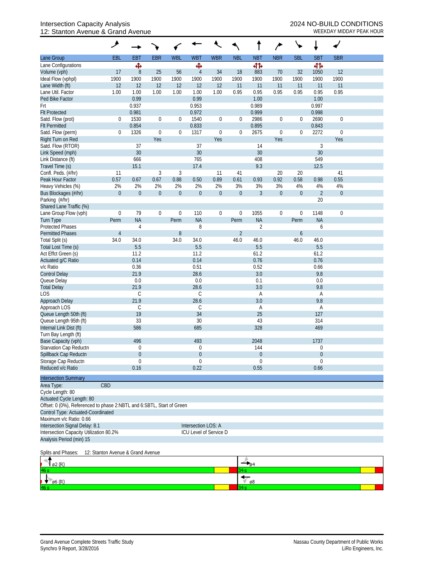## Intersection Capacity Analysis 2024 NO-BUILD CONDITIONS 12: Stanton Avenue & Grand Avenue WEEKDAY MIDDAY PEAK HOUR

|                                                                       | ۸                |              |                         |                |                     |                        |                  |                   | ∕                  | ╰╸               |                |                         |  |
|-----------------------------------------------------------------------|------------------|--------------|-------------------------|----------------|---------------------|------------------------|------------------|-------------------|--------------------|------------------|----------------|-------------------------|--|
| Lane Group                                                            | <b>EBL</b>       | <b>EBT</b>   | <b>EBR</b>              | <b>WBL</b>     | <b>WBT</b>          | <b>WBR</b>             | <b>NBL</b>       | <b>NBT</b>        | <b>NBR</b>         | <b>SBL</b>       | <b>SBT</b>     | <b>SBR</b>              |  |
| Lane Configurations                                                   |                  | Ф            |                         |                | Ф                   |                        |                  | 412               |                    |                  | 41             |                         |  |
| Volume (vph)                                                          | 17               | $\, 8$       | 25                      | 56             | $\overline{4}$      | 34                     | 18               | 883               | 70                 | 32               | 1050           | 12                      |  |
| Ideal Flow (vphpl)                                                    | 1900             | 1900         | 1900                    | 1900           | 1900                | 1900                   | 1900             | 1900              | 1900               | 1900             | 1900           | 1900                    |  |
| Lane Width (ft)                                                       | 12               | 12           | 12                      | 12             | 12                  | 12                     | 11               | 11                | 11                 | 11               | 11             | 11                      |  |
| Lane Util. Factor                                                     | 1.00             | 1.00         | 1.00                    | 1.00           | 1.00                | 1.00                   | 0.95             | 0.95              | 0.95               | 0.95             | 0.95           | 0.95                    |  |
| Ped Bike Factor                                                       |                  | 0.99         |                         |                | 0.99                |                        |                  | 1.00              |                    |                  | 1.00           |                         |  |
| Frt                                                                   |                  | 0.937        |                         |                | 0.953               |                        |                  | 0.989             |                    |                  | 0.997          |                         |  |
| <b>Flt Protected</b>                                                  |                  | 0.981        |                         |                | 0.972               |                        |                  | 0.999             |                    |                  | 0.998          |                         |  |
| Satd. Flow (prot)                                                     | 0                | 1530         | $\boldsymbol{0}$        | $\mathbf 0$    | 1540                | 0                      | $\overline{0}$   | 2986              | $\boldsymbol{0}$   | $\boldsymbol{0}$ | 2690           | $\boldsymbol{0}$        |  |
| <b>Flt Permitted</b>                                                  |                  | 0.854        |                         |                | 0.833               |                        |                  | 0.895             |                    |                  | 0.843          |                         |  |
| Satd. Flow (perm)<br>Right Turn on Red                                | 0                | 1326         | $\boldsymbol{0}$<br>Yes | $\mathbf 0$    | 1317                | 0<br>Yes               | $\mathbf 0$      | 2675              | $\mathbf 0$<br>Yes | 0                | 2272           | $\boldsymbol{0}$<br>Yes |  |
| Satd. Flow (RTOR)                                                     |                  | 37           |                         |                | 37                  |                        |                  | 14                |                    |                  | $\mathfrak{Z}$ |                         |  |
| Link Speed (mph)                                                      |                  | 30           |                         |                | 30                  |                        |                  | 30                |                    |                  | 30             |                         |  |
| Link Distance (ft)                                                    |                  | 666          |                         |                | 765                 |                        |                  | 408               |                    |                  | 549            |                         |  |
| Travel Time (s)                                                       |                  | 15.1         |                         |                | 17.4                |                        |                  | 9.3               |                    |                  | 12.5           |                         |  |
| Confl. Peds. (#/hr)                                                   | 11               |              | 3                       | $\mathfrak{Z}$ |                     | 11                     | 41               |                   | 20                 | 20               |                | 41                      |  |
| Peak Hour Factor                                                      | 0.57             | 0.67         | 0.67                    | 0.88           | 0.50                | 0.89                   | 0.61             | 0.93              | 0.92               | 0.58             | 0.98           | 0.55                    |  |
| Heavy Vehicles (%)                                                    | 2%               | 2%           | 2%                      | 2%             | 2%                  | 2%                     | 3%               | 3%                | 3%                 | $4%$             | 4%             | 4%                      |  |
| Bus Blockages (#/hr)                                                  | $\mathbf{0}$     | $\mathbf 0$  | $\boldsymbol{0}$        | $\overline{0}$ | $\mathbf 0$         | $\overline{0}$         | $\mathbf{0}$     | 3                 | $\mathbf 0$        | $\mathbf{0}$     | $\overline{2}$ | $\mathbf 0$             |  |
| Parking (#/hr)                                                        |                  |              |                         |                |                     |                        |                  |                   |                    |                  | 20             |                         |  |
| Shared Lane Traffic (%)                                               |                  |              |                         |                |                     |                        |                  |                   |                    |                  |                |                         |  |
| Lane Group Flow (vph)                                                 | $\boldsymbol{0}$ | 79           | $\boldsymbol{0}$        | $\mathbf 0$    | 110                 | 0                      | $\boldsymbol{0}$ | 1055              | $\mathbf 0$        | 0                | 1148           | $\boldsymbol{0}$        |  |
| Turn Type                                                             | Perm             | <b>NA</b>    |                         | Perm           | <b>NA</b>           |                        | Perm             | <b>NA</b>         |                    | Perm             | <b>NA</b>      |                         |  |
| <b>Protected Phases</b>                                               |                  | 4            |                         |                | 8                   |                        |                  | $\overline{2}$    |                    |                  | 6              |                         |  |
| <b>Permitted Phases</b>                                               | $\overline{4}$   |              |                         | 8              |                     |                        | $\overline{2}$   |                   |                    | 6                |                |                         |  |
| Total Split (s)                                                       | 34.0             | 34.0         |                         | 34.0           | 34.0                |                        | 46.0             | 46.0              |                    | 46.0             | 46.0           |                         |  |
| Total Lost Time (s)                                                   |                  | 5.5          |                         |                | 5.5                 |                        |                  | 5.5               |                    |                  | 5.5            |                         |  |
| Act Effct Green (s)                                                   |                  | 11.2         |                         |                | 11.2                |                        |                  | 61.2              |                    |                  | 61.2           |                         |  |
| Actuated g/C Ratio                                                    |                  | 0.14         |                         |                | 0.14                |                        |                  | 0.76              |                    |                  | 0.76           |                         |  |
| v/c Ratio                                                             |                  | 0.36         |                         |                | 0.51                |                        |                  | 0.52              |                    |                  | 0.66           |                         |  |
| <b>Control Delay</b>                                                  |                  | 21.9         |                         |                | 28.6                |                        |                  | 3.0               |                    |                  | 9.8            |                         |  |
| Queue Delay                                                           |                  | 0.0<br>21.9  |                         |                | 0.0                 |                        |                  | 0.1<br>3.0        |                    |                  | 0.0            |                         |  |
| <b>Total Delay</b><br>LOS                                             |                  | $\mathsf{C}$ |                         |                | 28.6<br>С           |                        |                  |                   |                    |                  | 9.8            |                         |  |
| Approach Delay                                                        |                  | 21.9         |                         |                | 28.6                |                        |                  | Α<br>3.0          |                    |                  | Α<br>9.8       |                         |  |
| Approach LOS                                                          |                  | C            |                         |                | С                   |                        |                  | Α                 |                    |                  | Α              |                         |  |
| Queue Length 50th (ft)                                                |                  | 19           |                         |                | 34                  |                        |                  | 25                |                    |                  | 127            |                         |  |
| Queue Length 95th (ft)                                                |                  | 33           |                         |                | 30                  |                        |                  | 43                |                    |                  | 314            |                         |  |
| Internal Link Dist (ft)                                               |                  | 586          |                         |                | 685                 |                        |                  | 328               |                    |                  | 469            |                         |  |
| Turn Bay Length (ft)                                                  |                  |              |                         |                |                     |                        |                  |                   |                    |                  |                |                         |  |
| Base Capacity (vph)                                                   |                  | 496          |                         |                | 493                 |                        |                  | 2048              |                    |                  | 1737           |                         |  |
| Starvation Cap Reductn                                                |                  | 0            |                         |                | $\Omega$            |                        |                  | 144               |                    |                  | 0              |                         |  |
| Spillback Cap Reductn                                                 |                  | $\theta$     |                         |                | $\boldsymbol{0}$    |                        |                  | $\boldsymbol{0}$  |                    |                  | $\mathbf 0$    |                         |  |
| Storage Cap Reductn                                                   |                  | 0            |                         |                | $\theta$            |                        |                  | 0                 |                    |                  | 0              |                         |  |
| Reduced v/c Ratio                                                     |                  | 0.16         |                         |                | 0.22                |                        |                  | 0.55              |                    |                  | 0.66           |                         |  |
| <b>Intersection Summary</b>                                           |                  |              |                         |                |                     |                        |                  |                   |                    |                  |                |                         |  |
| Area Type:                                                            | CBD              |              |                         |                |                     |                        |                  |                   |                    |                  |                |                         |  |
| Cycle Length: 80                                                      |                  |              |                         |                |                     |                        |                  |                   |                    |                  |                |                         |  |
| Actuated Cycle Length: 80                                             |                  |              |                         |                |                     |                        |                  |                   |                    |                  |                |                         |  |
| Offset: 0 (0%), Referenced to phase 2:NBTL and 6:SBTL, Start of Green |                  |              |                         |                |                     |                        |                  |                   |                    |                  |                |                         |  |
| Control Type: Actuated-Coordinated                                    |                  |              |                         |                |                     |                        |                  |                   |                    |                  |                |                         |  |
| Maximum v/c Ratio: 0.66                                               |                  |              |                         |                |                     |                        |                  |                   |                    |                  |                |                         |  |
| Intersection Signal Delay: 8.1                                        |                  |              |                         |                | Intersection LOS: A |                        |                  |                   |                    |                  |                |                         |  |
| Intersection Capacity Utilization 80.2%                               |                  |              |                         |                |                     | ICU Level of Service D |                  |                   |                    |                  |                |                         |  |
| Analysis Period (min) 15                                              |                  |              |                         |                |                     |                        |                  |                   |                    |                  |                |                         |  |
| 12: Stanton Avenue & Grand Avenue<br>Splits and Phases:               |                  |              |                         |                |                     |                        |                  |                   |                    |                  |                |                         |  |
| ø2 (R)                                                                |                  |              |                         |                |                     |                        |                  | $-$ <sub>04</sub> |                    |                  |                |                         |  |
| Юs                                                                    |                  |              |                         |                |                     |                        | }4 s             |                   |                    |                  |                |                         |  |
| $\emptyset$ 6 (R)                                                     |                  |              |                         |                |                     |                        | 34 s             | ø8                |                    |                  |                |                         |  |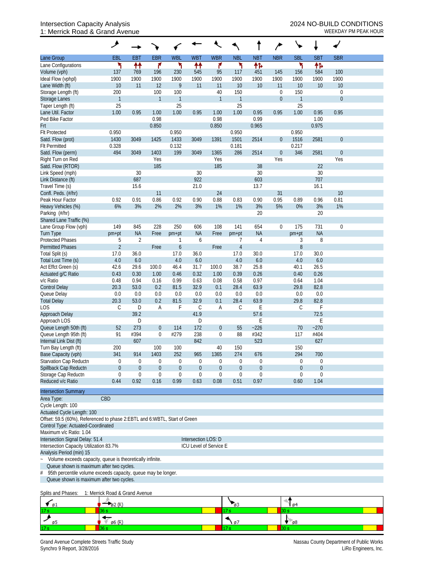## Intersection Capacity Analysis<br>1: Merrick Road & Grand Avenue<br>WEEKDAY PM PEAK HOUR 1: Merrick Road & Grand Avenue

| <b>EBR</b><br><b>WBL</b><br><b>NBL</b><br><b>NBR</b><br><b>SBL</b><br><b>SBT</b><br><b>SBR</b><br><b>EBL</b><br><b>EBT</b><br><b>WBT</b><br><b>WBR</b><br><b>NBT</b><br>۲<br>۴<br>۲<br>۴<br>۲<br>↟↟<br>₩<br>怍<br>۲<br>怍<br>137<br>769<br>95<br>584<br>100<br>196<br>230<br>545<br>117<br>451<br>145<br>156<br>1900<br>1900<br>1900<br>1900<br>Ideal Flow (vphpl)<br>1900<br>1900<br>1900<br>1900<br>1900<br>1900<br>1900<br>1900<br>11<br>12<br>9<br>11<br>10<br>10<br>11<br>10<br>11<br>10<br>10<br>10<br>Lane Width (ft)<br>100<br>150<br>Storage Length (ft)<br>200<br>100<br>40<br>$\boldsymbol{0}$<br>150<br>$\boldsymbol{0}$<br>$\mathbf{1}$<br>$\mathbf{1}$<br>$\mathbf{1}$<br>$\mathbf{1}$<br>$\boldsymbol{0}$<br>$\mathbf{1}$<br>$\mathbf{0}$<br><b>Storage Lanes</b><br>$\mathbf{1}$<br>25<br>25<br>25<br>25<br>Taper Length (ft)<br>0.95<br>1.00<br>1.00<br>1.00<br>0.95<br>0.95<br>1.00<br>Lane Util. Factor<br>0.95<br>1.00<br>0.95<br>1.00<br>0.95<br>0.98<br>0.98<br>0.99<br>Ped Bike Factor<br>1.00<br>0.850<br>0.965<br><b>Frt</b><br>0.850<br>0.975<br>0.950<br>0.950<br>0.950<br>0.950<br>1425<br>1433<br>1430<br>1391<br>1501<br>2514<br>$\theta$<br>1516<br>2581<br>$\theta$<br>Satd. Flow (prot)<br>3049<br>3049<br>0.217<br>0.328<br>0.132<br>0.181<br>494<br>199<br>346<br>3049<br>1403<br>3049<br>286<br>2514<br>$\theta$<br>2581<br>$\theta$<br>1365<br>Yes<br>Yes<br>Yes<br>Yes<br>185<br>185<br>38<br>22<br>30<br>30<br>Link Speed (mph)<br>30<br>30<br>687<br>603<br>707<br>Link Distance (ft)<br>922<br>15.6<br>13.7<br>16.1<br>Travel Time (s)<br>21.0<br>24<br>Confl. Peds. (#/hr)<br>11<br>31<br>10<br>0.81<br>0.91<br>0.86<br>0.88<br>0.83<br>0.90<br>0.95<br>Peak Hour Factor<br>0.92<br>0.92<br>0.90<br>0.89<br>0.96<br>3%<br>6%<br>3%<br>2%<br>2%<br>3%<br>1%<br>5%<br>0%<br>3%<br>1%<br>Heavy Vehicles (%)<br>1%<br>20<br>Parking (#/hr)<br>20<br>Shared Lane Traffic (%)<br>845<br>228<br>654<br>$\boldsymbol{0}$<br>175<br>149<br>250<br>606<br>108<br>141<br>731<br>$\mathbf 0$<br>Lane Group Flow (vph)<br><b>NA</b><br><b>NA</b><br><b>NA</b><br><b>NA</b><br>Turn Type<br>Free<br>Free<br>pm+pt<br>pm+pt<br>pm+pt<br>pm+pt<br>$\overline{2}$<br>8<br><b>Protected Phases</b><br>5<br>6<br>7<br>4<br>3<br>$\overline{2}$<br>$\overline{4}$<br>8<br>6<br><b>Permitted Phases</b><br>Free<br>Free<br>36.0<br>30.0<br>Total Split (s)<br>17.0<br>17.0<br>36.0<br>17.0<br>17.0<br>30.0<br>6.0<br>Total Lost Time (s)<br>4.0<br>6.0<br>4.0<br>6.0<br>4.0<br>4.0<br>6.0<br>38.7<br>25.8<br>Act Effct Green (s)<br>29.6<br>100.0<br>46.4<br>31.7<br>40.1<br>26.5<br>42.6<br>100.0<br>0.26<br>0.26<br>0.43<br>0.30<br>0.46<br>0.32<br>0.39<br>0.40<br>Actuated g/C Ratio<br>1.00<br>1.00<br>0.94<br>0.16<br>0.99<br>0.58<br>0.97<br>0.48<br>0.63<br>0.08<br>0.64<br>1.04<br>20.3<br>0.2<br>81.5<br>32.9<br>63.9<br>29.8<br>82.8<br>53.0<br>0.1<br>28.4<br>0.0<br>0.0<br>0.0<br>0.0<br>0.0<br>0.0<br>0.0<br>0.0<br>0.0<br>0.0<br>20.3<br>53.0<br>0.2<br>81.5<br>32.9<br>28.4<br>63.9<br>29.8<br>82.8<br>0.1<br>F<br><b>LOS</b><br>С<br>Α<br>F<br>С<br>С<br>E<br>C<br>D<br>Α<br>39.2<br>41.9<br>57.6<br>72.5<br>Approach Delay<br>E<br>Approach LOS<br>D<br>D<br>E<br>Queue Length 50th (ft)<br>273<br>172<br>$-270$<br>52<br>$\boldsymbol{0}$<br>114<br>$\overline{0}$<br>55<br>$-226$<br>70<br>Queue Length 95th (ft)<br>91<br>#394<br>0<br>#279<br>238<br>88<br>#342<br>117<br>$\mathbf{0}$<br>#404<br>842<br>523<br>607<br>627<br>Internal Link Dist (ft)<br>Turn Bay Length (ft)<br>200<br>100<br>100<br>40<br>150<br>150<br>Base Capacity (vph)<br>341<br>1403<br>252<br>274<br>294<br>914<br>965<br>1365<br>676<br>700<br>Starvation Cap Reductn<br>0<br>0<br>0<br>$\theta$<br>$\theta$<br>0<br>0<br>$\theta$<br>0<br>0<br>Spillback Cap Reductn<br>$\theta$<br>$\boldsymbol{0}$<br>$\theta$<br>$\overline{0}$<br>$\theta$<br>$\boldsymbol{0}$<br>$\overline{0}$<br>$\theta$<br>0<br>$\overline{0}$<br>Storage Cap Reductn<br>0<br>$\boldsymbol{0}$<br>$\boldsymbol{0}$<br>0<br>0<br>0<br>$\mathbf 0$<br>$\mathbf 0$<br>$\theta$<br>0<br>0.44<br>0.92<br>0.16<br>0.99<br>0.63<br>0.08<br>0.97<br>1.04<br>0.51<br>0.60<br><b>Intersection Summary</b><br>CBD<br>Area Type:<br>Cycle Length: 100<br>Actuated Cycle Length: 100<br>Offset: 59.5 (60%), Referenced to phase 2:EBTL and 6:WBTL, Start of Green<br>Control Type: Actuated-Coordinated<br>Intersection Signal Delay: 51.4<br>Intersection LOS: D<br>Intersection Capacity Utilization 83.7%<br>ICU Level of Service E<br>Volume exceeds capacity, queue is theoretically infinite.<br>Queue shown is maximum after two cycles.<br>95th percentile volume exceeds capacity, queue may be longer.<br>Queue shown is maximum after two cycles.<br>1: Merrick Road & Grand Avenue<br>$\epsilon_{\mathfrak{sl}}$<br>63<br>0 <sup>4</sup><br>ø2 (R)<br>17 s<br>30 s<br>36 s<br>ø6 (R)<br>97<br>$\mathfrak{g}_8$<br>ø5<br>30 s<br>36 s<br>17 s |                          | گر |  |  |  | م |  |  |
|------------------------------------------------------------------------------------------------------------------------------------------------------------------------------------------------------------------------------------------------------------------------------------------------------------------------------------------------------------------------------------------------------------------------------------------------------------------------------------------------------------------------------------------------------------------------------------------------------------------------------------------------------------------------------------------------------------------------------------------------------------------------------------------------------------------------------------------------------------------------------------------------------------------------------------------------------------------------------------------------------------------------------------------------------------------------------------------------------------------------------------------------------------------------------------------------------------------------------------------------------------------------------------------------------------------------------------------------------------------------------------------------------------------------------------------------------------------------------------------------------------------------------------------------------------------------------------------------------------------------------------------------------------------------------------------------------------------------------------------------------------------------------------------------------------------------------------------------------------------------------------------------------------------------------------------------------------------------------------------------------------------------------------------------------------------------------------------------------------------------------------------------------------------------------------------------------------------------------------------------------------------------------------------------------------------------------------------------------------------------------------------------------------------------------------------------------------------------------------------------------------------------------------------------------------------------------------------------------------------------------------------------------------------------------------------------------------------------------------------------------------------------------------------------------------------------------------------------------------------------------------------------------------------------------------------------------------------------------------------------------------------------------------------------------------------------------------------------------------------------------------------------------------------------------------------------------------------------------------------------------------------------------------------------------------------------------------------------------------------------------------------------------------------------------------------------------------------------------------------------------------------------------------------------------------------------------------------------------------------------------------------------------------------------------------------------------------------------------------------------------------------------------------------------------------------------------------------------------------------------------------------------------------------------------------------------------------------------------------------------------------------------------------------------------------------------------------------------------------------------------------------------------------------------------------------------------------------------------------------------------------------------------------------------------------------------------------------------------------------------------------------------------------------------------------------------------------------------------------------------------------------------------------------------------------------------------------------------------------------------------------------------------------------------------------------------------------------------------------------------------------------------------------------------------------------------------------------------------------------------------------------------------------------------------------------|--------------------------|----|--|--|--|---|--|--|
|                                                                                                                                                                                                                                                                                                                                                                                                                                                                                                                                                                                                                                                                                                                                                                                                                                                                                                                                                                                                                                                                                                                                                                                                                                                                                                                                                                                                                                                                                                                                                                                                                                                                                                                                                                                                                                                                                                                                                                                                                                                                                                                                                                                                                                                                                                                                                                                                                                                                                                                                                                                                                                                                                                                                                                                                                                                                                                                                                                                                                                                                                                                                                                                                                                                                                                                                                                                                                                                                                                                                                                                                                                                                                                                                                                                                                                                                                                                                                                                                                                                                                                                                                                                                                                                                                                                                                                                                                                                                                                                                                                                                                                                                                                                                                                                                                                                                                                                                          | Lane Group               |    |  |  |  |   |  |  |
|                                                                                                                                                                                                                                                                                                                                                                                                                                                                                                                                                                                                                                                                                                                                                                                                                                                                                                                                                                                                                                                                                                                                                                                                                                                                                                                                                                                                                                                                                                                                                                                                                                                                                                                                                                                                                                                                                                                                                                                                                                                                                                                                                                                                                                                                                                                                                                                                                                                                                                                                                                                                                                                                                                                                                                                                                                                                                                                                                                                                                                                                                                                                                                                                                                                                                                                                                                                                                                                                                                                                                                                                                                                                                                                                                                                                                                                                                                                                                                                                                                                                                                                                                                                                                                                                                                                                                                                                                                                                                                                                                                                                                                                                                                                                                                                                                                                                                                                                          | Lane Configurations      |    |  |  |  |   |  |  |
|                                                                                                                                                                                                                                                                                                                                                                                                                                                                                                                                                                                                                                                                                                                                                                                                                                                                                                                                                                                                                                                                                                                                                                                                                                                                                                                                                                                                                                                                                                                                                                                                                                                                                                                                                                                                                                                                                                                                                                                                                                                                                                                                                                                                                                                                                                                                                                                                                                                                                                                                                                                                                                                                                                                                                                                                                                                                                                                                                                                                                                                                                                                                                                                                                                                                                                                                                                                                                                                                                                                                                                                                                                                                                                                                                                                                                                                                                                                                                                                                                                                                                                                                                                                                                                                                                                                                                                                                                                                                                                                                                                                                                                                                                                                                                                                                                                                                                                                                          | Volume (vph)             |    |  |  |  |   |  |  |
|                                                                                                                                                                                                                                                                                                                                                                                                                                                                                                                                                                                                                                                                                                                                                                                                                                                                                                                                                                                                                                                                                                                                                                                                                                                                                                                                                                                                                                                                                                                                                                                                                                                                                                                                                                                                                                                                                                                                                                                                                                                                                                                                                                                                                                                                                                                                                                                                                                                                                                                                                                                                                                                                                                                                                                                                                                                                                                                                                                                                                                                                                                                                                                                                                                                                                                                                                                                                                                                                                                                                                                                                                                                                                                                                                                                                                                                                                                                                                                                                                                                                                                                                                                                                                                                                                                                                                                                                                                                                                                                                                                                                                                                                                                                                                                                                                                                                                                                                          |                          |    |  |  |  |   |  |  |
|                                                                                                                                                                                                                                                                                                                                                                                                                                                                                                                                                                                                                                                                                                                                                                                                                                                                                                                                                                                                                                                                                                                                                                                                                                                                                                                                                                                                                                                                                                                                                                                                                                                                                                                                                                                                                                                                                                                                                                                                                                                                                                                                                                                                                                                                                                                                                                                                                                                                                                                                                                                                                                                                                                                                                                                                                                                                                                                                                                                                                                                                                                                                                                                                                                                                                                                                                                                                                                                                                                                                                                                                                                                                                                                                                                                                                                                                                                                                                                                                                                                                                                                                                                                                                                                                                                                                                                                                                                                                                                                                                                                                                                                                                                                                                                                                                                                                                                                                          |                          |    |  |  |  |   |  |  |
|                                                                                                                                                                                                                                                                                                                                                                                                                                                                                                                                                                                                                                                                                                                                                                                                                                                                                                                                                                                                                                                                                                                                                                                                                                                                                                                                                                                                                                                                                                                                                                                                                                                                                                                                                                                                                                                                                                                                                                                                                                                                                                                                                                                                                                                                                                                                                                                                                                                                                                                                                                                                                                                                                                                                                                                                                                                                                                                                                                                                                                                                                                                                                                                                                                                                                                                                                                                                                                                                                                                                                                                                                                                                                                                                                                                                                                                                                                                                                                                                                                                                                                                                                                                                                                                                                                                                                                                                                                                                                                                                                                                                                                                                                                                                                                                                                                                                                                                                          |                          |    |  |  |  |   |  |  |
|                                                                                                                                                                                                                                                                                                                                                                                                                                                                                                                                                                                                                                                                                                                                                                                                                                                                                                                                                                                                                                                                                                                                                                                                                                                                                                                                                                                                                                                                                                                                                                                                                                                                                                                                                                                                                                                                                                                                                                                                                                                                                                                                                                                                                                                                                                                                                                                                                                                                                                                                                                                                                                                                                                                                                                                                                                                                                                                                                                                                                                                                                                                                                                                                                                                                                                                                                                                                                                                                                                                                                                                                                                                                                                                                                                                                                                                                                                                                                                                                                                                                                                                                                                                                                                                                                                                                                                                                                                                                                                                                                                                                                                                                                                                                                                                                                                                                                                                                          |                          |    |  |  |  |   |  |  |
|                                                                                                                                                                                                                                                                                                                                                                                                                                                                                                                                                                                                                                                                                                                                                                                                                                                                                                                                                                                                                                                                                                                                                                                                                                                                                                                                                                                                                                                                                                                                                                                                                                                                                                                                                                                                                                                                                                                                                                                                                                                                                                                                                                                                                                                                                                                                                                                                                                                                                                                                                                                                                                                                                                                                                                                                                                                                                                                                                                                                                                                                                                                                                                                                                                                                                                                                                                                                                                                                                                                                                                                                                                                                                                                                                                                                                                                                                                                                                                                                                                                                                                                                                                                                                                                                                                                                                                                                                                                                                                                                                                                                                                                                                                                                                                                                                                                                                                                                          |                          |    |  |  |  |   |  |  |
|                                                                                                                                                                                                                                                                                                                                                                                                                                                                                                                                                                                                                                                                                                                                                                                                                                                                                                                                                                                                                                                                                                                                                                                                                                                                                                                                                                                                                                                                                                                                                                                                                                                                                                                                                                                                                                                                                                                                                                                                                                                                                                                                                                                                                                                                                                                                                                                                                                                                                                                                                                                                                                                                                                                                                                                                                                                                                                                                                                                                                                                                                                                                                                                                                                                                                                                                                                                                                                                                                                                                                                                                                                                                                                                                                                                                                                                                                                                                                                                                                                                                                                                                                                                                                                                                                                                                                                                                                                                                                                                                                                                                                                                                                                                                                                                                                                                                                                                                          |                          |    |  |  |  |   |  |  |
|                                                                                                                                                                                                                                                                                                                                                                                                                                                                                                                                                                                                                                                                                                                                                                                                                                                                                                                                                                                                                                                                                                                                                                                                                                                                                                                                                                                                                                                                                                                                                                                                                                                                                                                                                                                                                                                                                                                                                                                                                                                                                                                                                                                                                                                                                                                                                                                                                                                                                                                                                                                                                                                                                                                                                                                                                                                                                                                                                                                                                                                                                                                                                                                                                                                                                                                                                                                                                                                                                                                                                                                                                                                                                                                                                                                                                                                                                                                                                                                                                                                                                                                                                                                                                                                                                                                                                                                                                                                                                                                                                                                                                                                                                                                                                                                                                                                                                                                                          |                          |    |  |  |  |   |  |  |
|                                                                                                                                                                                                                                                                                                                                                                                                                                                                                                                                                                                                                                                                                                                                                                                                                                                                                                                                                                                                                                                                                                                                                                                                                                                                                                                                                                                                                                                                                                                                                                                                                                                                                                                                                                                                                                                                                                                                                                                                                                                                                                                                                                                                                                                                                                                                                                                                                                                                                                                                                                                                                                                                                                                                                                                                                                                                                                                                                                                                                                                                                                                                                                                                                                                                                                                                                                                                                                                                                                                                                                                                                                                                                                                                                                                                                                                                                                                                                                                                                                                                                                                                                                                                                                                                                                                                                                                                                                                                                                                                                                                                                                                                                                                                                                                                                                                                                                                                          | <b>Flt Protected</b>     |    |  |  |  |   |  |  |
|                                                                                                                                                                                                                                                                                                                                                                                                                                                                                                                                                                                                                                                                                                                                                                                                                                                                                                                                                                                                                                                                                                                                                                                                                                                                                                                                                                                                                                                                                                                                                                                                                                                                                                                                                                                                                                                                                                                                                                                                                                                                                                                                                                                                                                                                                                                                                                                                                                                                                                                                                                                                                                                                                                                                                                                                                                                                                                                                                                                                                                                                                                                                                                                                                                                                                                                                                                                                                                                                                                                                                                                                                                                                                                                                                                                                                                                                                                                                                                                                                                                                                                                                                                                                                                                                                                                                                                                                                                                                                                                                                                                                                                                                                                                                                                                                                                                                                                                                          |                          |    |  |  |  |   |  |  |
|                                                                                                                                                                                                                                                                                                                                                                                                                                                                                                                                                                                                                                                                                                                                                                                                                                                                                                                                                                                                                                                                                                                                                                                                                                                                                                                                                                                                                                                                                                                                                                                                                                                                                                                                                                                                                                                                                                                                                                                                                                                                                                                                                                                                                                                                                                                                                                                                                                                                                                                                                                                                                                                                                                                                                                                                                                                                                                                                                                                                                                                                                                                                                                                                                                                                                                                                                                                                                                                                                                                                                                                                                                                                                                                                                                                                                                                                                                                                                                                                                                                                                                                                                                                                                                                                                                                                                                                                                                                                                                                                                                                                                                                                                                                                                                                                                                                                                                                                          | <b>Flt Permitted</b>     |    |  |  |  |   |  |  |
|                                                                                                                                                                                                                                                                                                                                                                                                                                                                                                                                                                                                                                                                                                                                                                                                                                                                                                                                                                                                                                                                                                                                                                                                                                                                                                                                                                                                                                                                                                                                                                                                                                                                                                                                                                                                                                                                                                                                                                                                                                                                                                                                                                                                                                                                                                                                                                                                                                                                                                                                                                                                                                                                                                                                                                                                                                                                                                                                                                                                                                                                                                                                                                                                                                                                                                                                                                                                                                                                                                                                                                                                                                                                                                                                                                                                                                                                                                                                                                                                                                                                                                                                                                                                                                                                                                                                                                                                                                                                                                                                                                                                                                                                                                                                                                                                                                                                                                                                          | Satd. Flow (perm)        |    |  |  |  |   |  |  |
|                                                                                                                                                                                                                                                                                                                                                                                                                                                                                                                                                                                                                                                                                                                                                                                                                                                                                                                                                                                                                                                                                                                                                                                                                                                                                                                                                                                                                                                                                                                                                                                                                                                                                                                                                                                                                                                                                                                                                                                                                                                                                                                                                                                                                                                                                                                                                                                                                                                                                                                                                                                                                                                                                                                                                                                                                                                                                                                                                                                                                                                                                                                                                                                                                                                                                                                                                                                                                                                                                                                                                                                                                                                                                                                                                                                                                                                                                                                                                                                                                                                                                                                                                                                                                                                                                                                                                                                                                                                                                                                                                                                                                                                                                                                                                                                                                                                                                                                                          | Right Turn on Red        |    |  |  |  |   |  |  |
|                                                                                                                                                                                                                                                                                                                                                                                                                                                                                                                                                                                                                                                                                                                                                                                                                                                                                                                                                                                                                                                                                                                                                                                                                                                                                                                                                                                                                                                                                                                                                                                                                                                                                                                                                                                                                                                                                                                                                                                                                                                                                                                                                                                                                                                                                                                                                                                                                                                                                                                                                                                                                                                                                                                                                                                                                                                                                                                                                                                                                                                                                                                                                                                                                                                                                                                                                                                                                                                                                                                                                                                                                                                                                                                                                                                                                                                                                                                                                                                                                                                                                                                                                                                                                                                                                                                                                                                                                                                                                                                                                                                                                                                                                                                                                                                                                                                                                                                                          | Satd. Flow (RTOR)        |    |  |  |  |   |  |  |
|                                                                                                                                                                                                                                                                                                                                                                                                                                                                                                                                                                                                                                                                                                                                                                                                                                                                                                                                                                                                                                                                                                                                                                                                                                                                                                                                                                                                                                                                                                                                                                                                                                                                                                                                                                                                                                                                                                                                                                                                                                                                                                                                                                                                                                                                                                                                                                                                                                                                                                                                                                                                                                                                                                                                                                                                                                                                                                                                                                                                                                                                                                                                                                                                                                                                                                                                                                                                                                                                                                                                                                                                                                                                                                                                                                                                                                                                                                                                                                                                                                                                                                                                                                                                                                                                                                                                                                                                                                                                                                                                                                                                                                                                                                                                                                                                                                                                                                                                          |                          |    |  |  |  |   |  |  |
|                                                                                                                                                                                                                                                                                                                                                                                                                                                                                                                                                                                                                                                                                                                                                                                                                                                                                                                                                                                                                                                                                                                                                                                                                                                                                                                                                                                                                                                                                                                                                                                                                                                                                                                                                                                                                                                                                                                                                                                                                                                                                                                                                                                                                                                                                                                                                                                                                                                                                                                                                                                                                                                                                                                                                                                                                                                                                                                                                                                                                                                                                                                                                                                                                                                                                                                                                                                                                                                                                                                                                                                                                                                                                                                                                                                                                                                                                                                                                                                                                                                                                                                                                                                                                                                                                                                                                                                                                                                                                                                                                                                                                                                                                                                                                                                                                                                                                                                                          |                          |    |  |  |  |   |  |  |
|                                                                                                                                                                                                                                                                                                                                                                                                                                                                                                                                                                                                                                                                                                                                                                                                                                                                                                                                                                                                                                                                                                                                                                                                                                                                                                                                                                                                                                                                                                                                                                                                                                                                                                                                                                                                                                                                                                                                                                                                                                                                                                                                                                                                                                                                                                                                                                                                                                                                                                                                                                                                                                                                                                                                                                                                                                                                                                                                                                                                                                                                                                                                                                                                                                                                                                                                                                                                                                                                                                                                                                                                                                                                                                                                                                                                                                                                                                                                                                                                                                                                                                                                                                                                                                                                                                                                                                                                                                                                                                                                                                                                                                                                                                                                                                                                                                                                                                                                          |                          |    |  |  |  |   |  |  |
|                                                                                                                                                                                                                                                                                                                                                                                                                                                                                                                                                                                                                                                                                                                                                                                                                                                                                                                                                                                                                                                                                                                                                                                                                                                                                                                                                                                                                                                                                                                                                                                                                                                                                                                                                                                                                                                                                                                                                                                                                                                                                                                                                                                                                                                                                                                                                                                                                                                                                                                                                                                                                                                                                                                                                                                                                                                                                                                                                                                                                                                                                                                                                                                                                                                                                                                                                                                                                                                                                                                                                                                                                                                                                                                                                                                                                                                                                                                                                                                                                                                                                                                                                                                                                                                                                                                                                                                                                                                                                                                                                                                                                                                                                                                                                                                                                                                                                                                                          |                          |    |  |  |  |   |  |  |
|                                                                                                                                                                                                                                                                                                                                                                                                                                                                                                                                                                                                                                                                                                                                                                                                                                                                                                                                                                                                                                                                                                                                                                                                                                                                                                                                                                                                                                                                                                                                                                                                                                                                                                                                                                                                                                                                                                                                                                                                                                                                                                                                                                                                                                                                                                                                                                                                                                                                                                                                                                                                                                                                                                                                                                                                                                                                                                                                                                                                                                                                                                                                                                                                                                                                                                                                                                                                                                                                                                                                                                                                                                                                                                                                                                                                                                                                                                                                                                                                                                                                                                                                                                                                                                                                                                                                                                                                                                                                                                                                                                                                                                                                                                                                                                                                                                                                                                                                          |                          |    |  |  |  |   |  |  |
|                                                                                                                                                                                                                                                                                                                                                                                                                                                                                                                                                                                                                                                                                                                                                                                                                                                                                                                                                                                                                                                                                                                                                                                                                                                                                                                                                                                                                                                                                                                                                                                                                                                                                                                                                                                                                                                                                                                                                                                                                                                                                                                                                                                                                                                                                                                                                                                                                                                                                                                                                                                                                                                                                                                                                                                                                                                                                                                                                                                                                                                                                                                                                                                                                                                                                                                                                                                                                                                                                                                                                                                                                                                                                                                                                                                                                                                                                                                                                                                                                                                                                                                                                                                                                                                                                                                                                                                                                                                                                                                                                                                                                                                                                                                                                                                                                                                                                                                                          |                          |    |  |  |  |   |  |  |
|                                                                                                                                                                                                                                                                                                                                                                                                                                                                                                                                                                                                                                                                                                                                                                                                                                                                                                                                                                                                                                                                                                                                                                                                                                                                                                                                                                                                                                                                                                                                                                                                                                                                                                                                                                                                                                                                                                                                                                                                                                                                                                                                                                                                                                                                                                                                                                                                                                                                                                                                                                                                                                                                                                                                                                                                                                                                                                                                                                                                                                                                                                                                                                                                                                                                                                                                                                                                                                                                                                                                                                                                                                                                                                                                                                                                                                                                                                                                                                                                                                                                                                                                                                                                                                                                                                                                                                                                                                                                                                                                                                                                                                                                                                                                                                                                                                                                                                                                          |                          |    |  |  |  |   |  |  |
|                                                                                                                                                                                                                                                                                                                                                                                                                                                                                                                                                                                                                                                                                                                                                                                                                                                                                                                                                                                                                                                                                                                                                                                                                                                                                                                                                                                                                                                                                                                                                                                                                                                                                                                                                                                                                                                                                                                                                                                                                                                                                                                                                                                                                                                                                                                                                                                                                                                                                                                                                                                                                                                                                                                                                                                                                                                                                                                                                                                                                                                                                                                                                                                                                                                                                                                                                                                                                                                                                                                                                                                                                                                                                                                                                                                                                                                                                                                                                                                                                                                                                                                                                                                                                                                                                                                                                                                                                                                                                                                                                                                                                                                                                                                                                                                                                                                                                                                                          |                          |    |  |  |  |   |  |  |
|                                                                                                                                                                                                                                                                                                                                                                                                                                                                                                                                                                                                                                                                                                                                                                                                                                                                                                                                                                                                                                                                                                                                                                                                                                                                                                                                                                                                                                                                                                                                                                                                                                                                                                                                                                                                                                                                                                                                                                                                                                                                                                                                                                                                                                                                                                                                                                                                                                                                                                                                                                                                                                                                                                                                                                                                                                                                                                                                                                                                                                                                                                                                                                                                                                                                                                                                                                                                                                                                                                                                                                                                                                                                                                                                                                                                                                                                                                                                                                                                                                                                                                                                                                                                                                                                                                                                                                                                                                                                                                                                                                                                                                                                                                                                                                                                                                                                                                                                          |                          |    |  |  |  |   |  |  |
|                                                                                                                                                                                                                                                                                                                                                                                                                                                                                                                                                                                                                                                                                                                                                                                                                                                                                                                                                                                                                                                                                                                                                                                                                                                                                                                                                                                                                                                                                                                                                                                                                                                                                                                                                                                                                                                                                                                                                                                                                                                                                                                                                                                                                                                                                                                                                                                                                                                                                                                                                                                                                                                                                                                                                                                                                                                                                                                                                                                                                                                                                                                                                                                                                                                                                                                                                                                                                                                                                                                                                                                                                                                                                                                                                                                                                                                                                                                                                                                                                                                                                                                                                                                                                                                                                                                                                                                                                                                                                                                                                                                                                                                                                                                                                                                                                                                                                                                                          |                          |    |  |  |  |   |  |  |
|                                                                                                                                                                                                                                                                                                                                                                                                                                                                                                                                                                                                                                                                                                                                                                                                                                                                                                                                                                                                                                                                                                                                                                                                                                                                                                                                                                                                                                                                                                                                                                                                                                                                                                                                                                                                                                                                                                                                                                                                                                                                                                                                                                                                                                                                                                                                                                                                                                                                                                                                                                                                                                                                                                                                                                                                                                                                                                                                                                                                                                                                                                                                                                                                                                                                                                                                                                                                                                                                                                                                                                                                                                                                                                                                                                                                                                                                                                                                                                                                                                                                                                                                                                                                                                                                                                                                                                                                                                                                                                                                                                                                                                                                                                                                                                                                                                                                                                                                          |                          |    |  |  |  |   |  |  |
|                                                                                                                                                                                                                                                                                                                                                                                                                                                                                                                                                                                                                                                                                                                                                                                                                                                                                                                                                                                                                                                                                                                                                                                                                                                                                                                                                                                                                                                                                                                                                                                                                                                                                                                                                                                                                                                                                                                                                                                                                                                                                                                                                                                                                                                                                                                                                                                                                                                                                                                                                                                                                                                                                                                                                                                                                                                                                                                                                                                                                                                                                                                                                                                                                                                                                                                                                                                                                                                                                                                                                                                                                                                                                                                                                                                                                                                                                                                                                                                                                                                                                                                                                                                                                                                                                                                                                                                                                                                                                                                                                                                                                                                                                                                                                                                                                                                                                                                                          |                          |    |  |  |  |   |  |  |
|                                                                                                                                                                                                                                                                                                                                                                                                                                                                                                                                                                                                                                                                                                                                                                                                                                                                                                                                                                                                                                                                                                                                                                                                                                                                                                                                                                                                                                                                                                                                                                                                                                                                                                                                                                                                                                                                                                                                                                                                                                                                                                                                                                                                                                                                                                                                                                                                                                                                                                                                                                                                                                                                                                                                                                                                                                                                                                                                                                                                                                                                                                                                                                                                                                                                                                                                                                                                                                                                                                                                                                                                                                                                                                                                                                                                                                                                                                                                                                                                                                                                                                                                                                                                                                                                                                                                                                                                                                                                                                                                                                                                                                                                                                                                                                                                                                                                                                                                          |                          |    |  |  |  |   |  |  |
|                                                                                                                                                                                                                                                                                                                                                                                                                                                                                                                                                                                                                                                                                                                                                                                                                                                                                                                                                                                                                                                                                                                                                                                                                                                                                                                                                                                                                                                                                                                                                                                                                                                                                                                                                                                                                                                                                                                                                                                                                                                                                                                                                                                                                                                                                                                                                                                                                                                                                                                                                                                                                                                                                                                                                                                                                                                                                                                                                                                                                                                                                                                                                                                                                                                                                                                                                                                                                                                                                                                                                                                                                                                                                                                                                                                                                                                                                                                                                                                                                                                                                                                                                                                                                                                                                                                                                                                                                                                                                                                                                                                                                                                                                                                                                                                                                                                                                                                                          |                          |    |  |  |  |   |  |  |
|                                                                                                                                                                                                                                                                                                                                                                                                                                                                                                                                                                                                                                                                                                                                                                                                                                                                                                                                                                                                                                                                                                                                                                                                                                                                                                                                                                                                                                                                                                                                                                                                                                                                                                                                                                                                                                                                                                                                                                                                                                                                                                                                                                                                                                                                                                                                                                                                                                                                                                                                                                                                                                                                                                                                                                                                                                                                                                                                                                                                                                                                                                                                                                                                                                                                                                                                                                                                                                                                                                                                                                                                                                                                                                                                                                                                                                                                                                                                                                                                                                                                                                                                                                                                                                                                                                                                                                                                                                                                                                                                                                                                                                                                                                                                                                                                                                                                                                                                          |                          |    |  |  |  |   |  |  |
|                                                                                                                                                                                                                                                                                                                                                                                                                                                                                                                                                                                                                                                                                                                                                                                                                                                                                                                                                                                                                                                                                                                                                                                                                                                                                                                                                                                                                                                                                                                                                                                                                                                                                                                                                                                                                                                                                                                                                                                                                                                                                                                                                                                                                                                                                                                                                                                                                                                                                                                                                                                                                                                                                                                                                                                                                                                                                                                                                                                                                                                                                                                                                                                                                                                                                                                                                                                                                                                                                                                                                                                                                                                                                                                                                                                                                                                                                                                                                                                                                                                                                                                                                                                                                                                                                                                                                                                                                                                                                                                                                                                                                                                                                                                                                                                                                                                                                                                                          | v/c Ratio                |    |  |  |  |   |  |  |
|                                                                                                                                                                                                                                                                                                                                                                                                                                                                                                                                                                                                                                                                                                                                                                                                                                                                                                                                                                                                                                                                                                                                                                                                                                                                                                                                                                                                                                                                                                                                                                                                                                                                                                                                                                                                                                                                                                                                                                                                                                                                                                                                                                                                                                                                                                                                                                                                                                                                                                                                                                                                                                                                                                                                                                                                                                                                                                                                                                                                                                                                                                                                                                                                                                                                                                                                                                                                                                                                                                                                                                                                                                                                                                                                                                                                                                                                                                                                                                                                                                                                                                                                                                                                                                                                                                                                                                                                                                                                                                                                                                                                                                                                                                                                                                                                                                                                                                                                          | <b>Control Delay</b>     |    |  |  |  |   |  |  |
|                                                                                                                                                                                                                                                                                                                                                                                                                                                                                                                                                                                                                                                                                                                                                                                                                                                                                                                                                                                                                                                                                                                                                                                                                                                                                                                                                                                                                                                                                                                                                                                                                                                                                                                                                                                                                                                                                                                                                                                                                                                                                                                                                                                                                                                                                                                                                                                                                                                                                                                                                                                                                                                                                                                                                                                                                                                                                                                                                                                                                                                                                                                                                                                                                                                                                                                                                                                                                                                                                                                                                                                                                                                                                                                                                                                                                                                                                                                                                                                                                                                                                                                                                                                                                                                                                                                                                                                                                                                                                                                                                                                                                                                                                                                                                                                                                                                                                                                                          | Queue Delay              |    |  |  |  |   |  |  |
|                                                                                                                                                                                                                                                                                                                                                                                                                                                                                                                                                                                                                                                                                                                                                                                                                                                                                                                                                                                                                                                                                                                                                                                                                                                                                                                                                                                                                                                                                                                                                                                                                                                                                                                                                                                                                                                                                                                                                                                                                                                                                                                                                                                                                                                                                                                                                                                                                                                                                                                                                                                                                                                                                                                                                                                                                                                                                                                                                                                                                                                                                                                                                                                                                                                                                                                                                                                                                                                                                                                                                                                                                                                                                                                                                                                                                                                                                                                                                                                                                                                                                                                                                                                                                                                                                                                                                                                                                                                                                                                                                                                                                                                                                                                                                                                                                                                                                                                                          | <b>Total Delay</b>       |    |  |  |  |   |  |  |
|                                                                                                                                                                                                                                                                                                                                                                                                                                                                                                                                                                                                                                                                                                                                                                                                                                                                                                                                                                                                                                                                                                                                                                                                                                                                                                                                                                                                                                                                                                                                                                                                                                                                                                                                                                                                                                                                                                                                                                                                                                                                                                                                                                                                                                                                                                                                                                                                                                                                                                                                                                                                                                                                                                                                                                                                                                                                                                                                                                                                                                                                                                                                                                                                                                                                                                                                                                                                                                                                                                                                                                                                                                                                                                                                                                                                                                                                                                                                                                                                                                                                                                                                                                                                                                                                                                                                                                                                                                                                                                                                                                                                                                                                                                                                                                                                                                                                                                                                          |                          |    |  |  |  |   |  |  |
|                                                                                                                                                                                                                                                                                                                                                                                                                                                                                                                                                                                                                                                                                                                                                                                                                                                                                                                                                                                                                                                                                                                                                                                                                                                                                                                                                                                                                                                                                                                                                                                                                                                                                                                                                                                                                                                                                                                                                                                                                                                                                                                                                                                                                                                                                                                                                                                                                                                                                                                                                                                                                                                                                                                                                                                                                                                                                                                                                                                                                                                                                                                                                                                                                                                                                                                                                                                                                                                                                                                                                                                                                                                                                                                                                                                                                                                                                                                                                                                                                                                                                                                                                                                                                                                                                                                                                                                                                                                                                                                                                                                                                                                                                                                                                                                                                                                                                                                                          |                          |    |  |  |  |   |  |  |
|                                                                                                                                                                                                                                                                                                                                                                                                                                                                                                                                                                                                                                                                                                                                                                                                                                                                                                                                                                                                                                                                                                                                                                                                                                                                                                                                                                                                                                                                                                                                                                                                                                                                                                                                                                                                                                                                                                                                                                                                                                                                                                                                                                                                                                                                                                                                                                                                                                                                                                                                                                                                                                                                                                                                                                                                                                                                                                                                                                                                                                                                                                                                                                                                                                                                                                                                                                                                                                                                                                                                                                                                                                                                                                                                                                                                                                                                                                                                                                                                                                                                                                                                                                                                                                                                                                                                                                                                                                                                                                                                                                                                                                                                                                                                                                                                                                                                                                                                          |                          |    |  |  |  |   |  |  |
|                                                                                                                                                                                                                                                                                                                                                                                                                                                                                                                                                                                                                                                                                                                                                                                                                                                                                                                                                                                                                                                                                                                                                                                                                                                                                                                                                                                                                                                                                                                                                                                                                                                                                                                                                                                                                                                                                                                                                                                                                                                                                                                                                                                                                                                                                                                                                                                                                                                                                                                                                                                                                                                                                                                                                                                                                                                                                                                                                                                                                                                                                                                                                                                                                                                                                                                                                                                                                                                                                                                                                                                                                                                                                                                                                                                                                                                                                                                                                                                                                                                                                                                                                                                                                                                                                                                                                                                                                                                                                                                                                                                                                                                                                                                                                                                                                                                                                                                                          |                          |    |  |  |  |   |  |  |
|                                                                                                                                                                                                                                                                                                                                                                                                                                                                                                                                                                                                                                                                                                                                                                                                                                                                                                                                                                                                                                                                                                                                                                                                                                                                                                                                                                                                                                                                                                                                                                                                                                                                                                                                                                                                                                                                                                                                                                                                                                                                                                                                                                                                                                                                                                                                                                                                                                                                                                                                                                                                                                                                                                                                                                                                                                                                                                                                                                                                                                                                                                                                                                                                                                                                                                                                                                                                                                                                                                                                                                                                                                                                                                                                                                                                                                                                                                                                                                                                                                                                                                                                                                                                                                                                                                                                                                                                                                                                                                                                                                                                                                                                                                                                                                                                                                                                                                                                          |                          |    |  |  |  |   |  |  |
|                                                                                                                                                                                                                                                                                                                                                                                                                                                                                                                                                                                                                                                                                                                                                                                                                                                                                                                                                                                                                                                                                                                                                                                                                                                                                                                                                                                                                                                                                                                                                                                                                                                                                                                                                                                                                                                                                                                                                                                                                                                                                                                                                                                                                                                                                                                                                                                                                                                                                                                                                                                                                                                                                                                                                                                                                                                                                                                                                                                                                                                                                                                                                                                                                                                                                                                                                                                                                                                                                                                                                                                                                                                                                                                                                                                                                                                                                                                                                                                                                                                                                                                                                                                                                                                                                                                                                                                                                                                                                                                                                                                                                                                                                                                                                                                                                                                                                                                                          |                          |    |  |  |  |   |  |  |
|                                                                                                                                                                                                                                                                                                                                                                                                                                                                                                                                                                                                                                                                                                                                                                                                                                                                                                                                                                                                                                                                                                                                                                                                                                                                                                                                                                                                                                                                                                                                                                                                                                                                                                                                                                                                                                                                                                                                                                                                                                                                                                                                                                                                                                                                                                                                                                                                                                                                                                                                                                                                                                                                                                                                                                                                                                                                                                                                                                                                                                                                                                                                                                                                                                                                                                                                                                                                                                                                                                                                                                                                                                                                                                                                                                                                                                                                                                                                                                                                                                                                                                                                                                                                                                                                                                                                                                                                                                                                                                                                                                                                                                                                                                                                                                                                                                                                                                                                          |                          |    |  |  |  |   |  |  |
|                                                                                                                                                                                                                                                                                                                                                                                                                                                                                                                                                                                                                                                                                                                                                                                                                                                                                                                                                                                                                                                                                                                                                                                                                                                                                                                                                                                                                                                                                                                                                                                                                                                                                                                                                                                                                                                                                                                                                                                                                                                                                                                                                                                                                                                                                                                                                                                                                                                                                                                                                                                                                                                                                                                                                                                                                                                                                                                                                                                                                                                                                                                                                                                                                                                                                                                                                                                                                                                                                                                                                                                                                                                                                                                                                                                                                                                                                                                                                                                                                                                                                                                                                                                                                                                                                                                                                                                                                                                                                                                                                                                                                                                                                                                                                                                                                                                                                                                                          |                          |    |  |  |  |   |  |  |
|                                                                                                                                                                                                                                                                                                                                                                                                                                                                                                                                                                                                                                                                                                                                                                                                                                                                                                                                                                                                                                                                                                                                                                                                                                                                                                                                                                                                                                                                                                                                                                                                                                                                                                                                                                                                                                                                                                                                                                                                                                                                                                                                                                                                                                                                                                                                                                                                                                                                                                                                                                                                                                                                                                                                                                                                                                                                                                                                                                                                                                                                                                                                                                                                                                                                                                                                                                                                                                                                                                                                                                                                                                                                                                                                                                                                                                                                                                                                                                                                                                                                                                                                                                                                                                                                                                                                                                                                                                                                                                                                                                                                                                                                                                                                                                                                                                                                                                                                          |                          |    |  |  |  |   |  |  |
|                                                                                                                                                                                                                                                                                                                                                                                                                                                                                                                                                                                                                                                                                                                                                                                                                                                                                                                                                                                                                                                                                                                                                                                                                                                                                                                                                                                                                                                                                                                                                                                                                                                                                                                                                                                                                                                                                                                                                                                                                                                                                                                                                                                                                                                                                                                                                                                                                                                                                                                                                                                                                                                                                                                                                                                                                                                                                                                                                                                                                                                                                                                                                                                                                                                                                                                                                                                                                                                                                                                                                                                                                                                                                                                                                                                                                                                                                                                                                                                                                                                                                                                                                                                                                                                                                                                                                                                                                                                                                                                                                                                                                                                                                                                                                                                                                                                                                                                                          |                          |    |  |  |  |   |  |  |
|                                                                                                                                                                                                                                                                                                                                                                                                                                                                                                                                                                                                                                                                                                                                                                                                                                                                                                                                                                                                                                                                                                                                                                                                                                                                                                                                                                                                                                                                                                                                                                                                                                                                                                                                                                                                                                                                                                                                                                                                                                                                                                                                                                                                                                                                                                                                                                                                                                                                                                                                                                                                                                                                                                                                                                                                                                                                                                                                                                                                                                                                                                                                                                                                                                                                                                                                                                                                                                                                                                                                                                                                                                                                                                                                                                                                                                                                                                                                                                                                                                                                                                                                                                                                                                                                                                                                                                                                                                                                                                                                                                                                                                                                                                                                                                                                                                                                                                                                          | Reduced v/c Ratio        |    |  |  |  |   |  |  |
|                                                                                                                                                                                                                                                                                                                                                                                                                                                                                                                                                                                                                                                                                                                                                                                                                                                                                                                                                                                                                                                                                                                                                                                                                                                                                                                                                                                                                                                                                                                                                                                                                                                                                                                                                                                                                                                                                                                                                                                                                                                                                                                                                                                                                                                                                                                                                                                                                                                                                                                                                                                                                                                                                                                                                                                                                                                                                                                                                                                                                                                                                                                                                                                                                                                                                                                                                                                                                                                                                                                                                                                                                                                                                                                                                                                                                                                                                                                                                                                                                                                                                                                                                                                                                                                                                                                                                                                                                                                                                                                                                                                                                                                                                                                                                                                                                                                                                                                                          |                          |    |  |  |  |   |  |  |
|                                                                                                                                                                                                                                                                                                                                                                                                                                                                                                                                                                                                                                                                                                                                                                                                                                                                                                                                                                                                                                                                                                                                                                                                                                                                                                                                                                                                                                                                                                                                                                                                                                                                                                                                                                                                                                                                                                                                                                                                                                                                                                                                                                                                                                                                                                                                                                                                                                                                                                                                                                                                                                                                                                                                                                                                                                                                                                                                                                                                                                                                                                                                                                                                                                                                                                                                                                                                                                                                                                                                                                                                                                                                                                                                                                                                                                                                                                                                                                                                                                                                                                                                                                                                                                                                                                                                                                                                                                                                                                                                                                                                                                                                                                                                                                                                                                                                                                                                          |                          |    |  |  |  |   |  |  |
|                                                                                                                                                                                                                                                                                                                                                                                                                                                                                                                                                                                                                                                                                                                                                                                                                                                                                                                                                                                                                                                                                                                                                                                                                                                                                                                                                                                                                                                                                                                                                                                                                                                                                                                                                                                                                                                                                                                                                                                                                                                                                                                                                                                                                                                                                                                                                                                                                                                                                                                                                                                                                                                                                                                                                                                                                                                                                                                                                                                                                                                                                                                                                                                                                                                                                                                                                                                                                                                                                                                                                                                                                                                                                                                                                                                                                                                                                                                                                                                                                                                                                                                                                                                                                                                                                                                                                                                                                                                                                                                                                                                                                                                                                                                                                                                                                                                                                                                                          |                          |    |  |  |  |   |  |  |
|                                                                                                                                                                                                                                                                                                                                                                                                                                                                                                                                                                                                                                                                                                                                                                                                                                                                                                                                                                                                                                                                                                                                                                                                                                                                                                                                                                                                                                                                                                                                                                                                                                                                                                                                                                                                                                                                                                                                                                                                                                                                                                                                                                                                                                                                                                                                                                                                                                                                                                                                                                                                                                                                                                                                                                                                                                                                                                                                                                                                                                                                                                                                                                                                                                                                                                                                                                                                                                                                                                                                                                                                                                                                                                                                                                                                                                                                                                                                                                                                                                                                                                                                                                                                                                                                                                                                                                                                                                                                                                                                                                                                                                                                                                                                                                                                                                                                                                                                          |                          |    |  |  |  |   |  |  |
|                                                                                                                                                                                                                                                                                                                                                                                                                                                                                                                                                                                                                                                                                                                                                                                                                                                                                                                                                                                                                                                                                                                                                                                                                                                                                                                                                                                                                                                                                                                                                                                                                                                                                                                                                                                                                                                                                                                                                                                                                                                                                                                                                                                                                                                                                                                                                                                                                                                                                                                                                                                                                                                                                                                                                                                                                                                                                                                                                                                                                                                                                                                                                                                                                                                                                                                                                                                                                                                                                                                                                                                                                                                                                                                                                                                                                                                                                                                                                                                                                                                                                                                                                                                                                                                                                                                                                                                                                                                                                                                                                                                                                                                                                                                                                                                                                                                                                                                                          |                          |    |  |  |  |   |  |  |
|                                                                                                                                                                                                                                                                                                                                                                                                                                                                                                                                                                                                                                                                                                                                                                                                                                                                                                                                                                                                                                                                                                                                                                                                                                                                                                                                                                                                                                                                                                                                                                                                                                                                                                                                                                                                                                                                                                                                                                                                                                                                                                                                                                                                                                                                                                                                                                                                                                                                                                                                                                                                                                                                                                                                                                                                                                                                                                                                                                                                                                                                                                                                                                                                                                                                                                                                                                                                                                                                                                                                                                                                                                                                                                                                                                                                                                                                                                                                                                                                                                                                                                                                                                                                                                                                                                                                                                                                                                                                                                                                                                                                                                                                                                                                                                                                                                                                                                                                          |                          |    |  |  |  |   |  |  |
|                                                                                                                                                                                                                                                                                                                                                                                                                                                                                                                                                                                                                                                                                                                                                                                                                                                                                                                                                                                                                                                                                                                                                                                                                                                                                                                                                                                                                                                                                                                                                                                                                                                                                                                                                                                                                                                                                                                                                                                                                                                                                                                                                                                                                                                                                                                                                                                                                                                                                                                                                                                                                                                                                                                                                                                                                                                                                                                                                                                                                                                                                                                                                                                                                                                                                                                                                                                                                                                                                                                                                                                                                                                                                                                                                                                                                                                                                                                                                                                                                                                                                                                                                                                                                                                                                                                                                                                                                                                                                                                                                                                                                                                                                                                                                                                                                                                                                                                                          | Maximum v/c Ratio: 1.04  |    |  |  |  |   |  |  |
|                                                                                                                                                                                                                                                                                                                                                                                                                                                                                                                                                                                                                                                                                                                                                                                                                                                                                                                                                                                                                                                                                                                                                                                                                                                                                                                                                                                                                                                                                                                                                                                                                                                                                                                                                                                                                                                                                                                                                                                                                                                                                                                                                                                                                                                                                                                                                                                                                                                                                                                                                                                                                                                                                                                                                                                                                                                                                                                                                                                                                                                                                                                                                                                                                                                                                                                                                                                                                                                                                                                                                                                                                                                                                                                                                                                                                                                                                                                                                                                                                                                                                                                                                                                                                                                                                                                                                                                                                                                                                                                                                                                                                                                                                                                                                                                                                                                                                                                                          |                          |    |  |  |  |   |  |  |
|                                                                                                                                                                                                                                                                                                                                                                                                                                                                                                                                                                                                                                                                                                                                                                                                                                                                                                                                                                                                                                                                                                                                                                                                                                                                                                                                                                                                                                                                                                                                                                                                                                                                                                                                                                                                                                                                                                                                                                                                                                                                                                                                                                                                                                                                                                                                                                                                                                                                                                                                                                                                                                                                                                                                                                                                                                                                                                                                                                                                                                                                                                                                                                                                                                                                                                                                                                                                                                                                                                                                                                                                                                                                                                                                                                                                                                                                                                                                                                                                                                                                                                                                                                                                                                                                                                                                                                                                                                                                                                                                                                                                                                                                                                                                                                                                                                                                                                                                          |                          |    |  |  |  |   |  |  |
|                                                                                                                                                                                                                                                                                                                                                                                                                                                                                                                                                                                                                                                                                                                                                                                                                                                                                                                                                                                                                                                                                                                                                                                                                                                                                                                                                                                                                                                                                                                                                                                                                                                                                                                                                                                                                                                                                                                                                                                                                                                                                                                                                                                                                                                                                                                                                                                                                                                                                                                                                                                                                                                                                                                                                                                                                                                                                                                                                                                                                                                                                                                                                                                                                                                                                                                                                                                                                                                                                                                                                                                                                                                                                                                                                                                                                                                                                                                                                                                                                                                                                                                                                                                                                                                                                                                                                                                                                                                                                                                                                                                                                                                                                                                                                                                                                                                                                                                                          | Analysis Period (min) 15 |    |  |  |  |   |  |  |
|                                                                                                                                                                                                                                                                                                                                                                                                                                                                                                                                                                                                                                                                                                                                                                                                                                                                                                                                                                                                                                                                                                                                                                                                                                                                                                                                                                                                                                                                                                                                                                                                                                                                                                                                                                                                                                                                                                                                                                                                                                                                                                                                                                                                                                                                                                                                                                                                                                                                                                                                                                                                                                                                                                                                                                                                                                                                                                                                                                                                                                                                                                                                                                                                                                                                                                                                                                                                                                                                                                                                                                                                                                                                                                                                                                                                                                                                                                                                                                                                                                                                                                                                                                                                                                                                                                                                                                                                                                                                                                                                                                                                                                                                                                                                                                                                                                                                                                                                          |                          |    |  |  |  |   |  |  |
|                                                                                                                                                                                                                                                                                                                                                                                                                                                                                                                                                                                                                                                                                                                                                                                                                                                                                                                                                                                                                                                                                                                                                                                                                                                                                                                                                                                                                                                                                                                                                                                                                                                                                                                                                                                                                                                                                                                                                                                                                                                                                                                                                                                                                                                                                                                                                                                                                                                                                                                                                                                                                                                                                                                                                                                                                                                                                                                                                                                                                                                                                                                                                                                                                                                                                                                                                                                                                                                                                                                                                                                                                                                                                                                                                                                                                                                                                                                                                                                                                                                                                                                                                                                                                                                                                                                                                                                                                                                                                                                                                                                                                                                                                                                                                                                                                                                                                                                                          |                          |    |  |  |  |   |  |  |
|                                                                                                                                                                                                                                                                                                                                                                                                                                                                                                                                                                                                                                                                                                                                                                                                                                                                                                                                                                                                                                                                                                                                                                                                                                                                                                                                                                                                                                                                                                                                                                                                                                                                                                                                                                                                                                                                                                                                                                                                                                                                                                                                                                                                                                                                                                                                                                                                                                                                                                                                                                                                                                                                                                                                                                                                                                                                                                                                                                                                                                                                                                                                                                                                                                                                                                                                                                                                                                                                                                                                                                                                                                                                                                                                                                                                                                                                                                                                                                                                                                                                                                                                                                                                                                                                                                                                                                                                                                                                                                                                                                                                                                                                                                                                                                                                                                                                                                                                          | #                        |    |  |  |  |   |  |  |
|                                                                                                                                                                                                                                                                                                                                                                                                                                                                                                                                                                                                                                                                                                                                                                                                                                                                                                                                                                                                                                                                                                                                                                                                                                                                                                                                                                                                                                                                                                                                                                                                                                                                                                                                                                                                                                                                                                                                                                                                                                                                                                                                                                                                                                                                                                                                                                                                                                                                                                                                                                                                                                                                                                                                                                                                                                                                                                                                                                                                                                                                                                                                                                                                                                                                                                                                                                                                                                                                                                                                                                                                                                                                                                                                                                                                                                                                                                                                                                                                                                                                                                                                                                                                                                                                                                                                                                                                                                                                                                                                                                                                                                                                                                                                                                                                                                                                                                                                          |                          |    |  |  |  |   |  |  |
|                                                                                                                                                                                                                                                                                                                                                                                                                                                                                                                                                                                                                                                                                                                                                                                                                                                                                                                                                                                                                                                                                                                                                                                                                                                                                                                                                                                                                                                                                                                                                                                                                                                                                                                                                                                                                                                                                                                                                                                                                                                                                                                                                                                                                                                                                                                                                                                                                                                                                                                                                                                                                                                                                                                                                                                                                                                                                                                                                                                                                                                                                                                                                                                                                                                                                                                                                                                                                                                                                                                                                                                                                                                                                                                                                                                                                                                                                                                                                                                                                                                                                                                                                                                                                                                                                                                                                                                                                                                                                                                                                                                                                                                                                                                                                                                                                                                                                                                                          | Splits and Phases:       |    |  |  |  |   |  |  |
|                                                                                                                                                                                                                                                                                                                                                                                                                                                                                                                                                                                                                                                                                                                                                                                                                                                                                                                                                                                                                                                                                                                                                                                                                                                                                                                                                                                                                                                                                                                                                                                                                                                                                                                                                                                                                                                                                                                                                                                                                                                                                                                                                                                                                                                                                                                                                                                                                                                                                                                                                                                                                                                                                                                                                                                                                                                                                                                                                                                                                                                                                                                                                                                                                                                                                                                                                                                                                                                                                                                                                                                                                                                                                                                                                                                                                                                                                                                                                                                                                                                                                                                                                                                                                                                                                                                                                                                                                                                                                                                                                                                                                                                                                                                                                                                                                                                                                                                                          |                          |    |  |  |  |   |  |  |
|                                                                                                                                                                                                                                                                                                                                                                                                                                                                                                                                                                                                                                                                                                                                                                                                                                                                                                                                                                                                                                                                                                                                                                                                                                                                                                                                                                                                                                                                                                                                                                                                                                                                                                                                                                                                                                                                                                                                                                                                                                                                                                                                                                                                                                                                                                                                                                                                                                                                                                                                                                                                                                                                                                                                                                                                                                                                                                                                                                                                                                                                                                                                                                                                                                                                                                                                                                                                                                                                                                                                                                                                                                                                                                                                                                                                                                                                                                                                                                                                                                                                                                                                                                                                                                                                                                                                                                                                                                                                                                                                                                                                                                                                                                                                                                                                                                                                                                                                          |                          |    |  |  |  |   |  |  |
|                                                                                                                                                                                                                                                                                                                                                                                                                                                                                                                                                                                                                                                                                                                                                                                                                                                                                                                                                                                                                                                                                                                                                                                                                                                                                                                                                                                                                                                                                                                                                                                                                                                                                                                                                                                                                                                                                                                                                                                                                                                                                                                                                                                                                                                                                                                                                                                                                                                                                                                                                                                                                                                                                                                                                                                                                                                                                                                                                                                                                                                                                                                                                                                                                                                                                                                                                                                                                                                                                                                                                                                                                                                                                                                                                                                                                                                                                                                                                                                                                                                                                                                                                                                                                                                                                                                                                                                                                                                                                                                                                                                                                                                                                                                                                                                                                                                                                                                                          |                          |    |  |  |  |   |  |  |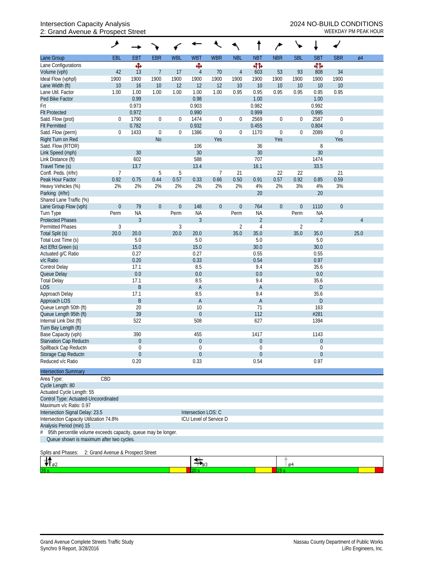## Intersection Capacity Analysis 2024 NO-BUILD CONDITIONS 2: Grand Avenue & Prospect Street WEEKDAY PM PEAK HOUR

|                                                                    | ۶                |                  |                  |                  |                        |                  |                |                  |                  |                  | ÷              |                  |                 |  |
|--------------------------------------------------------------------|------------------|------------------|------------------|------------------|------------------------|------------------|----------------|------------------|------------------|------------------|----------------|------------------|-----------------|--|
| Lane Group                                                         | EBL              | EBT              | <b>EBR</b>       | <b>WBL</b>       | <b>WBT</b>             | <b>WBR</b>       | <b>NBL</b>     | <b>NBT</b>       | <b>NBR</b>       | <b>SBL</b>       | <b>SBT</b>     | <b>SBR</b>       | $\varnothing$ 4 |  |
| Lane Configurations                                                |                  | ♠                |                  |                  | Ф                      |                  |                | 41               |                  |                  | 41             |                  |                 |  |
| Volume (vph)                                                       | 42               | 13               | $\overline{7}$   | 17               | $\overline{4}$         | 70               | $\overline{4}$ | 603              | 53               | 93               | 808            | 34               |                 |  |
| Ideal Flow (vphpl)                                                 | 1900             | 1900             | 1900             | 1900             | 1900                   | 1900             | 1900           | 1900             | 1900             | 1900             | 1900           | 1900             |                 |  |
| Lane Width (ft)                                                    | 10               | 16               | 10               | 12               | 12                     | 12               | 10             | 10               | 10               | 10               | 10             | 10               |                 |  |
| Lane Util. Factor                                                  | 1.00             | 1.00             | 1.00             | 1.00             | 1.00                   | 1.00             | 0.95           | 0.95             | 0.95             | 0.95             | 0.95           | 0.95             |                 |  |
| Ped Bike Factor                                                    |                  | 0.99             |                  |                  | 0.98                   |                  |                | 1.00             |                  |                  | 1.00           |                  |                 |  |
| Frt                                                                |                  | 0.973            |                  |                  | 0.903                  |                  |                | 0.982            |                  |                  | 0.992          |                  |                 |  |
| <b>Flt Protected</b>                                               |                  | 0.972            |                  |                  | 0.990                  |                  |                | 0.999            |                  |                  | 0.995          |                  |                 |  |
| Satd. Flow (prot)                                                  | 0                | 1790             | $\boldsymbol{0}$ | $\boldsymbol{0}$ | 1474                   | $\boldsymbol{0}$ | $\mathbf 0$    | 2569             | $\boldsymbol{0}$ | 0                | 2587           | $\boldsymbol{0}$ |                 |  |
| <b>Flt Permitted</b>                                               |                  | 0.782            |                  |                  | 0.932                  |                  |                | 0.455            |                  |                  | 0.804          |                  |                 |  |
| Satd. Flow (perm)                                                  | $\boldsymbol{0}$ | 1433             | $\boldsymbol{0}$ | $\boldsymbol{0}$ | 1386                   | $\mathbf 0$      | $\mathbf 0$    | 1170             | $\boldsymbol{0}$ | 0                | 2089           | $\mathbf 0$      |                 |  |
| Right Turn on Red                                                  |                  |                  | <b>No</b>        |                  |                        | Yes              |                |                  | Yes              |                  |                | Yes              |                 |  |
| Satd. Flow (RTOR)                                                  |                  |                  |                  |                  | 106                    |                  |                | 36               |                  |                  | 8              |                  |                 |  |
| Link Speed (mph)                                                   |                  | 30               |                  |                  | 30                     |                  |                | 30               |                  |                  | 30             |                  |                 |  |
| Link Distance (ft)                                                 |                  | 602              |                  |                  | 588                    |                  |                | 707              |                  |                  | 1474           |                  |                 |  |
| Travel Time (s)                                                    |                  | 13.7             |                  |                  | 13.4                   |                  |                | 16.1             |                  |                  | 33.5           |                  |                 |  |
| Confl. Peds. (#/hr)                                                | $\overline{7}$   |                  | $\mathbf 5$      | 5                |                        | 7                | 21             |                  | 22               | 22               |                | 21               |                 |  |
| Peak Hour Factor                                                   | 0.92             | 0.75             | 0.44             | 0.57             | 0.33                   | 0.66             | 0.50           | 0.91             | 0.57             | 0.92             | 0.85           | 0.59             |                 |  |
| Heavy Vehicles (%)                                                 | 2%               | 2%               | 2%               | 2%               | 2%                     | 2%               | 2%             | 4%               | 2%               | 3%               | $4\%$          | 3%               |                 |  |
| Parking (#/hr)                                                     |                  |                  |                  |                  |                        |                  |                | 20               |                  |                  | 20             |                  |                 |  |
| Shared Lane Traffic (%)                                            |                  |                  |                  |                  |                        |                  |                |                  |                  |                  |                |                  |                 |  |
| Lane Group Flow (vph)                                              | $\boldsymbol{0}$ | 79               | $\boldsymbol{0}$ | $\boldsymbol{0}$ | 148                    | $\boldsymbol{0}$ | $\theta$       | 764              | $\boldsymbol{0}$ | $\boldsymbol{0}$ | 1110           | $\theta$         |                 |  |
| Turn Type                                                          | Perm             | <b>NA</b>        |                  | Perm             | <b>NA</b>              |                  | Perm           | <b>NA</b>        |                  | Perm             | <b>NA</b>      |                  |                 |  |
| <b>Protected Phases</b>                                            |                  | $\overline{3}$   |                  |                  | $\overline{3}$         |                  |                | $\overline{2}$   |                  |                  | $\overline{2}$ |                  | $\overline{4}$  |  |
| <b>Permitted Phases</b>                                            | $\sqrt{3}$       |                  |                  | 3                |                        |                  | $\overline{2}$ | $\overline{4}$   |                  | $\overline{2}$   |                |                  |                 |  |
| Total Split (s)                                                    | 20.0             | 20.0             |                  | 20.0             | 20.0                   |                  | 35.0           | 35.0             |                  | 35.0             | 35.0           |                  | 25.0            |  |
| Total Lost Time (s)                                                |                  | 5.0              |                  |                  | 5.0                    |                  |                | 5.0              |                  |                  | 5.0            |                  |                 |  |
| Act Effct Green (s)                                                |                  | 15.0             |                  |                  | 15.0                   |                  |                | 30.0             |                  |                  | 30.0           |                  |                 |  |
| Actuated g/C Ratio                                                 |                  | 0.27             |                  |                  | 0.27                   |                  |                | 0.55             |                  |                  | 0.55           |                  |                 |  |
| v/c Ratio                                                          |                  | 0.20             |                  |                  | 0.33                   |                  |                | 0.54             |                  |                  | 0.97           |                  |                 |  |
| Control Delay                                                      |                  | 17.1             |                  |                  | 8.5                    |                  |                | 9.4              |                  |                  | 35.6           |                  |                 |  |
| Queue Delay                                                        |                  | 0.0              |                  |                  | 0.0                    |                  |                | 0.0              |                  |                  | 0.0            |                  |                 |  |
| <b>Total Delay</b>                                                 |                  | 17.1             |                  |                  | 8.5                    |                  |                | 9.4              |                  |                  | 35.6           |                  |                 |  |
| <b>LOS</b>                                                         |                  | $\sf B$          |                  |                  | $\mathsf A$            |                  |                | A                |                  |                  | D              |                  |                 |  |
| Approach Delay                                                     |                  | 17.1             |                  |                  | 8.5                    |                  |                | 9.4              |                  |                  | 35.6           |                  |                 |  |
| Approach LOS                                                       |                  | B                |                  |                  | $\mathsf{A}$           |                  |                | A                |                  |                  | D              |                  |                 |  |
| Queue Length 50th (ft)                                             |                  | 20               |                  |                  | 10                     |                  |                | 71               |                  |                  | 163            |                  |                 |  |
| Queue Length 95th (ft)                                             |                  | 39               |                  |                  | $\theta$               |                  |                | 112              |                  |                  | #281           |                  |                 |  |
| Internal Link Dist (ft)                                            |                  | 522              |                  |                  | 508                    |                  |                | 627              |                  |                  | 1394           |                  |                 |  |
| Turn Bay Length (ft)                                               |                  |                  |                  |                  |                        |                  |                |                  |                  |                  |                |                  |                 |  |
| Base Capacity (vph)                                                |                  | 390              |                  |                  | 455                    |                  |                | 1417             |                  |                  | 1143           |                  |                 |  |
| Starvation Cap Reductn                                             |                  | $\overline{0}$   |                  |                  | $\theta$               |                  |                | $\boldsymbol{0}$ |                  |                  | $\theta$       |                  |                 |  |
| Spillback Cap Reductn                                              |                  | 0                |                  |                  | $\overline{0}$         |                  |                | $\mathbf 0$      |                  |                  | 0              |                  |                 |  |
| Storage Cap Reductn                                                |                  | $\boldsymbol{0}$ |                  |                  | $\overline{0}$         |                  |                | $\boldsymbol{0}$ |                  |                  | $\theta$       |                  |                 |  |
| Reduced v/c Ratio                                                  |                  | 0.20             |                  |                  | 0.33                   |                  |                | 0.54             |                  |                  | 0.97           |                  |                 |  |
| <b>Intersection Summary</b>                                        |                  |                  |                  |                  |                        |                  |                |                  |                  |                  |                |                  |                 |  |
| Area Type:                                                         | CBD              |                  |                  |                  |                        |                  |                |                  |                  |                  |                |                  |                 |  |
| Cycle Length: 80                                                   |                  |                  |                  |                  |                        |                  |                |                  |                  |                  |                |                  |                 |  |
| Actuated Cycle Length: 55                                          |                  |                  |                  |                  |                        |                  |                |                  |                  |                  |                |                  |                 |  |
| Control Type: Actuated-Uncoordinated                               |                  |                  |                  |                  |                        |                  |                |                  |                  |                  |                |                  |                 |  |
| Maximum v/c Ratio: 0.97                                            |                  |                  |                  |                  |                        |                  |                |                  |                  |                  |                |                  |                 |  |
| Intersection Signal Delay: 23.5                                    |                  |                  |                  |                  | Intersection LOS: C    |                  |                |                  |                  |                  |                |                  |                 |  |
| Intersection Capacity Utilization 74.8%                            |                  |                  |                  |                  | ICU Level of Service D |                  |                |                  |                  |                  |                |                  |                 |  |
| Analysis Period (min) 15                                           |                  |                  |                  |                  |                        |                  |                |                  |                  |                  |                |                  |                 |  |
| 95th percentile volume exceeds capacity, queue may be longer.<br># |                  |                  |                  |                  |                        |                  |                |                  |                  |                  |                |                  |                 |  |
| Queue shown is maximum after two cycles.                           |                  |                  |                  |                  |                        |                  |                |                  |                  |                  |                |                  |                 |  |
| Splits and Phases: 2: Grand Avenue & Prospect Street               |                  |                  |                  |                  |                        |                  |                |                  |                  |                  |                |                  |                 |  |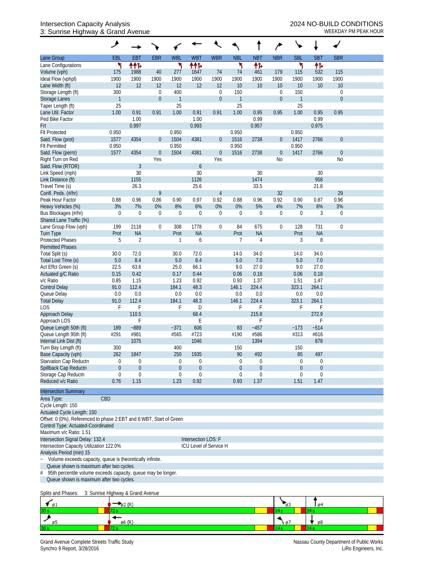## Intersection Capacity Analysis 2024 NO-BUILD CONDITIONS 3: Sunrise Highway & Grand Avenue WEEKDAY PM PEAK HOUR

|                                                                                   | ᢣ                |                  |                  |                  |                        |                  |                |                  |                  |                  |              |                  |  |
|-----------------------------------------------------------------------------------|------------------|------------------|------------------|------------------|------------------------|------------------|----------------|------------------|------------------|------------------|--------------|------------------|--|
| Lane Group                                                                        | EBL              | <b>EBT</b>       | <b>EBR</b>       | <b>WBL</b>       | <b>WBT</b>             | <b>WBR</b>       | <b>NBL</b>     | <b>NBT</b>       | <b>NBR</b>       | <b>SBL</b>       | <b>SBT</b>   | <b>SBR</b>       |  |
| Lane Configurations                                                               | ۲                | ተተኈ              |                  | ۲                | ተተኈ                    |                  | ۳              | 伟                |                  | ۳                | 伟            |                  |  |
| Volume (vph)                                                                      | 175              | 1988             | 40               | 277              | 1647                   | 74               | 74             | 461              | 179              | 115              | 532          | 115              |  |
| Ideal Flow (vphpl)                                                                | 1900             | 1900             | 1900             | 1900             | 1900                   | 1900             | 1900           | 1900             | 1900             | 1900             | 1900         | 1900             |  |
| Lane Width (ft)                                                                   | 12               | 12               | 12               | 12               | 12                     | 12               | 10             | 10               | 10               | 10               | 10           | 10               |  |
| Storage Length (ft)                                                               | 300              |                  | $\boldsymbol{0}$ | 400              |                        | $\boldsymbol{0}$ | 150            |                  | 0                | 150              |              | $\boldsymbol{0}$ |  |
| Storage Lanes                                                                     | $\mathbf{1}$     |                  | $\boldsymbol{0}$ | $\mathbf{1}$     |                        | $\mathbf 0$      | $\overline{1}$ |                  | $\mathbf 0$      | $\mathbf{1}$     |              | $\mathbf 0$      |  |
| Taper Length (ft)                                                                 | 25               |                  |                  | 25               |                        |                  | 25             |                  |                  | 25               |              |                  |  |
| Lane Util. Factor                                                                 | 1.00             | 0.91             | 0.91             | 1.00             | 0.91                   | 0.91             | 1.00           | 0.95             | 0.95             | 1.00             | 0.95         | 0.95             |  |
| Ped Bike Factor                                                                   |                  | 1.00             |                  |                  | 1.00                   |                  |                | 0.99             |                  |                  | 0.99         |                  |  |
| Frt                                                                               |                  | 0.997            |                  |                  | 0.993                  |                  |                | 0.957            |                  |                  | 0.975        |                  |  |
| <b>Flt Protected</b>                                                              | 0.950            |                  |                  | 0.950            |                        |                  | 0.950          |                  |                  | 0.950            |              |                  |  |
| Satd. Flow (prot)                                                                 | 1577             | 4354             | $\boldsymbol{0}$ | 1504             | 4381                   | $\overline{0}$   | 1516           | 2738             | $\boldsymbol{0}$ | 1417             | 2766         | $\boldsymbol{0}$ |  |
| <b>Flt Permitted</b>                                                              | 0.950            |                  |                  | 0.950            |                        |                  | 0.950          |                  |                  | 0.950            |              |                  |  |
| Satd. Flow (perm)                                                                 | 1577             | 4354             | $\boldsymbol{0}$ | 1504             | 4381                   | $\boldsymbol{0}$ | 1516           | 2738             | $\boldsymbol{0}$ | 1417             | 2766         | $\boldsymbol{0}$ |  |
| Right Turn on Red                                                                 |                  |                  | Yes              |                  |                        | Yes              |                |                  | No               |                  |              | No               |  |
| Satd. Flow (RTOR)                                                                 |                  | $\mathfrak{Z}$   |                  |                  | $\boldsymbol{6}$       |                  |                |                  |                  |                  |              |                  |  |
| Link Speed (mph)                                                                  |                  | 30               |                  |                  | 30                     |                  |                | 30               |                  |                  | 30           |                  |  |
| Link Distance (ft)                                                                |                  | 1155             |                  |                  | 1126                   |                  |                | 1474             |                  |                  | 958          |                  |  |
| Travel Time (s)                                                                   |                  | 26.3             |                  |                  | 25.6                   |                  |                | 33.5             |                  |                  | 21.8         |                  |  |
| Confl. Peds. (#/hr)                                                               |                  |                  | 9                |                  |                        | $\overline{4}$   |                |                  | 32               |                  |              | 29               |  |
| Peak Hour Factor                                                                  | 0.88             | 0.96             | 0.86             | 0.90             | 0.97                   | 0.92             | 0.88           | 0.96             | 0.92             | 0.90             | 0.87         | 0.96             |  |
| Heavy Vehicles (%)                                                                | 3%               | 7%               | 0%               | 8%               | 6%                     | 0%               | $0\%$          | 5%               | 4%               | 7%               | 6%           | 3%               |  |
| Bus Blockages (#/hr)                                                              | $\boldsymbol{0}$ | $\mathbf 0$      | $\boldsymbol{0}$ | $\mathbf 0$      | $\boldsymbol{0}$       | $\mathbf 0$      | $\Omega$       | $\boldsymbol{0}$ | $\boldsymbol{0}$ | $\mathbf{0}$     | 3            | 0                |  |
| Shared Lane Traffic (%)                                                           |                  |                  |                  |                  |                        |                  |                |                  |                  |                  |              |                  |  |
| Lane Group Flow (vph)                                                             | 199              | 2118             | $\boldsymbol{0}$ | 308              | 1778                   | $\boldsymbol{0}$ | 84             | 675              | $\boldsymbol{0}$ | 128              | 731          | $\mathbf 0$      |  |
| Turn Type                                                                         | Prot             | <b>NA</b>        |                  | Prot             | <b>NA</b>              |                  | Prot           | <b>NA</b>        |                  | Prot             | <b>NA</b>    |                  |  |
| <b>Protected Phases</b>                                                           | 5                | $\overline{2}$   |                  | 1                | 6                      |                  | 7              | 4                |                  | 3                | 8            |                  |  |
| <b>Permitted Phases</b>                                                           |                  |                  |                  |                  |                        |                  |                |                  |                  |                  |              |                  |  |
| Total Split (s)                                                                   | 30.0             | 72.0             |                  | 30.0             | 72.0                   |                  | 14.0           | 34.0             |                  | 14.0             | 34.0         |                  |  |
| Total Lost Time (s)                                                               | 5.0              | 8.4              |                  | 5.0              | 8.4                    |                  | 5.0            | 7.0              |                  | 5.0              | 7.0          |                  |  |
| Act Effct Green (s)                                                               | 22.5             | 63.6             |                  | 25.0             | 66.1                   |                  | 9.0            | 27.0             |                  | 9.0              | 27.0         |                  |  |
| Actuated g/C Ratio                                                                | 0.15             | 0.42             |                  | 0.17             | 0.44                   |                  | 0.06           | 0.18             |                  | 0.06             | 0.18         |                  |  |
| v/c Ratio                                                                         | 0.85             | 1.15             |                  | 1.23             | 0.92                   |                  | 0.93           | 1.37             |                  | 1.51             | 1.47         |                  |  |
| <b>Control Delay</b>                                                              | 91.0             | 112.4            |                  | 184.1            | 48.3                   |                  | 146.1          | 224.4            |                  | 323.1            | 264.1        |                  |  |
| Queue Delay                                                                       | 0.0              | 0.0<br>112.4     |                  | 0.0<br>184.1     | 0.0                    |                  | 0.0            | 0.0<br>224.4     |                  | 0.0<br>323.1     | 0.0<br>264.1 |                  |  |
| <b>Total Delay</b><br>LOS                                                         | 91.0             |                  |                  |                  | 48.3<br>D              |                  | 146.1<br>F     | F                |                  | F                | F            |                  |  |
|                                                                                   | F                | F<br>110.5       |                  | F                | 68.4                   |                  |                | 215.8            |                  |                  | 272.9        |                  |  |
| Approach Delay<br>Approach LOS                                                    |                  | F                |                  |                  | Ε                      |                  |                |                  |                  |                  | F            |                  |  |
| Queue Length 50th (ft)                                                            | 189              | $-889$           |                  | $-371$           | 606                    |                  | 83             | $-457$           |                  | ~173             | $-514$       |                  |  |
| Queue Length 95th (ft)                                                            | #291             | #981             |                  | #565             | #723                   |                  | #190           | #586             |                  | #313             | #616         |                  |  |
| Internal Link Dist (ft)                                                           |                  | 1075             |                  |                  | 1046                   |                  |                | 1394             |                  |                  | 878          |                  |  |
| Turn Bay Length (ft)                                                              | 300              |                  |                  | 400              |                        |                  | 150            |                  |                  | 150              |              |                  |  |
| Base Capacity (vph)                                                               | 262              | 1847             |                  | 250              | 1935                   |                  | 90             | 492              |                  | 85               | 497          |                  |  |
| Starvation Cap Reductn                                                            | 0                | $\boldsymbol{0}$ |                  | $\boldsymbol{0}$ | 0                      |                  | 0              | 0                |                  | $\mathbf{0}$     | $\mathbf 0$  |                  |  |
| Spillback Cap Reductn                                                             | $\boldsymbol{0}$ | $\boldsymbol{0}$ |                  | $\theta$         | $\boldsymbol{0}$       |                  | $\theta$       | $\boldsymbol{0}$ |                  | $\boldsymbol{0}$ | $\mathbf 0$  |                  |  |
| Storage Cap Reductn                                                               | $\boldsymbol{0}$ | $\mathbf 0$      |                  | $\boldsymbol{0}$ | $\boldsymbol{0}$       |                  | $\theta$       | $\mathbf 0$      |                  | 0                | $\mathbf 0$  |                  |  |
| Reduced v/c Ratio                                                                 | 0.76             | 1.15             |                  | 1.23             | 0.92                   |                  | 0.93           | 1.37             |                  | 1.51             | 1.47         |                  |  |
|                                                                                   |                  |                  |                  |                  |                        |                  |                |                  |                  |                  |              |                  |  |
| <b>Intersection Summary</b>                                                       |                  |                  |                  |                  |                        |                  |                |                  |                  |                  |              |                  |  |
| Area Type:                                                                        | CBD              |                  |                  |                  |                        |                  |                |                  |                  |                  |              |                  |  |
| Cycle Length: 150                                                                 |                  |                  |                  |                  |                        |                  |                |                  |                  |                  |              |                  |  |
| Actuated Cycle Length: 150                                                        |                  |                  |                  |                  |                        |                  |                |                  |                  |                  |              |                  |  |
| Offset: 0 (0%), Referenced to phase 2:EBT and 6:WBT, Start of Green               |                  |                  |                  |                  |                        |                  |                |                  |                  |                  |              |                  |  |
| Control Type: Actuated-Coordinated                                                |                  |                  |                  |                  |                        |                  |                |                  |                  |                  |              |                  |  |
| Maximum v/c Ratio: 1.51                                                           |                  |                  |                  |                  |                        |                  |                |                  |                  |                  |              |                  |  |
| Intersection Signal Delay: 132.4                                                  |                  |                  |                  |                  | Intersection LOS: F    |                  |                |                  |                  |                  |              |                  |  |
| Intersection Capacity Utilization 122.0%                                          |                  |                  |                  |                  | ICU Level of Service H |                  |                |                  |                  |                  |              |                  |  |
| Analysis Period (min) 15                                                          |                  |                  |                  |                  |                        |                  |                |                  |                  |                  |              |                  |  |
| Volume exceeds capacity, queue is theoretically infinite.<br>$\ddot{\phantom{0}}$ |                  |                  |                  |                  |                        |                  |                |                  |                  |                  |              |                  |  |
| Queue shown is maximum after two cycles.                                          |                  |                  |                  |                  |                        |                  |                |                  |                  |                  |              |                  |  |
| 95th percentile volume exceeds capacity, queue may be longer.<br>#                |                  |                  |                  |                  |                        |                  |                |                  |                  |                  |              |                  |  |
| Queue shown is maximum after two cycles.                                          |                  |                  |                  |                  |                        |                  |                |                  |                  |                  |              |                  |  |

Splits and Phases: 3: Sunrise Highway & Grand Avenue

| $\blacksquare$ 01 | -102 (K | മാ   | ø          |
|-------------------|---------|------|------------|
| 30 s              |         | .    |            |
|                   | ø6 (R   | ነ 07 | $\sqrt{8}$ |
| 30 <sub>5</sub>   |         |      |            |

Grand Avenue Complete Streets Traffic Study<br>Synchro 9 Report, 3/28/2016<br>LiRo Engineers, Inc. Synchro 9 Report, 3/28/2016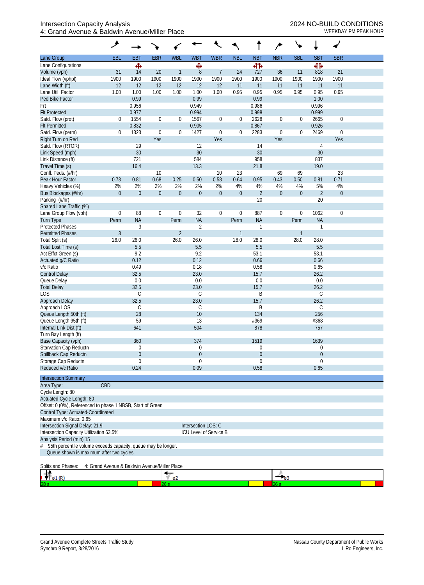|                                                                     | مر               |                  |                  |                  |                     |                        |                  |                  | $\overline{r}$   |                  |                |                  |  |
|---------------------------------------------------------------------|------------------|------------------|------------------|------------------|---------------------|------------------------|------------------|------------------|------------------|------------------|----------------|------------------|--|
| Lane Group                                                          | EBL              | <b>EBT</b>       | <b>EBR</b>       | <b>WBL</b>       | <b>WBT</b>          | <b>WBR</b>             | <b>NBL</b>       | <b>NBT</b>       | <b>NBR</b>       | <b>SBL</b>       | <b>SBT</b>     | <b>SBR</b>       |  |
| Lane Configurations                                                 |                  | Ф                |                  |                  | Ф                   |                        |                  | 41               |                  |                  | 41             |                  |  |
| Volume (vph)                                                        | 31               | 14               | 20               | $\mathbf{1}$     | $8\,$               | $\overline{7}$         | 24               | 727              | 36               | 11               | 818            | 21               |  |
| Ideal Flow (vphpl)                                                  | 1900             | 1900             | 1900             | 1900             | 1900                | 1900                   | 1900             | 1900             | 1900             | 1900             | 1900           | 1900             |  |
| Lane Width (ft)                                                     | 12               | 12               | 12               | 12               | 12                  | 12                     | 11               | 11               | 11               | 11               | 11             | 11               |  |
| Lane Util. Factor                                                   | 1.00             | 1.00             | 1.00             | 1.00             | 1.00                | 1.00                   | 0.95             | 0.95             | 0.95             | 0.95             | 0.95           | 0.95             |  |
| Ped Bike Factor                                                     |                  | 0.99             |                  |                  | 0.99                |                        |                  | 0.99             |                  |                  | 1.00           |                  |  |
| Frt                                                                 |                  | 0.956            |                  |                  | 0.949               |                        |                  | 0.986            |                  |                  | 0.996          |                  |  |
| <b>Flt Protected</b>                                                |                  | 0.977            |                  |                  | 0.994               |                        |                  | 0.998            |                  |                  | 0.999          |                  |  |
| Satd. Flow (prot)                                                   | $\mathbf 0$      | 1554             | $\boldsymbol{0}$ | $\boldsymbol{0}$ | 1567                | $\boldsymbol{0}$       | $\boldsymbol{0}$ | 2628             | $\boldsymbol{0}$ | $\boldsymbol{0}$ | 2665           | $\mathbf 0$      |  |
| <b>Flt Permitted</b>                                                |                  | 0.832            |                  |                  | 0.905               |                        |                  | 0.867            |                  |                  | 0.926          |                  |  |
| Satd. Flow (perm)                                                   | $\mathbf 0$      | 1323             | $\boldsymbol{0}$ | $\boldsymbol{0}$ | 1427                | $\boldsymbol{0}$       | $\mathbf 0$      | 2283             | $\boldsymbol{0}$ | $\boldsymbol{0}$ | 2469           | $\boldsymbol{0}$ |  |
| Right Turn on Red<br>Satd. Flow (RTOR)                              |                  | 29               | Yes              |                  | 12                  | Yes                    |                  | 14               | Yes              |                  |                | Yes              |  |
| Link Speed (mph)                                                    |                  | 30               |                  |                  | 30                  |                        |                  | 30               |                  |                  | 4<br>30        |                  |  |
| Link Distance (ft)                                                  |                  | 721              |                  |                  | 584                 |                        |                  | 958              |                  |                  | 837            |                  |  |
| Travel Time (s)                                                     |                  | 16.4             |                  |                  | 13.3                |                        |                  | 21.8             |                  |                  | 19.0           |                  |  |
| Confl. Peds. (#/hr)                                                 |                  |                  | 10               |                  |                     | 10                     | 23               |                  | 69               | 69               |                | 23               |  |
| Peak Hour Factor                                                    | 0.73             | 0.81             | 0.68             | 0.25             | 0.50                | 0.58                   | 0.64             | 0.95             | 0.43             | 0.50             | 0.81           | 0.71             |  |
| Heavy Vehicles (%)                                                  | 2%               | 2%               | 2%               | 2%               | 2%                  | 2%                     | 4%               | 4%               | 4%               | 4%               | 5%             | 4%               |  |
| Bus Blockages (#/hr)                                                | $\boldsymbol{0}$ | $\boldsymbol{0}$ | $\boldsymbol{0}$ | $\boldsymbol{0}$ | $\boldsymbol{0}$    | $\theta$               | $\boldsymbol{0}$ | $\overline{2}$   | $\boldsymbol{0}$ | $\boldsymbol{0}$ | $\overline{2}$ | $\theta$         |  |
| Parking (#/hr)                                                      |                  |                  |                  |                  |                     |                        |                  | 20               |                  |                  | 20             |                  |  |
| Shared Lane Traffic (%)                                             |                  |                  |                  |                  |                     |                        |                  |                  |                  |                  |                |                  |  |
| Lane Group Flow (vph)                                               | $\boldsymbol{0}$ | 88               | $\boldsymbol{0}$ | $\mathbf 0$      | 32                  | 0                      | $\boldsymbol{0}$ | 887              | $\boldsymbol{0}$ | $\boldsymbol{0}$ | 1062           | $\mathbf 0$      |  |
| <b>Turn Type</b>                                                    | Perm             | <b>NA</b>        |                  | Perm             | <b>NA</b>           |                        | Perm             | <b>NA</b>        |                  | Perm             | <b>NA</b>      |                  |  |
| <b>Protected Phases</b>                                             |                  | $\mathfrak{Z}$   |                  |                  | $\overline{2}$      |                        |                  | 1                |                  |                  | 1              |                  |  |
| <b>Permitted Phases</b>                                             | $\mathfrak{Z}$   |                  |                  | $\overline{2}$   |                     |                        |                  |                  |                  | $\mathbf{1}$     |                |                  |  |
| Total Split (s)                                                     | 26.0             | 26.0             |                  | 26.0             | 26.0                |                        | 28.0             | 28.0             |                  | 28.0             | 28.0           |                  |  |
| Total Lost Time (s)                                                 |                  | 5.5              |                  |                  | 5.5                 |                        |                  | 5.5              |                  |                  | 5.5            |                  |  |
| Act Effct Green (s)                                                 |                  | 9.2              |                  |                  | 9.2                 |                        |                  | 53.1             |                  |                  | 53.1           |                  |  |
| Actuated g/C Ratio                                                  |                  | 0.12             |                  |                  | 0.12                |                        |                  | 0.66             |                  |                  | 0.66           |                  |  |
| v/c Ratio                                                           |                  | 0.49             |                  |                  | 0.18                |                        |                  | 0.58             |                  |                  | 0.65           |                  |  |
| <b>Control Delay</b><br>Queue Delay                                 |                  | 32.5<br>0.0      |                  |                  | 23.0<br>0.0         |                        |                  | 15.7<br>0.0      |                  |                  | 26.2<br>0.0    |                  |  |
| <b>Total Delay</b>                                                  |                  | 32.5             |                  |                  | 23.0                |                        |                  | 15.7             |                  |                  | 26.2           |                  |  |
| LOS                                                                 |                  | C                |                  |                  | С                   |                        |                  | B                |                  |                  | $\mathsf C$    |                  |  |
| Approach Delay                                                      |                  | 32.5             |                  |                  | 23.0                |                        |                  | 15.7             |                  |                  | 26.2           |                  |  |
| Approach LOS                                                        |                  | C                |                  |                  | С                   |                        |                  | Β                |                  |                  | $\mathsf C$    |                  |  |
| Queue Length 50th (ft)                                              |                  | 28               |                  |                  | 10                  |                        |                  | 134              |                  |                  | 256            |                  |  |
| Queue Length 95th (ft)                                              |                  | 59               |                  |                  | 13                  |                        |                  | #369             |                  |                  | #368           |                  |  |
| Internal Link Dist (ft)                                             |                  | 641              |                  |                  | 504                 |                        |                  | 878              |                  |                  | 757            |                  |  |
| Turn Bay Length (ft)                                                |                  |                  |                  |                  |                     |                        |                  |                  |                  |                  |                |                  |  |
| Base Capacity (vph)                                                 |                  | 360              |                  |                  | 374                 |                        |                  | 1519             |                  |                  | 1639           |                  |  |
| Starvation Cap Reductn                                              |                  | 0                |                  |                  | 0                   |                        |                  | 0                |                  |                  | 0              |                  |  |
| Spillback Cap Reductn                                               |                  | 0                |                  |                  | $\boldsymbol{0}$    |                        |                  | $\boldsymbol{0}$ |                  |                  | $\overline{0}$ |                  |  |
| Storage Cap Reductn                                                 |                  | 0                |                  |                  | 0                   |                        |                  | 0                |                  |                  | $\mathbf 0$    |                  |  |
| Reduced v/c Ratio                                                   |                  | 0.24             |                  |                  | 0.09                |                        |                  | 0.58             |                  |                  | 0.65           |                  |  |
| <b>Intersection Summary</b>                                         |                  |                  |                  |                  |                     |                        |                  |                  |                  |                  |                |                  |  |
| Area Type:                                                          | CBD              |                  |                  |                  |                     |                        |                  |                  |                  |                  |                |                  |  |
| Cycle Length: 80                                                    |                  |                  |                  |                  |                     |                        |                  |                  |                  |                  |                |                  |  |
| Actuated Cycle Length: 80                                           |                  |                  |                  |                  |                     |                        |                  |                  |                  |                  |                |                  |  |
| Offset: 0 (0%), Referenced to phase 1:NBSB, Start of Green          |                  |                  |                  |                  |                     |                        |                  |                  |                  |                  |                |                  |  |
| Control Type: Actuated-Coordinated                                  |                  |                  |                  |                  |                     |                        |                  |                  |                  |                  |                |                  |  |
| Maximum v/c Ratio: 0.65                                             |                  |                  |                  |                  |                     |                        |                  |                  |                  |                  |                |                  |  |
| Intersection Signal Delay: 21.9                                     |                  |                  |                  |                  | Intersection LOS: C |                        |                  |                  |                  |                  |                |                  |  |
| Intersection Capacity Utilization 63.5%                             |                  |                  |                  |                  |                     | ICU Level of Service B |                  |                  |                  |                  |                |                  |  |
| Analysis Period (min) 15                                            |                  |                  |                  |                  |                     |                        |                  |                  |                  |                  |                |                  |  |
| 95th percentile volume exceeds capacity, queue may be longer.<br>#  |                  |                  |                  |                  |                     |                        |                  |                  |                  |                  |                |                  |  |
| Queue shown is maximum after two cycles.                            |                  |                  |                  |                  |                     |                        |                  |                  |                  |                  |                |                  |  |
| Splits and Phases:<br>4: Grand Avenue & Baldwin Avenue/Miller Place |                  |                  |                  |                  |                     |                        |                  |                  |                  |                  |                |                  |  |
|                                                                     |                  |                  |                  |                  |                     |                        |                  |                  |                  |                  |                |                  |  |
| Œ.                                                                  |                  |                  |                  | 62               |                     |                        |                  |                  |                  |                  |                |                  |  |

 $26s$ 

٠

 $28 s$ 

٦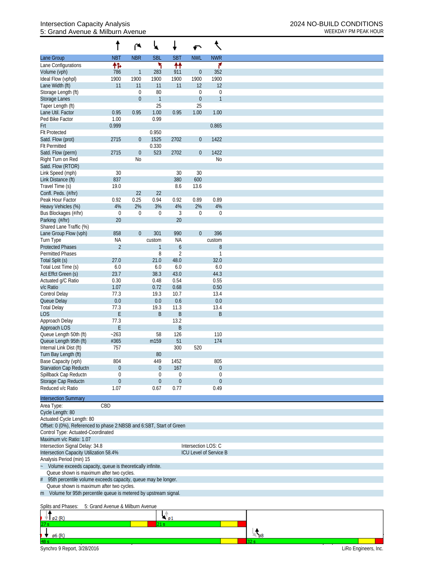## Intersection Capacity Analysis 2024 NO-BUILD CONDITIONS<br>5: Grand Avenue & Milburn Avenue 5: Grand Avenue & Milburn Avenue

| <b>NBR</b><br><b>SBL</b><br><b>NWL</b><br><b>NBT</b><br><b>SBT</b><br><b>NWR</b><br>Lane Group<br>۲<br>↟↟<br>۴<br>怍<br>Lane Configurations<br>283<br>$\boldsymbol{0}$<br>352<br>Volume (vph)<br>786<br>911<br>$\mathbf{1}$<br>1900<br>Ideal Flow (vphpl)<br>1900<br>1900<br>1900<br>1900<br>1900<br>Lane Width (ft)<br>11<br>11<br>11<br>11<br>12<br>12<br>Storage Length (ft)<br>$\mathbf 0$<br>80<br>$\boldsymbol{0}$<br>$\mathbf 0$<br>Storage Lanes<br>$\theta$<br>$\mathbf{1}$<br>$\boldsymbol{0}$<br>$\mathbf{1}$<br>25<br>25<br>Taper Length (ft)<br>1.00<br>Lane Util. Factor<br>0.95<br>0.95<br>0.95<br>1.00<br>1.00<br>0.99<br>Ped Bike Factor<br>1.00<br>Frt<br>0.999<br>0.865<br><b>Flt Protected</b><br>0.950<br>1525<br>2715<br>2702<br>$\mathbf 0$<br>1422<br>Satd. Flow (prot)<br>$\theta$<br>0.330<br><b>Flt Permitted</b><br>2715<br>$\boldsymbol{0}$<br>523<br>2702<br>$\boldsymbol{0}$<br>1422<br>Satd. Flow (perm)<br>Right Turn on Red<br><b>No</b><br>N <sub>0</sub><br>Satd. Flow (RTOR)<br>30<br>Link Speed (mph)<br>30<br>30<br>Link Distance (ft)<br>837<br>380<br>600<br>Travel Time (s)<br>19.0<br>8.6<br>13.6<br>Confl. Peds. (#/hr)<br>22<br>22<br>0.25<br>0.89<br>Peak Hour Factor<br>0.92<br>0.94<br>0.92<br>0.89<br>2%<br>3%<br>2%<br>4%<br>Heavy Vehicles (%)<br>4%<br>4%<br>Bus Blockages (#/hr)<br>$\mathbf 0$<br>3<br>$\boldsymbol{0}$<br>$\mathbf 0$<br>$\boldsymbol{0}$<br>0<br>Parking (#/hr)<br>20<br>20<br>Shared Lane Traffic (%)<br>396<br>858<br>$\boldsymbol{0}$<br>301<br>990<br>$\overline{0}$<br>Lane Group Flow (vph)<br>Turn Type<br><b>NA</b><br><b>NA</b><br>custom<br>custom<br>$\overline{2}$<br><b>Protected Phases</b><br>$\boldsymbol{6}$<br>$\boldsymbol{8}$<br>1<br>8<br>$\overline{2}$<br><b>Permitted Phases</b><br>1<br>21.0<br>Total Split (s)<br>48.0<br>32.0<br>27.0 |
|-----------------------------------------------------------------------------------------------------------------------------------------------------------------------------------------------------------------------------------------------------------------------------------------------------------------------------------------------------------------------------------------------------------------------------------------------------------------------------------------------------------------------------------------------------------------------------------------------------------------------------------------------------------------------------------------------------------------------------------------------------------------------------------------------------------------------------------------------------------------------------------------------------------------------------------------------------------------------------------------------------------------------------------------------------------------------------------------------------------------------------------------------------------------------------------------------------------------------------------------------------------------------------------------------------------------------------------------------------------------------------------------------------------------------------------------------------------------------------------------------------------------------------------------------------------------------------------------------------------------------------------------------------------------------------------------------------------------------------------------------------------------------------------------------------------------------------------------|
|                                                                                                                                                                                                                                                                                                                                                                                                                                                                                                                                                                                                                                                                                                                                                                                                                                                                                                                                                                                                                                                                                                                                                                                                                                                                                                                                                                                                                                                                                                                                                                                                                                                                                                                                                                                                                                         |
|                                                                                                                                                                                                                                                                                                                                                                                                                                                                                                                                                                                                                                                                                                                                                                                                                                                                                                                                                                                                                                                                                                                                                                                                                                                                                                                                                                                                                                                                                                                                                                                                                                                                                                                                                                                                                                         |
|                                                                                                                                                                                                                                                                                                                                                                                                                                                                                                                                                                                                                                                                                                                                                                                                                                                                                                                                                                                                                                                                                                                                                                                                                                                                                                                                                                                                                                                                                                                                                                                                                                                                                                                                                                                                                                         |
|                                                                                                                                                                                                                                                                                                                                                                                                                                                                                                                                                                                                                                                                                                                                                                                                                                                                                                                                                                                                                                                                                                                                                                                                                                                                                                                                                                                                                                                                                                                                                                                                                                                                                                                                                                                                                                         |
|                                                                                                                                                                                                                                                                                                                                                                                                                                                                                                                                                                                                                                                                                                                                                                                                                                                                                                                                                                                                                                                                                                                                                                                                                                                                                                                                                                                                                                                                                                                                                                                                                                                                                                                                                                                                                                         |
|                                                                                                                                                                                                                                                                                                                                                                                                                                                                                                                                                                                                                                                                                                                                                                                                                                                                                                                                                                                                                                                                                                                                                                                                                                                                                                                                                                                                                                                                                                                                                                                                                                                                                                                                                                                                                                         |
|                                                                                                                                                                                                                                                                                                                                                                                                                                                                                                                                                                                                                                                                                                                                                                                                                                                                                                                                                                                                                                                                                                                                                                                                                                                                                                                                                                                                                                                                                                                                                                                                                                                                                                                                                                                                                                         |
|                                                                                                                                                                                                                                                                                                                                                                                                                                                                                                                                                                                                                                                                                                                                                                                                                                                                                                                                                                                                                                                                                                                                                                                                                                                                                                                                                                                                                                                                                                                                                                                                                                                                                                                                                                                                                                         |
|                                                                                                                                                                                                                                                                                                                                                                                                                                                                                                                                                                                                                                                                                                                                                                                                                                                                                                                                                                                                                                                                                                                                                                                                                                                                                                                                                                                                                                                                                                                                                                                                                                                                                                                                                                                                                                         |
|                                                                                                                                                                                                                                                                                                                                                                                                                                                                                                                                                                                                                                                                                                                                                                                                                                                                                                                                                                                                                                                                                                                                                                                                                                                                                                                                                                                                                                                                                                                                                                                                                                                                                                                                                                                                                                         |
|                                                                                                                                                                                                                                                                                                                                                                                                                                                                                                                                                                                                                                                                                                                                                                                                                                                                                                                                                                                                                                                                                                                                                                                                                                                                                                                                                                                                                                                                                                                                                                                                                                                                                                                                                                                                                                         |
|                                                                                                                                                                                                                                                                                                                                                                                                                                                                                                                                                                                                                                                                                                                                                                                                                                                                                                                                                                                                                                                                                                                                                                                                                                                                                                                                                                                                                                                                                                                                                                                                                                                                                                                                                                                                                                         |
|                                                                                                                                                                                                                                                                                                                                                                                                                                                                                                                                                                                                                                                                                                                                                                                                                                                                                                                                                                                                                                                                                                                                                                                                                                                                                                                                                                                                                                                                                                                                                                                                                                                                                                                                                                                                                                         |
|                                                                                                                                                                                                                                                                                                                                                                                                                                                                                                                                                                                                                                                                                                                                                                                                                                                                                                                                                                                                                                                                                                                                                                                                                                                                                                                                                                                                                                                                                                                                                                                                                                                                                                                                                                                                                                         |
|                                                                                                                                                                                                                                                                                                                                                                                                                                                                                                                                                                                                                                                                                                                                                                                                                                                                                                                                                                                                                                                                                                                                                                                                                                                                                                                                                                                                                                                                                                                                                                                                                                                                                                                                                                                                                                         |
|                                                                                                                                                                                                                                                                                                                                                                                                                                                                                                                                                                                                                                                                                                                                                                                                                                                                                                                                                                                                                                                                                                                                                                                                                                                                                                                                                                                                                                                                                                                                                                                                                                                                                                                                                                                                                                         |
|                                                                                                                                                                                                                                                                                                                                                                                                                                                                                                                                                                                                                                                                                                                                                                                                                                                                                                                                                                                                                                                                                                                                                                                                                                                                                                                                                                                                                                                                                                                                                                                                                                                                                                                                                                                                                                         |
|                                                                                                                                                                                                                                                                                                                                                                                                                                                                                                                                                                                                                                                                                                                                                                                                                                                                                                                                                                                                                                                                                                                                                                                                                                                                                                                                                                                                                                                                                                                                                                                                                                                                                                                                                                                                                                         |
|                                                                                                                                                                                                                                                                                                                                                                                                                                                                                                                                                                                                                                                                                                                                                                                                                                                                                                                                                                                                                                                                                                                                                                                                                                                                                                                                                                                                                                                                                                                                                                                                                                                                                                                                                                                                                                         |
|                                                                                                                                                                                                                                                                                                                                                                                                                                                                                                                                                                                                                                                                                                                                                                                                                                                                                                                                                                                                                                                                                                                                                                                                                                                                                                                                                                                                                                                                                                                                                                                                                                                                                                                                                                                                                                         |
|                                                                                                                                                                                                                                                                                                                                                                                                                                                                                                                                                                                                                                                                                                                                                                                                                                                                                                                                                                                                                                                                                                                                                                                                                                                                                                                                                                                                                                                                                                                                                                                                                                                                                                                                                                                                                                         |
|                                                                                                                                                                                                                                                                                                                                                                                                                                                                                                                                                                                                                                                                                                                                                                                                                                                                                                                                                                                                                                                                                                                                                                                                                                                                                                                                                                                                                                                                                                                                                                                                                                                                                                                                                                                                                                         |
|                                                                                                                                                                                                                                                                                                                                                                                                                                                                                                                                                                                                                                                                                                                                                                                                                                                                                                                                                                                                                                                                                                                                                                                                                                                                                                                                                                                                                                                                                                                                                                                                                                                                                                                                                                                                                                         |
|                                                                                                                                                                                                                                                                                                                                                                                                                                                                                                                                                                                                                                                                                                                                                                                                                                                                                                                                                                                                                                                                                                                                                                                                                                                                                                                                                                                                                                                                                                                                                                                                                                                                                                                                                                                                                                         |
|                                                                                                                                                                                                                                                                                                                                                                                                                                                                                                                                                                                                                                                                                                                                                                                                                                                                                                                                                                                                                                                                                                                                                                                                                                                                                                                                                                                                                                                                                                                                                                                                                                                                                                                                                                                                                                         |
|                                                                                                                                                                                                                                                                                                                                                                                                                                                                                                                                                                                                                                                                                                                                                                                                                                                                                                                                                                                                                                                                                                                                                                                                                                                                                                                                                                                                                                                                                                                                                                                                                                                                                                                                                                                                                                         |
|                                                                                                                                                                                                                                                                                                                                                                                                                                                                                                                                                                                                                                                                                                                                                                                                                                                                                                                                                                                                                                                                                                                                                                                                                                                                                                                                                                                                                                                                                                                                                                                                                                                                                                                                                                                                                                         |
|                                                                                                                                                                                                                                                                                                                                                                                                                                                                                                                                                                                                                                                                                                                                                                                                                                                                                                                                                                                                                                                                                                                                                                                                                                                                                                                                                                                                                                                                                                                                                                                                                                                                                                                                                                                                                                         |
| 6.0<br>6.0<br>6.0<br>6.0<br>Total Lost Time (s)                                                                                                                                                                                                                                                                                                                                                                                                                                                                                                                                                                                                                                                                                                                                                                                                                                                                                                                                                                                                                                                                                                                                                                                                                                                                                                                                                                                                                                                                                                                                                                                                                                                                                                                                                                                         |
| Act Effct Green (s)<br>23.7<br>38.3<br>43.0<br>44.3                                                                                                                                                                                                                                                                                                                                                                                                                                                                                                                                                                                                                                                                                                                                                                                                                                                                                                                                                                                                                                                                                                                                                                                                                                                                                                                                                                                                                                                                                                                                                                                                                                                                                                                                                                                     |
| 0.30<br>0.48<br>0.54<br>0.55<br>Actuated g/C Ratio                                                                                                                                                                                                                                                                                                                                                                                                                                                                                                                                                                                                                                                                                                                                                                                                                                                                                                                                                                                                                                                                                                                                                                                                                                                                                                                                                                                                                                                                                                                                                                                                                                                                                                                                                                                      |
| 1.07<br>0.72<br>0.68<br>0.50<br>v/c Ratio                                                                                                                                                                                                                                                                                                                                                                                                                                                                                                                                                                                                                                                                                                                                                                                                                                                                                                                                                                                                                                                                                                                                                                                                                                                                                                                                                                                                                                                                                                                                                                                                                                                                                                                                                                                               |
| <b>Control Delay</b><br>77.3<br>19.3<br>10.7<br>13.4                                                                                                                                                                                                                                                                                                                                                                                                                                                                                                                                                                                                                                                                                                                                                                                                                                                                                                                                                                                                                                                                                                                                                                                                                                                                                                                                                                                                                                                                                                                                                                                                                                                                                                                                                                                    |
| 0.0<br>0.6<br>0.0<br>Queue Delay<br>0.0                                                                                                                                                                                                                                                                                                                                                                                                                                                                                                                                                                                                                                                                                                                                                                                                                                                                                                                                                                                                                                                                                                                                                                                                                                                                                                                                                                                                                                                                                                                                                                                                                                                                                                                                                                                                 |
| <b>Total Delay</b><br>77.3<br>19.3<br>11.3<br>13.4<br><b>LOS</b><br>B<br>B<br>Ε<br>B                                                                                                                                                                                                                                                                                                                                                                                                                                                                                                                                                                                                                                                                                                                                                                                                                                                                                                                                                                                                                                                                                                                                                                                                                                                                                                                                                                                                                                                                                                                                                                                                                                                                                                                                                    |
| Approach Delay<br>77.3<br>13.2                                                                                                                                                                                                                                                                                                                                                                                                                                                                                                                                                                                                                                                                                                                                                                                                                                                                                                                                                                                                                                                                                                                                                                                                                                                                                                                                                                                                                                                                                                                                                                                                                                                                                                                                                                                                          |
| B<br>Approach LOS<br>Ε                                                                                                                                                                                                                                                                                                                                                                                                                                                                                                                                                                                                                                                                                                                                                                                                                                                                                                                                                                                                                                                                                                                                                                                                                                                                                                                                                                                                                                                                                                                                                                                                                                                                                                                                                                                                                  |
| Queue Length 50th (ft)<br>$-263$<br>110<br>58<br>126                                                                                                                                                                                                                                                                                                                                                                                                                                                                                                                                                                                                                                                                                                                                                                                                                                                                                                                                                                                                                                                                                                                                                                                                                                                                                                                                                                                                                                                                                                                                                                                                                                                                                                                                                                                    |
| Queue Length 95th (ft)<br>51<br>174<br>#365<br>m159                                                                                                                                                                                                                                                                                                                                                                                                                                                                                                                                                                                                                                                                                                                                                                                                                                                                                                                                                                                                                                                                                                                                                                                                                                                                                                                                                                                                                                                                                                                                                                                                                                                                                                                                                                                     |
| Internal Link Dist (ft)<br>300<br>520<br>757                                                                                                                                                                                                                                                                                                                                                                                                                                                                                                                                                                                                                                                                                                                                                                                                                                                                                                                                                                                                                                                                                                                                                                                                                                                                                                                                                                                                                                                                                                                                                                                                                                                                                                                                                                                            |
| Turn Bay Length (ft)<br>80                                                                                                                                                                                                                                                                                                                                                                                                                                                                                                                                                                                                                                                                                                                                                                                                                                                                                                                                                                                                                                                                                                                                                                                                                                                                                                                                                                                                                                                                                                                                                                                                                                                                                                                                                                                                              |
| Base Capacity (vph)<br>804<br>805<br>449<br>1452                                                                                                                                                                                                                                                                                                                                                                                                                                                                                                                                                                                                                                                                                                                                                                                                                                                                                                                                                                                                                                                                                                                                                                                                                                                                                                                                                                                                                                                                                                                                                                                                                                                                                                                                                                                        |
| Starvation Cap Reductn<br>$\boldsymbol{0}$<br>$\overline{0}$<br>167<br>0                                                                                                                                                                                                                                                                                                                                                                                                                                                                                                                                                                                                                                                                                                                                                                                                                                                                                                                                                                                                                                                                                                                                                                                                                                                                                                                                                                                                                                                                                                                                                                                                                                                                                                                                                                |
| Spillback Cap Reductn<br>0<br>$\boldsymbol{0}$<br>$\theta$<br>0                                                                                                                                                                                                                                                                                                                                                                                                                                                                                                                                                                                                                                                                                                                                                                                                                                                                                                                                                                                                                                                                                                                                                                                                                                                                                                                                                                                                                                                                                                                                                                                                                                                                                                                                                                         |
| Storage Cap Reductn<br>$\theta$<br>$\boldsymbol{0}$<br>0<br>$\boldsymbol{0}$                                                                                                                                                                                                                                                                                                                                                                                                                                                                                                                                                                                                                                                                                                                                                                                                                                                                                                                                                                                                                                                                                                                                                                                                                                                                                                                                                                                                                                                                                                                                                                                                                                                                                                                                                            |
| Reduced v/c Ratio<br>1.07<br>0.77<br>0.49<br>0.67                                                                                                                                                                                                                                                                                                                                                                                                                                                                                                                                                                                                                                                                                                                                                                                                                                                                                                                                                                                                                                                                                                                                                                                                                                                                                                                                                                                                                                                                                                                                                                                                                                                                                                                                                                                       |
| <b>Intersection Summary</b>                                                                                                                                                                                                                                                                                                                                                                                                                                                                                                                                                                                                                                                                                                                                                                                                                                                                                                                                                                                                                                                                                                                                                                                                                                                                                                                                                                                                                                                                                                                                                                                                                                                                                                                                                                                                             |
| CBD<br>Area Type:                                                                                                                                                                                                                                                                                                                                                                                                                                                                                                                                                                                                                                                                                                                                                                                                                                                                                                                                                                                                                                                                                                                                                                                                                                                                                                                                                                                                                                                                                                                                                                                                                                                                                                                                                                                                                       |
| Cycle Length: 80                                                                                                                                                                                                                                                                                                                                                                                                                                                                                                                                                                                                                                                                                                                                                                                                                                                                                                                                                                                                                                                                                                                                                                                                                                                                                                                                                                                                                                                                                                                                                                                                                                                                                                                                                                                                                        |
| Actuated Cycle Length: 80                                                                                                                                                                                                                                                                                                                                                                                                                                                                                                                                                                                                                                                                                                                                                                                                                                                                                                                                                                                                                                                                                                                                                                                                                                                                                                                                                                                                                                                                                                                                                                                                                                                                                                                                                                                                               |
| Offset: 0 (0%), Referenced to phase 2:NBSB and 6:SBT, Start of Green                                                                                                                                                                                                                                                                                                                                                                                                                                                                                                                                                                                                                                                                                                                                                                                                                                                                                                                                                                                                                                                                                                                                                                                                                                                                                                                                                                                                                                                                                                                                                                                                                                                                                                                                                                    |
| Control Type: Actuated-Coordinated                                                                                                                                                                                                                                                                                                                                                                                                                                                                                                                                                                                                                                                                                                                                                                                                                                                                                                                                                                                                                                                                                                                                                                                                                                                                                                                                                                                                                                                                                                                                                                                                                                                                                                                                                                                                      |
| Maximum v/c Ratio: 1.07                                                                                                                                                                                                                                                                                                                                                                                                                                                                                                                                                                                                                                                                                                                                                                                                                                                                                                                                                                                                                                                                                                                                                                                                                                                                                                                                                                                                                                                                                                                                                                                                                                                                                                                                                                                                                 |
| Intersection LOS: C<br>Intersection Signal Delay: 34.8                                                                                                                                                                                                                                                                                                                                                                                                                                                                                                                                                                                                                                                                                                                                                                                                                                                                                                                                                                                                                                                                                                                                                                                                                                                                                                                                                                                                                                                                                                                                                                                                                                                                                                                                                                                  |
| Intersection Capacity Utilization 58.4%<br>ICU Level of Service B                                                                                                                                                                                                                                                                                                                                                                                                                                                                                                                                                                                                                                                                                                                                                                                                                                                                                                                                                                                                                                                                                                                                                                                                                                                                                                                                                                                                                                                                                                                                                                                                                                                                                                                                                                       |
| Analysis Period (min) 15<br>Volume exceeds capacity, queue is theoretically infinite.                                                                                                                                                                                                                                                                                                                                                                                                                                                                                                                                                                                                                                                                                                                                                                                                                                                                                                                                                                                                                                                                                                                                                                                                                                                                                                                                                                                                                                                                                                                                                                                                                                                                                                                                                   |
| Queue shown is maximum after two cycles.                                                                                                                                                                                                                                                                                                                                                                                                                                                                                                                                                                                                                                                                                                                                                                                                                                                                                                                                                                                                                                                                                                                                                                                                                                                                                                                                                                                                                                                                                                                                                                                                                                                                                                                                                                                                |
| 95th percentile volume exceeds capacity, queue may be longer.<br>#                                                                                                                                                                                                                                                                                                                                                                                                                                                                                                                                                                                                                                                                                                                                                                                                                                                                                                                                                                                                                                                                                                                                                                                                                                                                                                                                                                                                                                                                                                                                                                                                                                                                                                                                                                      |
| Queue shown is maximum after two cycles.                                                                                                                                                                                                                                                                                                                                                                                                                                                                                                                                                                                                                                                                                                                                                                                                                                                                                                                                                                                                                                                                                                                                                                                                                                                                                                                                                                                                                                                                                                                                                                                                                                                                                                                                                                                                |
| m Volume for 95th percentile queue is metered by upstream signal.                                                                                                                                                                                                                                                                                                                                                                                                                                                                                                                                                                                                                                                                                                                                                                                                                                                                                                                                                                                                                                                                                                                                                                                                                                                                                                                                                                                                                                                                                                                                                                                                                                                                                                                                                                       |
|                                                                                                                                                                                                                                                                                                                                                                                                                                                                                                                                                                                                                                                                                                                                                                                                                                                                                                                                                                                                                                                                                                                                                                                                                                                                                                                                                                                                                                                                                                                                                                                                                                                                                                                                                                                                                                         |
| 5: Grand Avenue & Milburn Avenue<br>Splits and Phases:                                                                                                                                                                                                                                                                                                                                                                                                                                                                                                                                                                                                                                                                                                                                                                                                                                                                                                                                                                                                                                                                                                                                                                                                                                                                                                                                                                                                                                                                                                                                                                                                                                                                                                                                                                                  |
| ا¢<br><sub>1⊌</sub><br>†   ø2 (R)                                                                                                                                                                                                                                                                                                                                                                                                                                                                                                                                                                                                                                                                                                                                                                                                                                                                                                                                                                                                                                                                                                                                                                                                                                                                                                                                                                                                                                                                                                                                                                                                                                                                                                                                                                                                       |

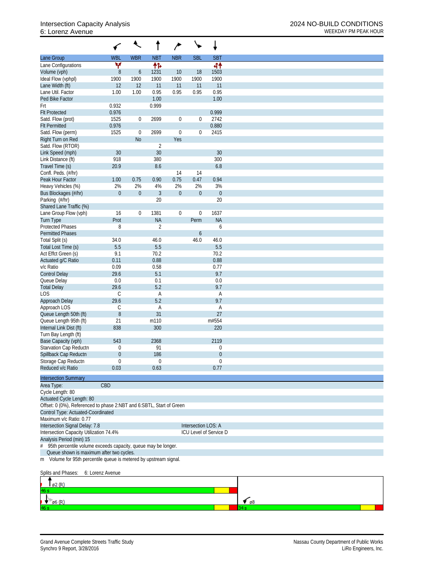## 6: Lorenz Avenue WEEKDAY PM PEAK HOUR

|                                                                       | ✔                |                  |                | ∕                |                     |                        |
|-----------------------------------------------------------------------|------------------|------------------|----------------|------------------|---------------------|------------------------|
| Lane Group                                                            | <b>WBL</b>       | <b>WBR</b>       | <b>NBT</b>     | <b>NBR</b>       | <b>SBL</b>          | <b>SBT</b>             |
| Lane Configurations                                                   | ۷                |                  | 伟              |                  |                     | 44                     |
| Volume (vph)                                                          | $8\,$            | 6                | 1231           | 10               | 18                  | 1503                   |
| Ideal Flow (vphpl)                                                    | 1900             | 1900             | 1900           | 1900             | 1900                | 1900                   |
| Lane Width (ft)                                                       | 12               | 12               | 11             | 11               | 11                  | 11                     |
| Lane Util. Factor                                                     | 1.00             | 1.00             | 0.95           | 0.95             | 0.95                | 0.95                   |
| Ped Bike Factor                                                       |                  |                  | 1.00           |                  |                     | 1.00                   |
| Frt                                                                   | 0.932            |                  | 0.999          |                  |                     |                        |
| <b>Flt Protected</b>                                                  | 0.976            |                  |                |                  |                     | 0.999                  |
| Satd. Flow (prot)                                                     | 1525             | 0                | 2699           | $\boldsymbol{0}$ | $\mathbf 0$         | 2742                   |
| <b>Flt Permitted</b>                                                  | 0.976            |                  |                |                  |                     | 0.880                  |
| Satd. Flow (perm)                                                     | 1525             | $\mathbf 0$      | 2699           | 0                | $\overline{0}$      | 2415                   |
| Right Turn on Red                                                     |                  | <b>No</b>        |                | Yes              |                     |                        |
| Satd. Flow (RTOR)                                                     |                  |                  | $\overline{2}$ |                  |                     |                        |
| Link Speed (mph)                                                      | 30               |                  | 30             |                  |                     | 30                     |
| Link Distance (ft)                                                    | 918              |                  | 380            |                  |                     | 300                    |
| Travel Time (s)                                                       | 20.9             |                  | 8.6            |                  |                     | 6.8                    |
| Confl. Peds. (#/hr)                                                   |                  |                  |                | 14               | 14                  |                        |
| Peak Hour Factor                                                      | 1.00             | 0.75             | 0.90           | 0.75             | 0.47                | 0.94                   |
| Heavy Vehicles (%)                                                    | 2%               | 2%               | 4%             | 2%               | 2%                  | 3%                     |
| Bus Blockages (#/hr)                                                  | $\mathbf{0}$     | $\boldsymbol{0}$ | $\mathfrak{Z}$ | $\boldsymbol{0}$ | $\boldsymbol{0}$    | $\boldsymbol{0}$       |
| Parking (#/hr)                                                        |                  |                  | 20             |                  |                     | 20                     |
| Shared Lane Traffic (%)                                               |                  |                  |                |                  |                     |                        |
| Lane Group Flow (vph)                                                 | 16               | $\mathbf{0}$     | 1381           | $\boldsymbol{0}$ | $\boldsymbol{0}$    | 1637                   |
| <b>Turn Type</b>                                                      | Prot             |                  | <b>NA</b>      |                  | Perm                | <b>NA</b>              |
| <b>Protected Phases</b>                                               | 8                |                  | $\overline{2}$ |                  |                     | 6                      |
| <b>Permitted Phases</b>                                               |                  |                  |                |                  | 6                   |                        |
| Total Split (s)                                                       | 34.0             |                  | 46.0           |                  | 46.0                | 46.0                   |
| Total Lost Time (s)                                                   | 5.5              |                  | 5.5            |                  |                     | 5.5                    |
| Act Effct Green (s)                                                   | 9.1              |                  | 70.2           |                  |                     | 70.2                   |
| Actuated g/C Ratio                                                    | 0.11             |                  | 0.88           |                  |                     | 0.88                   |
| v/c Ratio                                                             | 0.09             |                  | 0.58           |                  |                     | 0.77                   |
| <b>Control Delay</b>                                                  | 29.6             |                  | 5.1            |                  |                     | 9.7                    |
| Queue Delay                                                           | 0.0              |                  | 0.1            |                  |                     | $0.0\,$                |
| <b>Total Delay</b>                                                    | 29.6             |                  | 5.2            |                  |                     | 9.7                    |
| LOS                                                                   | С                |                  | Α              |                  |                     | Α                      |
| Approach Delay                                                        | 29.6             |                  | 5.2            |                  |                     | 9.7                    |
| Approach LOS                                                          | С                |                  | Α              |                  |                     | A                      |
| Queue Length 50th (ft)                                                | $8\,$            |                  | 31             |                  |                     | 27                     |
| Queue Length 95th (ft)                                                | 21               |                  | m110           |                  |                     | m#554                  |
| Internal Link Dist (ft)                                               | 838              |                  | 300            |                  |                     | 220                    |
| Turn Bay Length (ft)                                                  |                  |                  |                |                  |                     |                        |
| Base Capacity (vph)                                                   | 543              |                  | 2368           |                  |                     | 2119                   |
| Starvation Cap Reductn                                                | 0                |                  | 91             |                  |                     | 0                      |
| Spillback Cap Reductn                                                 | $\theta$         |                  | 186            |                  |                     | $\overline{0}$         |
| Storage Cap Reductn                                                   | $\mathbf 0$      |                  | $\mathbf 0$    |                  |                     | 0                      |
| Reduced v/c Ratio                                                     | 0.03             |                  | 0.63           |                  |                     | 0.77                   |
| <b>Intersection Summary</b>                                           |                  |                  |                |                  |                     |                        |
| Area Type:                                                            | CBD              |                  |                |                  |                     |                        |
| Cycle Length: 80                                                      |                  |                  |                |                  |                     |                        |
| Actuated Cycle Length: 80                                             |                  |                  |                |                  |                     |                        |
| Offset: 0 (0%), Referenced to phase 2:NBT and 6:SBTL, Start of Green  |                  |                  |                |                  |                     |                        |
| Control Type: Actuated-Coordinated                                    |                  |                  |                |                  |                     |                        |
| Maximum v/c Ratio: 0.77                                               |                  |                  |                |                  |                     |                        |
|                                                                       |                  |                  |                |                  | Intersection LOS: A |                        |
| Intersection Signal Delay: 7.8                                        |                  |                  |                |                  |                     | ICU Level of Service D |
| Intersection Capacity Utilization 74.4%                               |                  |                  |                |                  |                     |                        |
| Analysis Period (min) 15                                              |                  |                  |                |                  |                     |                        |
| $\#$<br>95th percentile volume exceeds capacity, queue may be longer. |                  |                  |                |                  |                     |                        |
| Queue shown is maximum after two cycles.                              |                  |                  |                |                  |                     |                        |
| m Volume for 95th percentile queue is metered by upstream signal.     |                  |                  |                |                  |                     |                        |
| Splits and Phases:                                                    | 6: Lorenz Avenue |                  |                |                  |                     |                        |
|                                                                       |                  |                  |                |                  |                     |                        |
| $\varnothing$ 2 $(R)$                                                 |                  |                  |                |                  |                     |                        |

 $\frac{1}{\sqrt{2}}$ 

 $\frac{1}{\cancel{66}}$  (R)

l6 s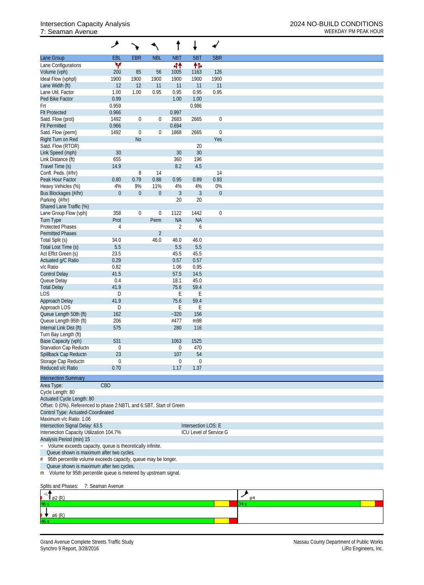## 7: Seaman Avenue WEEKDAY PM PEAK HOUR

|                                                                      | ۶                |                  |                  |                |                     |                        |
|----------------------------------------------------------------------|------------------|------------------|------------------|----------------|---------------------|------------------------|
| Lane Group                                                           | EBL              | <b>EBR</b>       | <b>NBL</b>       | <b>NBT</b>     | <b>SBT</b>          | <b>SBR</b>             |
| Lane Configurations                                                  | W                |                  |                  | 44             | 怍                   |                        |
| Volume (vph)                                                         | 200              | 85               | 56               | 1005           | 1163                | 126                    |
| Ideal Flow (vphpl)                                                   | 1900             | 1900             | 1900             | 1900           | 1900                | 1900                   |
| Lane Width (ft)                                                      | 12               | 12               | 11               | 11             | 11                  | 11                     |
| Lane Util. Factor                                                    | 1.00             | 1.00             | 0.95             | 0.95           | 0.95                | 0.95                   |
| Ped Bike Factor                                                      | 0.99             |                  |                  | 1.00           | 1.00                |                        |
| Frt                                                                  | 0.959            |                  |                  |                | 0.986               |                        |
| <b>Flt Protected</b>                                                 | 0.966            |                  |                  | 0.997          |                     |                        |
| Satd. Flow (prot)                                                    | 1492             | $\boldsymbol{0}$ | 0                | 2683           | 2665                | $\boldsymbol{0}$       |
| <b>Flt Permitted</b>                                                 | 0.966            |                  |                  | 0.694          |                     |                        |
| Satd. Flow (perm)                                                    | 1492             | $\boldsymbol{0}$ | $\boldsymbol{0}$ | 1868           | 2665                | $\boldsymbol{0}$       |
| Right Turn on Red                                                    |                  | N <sub>o</sub>   |                  |                |                     | Yes                    |
| Satd. Flow (RTOR)                                                    |                  |                  |                  |                | 20                  |                        |
| Link Speed (mph)                                                     | 30 <sup>°</sup>  |                  |                  | 30             | 30                  |                        |
| Link Distance (ft)                                                   | 655              |                  |                  | 360            | 196                 |                        |
| Travel Time (s)                                                      | 14.9             |                  |                  | 8.2            | 4.5                 |                        |
| Confl. Peds. (#/hr)                                                  |                  | 8                | 14               |                |                     | 14                     |
|                                                                      |                  | 0.79             | 0.88             |                |                     |                        |
| Peak Hour Factor                                                     | 0.80             |                  |                  | 0.95           | 0.89                | 0.93                   |
| Heavy Vehicles (%)                                                   | 4%               | 9%               | 11%              | 4%             | 4%                  | 0%                     |
| Bus Blockages (#/hr)                                                 | $\mathbf{0}$     | $\overline{0}$   | $\boldsymbol{0}$ | $\mathfrak{Z}$ | $\mathfrak{Z}$      | $\boldsymbol{0}$       |
| Parking (#/hr)                                                       |                  |                  |                  | 20             | 20                  |                        |
| Shared Lane Traffic (%)                                              |                  |                  |                  |                |                     |                        |
| Lane Group Flow (vph)                                                | 358              | $\boldsymbol{0}$ | $\boldsymbol{0}$ | 1122           | 1442                | $\boldsymbol{0}$       |
| <b>Turn Type</b>                                                     | Prot             |                  | Perm             | <b>NA</b>      | <b>NA</b>           |                        |
| <b>Protected Phases</b>                                              | $\overline{4}$   |                  |                  | $\overline{2}$ | 6                   |                        |
| <b>Permitted Phases</b>                                              |                  |                  | $\overline{2}$   |                |                     |                        |
| Total Split (s)                                                      | 34.0             |                  | 46.0             | 46.0           | 46.0                |                        |
| Total Lost Time (s)                                                  | 5.5              |                  |                  | 5.5            | 5.5                 |                        |
| Act Effct Green (s)                                                  | 23.5             |                  |                  | 45.5           | 45.5                |                        |
| Actuated g/C Ratio                                                   | 0.29             |                  |                  | 0.57           | 0.57                |                        |
| v/c Ratio                                                            | 0.82             |                  |                  | 1.06           | 0.95                |                        |
| <b>Control Delay</b>                                                 | 41.5             |                  |                  | 57.5           | 14.5                |                        |
| Queue Delay                                                          | 0.4              |                  |                  | 18.1           | 45.0                |                        |
| <b>Total Delay</b>                                                   | 41.9             |                  |                  | 75.6           | 59.4                |                        |
| LOS                                                                  | D                |                  |                  | Ε              | Ε                   |                        |
| Approach Delay                                                       | 41.9             |                  |                  | 75.6           | 59.4                |                        |
| Approach LOS                                                         | D                |                  |                  | Е              | E                   |                        |
| Queue Length 50th (ft)                                               | 162              |                  |                  | $-320$         | 156                 |                        |
| Queue Length 95th (ft)                                               | 206              |                  |                  | #477           | m98                 |                        |
| Internal Link Dist (ft)                                              | 575              |                  |                  | 280            | 116                 |                        |
| Turn Bay Length (ft)                                                 |                  |                  |                  |                |                     |                        |
| Base Capacity (vph)                                                  | 531              |                  |                  | 1063           | 1525                |                        |
| Starvation Cap Reductn                                               | $\boldsymbol{0}$ |                  |                  | $\theta$       | 470                 |                        |
| Spillback Cap Reductn                                                | 23               |                  |                  | 107            | 54                  |                        |
| Storage Cap Reductn                                                  | $\mathbf 0$      |                  |                  | $\mathbf 0$    | $\theta$            |                        |
| Reduced v/c Ratio                                                    | 0.70             |                  |                  | 1.17           | 1.37                |                        |
|                                                                      |                  |                  |                  |                |                     |                        |
| <b>Intersection Summary</b>                                          |                  |                  |                  |                |                     |                        |
| Area Type:                                                           | CBD              |                  |                  |                |                     |                        |
| Cycle Length: 80                                                     |                  |                  |                  |                |                     |                        |
| Actuated Cycle Length: 80                                            |                  |                  |                  |                |                     |                        |
| Offset: 0 (0%), Referenced to phase 2:NBTL and 6:SBT, Start of Green |                  |                  |                  |                |                     |                        |
| Control Type: Actuated-Coordinated                                   |                  |                  |                  |                |                     |                        |
| Maximum v/c Ratio: 1.06                                              |                  |                  |                  |                |                     |                        |
| Intersection Signal Delay: 63.5                                      |                  |                  |                  |                | Intersection LOS: E |                        |
| Intersection Capacity Utilization 104.7%                             |                  |                  |                  |                |                     | ICU Level of Service G |
| Analysis Period (min) 15                                             |                  |                  |                  |                |                     |                        |
| Volume exceeds capacity, queue is theoretically infinite.            |                  |                  |                  |                |                     |                        |
| $\sim$                                                               |                  |                  |                  |                |                     |                        |
| Queue shown is maximum after two cycles.                             |                  |                  |                  |                |                     |                        |
| 95th percentile volume exceeds capacity, queue may be longer.<br>#   |                  |                  |                  |                |                     |                        |
| Queue shown is maximum after two cycles.                             |                  |                  |                  |                |                     |                        |
| m Volume for 95th percentile queue is metered by upstream signal.    |                  |                  |                  |                |                     |                        |

Splits and Phases: 7: Seaman Avenue  $\frac{1}{\mathcal{Q}^4}$  $T_{\mathfrak{g2}}$  (R)  $\frac{1}{4}$ ↓ ø6 (R)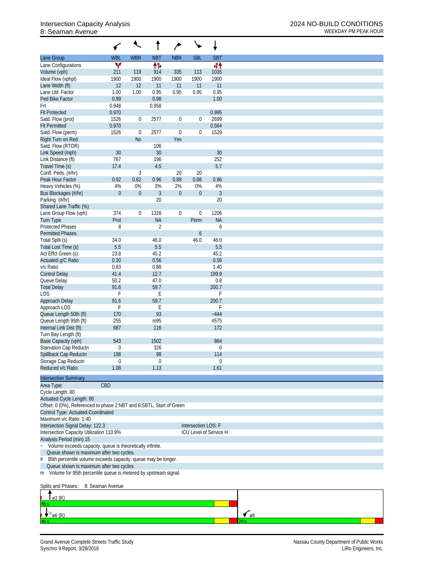## 8: Seaman Avenue WEEKDAY PM PEAK HOUR

|                                                                                   |                  |                  |                | ∕                |                     |                        |
|-----------------------------------------------------------------------------------|------------------|------------------|----------------|------------------|---------------------|------------------------|
| Lane Group                                                                        | <b>WBL</b>       | <b>WBR</b>       | <b>NBT</b>     | <b>NBR</b>       | <b>SBL</b>          | <b>SBT</b>             |
| Lane Configurations                                                               | v                |                  | 怍              |                  |                     | 44                     |
| Volume (vph)                                                                      | 211              | 119              | 914            | 335              | 113                 | 1035                   |
| Ideal Flow (vphpl)                                                                | 1900             | 1900             | 1900           | 1900             | 1900                | 1900                   |
| Lane Width (ft)                                                                   | 12               | 12               | 11             | 11               | 11                  | 11                     |
| Lane Util. Factor                                                                 | 1.00             | 1.00             | 0.95           | 0.95             | 0.95                | 0.95                   |
| Ped Bike Factor                                                                   | 0.99             |                  | 0.98           |                  |                     | 1.00                   |
| Frt                                                                               | 0.948            |                  | 0.958          |                  |                     |                        |
| <b>Flt Protected</b>                                                              | 0.970            |                  |                |                  |                     | 0.995                  |
| Satd. Flow (prot)<br><b>Flt Permitted</b>                                         | 1526<br>0.970    | $\boldsymbol{0}$ | 2577           | $\boldsymbol{0}$ | $\mathbf{0}$        | 2699<br>0.564          |
| Satd. Flow (perm)                                                                 | 1526             | $\mathbf 0$      | 2577           | $\mathbf 0$      | $\mathbf{0}$        | 1529                   |
| Right Turn on Red                                                                 |                  | N <sub>o</sub>   |                | Yes              |                     |                        |
| Satd. Flow (RTOR)                                                                 |                  |                  | 106            |                  |                     |                        |
| Link Speed (mph)                                                                  | 30               |                  | 30             |                  |                     | 30                     |
| Link Distance (ft)                                                                | 767              |                  | 196            |                  |                     | 252                    |
| Travel Time (s)                                                                   | 17.4             |                  | 4.5            |                  |                     | 5.7                    |
| Confl. Peds. (#/hr)                                                               |                  | 3                |                | 20               | 20                  |                        |
| Peak Hour Factor                                                                  | 0.92             | 0.82             | 0.96           | 0.89             | 0.88                | 0.96                   |
| Heavy Vehicles (%)                                                                | 4%               | 0%               | 3%             | 2%               | 0%                  | 4%                     |
| Bus Blockages (#/hr)                                                              | $\mathbf 0$      | $\overline{0}$   | $\mathfrak{Z}$ | $\boldsymbol{0}$ | $\boldsymbol{0}$    | $\mathfrak{Z}$         |
| Parking (#/hr)                                                                    |                  |                  | 20             |                  |                     | 20                     |
| Shared Lane Traffic (%)                                                           |                  |                  |                |                  |                     |                        |
| Lane Group Flow (vph)                                                             | 374              | $\mathbf{0}$     | 1328           | $\boldsymbol{0}$ | $\mathbf{0}$        | 1206                   |
| <b>Turn Type</b>                                                                  | Prot             |                  | <b>NA</b>      |                  | Perm                | <b>NA</b>              |
| <b>Protected Phases</b>                                                           | 8                |                  | $\overline{2}$ |                  |                     | 6                      |
| <b>Permitted Phases</b>                                                           |                  |                  |                |                  | 6                   |                        |
| Total Split (s)                                                                   | 34.0             |                  | 46.0           |                  | 46.0                | 46.0                   |
| Total Lost Time (s)                                                               | 5.5              |                  | 5.5            |                  |                     | 5.5                    |
| Act Effct Green (s)                                                               | 23.8             |                  | 45.2           |                  |                     | 45.2                   |
| Actuated g/C Ratio                                                                | 0.30             |                  | 0.56           |                  |                     | 0.56                   |
| v/c Ratio                                                                         | 0.83             |                  | 0.88           |                  |                     | 1.40                   |
| <b>Control Delay</b>                                                              | 41.4             |                  | 12.7           |                  |                     | 199.9                  |
| Queue Delay                                                                       | 50.2             |                  | 47.0           |                  |                     | 0.8                    |
| <b>Total Delay</b>                                                                | 91.6             |                  | 59.7           |                  |                     | 200.7                  |
| LOS                                                                               | F                |                  | Е              |                  |                     | F                      |
| Approach Delay                                                                    | 91.6             |                  | 59.7           |                  |                     | 200.7                  |
| Approach LOS                                                                      | F                |                  | Ε              |                  |                     | F                      |
| Queue Length 50th (ft)                                                            | 170              |                  | 93             |                  |                     | $-444$                 |
| Queue Length 95th (ft)                                                            | 255              |                  | m95            |                  |                     | #575                   |
| Internal Link Dist (ft)                                                           | 687              |                  | 116            |                  |                     | 172                    |
| Turn Bay Length (ft)                                                              |                  |                  |                |                  |                     |                        |
| Base Capacity (vph)                                                               | 543              |                  | 1502           |                  |                     | 864                    |
| Starvation Cap Reductn                                                            | 0                |                  | 326            |                  |                     | $\boldsymbol{0}$       |
| Spillback Cap Reductn                                                             | 198              |                  | 98             |                  |                     | 114                    |
| Storage Cap Reductn                                                               | 0                |                  | 0              |                  |                     | $\boldsymbol{0}$       |
| Reduced v/c Ratio                                                                 | 1.08             |                  | 1.13           |                  |                     | 1.61                   |
| <b>Intersection Summary</b>                                                       |                  |                  |                |                  |                     |                        |
|                                                                                   | CBD              |                  |                |                  |                     |                        |
| Area Type:                                                                        |                  |                  |                |                  |                     |                        |
| Cycle Length: 80<br>Actuated Cycle Length: 80                                     |                  |                  |                |                  |                     |                        |
| Offset: 0 (0%), Referenced to phase 2:NBT and 6:SBTL, Start of Green              |                  |                  |                |                  |                     |                        |
| Control Type: Actuated-Coordinated                                                |                  |                  |                |                  |                     |                        |
| Maximum v/c Ratio: 1.40                                                           |                  |                  |                |                  |                     |                        |
| Intersection Signal Delay: 122.3                                                  |                  |                  |                |                  | Intersection LOS: F |                        |
| Intersection Capacity Utilization 110.9%                                          |                  |                  |                |                  |                     | ICU Level of Service H |
| Analysis Period (min) 15                                                          |                  |                  |                |                  |                     |                        |
| Volume exceeds capacity, queue is theoretically infinite.<br>$\ddot{\phantom{0}}$ |                  |                  |                |                  |                     |                        |
| Queue shown is maximum after two cycles.                                          |                  |                  |                |                  |                     |                        |
| 95th percentile volume exceeds capacity, queue may be longer.<br>#                |                  |                  |                |                  |                     |                        |
| Queue shown is maximum after two cycles.                                          |                  |                  |                |                  |                     |                        |
| Volume for 95th percentile queue is metered by upstream signal.<br>m              |                  |                  |                |                  |                     |                        |
|                                                                                   |                  |                  |                |                  |                     |                        |
| Splits and Phases:                                                                | 8: Seaman Avenue |                  |                |                  |                     |                        |

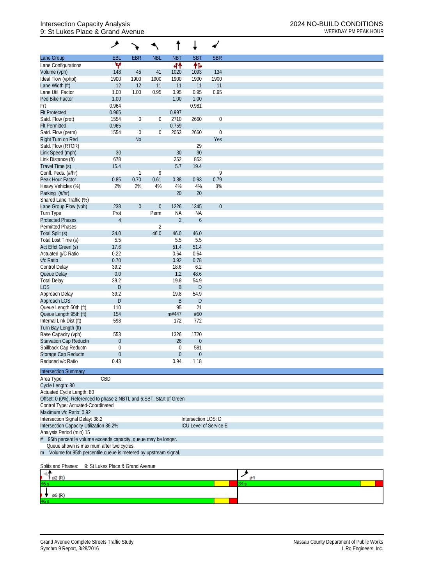## Intersection Capacity Analysis 2024 NO-BUILD CONDITIONS 9: St Lukes Place & Grand Avenue WEEKDAY PM PEAK HOUR

|                                                                      | گر                               |                  |                  |                |                     | $\overline{\phantom{a}}$ |
|----------------------------------------------------------------------|----------------------------------|------------------|------------------|----------------|---------------------|--------------------------|
| Lane Group                                                           | EBL                              | <b>EBR</b>       | <b>NBL</b>       | <b>NBT</b>     | <b>SBT</b>          | <b>SBR</b>               |
| Lane Configurations                                                  | v                                |                  |                  | 44             | 伟                   |                          |
| Volume (vph)                                                         | 148                              | 45               | 41               | 1020           | 1093                | 134                      |
| Ideal Flow (vphpl)                                                   | 1900                             | 1900             | 1900             | 1900           | 1900                | 1900                     |
| Lane Width (ft)                                                      | 12                               | 12               | 11               | 11             | 11                  | 11                       |
| Lane Util. Factor                                                    | 1.00                             | 1.00             | 0.95             | 0.95           | 0.95                | 0.95                     |
| Ped Bike Factor                                                      | 1.00                             |                  |                  | 1.00           | 1.00                |                          |
| Frt<br><b>Flt Protected</b>                                          | 0.964<br>0.965                   |                  |                  | 0.997          | 0.981               |                          |
| Satd. Flow (prot)                                                    | 1554                             | $\boldsymbol{0}$ | $\boldsymbol{0}$ | 2710           | 2660                | $\boldsymbol{0}$         |
| <b>Flt Permitted</b>                                                 | 0.965                            |                  |                  | 0.759          |                     |                          |
| Satd. Flow (perm)                                                    | 1554                             | $\boldsymbol{0}$ | $\boldsymbol{0}$ | 2063           | 2660                | $\boldsymbol{0}$         |
| Right Turn on Red                                                    |                                  | <b>No</b>        |                  |                |                     | Yes                      |
| Satd. Flow (RTOR)                                                    |                                  |                  |                  |                | 29                  |                          |
| Link Speed (mph)                                                     | 30                               |                  |                  | 30             | 30                  |                          |
| Link Distance (ft)                                                   | 678                              |                  |                  | 252            | 852                 |                          |
| Travel Time (s)                                                      | 15.4                             |                  |                  | 5.7            | 19.4                |                          |
| Confl. Peds. (#/hr)                                                  |                                  | $\mathbf{1}$     | 9                |                |                     | 9                        |
| Peak Hour Factor                                                     | 0.85                             | 0.70             | 0.61             | 0.88           | 0.93                | 0.79                     |
| Heavy Vehicles (%)                                                   | 2%                               | 2%               | 4%               | 4%             | 4%                  | 3%                       |
| Parking (#/hr)                                                       |                                  |                  |                  | 20             | 20                  |                          |
| Shared Lane Traffic (%)                                              |                                  |                  |                  |                |                     |                          |
| Lane Group Flow (vph)                                                | 238                              | $\mathbf{0}$     | $\boldsymbol{0}$ | 1226           | 1345                | $\boldsymbol{0}$         |
| Turn Type                                                            | Prot                             |                  | Perm             | <b>NA</b>      | <b>NA</b>           |                          |
| <b>Protected Phases</b>                                              | $\overline{4}$                   |                  |                  | $\overline{2}$ | 6                   |                          |
| <b>Permitted Phases</b>                                              |                                  |                  | $\overline{2}$   |                |                     |                          |
| Total Split (s)                                                      | 34.0                             |                  | 46.0             | 46.0           | 46.0                |                          |
| Total Lost Time (s)                                                  | 5.5<br>17.6                      |                  |                  | 5.5<br>51.4    | 5.5<br>51.4         |                          |
| Act Effct Green (s)<br>Actuated g/C Ratio                            | 0.22                             |                  |                  | 0.64           | 0.64                |                          |
| v/c Ratio                                                            | 0.70                             |                  |                  | 0.92           | 0.78                |                          |
| Control Delay                                                        | 39.2                             |                  |                  | 18.6           | 6.2                 |                          |
| Queue Delay                                                          | 0.0                              |                  |                  | 1.2            | 48.6                |                          |
| <b>Total Delay</b>                                                   | 39.2                             |                  |                  | 19.8           | 54.9                |                          |
| <b>LOS</b>                                                           | D                                |                  |                  | B              | $\mathsf{D}$        |                          |
| Approach Delay                                                       | 39.2                             |                  |                  | 19.8           | 54.9                |                          |
| Approach LOS                                                         | D                                |                  |                  | B              | D                   |                          |
| Queue Length 50th (ft)                                               | 110                              |                  |                  | 95             | 21                  |                          |
| Queue Length 95th (ft)                                               | 154                              |                  |                  | m#447          | #50                 |                          |
| Internal Link Dist (ft)                                              | 598                              |                  |                  | 172            | 772                 |                          |
| Turn Bay Length (ft)                                                 |                                  |                  |                  |                |                     |                          |
| Base Capacity (vph)                                                  | 553                              |                  |                  | 1326           | 1720                |                          |
| Starvation Cap Reductn                                               | 0                                |                  |                  | 26             | $\theta$            |                          |
| Spillback Cap Reductn                                                | 0                                |                  |                  | 0              | 581                 |                          |
| Storage Cap Reductn                                                  | $\mathbf 0$                      |                  |                  | $\mathbf 0$    | $\theta$            |                          |
| Reduced v/c Ratio                                                    | 0.43                             |                  |                  | 0.94           | 1.18                |                          |
| <b>Intersection Summary</b>                                          |                                  |                  |                  |                |                     |                          |
| Area Type:                                                           | CBD                              |                  |                  |                |                     |                          |
| Cycle Length: 80                                                     |                                  |                  |                  |                |                     |                          |
| Actuated Cycle Length: 80                                            |                                  |                  |                  |                |                     |                          |
| Offset: 0 (0%), Referenced to phase 2:NBTL and 6:SBT, Start of Green |                                  |                  |                  |                |                     |                          |
| Control Type: Actuated-Coordinated                                   |                                  |                  |                  |                |                     |                          |
| Maximum v/c Ratio: 0.92                                              |                                  |                  |                  |                |                     |                          |
| Intersection Signal Delay: 38.2                                      |                                  |                  |                  |                | Intersection LOS: D |                          |
| Intersection Capacity Utilization 86.2%                              |                                  |                  |                  |                |                     | ICU Level of Service E   |
| Analysis Period (min) 15                                             |                                  |                  |                  |                |                     |                          |
| 95th percentile volume exceeds capacity, queue may be longer.        |                                  |                  |                  |                |                     |                          |
| Queue shown is maximum after two cycles.                             |                                  |                  |                  |                |                     |                          |
| m Volume for 95th percentile queue is metered by upstream signal.    |                                  |                  |                  |                |                     |                          |
|                                                                      |                                  |                  |                  |                |                     |                          |
| Splits and Phases:                                                   | 9: St Lukes Place & Grand Avenue |                  |                  |                |                     |                          |
|                                                                      |                                  |                  |                  |                |                     |                          |
| ø2 (R)<br>6 s                                                        |                                  |                  |                  |                |                     |                          |
|                                                                      |                                  |                  |                  |                |                     |                          |
| ø6 (R)                                                               |                                  |                  |                  |                |                     |                          |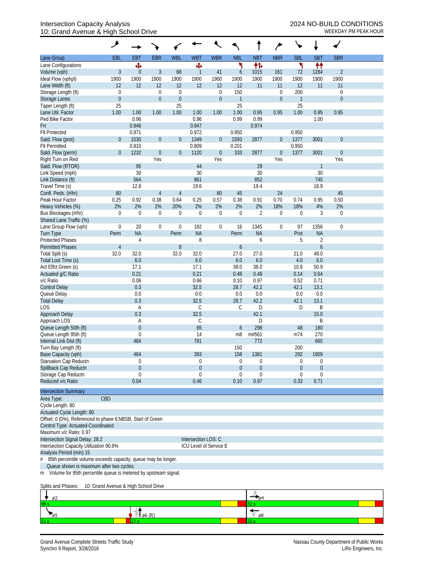## Intersection Capacity Analysis 2024 NO-BUILD CONDITIONS 10: Grand Avenue & High School Drive WEEKDAY PM PEAK HOUR

|                                                               | گر               |               |                  |                  |                        |                  |               |                  | $\overline{ }$   |                  |                  |                |  |
|---------------------------------------------------------------|------------------|---------------|------------------|------------------|------------------------|------------------|---------------|------------------|------------------|------------------|------------------|----------------|--|
| Lane Group                                                    | EBL              | <b>EBT</b>    | <b>EBR</b>       | <b>WBL</b>       | <b>WBT</b>             | <b>WBR</b>       | <b>NBL</b>    | <b>NBT</b>       | <b>NBR</b>       | <b>SBL</b>       | <b>SBT</b>       | <b>SBR</b>     |  |
| Lane Configurations                                           |                  | Ф             |                  |                  | Ф                      |                  | ۲             | 伟                |                  | ۲                | ↟↟               |                |  |
| Volume (vph)                                                  | $\mathfrak{Z}$   | $\theta$      | $\mathfrak{Z}$   | 68               | 1                      | 41               | 6             | 1015             | 161              | 72               | 1284             | $\overline{2}$ |  |
| Ideal Flow (vphpl)                                            | 1900             | 1900          | 1900             | 1900             | 1900                   | 1900             | 1900          | 1900             | 1900             | 1900             | 1900             | 1900           |  |
| Lane Width (ft)                                               | 12               | 12            | 12               | 12               | 12                     | 12               | 12            | 11               | 11               | 12               | 11               | 11             |  |
| Storage Length (ft)                                           | $\mathbf 0$      |               | $\mathbf 0$      | $\mathbf 0$      |                        | 0                | 150           |                  | $\boldsymbol{0}$ | 200              |                  | $\mathbf 0$    |  |
| <b>Storage Lanes</b>                                          | $\boldsymbol{0}$ |               | $\boldsymbol{0}$ | $\boldsymbol{0}$ |                        | $\boldsymbol{0}$ | $\mathbf{1}$  |                  | $\boldsymbol{0}$ | $\overline{1}$   |                  | $\mathbf{0}$   |  |
| Taper Length (ft)                                             | 25               |               |                  | 25               |                        |                  | 25            |                  |                  | 25               |                  |                |  |
| Lane Util. Factor                                             | 1.00             | 1.00          | 1.00             | 1.00             | 1.00                   | 1.00             | 1.00          | 0.95             | 0.95             | 1.00             | 0.95             | 0.95           |  |
| Ped Bike Factor                                               |                  | 0.96          |                  |                  | 0.96                   |                  | 0.99          | 0.99             |                  |                  | 1.00             |                |  |
| Frt                                                           |                  | 0.946         |                  |                  | 0.947                  |                  |               | 0.974            |                  |                  |                  |                |  |
| <b>Flt Protected</b><br>Satd. Flow (prot)                     | $\overline{0}$   | 0.971<br>1530 | $\boldsymbol{0}$ | $\boldsymbol{0}$ | 0.972<br>1349          | $\boldsymbol{0}$ | 0.950<br>1593 | 2877             | $\boldsymbol{0}$ | 0.950<br>1377    | 3001             | $\mathbf 0$    |  |
| <b>Flt Permitted</b>                                          |                  | 0.810         |                  |                  | 0.809                  |                  | 0.201         |                  |                  | 0.950            |                  |                |  |
| Satd. Flow (perm)                                             | $\overline{0}$   | 1232          | $\boldsymbol{0}$ | $\boldsymbol{0}$ | 1120                   | $\theta$         | 333           | 2877             | $\boldsymbol{0}$ | 1377             | 3001             | $\theta$       |  |
| Right Turn on Red                                             |                  |               | Yes              |                  |                        | Yes              |               |                  | Yes              |                  |                  | Yes            |  |
| Satd. Flow (RTOR)                                             |                  | 95            |                  |                  | 44                     |                  |               | 29               |                  |                  | $\mathbf{1}$     |                |  |
| Link Speed (mph)                                              |                  | 30            |                  |                  | 30                     |                  |               | 30               |                  |                  | 30               |                |  |
| Link Distance (ft)                                            |                  | 564           |                  |                  | 861                    |                  |               | 852              |                  |                  | 745              |                |  |
| Travel Time (s)                                               |                  | 12.8          |                  |                  | 19.6                   |                  |               | 19.4             |                  |                  | 16.9             |                |  |
| Confl. Peds. (#/hr)                                           | 80               |               | $\overline{4}$   | 4                |                        | 80               | 45            |                  | 24               |                  |                  | 45             |  |
| Peak Hour Factor                                              | 0.25             | 0.92          | 0.38             | 0.64             | 0.25                   | 0.57             | 0.38          | 0.91             | 0.70             | 0.74             | 0.95             | 0.50           |  |
| Heavy Vehicles (%)                                            | 2%               | 2%            | 2%               | 20%              | 2%                     | 2%               | 2%            | 2%               | 18%              | 18%              | 4%               | 2%             |  |
| Bus Blockages (#/hr)                                          | 0                | $\mathbf 0$   | 0                | $\boldsymbol{0}$ | 0                      | 0                | $\theta$      | $\overline{2}$   | $\boldsymbol{0}$ | $\theta$         | 3                | $\mathbf 0$    |  |
| Shared Lane Traffic (%)                                       |                  |               |                  |                  |                        |                  |               |                  |                  |                  |                  |                |  |
| Lane Group Flow (vph)                                         | $\mathbf 0$      | 20            | $\boldsymbol{0}$ | $\boldsymbol{0}$ | 182                    | $\mathbf 0$      | 16            | 1345             | $\boldsymbol{0}$ | 97               | 1356             | $\mathbf 0$    |  |
| Turn Type                                                     | Perm             | <b>NA</b>     |                  | Perm             | <b>NA</b>              |                  | Perm          | <b>NA</b>        |                  | Prot             | <b>NA</b>        |                |  |
| <b>Protected Phases</b>                                       |                  | 4             |                  |                  | 8                      |                  |               | 6                |                  | 5                | $\overline{2}$   |                |  |
| <b>Permitted Phases</b>                                       | $\overline{4}$   |               |                  | 8                |                        |                  | 6             |                  |                  |                  | $\boldsymbol{6}$ |                |  |
| Total Split (s)                                               | 32.0             | 32.0          |                  | 32.0             | 32.0                   |                  | 27.0          | 27.0             |                  | 21.0             | 48.0             |                |  |
| Total Lost Time (s)                                           |                  | 6.0           |                  |                  | 6.0                    |                  | 6.0           | 6.0              |                  | 4.0              | 6.0              |                |  |
| Act Effct Green (s)                                           |                  | 17.1          |                  |                  | 17.1                   |                  | 38.0          | 38.0             |                  | 10.9             | 50.9             |                |  |
| Actuated g/C Ratio                                            |                  | 0.21          |                  |                  | 0.21                   |                  | 0.48          | 0.48             |                  | 0.14             | 0.64             |                |  |
| v/c Ratio                                                     |                  | 0.06          |                  |                  | 0.66                   |                  | 0.10          | 0.97             |                  | 0.52             | 0.71             |                |  |
| <b>Control Delay</b>                                          |                  | 0.3           |                  |                  | 32.5                   |                  | 28.7          | 42.2             |                  | 42.1             | 13.1             |                |  |
| Queue Delay                                                   |                  | 0.0           |                  |                  | 0.0                    |                  | 0.0           | 0.0              |                  | 0.0              | 0.0              |                |  |
| <b>Total Delay</b>                                            |                  | 0.3           |                  |                  | 32.5                   |                  | 28.7          | 42.2             |                  | 42.1             | 13.1             |                |  |
| <b>LOS</b>                                                    |                  | Α             |                  |                  | C                      |                  | $\mathsf{C}$  | D                |                  | D                | B                |                |  |
| Approach Delay<br>Approach LOS                                |                  | 0.3           |                  |                  | 32.5<br>C              |                  |               | 42.1<br>D        |                  |                  | 15.0<br>B        |                |  |
| Queue Length 50th (ft)                                        |                  | A<br>$\theta$ |                  |                  | 65                     |                  | 6             | 298              |                  | 48               | 180              |                |  |
| Queue Length 95th (ft)                                        |                  | $\theta$      |                  |                  | 14                     |                  | m8            | m#561            |                  | m74              | 270              |                |  |
| Internal Link Dist (ft)                                       |                  | 484           |                  |                  | 781                    |                  |               | 772              |                  |                  | 665              |                |  |
| Turn Bay Length (ft)                                          |                  |               |                  |                  |                        |                  | 150           |                  |                  | 200              |                  |                |  |
| Base Capacity (vph)                                           |                  | 464           |                  |                  | 393                    |                  | 158           | 1381             |                  | 292              | 1909             |                |  |
| Starvation Cap Reductn                                        |                  | $\Omega$      |                  |                  | 0                      |                  | 0             | 0                |                  | $\boldsymbol{0}$ | 0                |                |  |
| Spillback Cap Reductn                                         |                  | $\theta$      |                  |                  | $\boldsymbol{0}$       |                  | $\mathbf 0$   | $\boldsymbol{0}$ |                  | $\overline{0}$   | $\mathbf 0$      |                |  |
| Storage Cap Reductn                                           |                  | $\Omega$      |                  |                  | 0                      |                  | 0             | 0                |                  | $\Omega$         | $\mathbf 0$      |                |  |
| Reduced v/c Ratio                                             |                  | 0.04          |                  |                  | 0.46                   |                  | 0.10          | 0.97             |                  | 0.33             | 0.71             |                |  |
| <b>Intersection Summary</b>                                   |                  |               |                  |                  |                        |                  |               |                  |                  |                  |                  |                |  |
| CBD<br>Area Type:                                             |                  |               |                  |                  |                        |                  |               |                  |                  |                  |                  |                |  |
| Cycle Length: 80                                              |                  |               |                  |                  |                        |                  |               |                  |                  |                  |                  |                |  |
| Actuated Cycle Length: 80                                     |                  |               |                  |                  |                        |                  |               |                  |                  |                  |                  |                |  |
| Offset: 0 (0%), Referenced to phase 6:NBSB, Start of Green    |                  |               |                  |                  |                        |                  |               |                  |                  |                  |                  |                |  |
| Control Type: Actuated-Coordinated                            |                  |               |                  |                  |                        |                  |               |                  |                  |                  |                  |                |  |
| Maximum v/c Ratio: 0.97                                       |                  |               |                  |                  |                        |                  |               |                  |                  |                  |                  |                |  |
| Intersection Signal Delay: 28.2                               |                  |               |                  |                  | Intersection LOS: C    |                  |               |                  |                  |                  |                  |                |  |
| Intersection Capacity Utilization 90.6%                       |                  |               |                  |                  | ICU Level of Service E |                  |               |                  |                  |                  |                  |                |  |
| Analysis Period (min) 15                                      |                  |               |                  |                  |                        |                  |               |                  |                  |                  |                  |                |  |
| 95th percentile volume exceeds capacity, queue may be longer. |                  |               |                  |                  |                        |                  |               |                  |                  |                  |                  |                |  |

Queue shown is maximum after two cycles.

m Volume for 95th percentile queue is metered by upstream signal.

Splits and Phases: 10: Grand Avenue & High School Drive

| —<br>$\sqrt{92}$ |     |  |
|------------------|-----|--|
| 48 <sub>5</sub>  |     |  |
|                  | -68 |  |
| 21s              |     |  |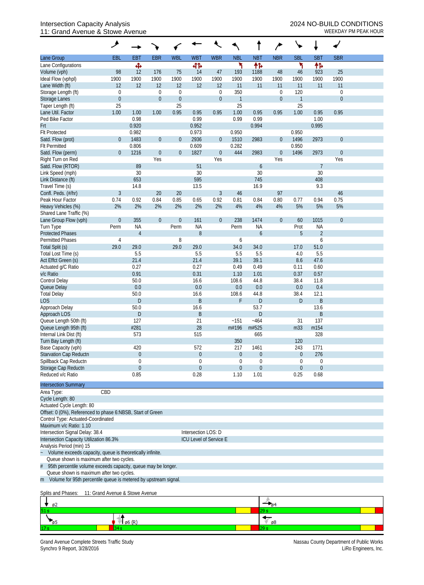## Intersection Capacity Analysis 2024 NO-BUILD CONDITIONS 11: Grand Avenue & Stowe Avenue Weekbay PM PEAK HOUR

|                                                                    | گر                                                                                                            |                |                  |                  |                        |                        |                      |                       |                  |                            |                |                  |  |
|--------------------------------------------------------------------|---------------------------------------------------------------------------------------------------------------|----------------|------------------|------------------|------------------------|------------------------|----------------------|-----------------------|------------------|----------------------------|----------------|------------------|--|
| Lane Group                                                         | <b>EBL</b>                                                                                                    | <b>EBT</b>     | <b>EBR</b>       | <b>WBL</b>       | <b>WBT</b>             | <b>WBR</b>             | <b>NBL</b>           | <b>NBT</b>            | <b>NBR</b>       | <b>SBL</b>                 | <b>SBT</b>     | <b>SBR</b>       |  |
| Lane Configurations                                                |                                                                                                               | Ф              |                  |                  | 41                     |                        | ۲                    | 怍                     |                  | ۲                          | 伟              |                  |  |
| Volume (vph)                                                       | 98                                                                                                            | 12             | 176              | 75               | 14                     | 47                     | 193                  | 1188                  | 48               | 46                         | 923            | 25               |  |
| Ideal Flow (vphpl)                                                 | 1900                                                                                                          | 1900           | 1900             | 1900             | 1900                   | 1900                   | 1900                 | 1900                  | 1900             | 1900                       | 1900           | 1900             |  |
| Lane Width (ft)                                                    | 12                                                                                                            | 12             | 12               | 12               | 12                     | 12                     | 11                   | 11                    | 11               | 11                         | 11             | 11               |  |
| Storage Length (ft)                                                | 0                                                                                                             |                | $\mathbf 0$      | $\boldsymbol{0}$ |                        | $\boldsymbol{0}$       | 350                  |                       | $\boldsymbol{0}$ | 120                        |                | $\boldsymbol{0}$ |  |
| <b>Storage Lanes</b>                                               | $\boldsymbol{0}$                                                                                              |                | $\boldsymbol{0}$ | $\boldsymbol{0}$ |                        | $\boldsymbol{0}$       | $\overline{1}$       |                       | $\mathbf 0$      | $\mathbf{1}$               |                | $\mathbf 0$      |  |
| Taper Length (ft)<br>Lane Util. Factor                             | 25<br>1.00                                                                                                    | 1.00           | 1.00             | 25<br>0.95       | 0.95                   | 0.95                   | 25<br>1.00           | 0.95                  | 0.95             | 25<br>1.00                 | 0.95           | 0.95             |  |
| Ped Bike Factor                                                    |                                                                                                               | 0.98           |                  |                  | 0.99                   |                        | 0.99                 | 0.99                  |                  |                            | 1.00           |                  |  |
| Frt                                                                |                                                                                                               | 0.920          |                  |                  | 0.952                  |                        |                      | 0.994                 |                  |                            | 0.995          |                  |  |
| <b>Flt Protected</b>                                               |                                                                                                               | 0.982          |                  |                  | 0.973                  |                        | 0.950                |                       |                  | 0.950                      |                |                  |  |
| Satd. Flow (prot)                                                  | $\mathbf 0$                                                                                                   | 1483           | $\boldsymbol{0}$ | $\theta$         | 2936                   | $\overline{0}$         | 1510                 | 2983                  | $\boldsymbol{0}$ | 1496                       | 2973           | $\mathbf{0}$     |  |
| <b>Flt Permitted</b>                                               |                                                                                                               | 0.806          |                  |                  | 0.609                  |                        | 0.282                |                       |                  | 0.950                      |                |                  |  |
| Satd. Flow (perm)                                                  | $\mathbf 0$                                                                                                   | 1216           | $\boldsymbol{0}$ | $\boldsymbol{0}$ | 1827                   | $\boldsymbol{0}$       | 444                  | 2983                  | $\theta$         | 1496                       | 2973           | $\theta$         |  |
| Right Turn on Red                                                  |                                                                                                               |                | Yes              |                  |                        | Yes                    |                      |                       | Yes              |                            |                | Yes              |  |
| Satd. Flow (RTOR)                                                  |                                                                                                               | 89             |                  |                  | 51                     |                        |                      | 6                     |                  |                            | $\overline{7}$ |                  |  |
| Link Speed (mph)                                                   |                                                                                                               | 30             |                  |                  | 30                     |                        |                      | 30                    |                  |                            | 30             |                  |  |
| Link Distance (ft)                                                 |                                                                                                               | 653            |                  |                  | 595                    |                        |                      | 745                   |                  |                            | 408            |                  |  |
| Travel Time (s)<br>Confl. Peds. (#/hr)                             |                                                                                                               | 14.8           |                  |                  | 13.5                   |                        |                      | 16.9                  | 97               |                            | 9.3            | 46               |  |
| Peak Hour Factor                                                   | $\mathfrak{Z}$<br>0.74                                                                                        | 0.92           | 20<br>0.84       | 20<br>0.85       | 0.65                   | $\mathfrak{Z}$<br>0.92 | 46<br>0.81           | 0.84                  | 0.80             | 0.77                       | 0.94           | 0.75             |  |
| Heavy Vehicles (%)                                                 | 2%                                                                                                            | 2%             | 2%               | 2%               | 2%                     | 2%                     | 4%                   | 4%                    | 4%               | 5%                         | 5%             | 5%               |  |
| Shared Lane Traffic (%)                                            |                                                                                                               |                |                  |                  |                        |                        |                      |                       |                  |                            |                |                  |  |
| Lane Group Flow (vph)                                              | $\mathbf 0$                                                                                                   | 355            | $\boldsymbol{0}$ | $\mathbf 0$      | 161                    | $\mathbf 0$            | 238                  | 1474                  | $\boldsymbol{0}$ | 60                         | 1015           | $\theta$         |  |
| Turn Type                                                          | Perm                                                                                                          | <b>NA</b>      |                  | Perm             | <b>NA</b>              |                        | Perm                 | <b>NA</b>             |                  | Prot                       | <b>NA</b>      |                  |  |
| <b>Protected Phases</b>                                            |                                                                                                               | $\overline{4}$ |                  |                  | $\, 8$                 |                        |                      | 6                     |                  | 5                          | $\overline{2}$ |                  |  |
| <b>Permitted Phases</b>                                            | 4                                                                                                             |                |                  | 8                |                        |                        | 6                    |                       |                  |                            | 6              |                  |  |
| Total Split (s)                                                    | 29.0                                                                                                          | 29.0           |                  | 29.0             | 29.0                   |                        | 34.0                 | 34.0                  |                  | 17.0                       | 51.0           |                  |  |
| Total Lost Time (s)                                                |                                                                                                               | 5.5            |                  |                  | 5.5                    |                        | 5.5                  | 5.5                   |                  | 4.0                        | 5.5            |                  |  |
| Act Effct Green (s)                                                |                                                                                                               | 21.4           |                  |                  | 21.4                   |                        | 39.1                 | 39.1                  |                  | 8.6                        | 47.6           |                  |  |
| Actuated g/C Ratio                                                 |                                                                                                               | 0.27           |                  |                  | 0.27                   |                        | 0.49                 | 0.49                  |                  | 0.11                       | 0.60           |                  |  |
| v/c Ratio<br><b>Control Delay</b>                                  |                                                                                                               | 0.91<br>50.0   |                  |                  | 0.31<br>16.6           |                        | 1.10<br>108.6        | 1.01<br>44.8          |                  | 0.37<br>38.4               | 0.57<br>11.8   |                  |  |
| Queue Delay                                                        |                                                                                                               | 0.0            |                  |                  | 0.0                    |                        | 0.0                  | 0.0                   |                  | $0.0\,$                    | 0.4            |                  |  |
| <b>Total Delay</b>                                                 |                                                                                                               | 50.0           |                  |                  | 16.6                   |                        | 108.6                | 44.8                  |                  | 38.4                       | 12.1           |                  |  |
| <b>LOS</b>                                                         |                                                                                                               | $\mathsf{D}%$  |                  |                  | B                      |                        | F                    | D                     |                  | D                          | $\sf B$        |                  |  |
| Approach Delay                                                     |                                                                                                               | 50.0           |                  |                  | 16.6                   |                        |                      | 53.7                  |                  |                            | 13.6           |                  |  |
| Approach LOS                                                       |                                                                                                               | $\mathsf{D}%$  |                  |                  | B                      |                        |                      | D                     |                  |                            | $\sf B$        |                  |  |
| Queue Length 50th (ft)                                             |                                                                                                               | 127            |                  |                  | 21                     |                        | ~151                 | $-464$                |                  | 31                         | 137            |                  |  |
| Queue Length 95th (ft)                                             |                                                                                                               | #281           |                  |                  | 28                     |                        | m#196                | m#525                 |                  | m33                        | m154           |                  |  |
| Internal Link Dist (ft)                                            |                                                                                                               | 573            |                  |                  | 515                    |                        |                      | 665                   |                  |                            | 328            |                  |  |
| Turn Bay Length (ft)                                               |                                                                                                               |                |                  |                  |                        |                        | 350                  |                       |                  | 120                        |                |                  |  |
| Base Capacity (vph)                                                |                                                                                                               | 420            |                  |                  | 572                    |                        | 217                  | 1461                  |                  | 243                        | 1771<br>276    |                  |  |
| Starvation Cap Reductn<br>Spillback Cap Reductn                    |                                                                                                               | $\theta$<br>0  |                  |                  | $\boldsymbol{0}$<br>0  |                        | $\theta$<br>$\Omega$ | $\boldsymbol{0}$<br>0 |                  | $\overline{0}$<br>$\Omega$ | $\mathbf 0$    |                  |  |
| Storage Cap Reductn                                                |                                                                                                               | $\overline{0}$ |                  |                  | $\theta$               |                        | $\overline{0}$       | $\mathbf 0$           |                  | $\overline{0}$             | $\theta$       |                  |  |
| Reduced v/c Ratio                                                  |                                                                                                               | 0.85           |                  |                  | 0.28                   |                        | 1.10                 | 1.01                  |                  | 0.25                       | 0.68           |                  |  |
|                                                                    |                                                                                                               |                |                  |                  |                        |                        |                      |                       |                  |                            |                |                  |  |
| <b>Intersection Summary</b><br>CBD                                 |                                                                                                               |                |                  |                  |                        |                        |                      |                       |                  |                            |                |                  |  |
| Area Type:<br>Cycle Length: 80                                     |                                                                                                               |                |                  |                  |                        |                        |                      |                       |                  |                            |                |                  |  |
| Actuated Cycle Length: 80                                          |                                                                                                               |                |                  |                  |                        |                        |                      |                       |                  |                            |                |                  |  |
| Offset: 0 (0%), Referenced to phase 6:NBSB, Start of Green         |                                                                                                               |                |                  |                  |                        |                        |                      |                       |                  |                            |                |                  |  |
| Control Type: Actuated-Coordinated                                 |                                                                                                               |                |                  |                  |                        |                        |                      |                       |                  |                            |                |                  |  |
| Maximum v/c Ratio: 1.10                                            |                                                                                                               |                |                  |                  |                        |                        |                      |                       |                  |                            |                |                  |  |
| Intersection Signal Delay: 38.4                                    |                                                                                                               |                |                  |                  | Intersection LOS: D    |                        |                      |                       |                  |                            |                |                  |  |
| Intersection Capacity Utilization 86.3%                            |                                                                                                               |                |                  |                  | ICU Level of Service E |                        |                      |                       |                  |                            |                |                  |  |
| Analysis Period (min) 15                                           |                                                                                                               |                |                  |                  |                        |                        |                      |                       |                  |                            |                |                  |  |
| Volume exceeds capacity, queue is theoretically infinite.          |                                                                                                               |                |                  |                  |                        |                        |                      |                       |                  |                            |                |                  |  |
| Queue shown is maximum after two cycles.                           |                                                                                                               |                |                  |                  |                        |                        |                      |                       |                  |                            |                |                  |  |
| 95th percentile volume exceeds capacity, queue may be longer.<br># |                                                                                                               |                |                  |                  |                        |                        |                      |                       |                  |                            |                |                  |  |
|                                                                    | Queue shown is maximum after two cycles.<br>m Volume for 95th percentile queue is metered by upstream signal. |                |                  |                  |                        |                        |                      |                       |                  |                            |                |                  |  |
|                                                                    |                                                                                                               |                |                  |                  |                        |                        |                      |                       |                  |                            |                |                  |  |

#### Splits and Phases: 11: Grand Avenue & Stowe Avenue

| øz              |    |
|-----------------|----|
| 51 <sub>s</sub> |    |
| ø6 (R)          | ø8 |
| 17              |    |

Grand Avenue Complete Streets Traffic Study<br>Synchro 9 Report, 3/28/2016<br>LiRo Engineers, Inc. Synchro 9 Report, 3/28/2016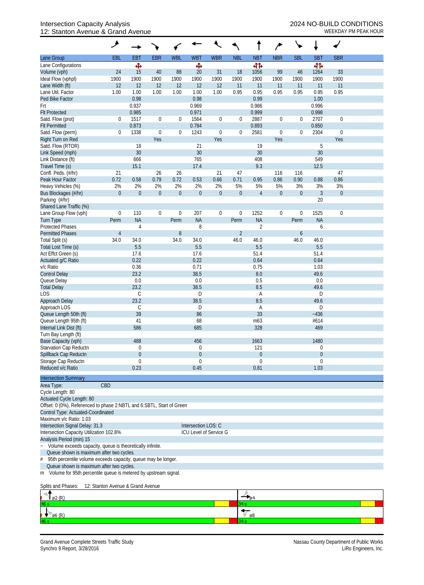## Intersection Capacity Analysis 2024 NO-BUILD CONDITIONS 12: Stanton Avenue & Grand Avenue WEEKDAY PM PEAK HOUR

| <b>EBR</b><br><b>WBL</b><br><b>WBR</b><br><b>NBT</b><br><b>NBR</b><br><b>SBL</b><br><b>SBT</b><br><b>SBR</b><br><b>EBL</b><br><b>EBT</b><br><b>WBT</b><br><b>NBL</b><br>Ф<br>Ф<br>बीर्क<br>41<br>33<br>24<br>15<br>40<br>88<br>31<br>18<br>1056<br>99<br>46<br>20<br>1264<br>1900<br>1900<br>1900<br>1900<br>1900<br>1900<br>1900<br>1900<br>1900<br>1900<br>1900<br>1900<br>12<br>12<br>12<br>12<br>12<br>12<br>11<br>11<br>11<br>11<br>11<br>11<br>0.95<br>1.00<br>0.95<br>0.95<br>0.95<br>0.95<br>0.95<br>Lane Util. Factor<br>1.00<br>1.00<br>1.00<br>1.00<br>1.00<br>0.99<br>0.98<br>0.98<br>Ped Bike Factor<br>1.00<br>Frt<br>0.937<br>0.969<br>0.986<br>0.996<br>0.999<br><b>Flt Protected</b><br>0.985<br>0.971<br>0.998<br>2887<br>2707<br>Satd. Flow (prot)<br>1517<br>$\boldsymbol{0}$<br>$\boldsymbol{0}$<br>1564<br>$\boldsymbol{0}$<br>$\boldsymbol{0}$<br>$\boldsymbol{0}$<br>0<br>0<br>$\mathbf{0}$<br>0.873<br>0.784<br>0.893<br>0.850<br><b>Flt Permitted</b><br>1338<br>2304<br>Satd. Flow (perm)<br>0<br>$\boldsymbol{0}$<br>1243<br>$\boldsymbol{0}$<br>2581<br>0<br>0<br>0<br>0<br>$\mathbf{0}$<br>Right Turn on Red<br>Yes<br>Yes<br>Yes<br>Yes<br>5<br>Satd. Flow (RTOR)<br>18<br>21<br>19<br>30<br>30<br>30<br>30<br>Link Speed (mph)<br>408<br>549<br>Link Distance (ft)<br>666<br>765<br>15.1<br>9.3<br>12.5<br>Travel Time (s)<br>17.4<br>47<br>Confl. Peds. (#/hr)<br>21<br>26<br>26<br>21<br>47<br>116<br>116<br>0.79<br>0.72<br>0.86<br>Peak Hour Factor<br>0.72<br>0.58<br>0.53<br>0.66<br>0.71<br>0.95<br>0.86<br>0.90<br>0.88<br>2%<br>2%<br>5%<br>Heavy Vehicles (%)<br>2%<br>2%<br>2%<br>2%<br>5%<br>5%<br>3%<br>3%<br>3%<br>$\overline{0}$<br>$\boldsymbol{0}$<br>$\boldsymbol{0}$<br>$\boldsymbol{0}$<br>$\boldsymbol{0}$<br>$\boldsymbol{0}$<br>$\boldsymbol{0}$<br>$\boldsymbol{0}$<br>$\mathfrak{Z}$<br>$\overline{4}$<br>$\mathbf 0$<br>$\boldsymbol{0}$<br>Bus Blockages (#/hr)<br>20<br>1252<br>1525<br>$\boldsymbol{0}$<br>110<br>$\boldsymbol{0}$<br>207<br>$\boldsymbol{0}$<br>$\boldsymbol{0}$<br>$\boldsymbol{0}$<br>$\mathbf 0$<br>$\mathbf 0$<br>0<br><b>NA</b><br><b>NA</b><br><b>NA</b><br><b>NA</b><br>Perm<br>Perm<br>Perm<br>Perm<br>8<br>$\overline{2}$<br>$\overline{4}$<br>6<br>$\overline{2}$<br>$\overline{4}$<br>8<br>6<br>34.0<br>34.0<br>34.0<br>34.0<br>46.0<br>46.0<br>46.0<br>46.0<br>5.5<br>5.5<br>5.5<br>5.5<br>Total Lost Time (s)<br>51.4<br>Act Effct Green (s)<br>17.6<br>17.6<br>51.4<br>0.22<br>0.22<br>0.64<br>0.64<br>Actuated g/C Ratio<br>0.36<br>0.71<br>0.75<br>v/c Ratio<br>1.03<br>23.2<br>38.5<br>8.0<br><b>Control Delay</b><br>49.6<br>$0.0\,$<br>0.5<br>Queue Delay<br>0.0<br>0.0<br>23.2<br>38.5<br>8.5<br><b>Total Delay</b><br>49.6<br><b>LOS</b><br>$\mathsf C$<br>D<br>D<br>A<br>23.2<br>8.5<br>38.5<br>49.6<br>Approach Delay<br>Approach LOS<br>C<br>D<br>D<br>A<br>39<br>33<br>Queue Length 50th (ft)<br>86<br>$-436$<br>Queue Length 95th (ft)<br>m63<br>#614<br>41<br>68<br>586<br>328<br>469<br>685<br>488<br>456<br>1663<br>1480<br>121<br>$\theta$<br>$\theta$<br>$\theta$<br>Spillback Cap Reductn<br>$\theta$<br>$\theta$<br>0<br>$\theta$<br>Storage Cap Reductn<br>$\Omega$<br>$\Omega$<br>$\theta$<br>0<br>Reduced v/c Ratio<br>0.23<br>0.81<br>1.03<br>0.45<br>CBD<br>Offset: 0 (0%), Referenced to phase 2:NBTL and 6:SBTL, Start of Green<br>Control Type: Actuated-Coordinated<br>Maximum v/c Ratio: 1.03<br>Intersection Signal Delay: 31.3<br>Intersection LOS: C<br>ICU Level of Service G<br>Volume exceeds capacity, queue is theoretically infinite.<br>Queue shown is maximum after two cycles.<br>95th percentile volume exceeds capacity, queue may be longer. |                             | گر                                       |  |  |  |  |  |  |  |  |  |  |  |  |
|--------------------------------------------------------------------------------------------------------------------------------------------------------------------------------------------------------------------------------------------------------------------------------------------------------------------------------------------------------------------------------------------------------------------------------------------------------------------------------------------------------------------------------------------------------------------------------------------------------------------------------------------------------------------------------------------------------------------------------------------------------------------------------------------------------------------------------------------------------------------------------------------------------------------------------------------------------------------------------------------------------------------------------------------------------------------------------------------------------------------------------------------------------------------------------------------------------------------------------------------------------------------------------------------------------------------------------------------------------------------------------------------------------------------------------------------------------------------------------------------------------------------------------------------------------------------------------------------------------------------------------------------------------------------------------------------------------------------------------------------------------------------------------------------------------------------------------------------------------------------------------------------------------------------------------------------------------------------------------------------------------------------------------------------------------------------------------------------------------------------------------------------------------------------------------------------------------------------------------------------------------------------------------------------------------------------------------------------------------------------------------------------------------------------------------------------------------------------------------------------------------------------------------------------------------------------------------------------------------------------------------------------------------------------------------------------------------------------------------------------------------------------------------------------------------------------------------------------------------------------------------------------------------------------------------------------------------------------------------------------------------------------------------------------------------------------------------------------------------------------------------------------------------------------------------------------------------------------------------------------------------------------------------------------------------------------------------------------------------------------------------------------------------------------------------------------------------------------------------------------------------------------------------------------------------------------------------------------------------------------------------------------------------------------------------------|-----------------------------|------------------------------------------|--|--|--|--|--|--|--|--|--|--|--|--|
|                                                                                                                                                                                                                                                                                                                                                                                                                                                                                                                                                                                                                                                                                                                                                                                                                                                                                                                                                                                                                                                                                                                                                                                                                                                                                                                                                                                                                                                                                                                                                                                                                                                                                                                                                                                                                                                                                                                                                                                                                                                                                                                                                                                                                                                                                                                                                                                                                                                                                                                                                                                                                                                                                                                                                                                                                                                                                                                                                                                                                                                                                                                                                                                                                                                                                                                                                                                                                                                                                                                                                                                                                                                                                      | Lane Group                  |                                          |  |  |  |  |  |  |  |  |  |  |  |  |
|                                                                                                                                                                                                                                                                                                                                                                                                                                                                                                                                                                                                                                                                                                                                                                                                                                                                                                                                                                                                                                                                                                                                                                                                                                                                                                                                                                                                                                                                                                                                                                                                                                                                                                                                                                                                                                                                                                                                                                                                                                                                                                                                                                                                                                                                                                                                                                                                                                                                                                                                                                                                                                                                                                                                                                                                                                                                                                                                                                                                                                                                                                                                                                                                                                                                                                                                                                                                                                                                                                                                                                                                                                                                                      | Lane Configurations         |                                          |  |  |  |  |  |  |  |  |  |  |  |  |
|                                                                                                                                                                                                                                                                                                                                                                                                                                                                                                                                                                                                                                                                                                                                                                                                                                                                                                                                                                                                                                                                                                                                                                                                                                                                                                                                                                                                                                                                                                                                                                                                                                                                                                                                                                                                                                                                                                                                                                                                                                                                                                                                                                                                                                                                                                                                                                                                                                                                                                                                                                                                                                                                                                                                                                                                                                                                                                                                                                                                                                                                                                                                                                                                                                                                                                                                                                                                                                                                                                                                                                                                                                                                                      | Volume (vph)                |                                          |  |  |  |  |  |  |  |  |  |  |  |  |
|                                                                                                                                                                                                                                                                                                                                                                                                                                                                                                                                                                                                                                                                                                                                                                                                                                                                                                                                                                                                                                                                                                                                                                                                                                                                                                                                                                                                                                                                                                                                                                                                                                                                                                                                                                                                                                                                                                                                                                                                                                                                                                                                                                                                                                                                                                                                                                                                                                                                                                                                                                                                                                                                                                                                                                                                                                                                                                                                                                                                                                                                                                                                                                                                                                                                                                                                                                                                                                                                                                                                                                                                                                                                                      | Ideal Flow (vphpl)          |                                          |  |  |  |  |  |  |  |  |  |  |  |  |
|                                                                                                                                                                                                                                                                                                                                                                                                                                                                                                                                                                                                                                                                                                                                                                                                                                                                                                                                                                                                                                                                                                                                                                                                                                                                                                                                                                                                                                                                                                                                                                                                                                                                                                                                                                                                                                                                                                                                                                                                                                                                                                                                                                                                                                                                                                                                                                                                                                                                                                                                                                                                                                                                                                                                                                                                                                                                                                                                                                                                                                                                                                                                                                                                                                                                                                                                                                                                                                                                                                                                                                                                                                                                                      | Lane Width (ft)             |                                          |  |  |  |  |  |  |  |  |  |  |  |  |
|                                                                                                                                                                                                                                                                                                                                                                                                                                                                                                                                                                                                                                                                                                                                                                                                                                                                                                                                                                                                                                                                                                                                                                                                                                                                                                                                                                                                                                                                                                                                                                                                                                                                                                                                                                                                                                                                                                                                                                                                                                                                                                                                                                                                                                                                                                                                                                                                                                                                                                                                                                                                                                                                                                                                                                                                                                                                                                                                                                                                                                                                                                                                                                                                                                                                                                                                                                                                                                                                                                                                                                                                                                                                                      |                             |                                          |  |  |  |  |  |  |  |  |  |  |  |  |
|                                                                                                                                                                                                                                                                                                                                                                                                                                                                                                                                                                                                                                                                                                                                                                                                                                                                                                                                                                                                                                                                                                                                                                                                                                                                                                                                                                                                                                                                                                                                                                                                                                                                                                                                                                                                                                                                                                                                                                                                                                                                                                                                                                                                                                                                                                                                                                                                                                                                                                                                                                                                                                                                                                                                                                                                                                                                                                                                                                                                                                                                                                                                                                                                                                                                                                                                                                                                                                                                                                                                                                                                                                                                                      |                             |                                          |  |  |  |  |  |  |  |  |  |  |  |  |
|                                                                                                                                                                                                                                                                                                                                                                                                                                                                                                                                                                                                                                                                                                                                                                                                                                                                                                                                                                                                                                                                                                                                                                                                                                                                                                                                                                                                                                                                                                                                                                                                                                                                                                                                                                                                                                                                                                                                                                                                                                                                                                                                                                                                                                                                                                                                                                                                                                                                                                                                                                                                                                                                                                                                                                                                                                                                                                                                                                                                                                                                                                                                                                                                                                                                                                                                                                                                                                                                                                                                                                                                                                                                                      |                             |                                          |  |  |  |  |  |  |  |  |  |  |  |  |
|                                                                                                                                                                                                                                                                                                                                                                                                                                                                                                                                                                                                                                                                                                                                                                                                                                                                                                                                                                                                                                                                                                                                                                                                                                                                                                                                                                                                                                                                                                                                                                                                                                                                                                                                                                                                                                                                                                                                                                                                                                                                                                                                                                                                                                                                                                                                                                                                                                                                                                                                                                                                                                                                                                                                                                                                                                                                                                                                                                                                                                                                                                                                                                                                                                                                                                                                                                                                                                                                                                                                                                                                                                                                                      |                             |                                          |  |  |  |  |  |  |  |  |  |  |  |  |
|                                                                                                                                                                                                                                                                                                                                                                                                                                                                                                                                                                                                                                                                                                                                                                                                                                                                                                                                                                                                                                                                                                                                                                                                                                                                                                                                                                                                                                                                                                                                                                                                                                                                                                                                                                                                                                                                                                                                                                                                                                                                                                                                                                                                                                                                                                                                                                                                                                                                                                                                                                                                                                                                                                                                                                                                                                                                                                                                                                                                                                                                                                                                                                                                                                                                                                                                                                                                                                                                                                                                                                                                                                                                                      |                             |                                          |  |  |  |  |  |  |  |  |  |  |  |  |
|                                                                                                                                                                                                                                                                                                                                                                                                                                                                                                                                                                                                                                                                                                                                                                                                                                                                                                                                                                                                                                                                                                                                                                                                                                                                                                                                                                                                                                                                                                                                                                                                                                                                                                                                                                                                                                                                                                                                                                                                                                                                                                                                                                                                                                                                                                                                                                                                                                                                                                                                                                                                                                                                                                                                                                                                                                                                                                                                                                                                                                                                                                                                                                                                                                                                                                                                                                                                                                                                                                                                                                                                                                                                                      |                             |                                          |  |  |  |  |  |  |  |  |  |  |  |  |
|                                                                                                                                                                                                                                                                                                                                                                                                                                                                                                                                                                                                                                                                                                                                                                                                                                                                                                                                                                                                                                                                                                                                                                                                                                                                                                                                                                                                                                                                                                                                                                                                                                                                                                                                                                                                                                                                                                                                                                                                                                                                                                                                                                                                                                                                                                                                                                                                                                                                                                                                                                                                                                                                                                                                                                                                                                                                                                                                                                                                                                                                                                                                                                                                                                                                                                                                                                                                                                                                                                                                                                                                                                                                                      |                             |                                          |  |  |  |  |  |  |  |  |  |  |  |  |
|                                                                                                                                                                                                                                                                                                                                                                                                                                                                                                                                                                                                                                                                                                                                                                                                                                                                                                                                                                                                                                                                                                                                                                                                                                                                                                                                                                                                                                                                                                                                                                                                                                                                                                                                                                                                                                                                                                                                                                                                                                                                                                                                                                                                                                                                                                                                                                                                                                                                                                                                                                                                                                                                                                                                                                                                                                                                                                                                                                                                                                                                                                                                                                                                                                                                                                                                                                                                                                                                                                                                                                                                                                                                                      |                             |                                          |  |  |  |  |  |  |  |  |  |  |  |  |
|                                                                                                                                                                                                                                                                                                                                                                                                                                                                                                                                                                                                                                                                                                                                                                                                                                                                                                                                                                                                                                                                                                                                                                                                                                                                                                                                                                                                                                                                                                                                                                                                                                                                                                                                                                                                                                                                                                                                                                                                                                                                                                                                                                                                                                                                                                                                                                                                                                                                                                                                                                                                                                                                                                                                                                                                                                                                                                                                                                                                                                                                                                                                                                                                                                                                                                                                                                                                                                                                                                                                                                                                                                                                                      |                             |                                          |  |  |  |  |  |  |  |  |  |  |  |  |
|                                                                                                                                                                                                                                                                                                                                                                                                                                                                                                                                                                                                                                                                                                                                                                                                                                                                                                                                                                                                                                                                                                                                                                                                                                                                                                                                                                                                                                                                                                                                                                                                                                                                                                                                                                                                                                                                                                                                                                                                                                                                                                                                                                                                                                                                                                                                                                                                                                                                                                                                                                                                                                                                                                                                                                                                                                                                                                                                                                                                                                                                                                                                                                                                                                                                                                                                                                                                                                                                                                                                                                                                                                                                                      |                             |                                          |  |  |  |  |  |  |  |  |  |  |  |  |
|                                                                                                                                                                                                                                                                                                                                                                                                                                                                                                                                                                                                                                                                                                                                                                                                                                                                                                                                                                                                                                                                                                                                                                                                                                                                                                                                                                                                                                                                                                                                                                                                                                                                                                                                                                                                                                                                                                                                                                                                                                                                                                                                                                                                                                                                                                                                                                                                                                                                                                                                                                                                                                                                                                                                                                                                                                                                                                                                                                                                                                                                                                                                                                                                                                                                                                                                                                                                                                                                                                                                                                                                                                                                                      |                             |                                          |  |  |  |  |  |  |  |  |  |  |  |  |
|                                                                                                                                                                                                                                                                                                                                                                                                                                                                                                                                                                                                                                                                                                                                                                                                                                                                                                                                                                                                                                                                                                                                                                                                                                                                                                                                                                                                                                                                                                                                                                                                                                                                                                                                                                                                                                                                                                                                                                                                                                                                                                                                                                                                                                                                                                                                                                                                                                                                                                                                                                                                                                                                                                                                                                                                                                                                                                                                                                                                                                                                                                                                                                                                                                                                                                                                                                                                                                                                                                                                                                                                                                                                                      |                             |                                          |  |  |  |  |  |  |  |  |  |  |  |  |
|                                                                                                                                                                                                                                                                                                                                                                                                                                                                                                                                                                                                                                                                                                                                                                                                                                                                                                                                                                                                                                                                                                                                                                                                                                                                                                                                                                                                                                                                                                                                                                                                                                                                                                                                                                                                                                                                                                                                                                                                                                                                                                                                                                                                                                                                                                                                                                                                                                                                                                                                                                                                                                                                                                                                                                                                                                                                                                                                                                                                                                                                                                                                                                                                                                                                                                                                                                                                                                                                                                                                                                                                                                                                                      |                             |                                          |  |  |  |  |  |  |  |  |  |  |  |  |
|                                                                                                                                                                                                                                                                                                                                                                                                                                                                                                                                                                                                                                                                                                                                                                                                                                                                                                                                                                                                                                                                                                                                                                                                                                                                                                                                                                                                                                                                                                                                                                                                                                                                                                                                                                                                                                                                                                                                                                                                                                                                                                                                                                                                                                                                                                                                                                                                                                                                                                                                                                                                                                                                                                                                                                                                                                                                                                                                                                                                                                                                                                                                                                                                                                                                                                                                                                                                                                                                                                                                                                                                                                                                                      |                             |                                          |  |  |  |  |  |  |  |  |  |  |  |  |
|                                                                                                                                                                                                                                                                                                                                                                                                                                                                                                                                                                                                                                                                                                                                                                                                                                                                                                                                                                                                                                                                                                                                                                                                                                                                                                                                                                                                                                                                                                                                                                                                                                                                                                                                                                                                                                                                                                                                                                                                                                                                                                                                                                                                                                                                                                                                                                                                                                                                                                                                                                                                                                                                                                                                                                                                                                                                                                                                                                                                                                                                                                                                                                                                                                                                                                                                                                                                                                                                                                                                                                                                                                                                                      |                             |                                          |  |  |  |  |  |  |  |  |  |  |  |  |
|                                                                                                                                                                                                                                                                                                                                                                                                                                                                                                                                                                                                                                                                                                                                                                                                                                                                                                                                                                                                                                                                                                                                                                                                                                                                                                                                                                                                                                                                                                                                                                                                                                                                                                                                                                                                                                                                                                                                                                                                                                                                                                                                                                                                                                                                                                                                                                                                                                                                                                                                                                                                                                                                                                                                                                                                                                                                                                                                                                                                                                                                                                                                                                                                                                                                                                                                                                                                                                                                                                                                                                                                                                                                                      | Parking (#/hr)              |                                          |  |  |  |  |  |  |  |  |  |  |  |  |
|                                                                                                                                                                                                                                                                                                                                                                                                                                                                                                                                                                                                                                                                                                                                                                                                                                                                                                                                                                                                                                                                                                                                                                                                                                                                                                                                                                                                                                                                                                                                                                                                                                                                                                                                                                                                                                                                                                                                                                                                                                                                                                                                                                                                                                                                                                                                                                                                                                                                                                                                                                                                                                                                                                                                                                                                                                                                                                                                                                                                                                                                                                                                                                                                                                                                                                                                                                                                                                                                                                                                                                                                                                                                                      | Shared Lane Traffic (%)     |                                          |  |  |  |  |  |  |  |  |  |  |  |  |
|                                                                                                                                                                                                                                                                                                                                                                                                                                                                                                                                                                                                                                                                                                                                                                                                                                                                                                                                                                                                                                                                                                                                                                                                                                                                                                                                                                                                                                                                                                                                                                                                                                                                                                                                                                                                                                                                                                                                                                                                                                                                                                                                                                                                                                                                                                                                                                                                                                                                                                                                                                                                                                                                                                                                                                                                                                                                                                                                                                                                                                                                                                                                                                                                                                                                                                                                                                                                                                                                                                                                                                                                                                                                                      | Lane Group Flow (vph)       |                                          |  |  |  |  |  |  |  |  |  |  |  |  |
|                                                                                                                                                                                                                                                                                                                                                                                                                                                                                                                                                                                                                                                                                                                                                                                                                                                                                                                                                                                                                                                                                                                                                                                                                                                                                                                                                                                                                                                                                                                                                                                                                                                                                                                                                                                                                                                                                                                                                                                                                                                                                                                                                                                                                                                                                                                                                                                                                                                                                                                                                                                                                                                                                                                                                                                                                                                                                                                                                                                                                                                                                                                                                                                                                                                                                                                                                                                                                                                                                                                                                                                                                                                                                      | Turn Type                   |                                          |  |  |  |  |  |  |  |  |  |  |  |  |
|                                                                                                                                                                                                                                                                                                                                                                                                                                                                                                                                                                                                                                                                                                                                                                                                                                                                                                                                                                                                                                                                                                                                                                                                                                                                                                                                                                                                                                                                                                                                                                                                                                                                                                                                                                                                                                                                                                                                                                                                                                                                                                                                                                                                                                                                                                                                                                                                                                                                                                                                                                                                                                                                                                                                                                                                                                                                                                                                                                                                                                                                                                                                                                                                                                                                                                                                                                                                                                                                                                                                                                                                                                                                                      | <b>Protected Phases</b>     |                                          |  |  |  |  |  |  |  |  |  |  |  |  |
|                                                                                                                                                                                                                                                                                                                                                                                                                                                                                                                                                                                                                                                                                                                                                                                                                                                                                                                                                                                                                                                                                                                                                                                                                                                                                                                                                                                                                                                                                                                                                                                                                                                                                                                                                                                                                                                                                                                                                                                                                                                                                                                                                                                                                                                                                                                                                                                                                                                                                                                                                                                                                                                                                                                                                                                                                                                                                                                                                                                                                                                                                                                                                                                                                                                                                                                                                                                                                                                                                                                                                                                                                                                                                      | <b>Permitted Phases</b>     |                                          |  |  |  |  |  |  |  |  |  |  |  |  |
|                                                                                                                                                                                                                                                                                                                                                                                                                                                                                                                                                                                                                                                                                                                                                                                                                                                                                                                                                                                                                                                                                                                                                                                                                                                                                                                                                                                                                                                                                                                                                                                                                                                                                                                                                                                                                                                                                                                                                                                                                                                                                                                                                                                                                                                                                                                                                                                                                                                                                                                                                                                                                                                                                                                                                                                                                                                                                                                                                                                                                                                                                                                                                                                                                                                                                                                                                                                                                                                                                                                                                                                                                                                                                      | Total Split (s)             |                                          |  |  |  |  |  |  |  |  |  |  |  |  |
|                                                                                                                                                                                                                                                                                                                                                                                                                                                                                                                                                                                                                                                                                                                                                                                                                                                                                                                                                                                                                                                                                                                                                                                                                                                                                                                                                                                                                                                                                                                                                                                                                                                                                                                                                                                                                                                                                                                                                                                                                                                                                                                                                                                                                                                                                                                                                                                                                                                                                                                                                                                                                                                                                                                                                                                                                                                                                                                                                                                                                                                                                                                                                                                                                                                                                                                                                                                                                                                                                                                                                                                                                                                                                      |                             |                                          |  |  |  |  |  |  |  |  |  |  |  |  |
|                                                                                                                                                                                                                                                                                                                                                                                                                                                                                                                                                                                                                                                                                                                                                                                                                                                                                                                                                                                                                                                                                                                                                                                                                                                                                                                                                                                                                                                                                                                                                                                                                                                                                                                                                                                                                                                                                                                                                                                                                                                                                                                                                                                                                                                                                                                                                                                                                                                                                                                                                                                                                                                                                                                                                                                                                                                                                                                                                                                                                                                                                                                                                                                                                                                                                                                                                                                                                                                                                                                                                                                                                                                                                      |                             |                                          |  |  |  |  |  |  |  |  |  |  |  |  |
|                                                                                                                                                                                                                                                                                                                                                                                                                                                                                                                                                                                                                                                                                                                                                                                                                                                                                                                                                                                                                                                                                                                                                                                                                                                                                                                                                                                                                                                                                                                                                                                                                                                                                                                                                                                                                                                                                                                                                                                                                                                                                                                                                                                                                                                                                                                                                                                                                                                                                                                                                                                                                                                                                                                                                                                                                                                                                                                                                                                                                                                                                                                                                                                                                                                                                                                                                                                                                                                                                                                                                                                                                                                                                      |                             |                                          |  |  |  |  |  |  |  |  |  |  |  |  |
|                                                                                                                                                                                                                                                                                                                                                                                                                                                                                                                                                                                                                                                                                                                                                                                                                                                                                                                                                                                                                                                                                                                                                                                                                                                                                                                                                                                                                                                                                                                                                                                                                                                                                                                                                                                                                                                                                                                                                                                                                                                                                                                                                                                                                                                                                                                                                                                                                                                                                                                                                                                                                                                                                                                                                                                                                                                                                                                                                                                                                                                                                                                                                                                                                                                                                                                                                                                                                                                                                                                                                                                                                                                                                      |                             |                                          |  |  |  |  |  |  |  |  |  |  |  |  |
|                                                                                                                                                                                                                                                                                                                                                                                                                                                                                                                                                                                                                                                                                                                                                                                                                                                                                                                                                                                                                                                                                                                                                                                                                                                                                                                                                                                                                                                                                                                                                                                                                                                                                                                                                                                                                                                                                                                                                                                                                                                                                                                                                                                                                                                                                                                                                                                                                                                                                                                                                                                                                                                                                                                                                                                                                                                                                                                                                                                                                                                                                                                                                                                                                                                                                                                                                                                                                                                                                                                                                                                                                                                                                      |                             |                                          |  |  |  |  |  |  |  |  |  |  |  |  |
|                                                                                                                                                                                                                                                                                                                                                                                                                                                                                                                                                                                                                                                                                                                                                                                                                                                                                                                                                                                                                                                                                                                                                                                                                                                                                                                                                                                                                                                                                                                                                                                                                                                                                                                                                                                                                                                                                                                                                                                                                                                                                                                                                                                                                                                                                                                                                                                                                                                                                                                                                                                                                                                                                                                                                                                                                                                                                                                                                                                                                                                                                                                                                                                                                                                                                                                                                                                                                                                                                                                                                                                                                                                                                      |                             |                                          |  |  |  |  |  |  |  |  |  |  |  |  |
|                                                                                                                                                                                                                                                                                                                                                                                                                                                                                                                                                                                                                                                                                                                                                                                                                                                                                                                                                                                                                                                                                                                                                                                                                                                                                                                                                                                                                                                                                                                                                                                                                                                                                                                                                                                                                                                                                                                                                                                                                                                                                                                                                                                                                                                                                                                                                                                                                                                                                                                                                                                                                                                                                                                                                                                                                                                                                                                                                                                                                                                                                                                                                                                                                                                                                                                                                                                                                                                                                                                                                                                                                                                                                      |                             |                                          |  |  |  |  |  |  |  |  |  |  |  |  |
|                                                                                                                                                                                                                                                                                                                                                                                                                                                                                                                                                                                                                                                                                                                                                                                                                                                                                                                                                                                                                                                                                                                                                                                                                                                                                                                                                                                                                                                                                                                                                                                                                                                                                                                                                                                                                                                                                                                                                                                                                                                                                                                                                                                                                                                                                                                                                                                                                                                                                                                                                                                                                                                                                                                                                                                                                                                                                                                                                                                                                                                                                                                                                                                                                                                                                                                                                                                                                                                                                                                                                                                                                                                                                      |                             |                                          |  |  |  |  |  |  |  |  |  |  |  |  |
|                                                                                                                                                                                                                                                                                                                                                                                                                                                                                                                                                                                                                                                                                                                                                                                                                                                                                                                                                                                                                                                                                                                                                                                                                                                                                                                                                                                                                                                                                                                                                                                                                                                                                                                                                                                                                                                                                                                                                                                                                                                                                                                                                                                                                                                                                                                                                                                                                                                                                                                                                                                                                                                                                                                                                                                                                                                                                                                                                                                                                                                                                                                                                                                                                                                                                                                                                                                                                                                                                                                                                                                                                                                                                      |                             |                                          |  |  |  |  |  |  |  |  |  |  |  |  |
|                                                                                                                                                                                                                                                                                                                                                                                                                                                                                                                                                                                                                                                                                                                                                                                                                                                                                                                                                                                                                                                                                                                                                                                                                                                                                                                                                                                                                                                                                                                                                                                                                                                                                                                                                                                                                                                                                                                                                                                                                                                                                                                                                                                                                                                                                                                                                                                                                                                                                                                                                                                                                                                                                                                                                                                                                                                                                                                                                                                                                                                                                                                                                                                                                                                                                                                                                                                                                                                                                                                                                                                                                                                                                      |                             |                                          |  |  |  |  |  |  |  |  |  |  |  |  |
|                                                                                                                                                                                                                                                                                                                                                                                                                                                                                                                                                                                                                                                                                                                                                                                                                                                                                                                                                                                                                                                                                                                                                                                                                                                                                                                                                                                                                                                                                                                                                                                                                                                                                                                                                                                                                                                                                                                                                                                                                                                                                                                                                                                                                                                                                                                                                                                                                                                                                                                                                                                                                                                                                                                                                                                                                                                                                                                                                                                                                                                                                                                                                                                                                                                                                                                                                                                                                                                                                                                                                                                                                                                                                      |                             |                                          |  |  |  |  |  |  |  |  |  |  |  |  |
|                                                                                                                                                                                                                                                                                                                                                                                                                                                                                                                                                                                                                                                                                                                                                                                                                                                                                                                                                                                                                                                                                                                                                                                                                                                                                                                                                                                                                                                                                                                                                                                                                                                                                                                                                                                                                                                                                                                                                                                                                                                                                                                                                                                                                                                                                                                                                                                                                                                                                                                                                                                                                                                                                                                                                                                                                                                                                                                                                                                                                                                                                                                                                                                                                                                                                                                                                                                                                                                                                                                                                                                                                                                                                      | Internal Link Dist (ft)     |                                          |  |  |  |  |  |  |  |  |  |  |  |  |
|                                                                                                                                                                                                                                                                                                                                                                                                                                                                                                                                                                                                                                                                                                                                                                                                                                                                                                                                                                                                                                                                                                                                                                                                                                                                                                                                                                                                                                                                                                                                                                                                                                                                                                                                                                                                                                                                                                                                                                                                                                                                                                                                                                                                                                                                                                                                                                                                                                                                                                                                                                                                                                                                                                                                                                                                                                                                                                                                                                                                                                                                                                                                                                                                                                                                                                                                                                                                                                                                                                                                                                                                                                                                                      | Turn Bay Length (ft)        |                                          |  |  |  |  |  |  |  |  |  |  |  |  |
|                                                                                                                                                                                                                                                                                                                                                                                                                                                                                                                                                                                                                                                                                                                                                                                                                                                                                                                                                                                                                                                                                                                                                                                                                                                                                                                                                                                                                                                                                                                                                                                                                                                                                                                                                                                                                                                                                                                                                                                                                                                                                                                                                                                                                                                                                                                                                                                                                                                                                                                                                                                                                                                                                                                                                                                                                                                                                                                                                                                                                                                                                                                                                                                                                                                                                                                                                                                                                                                                                                                                                                                                                                                                                      | Base Capacity (vph)         |                                          |  |  |  |  |  |  |  |  |  |  |  |  |
|                                                                                                                                                                                                                                                                                                                                                                                                                                                                                                                                                                                                                                                                                                                                                                                                                                                                                                                                                                                                                                                                                                                                                                                                                                                                                                                                                                                                                                                                                                                                                                                                                                                                                                                                                                                                                                                                                                                                                                                                                                                                                                                                                                                                                                                                                                                                                                                                                                                                                                                                                                                                                                                                                                                                                                                                                                                                                                                                                                                                                                                                                                                                                                                                                                                                                                                                                                                                                                                                                                                                                                                                                                                                                      | Starvation Cap Reductn      |                                          |  |  |  |  |  |  |  |  |  |  |  |  |
|                                                                                                                                                                                                                                                                                                                                                                                                                                                                                                                                                                                                                                                                                                                                                                                                                                                                                                                                                                                                                                                                                                                                                                                                                                                                                                                                                                                                                                                                                                                                                                                                                                                                                                                                                                                                                                                                                                                                                                                                                                                                                                                                                                                                                                                                                                                                                                                                                                                                                                                                                                                                                                                                                                                                                                                                                                                                                                                                                                                                                                                                                                                                                                                                                                                                                                                                                                                                                                                                                                                                                                                                                                                                                      |                             |                                          |  |  |  |  |  |  |  |  |  |  |  |  |
|                                                                                                                                                                                                                                                                                                                                                                                                                                                                                                                                                                                                                                                                                                                                                                                                                                                                                                                                                                                                                                                                                                                                                                                                                                                                                                                                                                                                                                                                                                                                                                                                                                                                                                                                                                                                                                                                                                                                                                                                                                                                                                                                                                                                                                                                                                                                                                                                                                                                                                                                                                                                                                                                                                                                                                                                                                                                                                                                                                                                                                                                                                                                                                                                                                                                                                                                                                                                                                                                                                                                                                                                                                                                                      |                             |                                          |  |  |  |  |  |  |  |  |  |  |  |  |
|                                                                                                                                                                                                                                                                                                                                                                                                                                                                                                                                                                                                                                                                                                                                                                                                                                                                                                                                                                                                                                                                                                                                                                                                                                                                                                                                                                                                                                                                                                                                                                                                                                                                                                                                                                                                                                                                                                                                                                                                                                                                                                                                                                                                                                                                                                                                                                                                                                                                                                                                                                                                                                                                                                                                                                                                                                                                                                                                                                                                                                                                                                                                                                                                                                                                                                                                                                                                                                                                                                                                                                                                                                                                                      |                             |                                          |  |  |  |  |  |  |  |  |  |  |  |  |
|                                                                                                                                                                                                                                                                                                                                                                                                                                                                                                                                                                                                                                                                                                                                                                                                                                                                                                                                                                                                                                                                                                                                                                                                                                                                                                                                                                                                                                                                                                                                                                                                                                                                                                                                                                                                                                                                                                                                                                                                                                                                                                                                                                                                                                                                                                                                                                                                                                                                                                                                                                                                                                                                                                                                                                                                                                                                                                                                                                                                                                                                                                                                                                                                                                                                                                                                                                                                                                                                                                                                                                                                                                                                                      | <b>Intersection Summary</b> |                                          |  |  |  |  |  |  |  |  |  |  |  |  |
|                                                                                                                                                                                                                                                                                                                                                                                                                                                                                                                                                                                                                                                                                                                                                                                                                                                                                                                                                                                                                                                                                                                                                                                                                                                                                                                                                                                                                                                                                                                                                                                                                                                                                                                                                                                                                                                                                                                                                                                                                                                                                                                                                                                                                                                                                                                                                                                                                                                                                                                                                                                                                                                                                                                                                                                                                                                                                                                                                                                                                                                                                                                                                                                                                                                                                                                                                                                                                                                                                                                                                                                                                                                                                      | Area Type:                  |                                          |  |  |  |  |  |  |  |  |  |  |  |  |
|                                                                                                                                                                                                                                                                                                                                                                                                                                                                                                                                                                                                                                                                                                                                                                                                                                                                                                                                                                                                                                                                                                                                                                                                                                                                                                                                                                                                                                                                                                                                                                                                                                                                                                                                                                                                                                                                                                                                                                                                                                                                                                                                                                                                                                                                                                                                                                                                                                                                                                                                                                                                                                                                                                                                                                                                                                                                                                                                                                                                                                                                                                                                                                                                                                                                                                                                                                                                                                                                                                                                                                                                                                                                                      | Cycle Length: 80            |                                          |  |  |  |  |  |  |  |  |  |  |  |  |
|                                                                                                                                                                                                                                                                                                                                                                                                                                                                                                                                                                                                                                                                                                                                                                                                                                                                                                                                                                                                                                                                                                                                                                                                                                                                                                                                                                                                                                                                                                                                                                                                                                                                                                                                                                                                                                                                                                                                                                                                                                                                                                                                                                                                                                                                                                                                                                                                                                                                                                                                                                                                                                                                                                                                                                                                                                                                                                                                                                                                                                                                                                                                                                                                                                                                                                                                                                                                                                                                                                                                                                                                                                                                                      | Actuated Cycle Length: 80   |                                          |  |  |  |  |  |  |  |  |  |  |  |  |
|                                                                                                                                                                                                                                                                                                                                                                                                                                                                                                                                                                                                                                                                                                                                                                                                                                                                                                                                                                                                                                                                                                                                                                                                                                                                                                                                                                                                                                                                                                                                                                                                                                                                                                                                                                                                                                                                                                                                                                                                                                                                                                                                                                                                                                                                                                                                                                                                                                                                                                                                                                                                                                                                                                                                                                                                                                                                                                                                                                                                                                                                                                                                                                                                                                                                                                                                                                                                                                                                                                                                                                                                                                                                                      |                             |                                          |  |  |  |  |  |  |  |  |  |  |  |  |
|                                                                                                                                                                                                                                                                                                                                                                                                                                                                                                                                                                                                                                                                                                                                                                                                                                                                                                                                                                                                                                                                                                                                                                                                                                                                                                                                                                                                                                                                                                                                                                                                                                                                                                                                                                                                                                                                                                                                                                                                                                                                                                                                                                                                                                                                                                                                                                                                                                                                                                                                                                                                                                                                                                                                                                                                                                                                                                                                                                                                                                                                                                                                                                                                                                                                                                                                                                                                                                                                                                                                                                                                                                                                                      |                             |                                          |  |  |  |  |  |  |  |  |  |  |  |  |
|                                                                                                                                                                                                                                                                                                                                                                                                                                                                                                                                                                                                                                                                                                                                                                                                                                                                                                                                                                                                                                                                                                                                                                                                                                                                                                                                                                                                                                                                                                                                                                                                                                                                                                                                                                                                                                                                                                                                                                                                                                                                                                                                                                                                                                                                                                                                                                                                                                                                                                                                                                                                                                                                                                                                                                                                                                                                                                                                                                                                                                                                                                                                                                                                                                                                                                                                                                                                                                                                                                                                                                                                                                                                                      |                             |                                          |  |  |  |  |  |  |  |  |  |  |  |  |
|                                                                                                                                                                                                                                                                                                                                                                                                                                                                                                                                                                                                                                                                                                                                                                                                                                                                                                                                                                                                                                                                                                                                                                                                                                                                                                                                                                                                                                                                                                                                                                                                                                                                                                                                                                                                                                                                                                                                                                                                                                                                                                                                                                                                                                                                                                                                                                                                                                                                                                                                                                                                                                                                                                                                                                                                                                                                                                                                                                                                                                                                                                                                                                                                                                                                                                                                                                                                                                                                                                                                                                                                                                                                                      |                             |                                          |  |  |  |  |  |  |  |  |  |  |  |  |
|                                                                                                                                                                                                                                                                                                                                                                                                                                                                                                                                                                                                                                                                                                                                                                                                                                                                                                                                                                                                                                                                                                                                                                                                                                                                                                                                                                                                                                                                                                                                                                                                                                                                                                                                                                                                                                                                                                                                                                                                                                                                                                                                                                                                                                                                                                                                                                                                                                                                                                                                                                                                                                                                                                                                                                                                                                                                                                                                                                                                                                                                                                                                                                                                                                                                                                                                                                                                                                                                                                                                                                                                                                                                                      | Analysis Period (min) 15    | Intersection Capacity Utilization 102.8% |  |  |  |  |  |  |  |  |  |  |  |  |
|                                                                                                                                                                                                                                                                                                                                                                                                                                                                                                                                                                                                                                                                                                                                                                                                                                                                                                                                                                                                                                                                                                                                                                                                                                                                                                                                                                                                                                                                                                                                                                                                                                                                                                                                                                                                                                                                                                                                                                                                                                                                                                                                                                                                                                                                                                                                                                                                                                                                                                                                                                                                                                                                                                                                                                                                                                                                                                                                                                                                                                                                                                                                                                                                                                                                                                                                                                                                                                                                                                                                                                                                                                                                                      |                             |                                          |  |  |  |  |  |  |  |  |  |  |  |  |
|                                                                                                                                                                                                                                                                                                                                                                                                                                                                                                                                                                                                                                                                                                                                                                                                                                                                                                                                                                                                                                                                                                                                                                                                                                                                                                                                                                                                                                                                                                                                                                                                                                                                                                                                                                                                                                                                                                                                                                                                                                                                                                                                                                                                                                                                                                                                                                                                                                                                                                                                                                                                                                                                                                                                                                                                                                                                                                                                                                                                                                                                                                                                                                                                                                                                                                                                                                                                                                                                                                                                                                                                                                                                                      |                             |                                          |  |  |  |  |  |  |  |  |  |  |  |  |
|                                                                                                                                                                                                                                                                                                                                                                                                                                                                                                                                                                                                                                                                                                                                                                                                                                                                                                                                                                                                                                                                                                                                                                                                                                                                                                                                                                                                                                                                                                                                                                                                                                                                                                                                                                                                                                                                                                                                                                                                                                                                                                                                                                                                                                                                                                                                                                                                                                                                                                                                                                                                                                                                                                                                                                                                                                                                                                                                                                                                                                                                                                                                                                                                                                                                                                                                                                                                                                                                                                                                                                                                                                                                                      |                             |                                          |  |  |  |  |  |  |  |  |  |  |  |  |
| Queue shown is maximum after two cycles.<br>m Volume for 95th percentile queue is metered by upstream signal.                                                                                                                                                                                                                                                                                                                                                                                                                                                                                                                                                                                                                                                                                                                                                                                                                                                                                                                                                                                                                                                                                                                                                                                                                                                                                                                                                                                                                                                                                                                                                                                                                                                                                                                                                                                                                                                                                                                                                                                                                                                                                                                                                                                                                                                                                                                                                                                                                                                                                                                                                                                                                                                                                                                                                                                                                                                                                                                                                                                                                                                                                                                                                                                                                                                                                                                                                                                                                                                                                                                                                                        | #                           |                                          |  |  |  |  |  |  |  |  |  |  |  |  |

Splits and Phases: 12: Stanton Avenue & Grand Avenue

|     | ø2 (R)                |    |
|-----|-----------------------|----|
| 46s |                       |    |
|     | ir (D<br><b>VO IN</b> | ø8 |
| 46s |                       |    |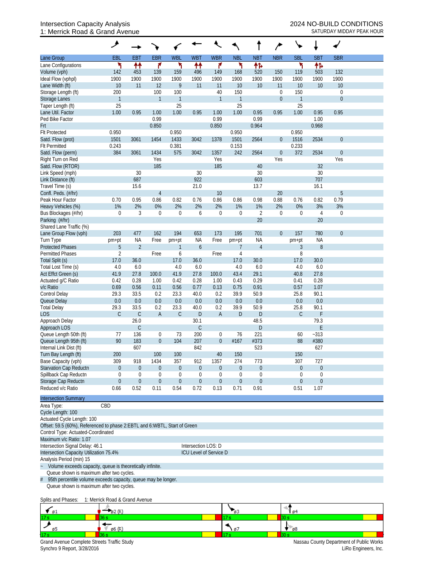#### Intersection Capacity Analysis<br>
1: Merrick Road & Grand Avenue<br>
1: Merrick Road & Grand Avenue<br>
2024 NO-BUILD CONDITIONS 1: Merrick Road & Grand Avenue

|                                                                             | ۶                                                                                                                             |                |                  |              |                  |                  |                  |                  |             |               |                  |                  |  |
|-----------------------------------------------------------------------------|-------------------------------------------------------------------------------------------------------------------------------|----------------|------------------|--------------|------------------|------------------|------------------|------------------|-------------|---------------|------------------|------------------|--|
| Lane Group                                                                  | EBL                                                                                                                           | <b>EBT</b>     | <b>EBR</b>       | <b>WBL</b>   | <b>WBT</b>       | <b>WBR</b>       | <b>NBL</b>       | <b>NBT</b>       | <b>NBR</b>  | <b>SBL</b>    | <b>SBT</b>       | <b>SBR</b>       |  |
| Lane Configurations                                                         | ۲                                                                                                                             | ↟↟             | ۴                | ۲            | ₩                | ۴                | ۲                | 伟                |             |               | 怍                |                  |  |
| Volume (vph)                                                                | 142                                                                                                                           | 453            | 139              | 159          | 496              | 149              | 168              | 520              | 150         | 119           | 503              | 132              |  |
| Ideal Flow (vphpl)                                                          | 1900                                                                                                                          | 1900           | 1900             | 1900         | 1900             | 1900             | 1900             | 1900             | 1900        | 1900          | 1900             | 1900             |  |
| Lane Width (ft)                                                             | 10                                                                                                                            | 11             | 12               | 9            | 11               | 11               | 10               | 10               | 11          | 10            | 10               | 10               |  |
| Storage Length (ft)                                                         | 200                                                                                                                           |                | 100              | 100          |                  | 40               | 150              |                  | $\mathbf 0$ | 150           |                  | $\boldsymbol{0}$ |  |
| <b>Storage Lanes</b>                                                        | $\mathbf{1}$                                                                                                                  |                | $\mathbf{1}$     | $\mathbf{1}$ |                  | $\mathbf{1}$     | $\overline{1}$   |                  | $\theta$    | $\mathbf{1}$  |                  | $\theta$         |  |
| Taper Length (ft)                                                           | 25                                                                                                                            |                |                  | 25           |                  |                  | 25               |                  |             | 25            |                  |                  |  |
| Lane Util. Factor                                                           | 1.00                                                                                                                          | 0.95           | 1.00             | 1.00         | 0.95             | 1.00             | 1.00             | 0.95             | 0.95        | 1.00          | 0.95             | 0.95             |  |
| Ped Bike Factor                                                             |                                                                                                                               |                | 0.99             |              |                  | 0.99             |                  | 0.99             |             |               | 1.00             |                  |  |
| Frt                                                                         |                                                                                                                               |                | 0.850            |              |                  | 0.850            |                  | 0.964            |             |               | 0.968            |                  |  |
| <b>Flt Protected</b>                                                        | 0.950                                                                                                                         |                |                  | 0.950        |                  |                  | 0.950            |                  |             | 0.950         |                  |                  |  |
| Satd. Flow (prot)                                                           | 1501                                                                                                                          | 3061           | 1454             | 1433         | 3042             | 1378             | 1501             | 2564             | $\theta$    | 1516<br>0.233 | 2534             | $\boldsymbol{0}$ |  |
| <b>Flt Permitted</b><br>Satd. Flow (perm)                                   | 0.243<br>384                                                                                                                  | 3061           | 1434             | 0.381<br>575 | 3042             | 1357             | 0.153<br>242     | 2564             | $\mathbf 0$ | 372           | 2534             | $\boldsymbol{0}$ |  |
| Right Turn on Red                                                           |                                                                                                                               |                | Yes              |              |                  | Yes              |                  |                  | Yes         |               |                  | Yes              |  |
| Satd. Flow (RTOR)                                                           |                                                                                                                               |                | 185              |              |                  | 185              |                  | 40               |             |               | 32               |                  |  |
| Link Speed (mph)                                                            |                                                                                                                               | 30             |                  |              | 30               |                  |                  | 30               |             |               | 30               |                  |  |
| Link Distance (ft)                                                          |                                                                                                                               | 687            |                  |              | 922              |                  |                  | 603              |             |               | 707              |                  |  |
| Travel Time (s)                                                             |                                                                                                                               | 15.6           |                  |              | 21.0             |                  |                  | 13.7             |             |               | 16.1             |                  |  |
| Confl. Peds. (#/hr)                                                         |                                                                                                                               |                | $\overline{4}$   |              |                  | 10               |                  |                  | 20          |               |                  | 5                |  |
| Peak Hour Factor                                                            | 0.70                                                                                                                          | 0.95           | 0.86             | 0.82         | 0.76             | 0.86             | 0.86             | 0.98             | 0.88        | 0.76          | 0.82             | 0.79             |  |
| Heavy Vehicles (%)                                                          | 1%                                                                                                                            | 2%             | 0%               | 2%           | 2%               | 2%               | 1%               | $1\%$            | 2%          | 0%            | 3%               | 3%               |  |
| Bus Blockages (#/hr)                                                        | 0                                                                                                                             | 3              | $\boldsymbol{0}$ | $\mathbf 0$  | 6                | $\mathbf 0$      | $\mathbf 0$      | $\overline{2}$   | $\mathbf 0$ | $\mathbf{0}$  | $\overline{4}$   | $\boldsymbol{0}$ |  |
| Parking (#/hr)                                                              |                                                                                                                               |                |                  |              |                  |                  |                  | 20               |             |               | 20               |                  |  |
| Shared Lane Traffic (%)                                                     |                                                                                                                               |                |                  |              |                  |                  |                  |                  |             |               |                  |                  |  |
| Lane Group Flow (vph)                                                       | 203                                                                                                                           | 477            | 162              | 194          | 653              | 173              | 195              | 701              | $\theta$    | 157           | 780              | $\boldsymbol{0}$ |  |
| Turn Type                                                                   | pm+pt                                                                                                                         | <b>NA</b>      | Free             | pm+pt        | <b>NA</b>        | Free             | pm+pt            | <b>NA</b>        |             | pm+pt         | <b>NA</b>        |                  |  |
| <b>Protected Phases</b>                                                     | 5                                                                                                                             | $\overline{2}$ |                  | 1            | $\boldsymbol{6}$ |                  | $\overline{7}$   | $\overline{4}$   |             | 3             | $8\,$            |                  |  |
| <b>Permitted Phases</b>                                                     | $\overline{2}$                                                                                                                |                | Free             | 6            |                  | Free             | $\overline{4}$   |                  |             | 8             |                  |                  |  |
| Total Split (s)                                                             | 17.0                                                                                                                          | 36.0           |                  | 17.0         | 36.0             |                  | 17.0             | 30.0             |             | 17.0          | 30.0             |                  |  |
| Total Lost Time (s)                                                         | 4.0                                                                                                                           | 6.0            |                  | 4.0          | 6.0              |                  | 4.0              | 6.0              |             | 4.0           | 6.0              |                  |  |
| Act Effct Green (s)                                                         | 41.9                                                                                                                          | 27.8           | 100.0            | 41.9         | 27.8             | 100.0            | 43.4             | 29.1             |             | 40.8          | 27.8             |                  |  |
| Actuated g/C Ratio                                                          | 0.42<br>0.69                                                                                                                  | 0.28<br>0.56   | 1.00<br>0.11     | 0.42<br>0.56 | 0.28<br>0.77     | 1.00<br>0.13     | 0.43<br>0.75     | 0.29<br>0.91     |             | 0.41<br>0.57  | 0.28<br>1.07     |                  |  |
| v/c Ratio<br><b>Control Delay</b>                                           | 29.3                                                                                                                          | 33.5           | 0.2              | 23.3         | 40.0             | 0.2              | 39.9             | 50.9             |             | 25.8          | 90.1             |                  |  |
| Queue Delay                                                                 | 0.0                                                                                                                           | 0.0            | 0.0              | 0.0          | 0.0              | 0.0              | 0.0              | 0.0              |             | 0.0           | 0.0              |                  |  |
| <b>Total Delay</b>                                                          | 29.3                                                                                                                          | 33.5           | 0.2              | 23.3         | 40.0             | 0.2              | 39.9             | 50.9             |             | 25.8          | 90.1             |                  |  |
| <b>LOS</b>                                                                  | $\mathsf C$                                                                                                                   | $\mathsf C$    | $\mathsf A$      | $\mathsf C$  | D                | $\overline{A}$   | D                | D                |             | $\mathsf C$   | F                |                  |  |
| Approach Delay                                                              |                                                                                                                               | 26.0           |                  |              | 30.1             |                  |                  | 48.5             |             |               | 79.3             |                  |  |
| Approach LOS                                                                |                                                                                                                               | $\mathsf C$    |                  |              | $\mathsf{C}$     |                  |                  | D                |             |               | E                |                  |  |
| Queue Length 50th (ft)                                                      | 77                                                                                                                            | 136            | $\boldsymbol{0}$ | 73           | 200              | 0                | 76               | 221              |             | 60            | $-313$           |                  |  |
| Queue Length 95th (ft)                                                      | 90                                                                                                                            | 183            | $\boldsymbol{0}$ | 104          | 207              | $\boldsymbol{0}$ | #167             | #373             |             | 88            | #380             |                  |  |
| Internal Link Dist (ft)                                                     |                                                                                                                               | 607            |                  |              | 842              |                  |                  | 523              |             |               | 627              |                  |  |
| Turn Bay Length (ft)                                                        | 200                                                                                                                           |                | 100              | 100          |                  | 40               | 150              |                  |             | 150           |                  |                  |  |
| Base Capacity (vph)                                                         | 309                                                                                                                           | 918            | 1434             | 357          | 912              | 1357             | 274              | 773              |             | 307           | 727              |                  |  |
| Starvation Cap Reductn                                                      | $\boldsymbol{0}$                                                                                                              | $\theta$       | $\boldsymbol{0}$ | $\theta$     | $\boldsymbol{0}$ | $\boldsymbol{0}$ | $\boldsymbol{0}$ | $\boldsymbol{0}$ |             | $\theta$      | $\boldsymbol{0}$ |                  |  |
| Spillback Cap Reductn                                                       | 0                                                                                                                             | $\mathbf 0$    | $\boldsymbol{0}$ | $\mathbf 0$  | $\boldsymbol{0}$ | $\boldsymbol{0}$ | $\mathbf 0$      | $\boldsymbol{0}$ |             | $\theta$      | $\mathbf 0$      |                  |  |
| Storage Cap Reductn                                                         | $\boldsymbol{0}$                                                                                                              | $\theta$       | $\boldsymbol{0}$ | $\theta$     | $\boldsymbol{0}$ | $\mathbf 0$      | $\theta$         | $\boldsymbol{0}$ |             | $\theta$      | $\theta$         |                  |  |
| Reduced v/c Ratio                                                           | 0.66                                                                                                                          | 0.52           | 0.11             | 0.54         | 0.72             | 0.13             | 0.71             | 0.91             |             | 0.51          | 1.07             |                  |  |
| <b>Intersection Summary</b>                                                 |                                                                                                                               |                |                  |              |                  |                  |                  |                  |             |               |                  |                  |  |
| CBD<br>Area Type:                                                           |                                                                                                                               |                |                  |              |                  |                  |                  |                  |             |               |                  |                  |  |
| Cycle Length: 100                                                           |                                                                                                                               |                |                  |              |                  |                  |                  |                  |             |               |                  |                  |  |
| Actuated Cycle Length: 100                                                  |                                                                                                                               |                |                  |              |                  |                  |                  |                  |             |               |                  |                  |  |
| Offset: 59.5 (60%), Referenced to phase 2: EBTL and 6: WBTL, Start of Green |                                                                                                                               |                |                  |              |                  |                  |                  |                  |             |               |                  |                  |  |
| Control Type: Actuated-Coordinated                                          |                                                                                                                               |                |                  |              |                  |                  |                  |                  |             |               |                  |                  |  |
| Maximum v/c Ratio: 1.07<br>Intersection LOS: D                              |                                                                                                                               |                |                  |              |                  |                  |                  |                  |             |               |                  |                  |  |
| Intersection Signal Delay: 46.1                                             |                                                                                                                               |                |                  |              |                  |                  |                  |                  |             |               |                  |                  |  |
| Intersection Capacity Utilization 75.4%<br>ICU Level of Service D           |                                                                                                                               |                |                  |              |                  |                  |                  |                  |             |               |                  |                  |  |
| Analysis Period (min) 15                                                    |                                                                                                                               |                |                  |              |                  |                  |                  |                  |             |               |                  |                  |  |
|                                                                             | $\ddot{\phantom{0}}$<br>Volume exceeds capacity, queue is theoretically infinite.<br>Queue shown is maximum after two cycles. |                |                  |              |                  |                  |                  |                  |             |               |                  |                  |  |
| 95th percentile volume exceeds capacity, queue may be longer.               |                                                                                                                               |                |                  |              |                  |                  |                  |                  |             |               |                  |                  |  |
|                                                                             |                                                                                                                               |                |                  |              |                  |                  |                  |                  |             |               |                  |                  |  |

Queue shown is maximum after two cycles.

### Splits and Phases: 1: Merrick Road & Grand Avenue

|                                             |                   | -63  | 64                                       |
|---------------------------------------------|-------------------|------|------------------------------------------|
| 17s                                         |                   |      |                                          |
|                                             | $\emptyset$ 6 (R) | - 07 | $-08$                                    |
| 17s                                         |                   |      |                                          |
| Grand Avenue Complete Streets Traffic Study |                   |      | Nassau County Department of Public Works |
| Synchro 9 Report, 3/28/2016                 |                   |      | LiRo Engineers, Inc.                     |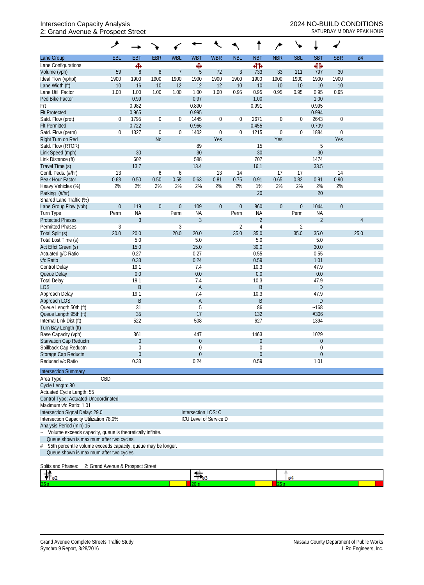## Intersection Capacity Analysis 2024 NO-BUILD CONDITIONS 2: Grand Avenue & Prospect Street Street School Contract Service SATURDAY MIDDAY PEAK HOUR

|                                                                                   | ◢                                 |                        |                  |                  |                               |                        |                  |                                 |                  |             |                       |                  |      |
|-----------------------------------------------------------------------------------|-----------------------------------|------------------------|------------------|------------------|-------------------------------|------------------------|------------------|---------------------------------|------------------|-------------|-----------------------|------------------|------|
| Lane Group                                                                        | EBL                               | <b>EBT</b>             | <b>EBR</b>       | <b>WBL</b>       | <b>WBT</b>                    | <b>WBR</b>             | <b>NBL</b>       | <b>NBT</b>                      | <b>NBR</b>       | <b>SBL</b>  | <b>SBT</b>            | <b>SBR</b>       | Ø4   |
| Lane Configurations                                                               |                                   | ф,                     |                  |                  | Ф                             |                        |                  | 41                              |                  |             | 41                    |                  |      |
| Volume (vph)                                                                      | 59                                | 8                      | $\, 8$           | $\overline{7}$   | 5                             | 72                     | $\mathfrak{Z}$   | 733                             | 33               | 111         | 797                   | 30               |      |
| Ideal Flow (vphpl)                                                                | 1900                              | 1900                   | 1900             | 1900             | 1900                          | 1900                   | 1900             | 1900                            | 1900             | 1900        | 1900                  | 1900             |      |
| Lane Width (ft)                                                                   | 10                                | 16                     | 10               | 12               | 12                            | 12                     | 10               | 10                              | 10               | 10          | 10                    | 10               |      |
| Lane Util. Factor                                                                 | 1.00                              | 1.00                   | 1.00             | 1.00             | 1.00                          | 1.00                   | 0.95             | 0.95                            | 0.95             | 0.95        | 0.95                  | 0.95             |      |
| Ped Bike Factor                                                                   |                                   | 0.99                   |                  |                  | 0.97                          |                        |                  | 1.00                            |                  |             | 1.00                  |                  |      |
| Frt                                                                               |                                   | 0.982<br>0.965         |                  |                  | 0.890<br>0.995                |                        |                  | 0.991                           |                  |             | 0.995<br>0.994        |                  |      |
| <b>Flt Protected</b><br>Satd. Flow (prot)                                         | 0                                 | 1795                   | $\boldsymbol{0}$ | $\boldsymbol{0}$ | 1445                          | $\boldsymbol{0}$       | 0                | 2671                            | $\boldsymbol{0}$ | 0           | 2643                  | $\boldsymbol{0}$ |      |
| <b>Flt Permitted</b>                                                              |                                   | 0.722                  |                  |                  | 0.966                         |                        |                  | 0.455                           |                  |             | 0.709                 |                  |      |
| Satd. Flow (perm)                                                                 | 0                                 | 1327                   | $\boldsymbol{0}$ | $\boldsymbol{0}$ | 1402                          | $\boldsymbol{0}$       | $\boldsymbol{0}$ | 1215                            | $\boldsymbol{0}$ | 0           | 1884                  | $\boldsymbol{0}$ |      |
| Right Turn on Red                                                                 |                                   |                        | <b>No</b>        |                  |                               | Yes                    |                  |                                 | Yes              |             |                       | Yes              |      |
| Satd. Flow (RTOR)                                                                 |                                   |                        |                  |                  | 89                            |                        |                  | 15                              |                  |             | 5                     |                  |      |
| Link Speed (mph)                                                                  |                                   | 30                     |                  |                  | 30                            |                        |                  | 30                              |                  |             | 30                    |                  |      |
| Link Distance (ft)                                                                |                                   | 602                    |                  |                  | 588                           |                        |                  | 707                             |                  |             | 1474                  |                  |      |
| Travel Time (s)                                                                   |                                   | 13.7                   |                  |                  | 13.4                          |                        |                  | 16.1                            |                  |             | 33.5                  |                  |      |
| Confl. Peds. (#/hr)                                                               | 13                                |                        | 6                | 6                |                               | 13                     | 14               |                                 | 17               | 17          |                       | 14               |      |
| Peak Hour Factor                                                                  | 0.68                              | 0.50                   | 0.50             | 0.58             | 0.63                          | 0.81                   | 0.75             | 0.91                            | 0.65             | 0.82        | 0.91                  | 0.90             |      |
| Heavy Vehicles (%)                                                                | 2%                                | 2%                     | 2%               | 2%               | 2%                            | 2%                     | 2%               | 1%                              | 2%               | 2%          | 2%                    | 2%               |      |
| Parking (#/hr)                                                                    |                                   |                        |                  |                  |                               |                        |                  | 20                              |                  |             | 20                    |                  |      |
| Shared Lane Traffic (%)                                                           |                                   |                        |                  |                  |                               |                        |                  |                                 |                  |             |                       |                  |      |
| Lane Group Flow (vph)                                                             | $\boldsymbol{0}$                  | 119                    | $\boldsymbol{0}$ | $\boldsymbol{0}$ | 109                           | $\overline{0}$         | $\theta$         | 860                             | $\boldsymbol{0}$ | $\mathbf 0$ | 1044                  | $\theta$         |      |
| Turn Type                                                                         | Perm                              | <b>NA</b>              |                  | Perm             | <b>NA</b>                     |                        | Perm             | <b>NA</b>                       |                  | Perm        | <b>NA</b>             |                  |      |
| <b>Protected Phases</b>                                                           |                                   | $\mathfrak{Z}$         |                  |                  | $\mathfrak{Z}$                |                        |                  | $\overline{2}$                  |                  |             | $\overline{2}$        |                  | 4    |
| <b>Permitted Phases</b>                                                           | $\sqrt{3}$                        |                        |                  | 3                |                               |                        | $\overline{2}$   | $\overline{4}$                  |                  | 2           |                       |                  |      |
| Total Split (s)                                                                   | 20.0                              | 20.0                   |                  | 20.0             | 20.0                          |                        | 35.0             | 35.0                            |                  | 35.0        | 35.0                  |                  | 25.0 |
| Total Lost Time (s)<br>Act Effct Green (s)                                        |                                   | 5.0<br>15.0            |                  |                  | 5.0<br>15.0                   |                        |                  | 5.0<br>30.0                     |                  |             | 5.0<br>30.0           |                  |      |
| Actuated g/C Ratio                                                                |                                   | 0.27                   |                  |                  | 0.27                          |                        |                  | 0.55                            |                  |             | 0.55                  |                  |      |
| v/c Ratio                                                                         |                                   | 0.33                   |                  |                  | 0.24                          |                        |                  | 0.59                            |                  |             | 1.01                  |                  |      |
| Control Delay                                                                     |                                   | 19.1                   |                  |                  | 7.4                           |                        |                  | 10.3                            |                  |             | 47.9                  |                  |      |
| Queue Delay                                                                       |                                   | 0.0                    |                  |                  | 0.0                           |                        |                  | 0.0                             |                  |             | 0.0                   |                  |      |
| <b>Total Delay</b>                                                                |                                   | 19.1                   |                  |                  | 7.4                           |                        |                  | 10.3                            |                  |             | 47.9                  |                  |      |
| <b>LOS</b>                                                                        |                                   | $\mathsf B$            |                  |                  | $\mathsf A$                   |                        |                  | $\sf B$                         |                  |             | D                     |                  |      |
| Approach Delay                                                                    |                                   | 19.1                   |                  |                  | 7.4                           |                        |                  | 10.3                            |                  |             | 47.9                  |                  |      |
| Approach LOS                                                                      |                                   | B                      |                  |                  | A                             |                        |                  | B                               |                  |             | D                     |                  |      |
| Queue Length 50th (ft)                                                            |                                   | 31                     |                  |                  | 5                             |                        |                  | 86                              |                  |             | ~168                  |                  |      |
| Queue Length 95th (ft)                                                            |                                   | 35                     |                  |                  | 17                            |                        |                  | 132                             |                  |             | #306                  |                  |      |
| Internal Link Dist (ft)                                                           |                                   | 522                    |                  |                  | 508                           |                        |                  | 627                             |                  |             | 1394                  |                  |      |
| Turn Bay Length (ft)                                                              |                                   |                        |                  |                  |                               |                        |                  |                                 |                  |             |                       |                  |      |
| Base Capacity (vph)                                                               |                                   | 361                    |                  |                  | 447                           |                        |                  | 1463                            |                  |             | 1029                  |                  |      |
| Starvation Cap Reductn                                                            |                                   | $\overline{0}$         |                  |                  | $\boldsymbol{0}$              |                        |                  | $\boldsymbol{0}$                |                  |             | $\boldsymbol{0}$      |                  |      |
| Spillback Cap Reductn<br>Storage Cap Reductn                                      |                                   | 0                      |                  |                  | $\overline{0}$<br>$\mathbf 0$ |                        |                  | $\mathbf 0$<br>$\boldsymbol{0}$ |                  |             | 0<br>$\boldsymbol{0}$ |                  |      |
| Reduced v/c Ratio                                                                 |                                   | $\overline{0}$<br>0.33 |                  |                  | 0.24                          |                        |                  | 0.59                            |                  |             | 1.01                  |                  |      |
|                                                                                   |                                   |                        |                  |                  |                               |                        |                  |                                 |                  |             |                       |                  |      |
| <b>Intersection Summary</b>                                                       |                                   |                        |                  |                  |                               |                        |                  |                                 |                  |             |                       |                  |      |
| Area Type:                                                                        | CBD                               |                        |                  |                  |                               |                        |                  |                                 |                  |             |                       |                  |      |
| Cycle Length: 80                                                                  |                                   |                        |                  |                  |                               |                        |                  |                                 |                  |             |                       |                  |      |
| Actuated Cycle Length: 55                                                         |                                   |                        |                  |                  |                               |                        |                  |                                 |                  |             |                       |                  |      |
| Control Type: Actuated-Uncoordinated<br>Maximum v/c Ratio: 1.01                   |                                   |                        |                  |                  |                               |                        |                  |                                 |                  |             |                       |                  |      |
| Intersection Signal Delay: 29.0                                                   |                                   |                        |                  |                  | Intersection LOS: C           |                        |                  |                                 |                  |             |                       |                  |      |
| Intersection Capacity Utilization 78.0%                                           |                                   |                        |                  |                  |                               | ICU Level of Service D |                  |                                 |                  |             |                       |                  |      |
| Analysis Period (min) 15                                                          |                                   |                        |                  |                  |                               |                        |                  |                                 |                  |             |                       |                  |      |
| Volume exceeds capacity, queue is theoretically infinite.<br>$\ddot{\phantom{0}}$ |                                   |                        |                  |                  |                               |                        |                  |                                 |                  |             |                       |                  |      |
| Queue shown is maximum after two cycles.                                          |                                   |                        |                  |                  |                               |                        |                  |                                 |                  |             |                       |                  |      |
| 95th percentile volume exceeds capacity, queue may be longer.<br>#                |                                   |                        |                  |                  |                               |                        |                  |                                 |                  |             |                       |                  |      |
| Queue shown is maximum after two cycles.                                          |                                   |                        |                  |                  |                               |                        |                  |                                 |                  |             |                       |                  |      |
|                                                                                   |                                   |                        |                  |                  |                               |                        |                  |                                 |                  |             |                       |                  |      |
| Splits and Phases:                                                                | 2: Grand Avenue & Prospect Street |                        |                  |                  |                               |                        |                  |                                 |                  |             |                       |                  |      |
| $\Psi_{\rho 2}$                                                                   |                                   |                        |                  |                  | ≉.                            |                        |                  |                                 |                  | 04          |                       |                  |      |

20 s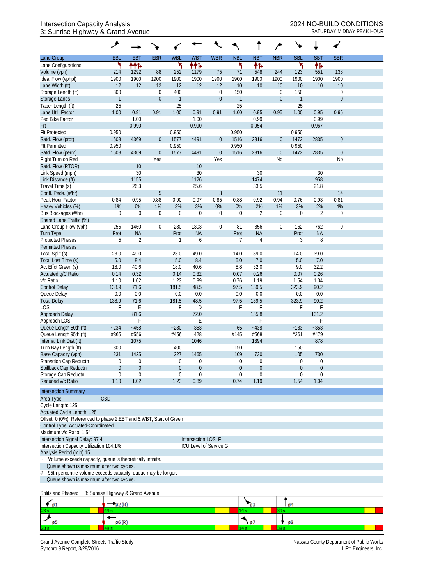## Intersection Capacity Analysis 2024 NO-BUILD CONDITIONS 3: Sunrise Highway & Grand Avenue SATURDAY MIDDAY PEAK HOUR

|                                                                                                                | ۶                                 |                  |                  |                    |                        |                            |                     |                |                  | ╰                   |                  |                  |  |
|----------------------------------------------------------------------------------------------------------------|-----------------------------------|------------------|------------------|--------------------|------------------------|----------------------------|---------------------|----------------|------------------|---------------------|------------------|------------------|--|
| Lane Group                                                                                                     | EBL                               | <b>EBT</b>       | <b>EBR</b>       | <b>WBL</b>         | <b>WBT</b>             | <b>WBR</b>                 | <b>NBL</b>          | <b>NBT</b>     | <b>NBR</b>       | <b>SBL</b>          | <b>SBT</b>       | <b>SBR</b>       |  |
| Lane Configurations                                                                                            | ۲                                 | ተተኈ              |                  | ۲                  | ተተ⊳                    |                            | ٦                   | 怍              |                  | ۲                   | 伟                |                  |  |
| Volume (vph)                                                                                                   | 214                               | 1292             | 88               | 252                | 1179                   | 75                         | 71                  | 548            | 244              | 123                 | 551              | 138              |  |
| Ideal Flow (vphpl)                                                                                             | 1900                              | 1900             | 1900             | 1900               | 1900                   | 1900                       | 1900                | 1900           | 1900             | 1900                | 1900             | 1900             |  |
| Lane Width (ft)                                                                                                | 12                                | 12               | 12               | 12                 | 12                     | 12                         | 10                  | 10             | 10               | 10                  | 10               | 10               |  |
| Storage Length (ft)                                                                                            | 300<br>$\mathbf{1}$               |                  | $\mathbf 0$      | 400                |                        | $\mathbf 0$<br>$\mathbf 0$ | 150<br>$\mathbf{1}$ |                | 0                | 150<br>$\mathbf{1}$ |                  | 0<br>$\mathbf 0$ |  |
| <b>Storage Lanes</b><br>Taper Length (ft)                                                                      | 25                                |                  | $\boldsymbol{0}$ | $\mathbf{1}$<br>25 |                        |                            | 25                  |                | $\boldsymbol{0}$ | 25                  |                  |                  |  |
| Lane Util. Factor                                                                                              | 1.00                              | 0.91             | 0.91             | 1.00               | 0.91                   | 0.91                       | 1.00                | 0.95           | 0.95             | 1.00                | 0.95             | 0.95             |  |
| Ped Bike Factor                                                                                                |                                   | 1.00             |                  |                    | 1.00                   |                            |                     | 0.99           |                  |                     | 0.99             |                  |  |
| Frt                                                                                                            |                                   | 0.990            |                  |                    | 0.990                  |                            |                     | 0.954          |                  |                     | 0.967            |                  |  |
| <b>Flt Protected</b>                                                                                           | 0.950                             |                  |                  | 0.950              |                        |                            | 0.950               |                |                  | 0.950               |                  |                  |  |
| Satd. Flow (prot)                                                                                              | 1608                              | 4369             | $\boldsymbol{0}$ | 1577               | 4491                   | $\overline{0}$             | 1516                | 2816           | $\boldsymbol{0}$ | 1472                | 2835             | $\overline{0}$   |  |
| <b>Flt Permitted</b>                                                                                           | 0.950                             |                  |                  | 0.950              |                        |                            | 0.950               |                |                  | 0.950               |                  |                  |  |
| Satd. Flow (perm)                                                                                              | 1608                              | 4369             | $\boldsymbol{0}$ | 1577               | 4491                   | $\boldsymbol{0}$           | 1516                | 2816           | $\boldsymbol{0}$ | 1472                | 2835             | $\boldsymbol{0}$ |  |
| Right Turn on Red                                                                                              |                                   |                  | Yes              |                    |                        | Yes                        |                     |                | No               |                     |                  | N <sub>0</sub>   |  |
| Satd. Flow (RTOR)                                                                                              |                                   | 10               |                  |                    | 10                     |                            |                     |                |                  |                     |                  |                  |  |
| Link Speed (mph)                                                                                               |                                   | 30               |                  |                    | 30                     |                            |                     | 30             |                  |                     | 30               |                  |  |
| Link Distance (ft)                                                                                             |                                   | 1155             |                  |                    | 1126                   |                            |                     | 1474           |                  |                     | 958              |                  |  |
| Travel Time (s)                                                                                                |                                   | 26.3             |                  |                    | 25.6                   | 3                          |                     | 33.5           | 11               |                     | 21.8             | 14               |  |
| Confl. Peds. (#/hr)<br>Peak Hour Factor                                                                        | 0.84                              | 0.95             | 5<br>0.88        | 0.90               | 0.97                   | 0.85                       | 0.88                | 0.92           | 0.94             | 0.76                | 0.93             | 0.81             |  |
| Heavy Vehicles (%)                                                                                             | 1%                                | 6%               | 1%               | 3%                 | 3%                     | 0%                         | 0%                  | 2%             | 1%               | 3%                  | 2%               | 4%               |  |
| Bus Blockages (#/hr)                                                                                           | $\boldsymbol{0}$                  | $\boldsymbol{0}$ | 0                | $\boldsymbol{0}$   | 0                      | $\boldsymbol{0}$           | $\theta$            | $\overline{2}$ | 0                | 0                   | $\overline{2}$   | $\mathbf 0$      |  |
| Shared Lane Traffic (%)                                                                                        |                                   |                  |                  |                    |                        |                            |                     |                |                  |                     |                  |                  |  |
| Lane Group Flow (vph)                                                                                          | 255                               | 1460             | $\boldsymbol{0}$ | 280                | 1303                   | $\boldsymbol{0}$           | 81                  | 856            | $\boldsymbol{0}$ | 162                 | 762              | $\mathbf 0$      |  |
| <b>Turn Type</b>                                                                                               | Prot                              | <b>NA</b>        |                  | Prot               | <b>NA</b>              |                            | Prot                | <b>NA</b>      |                  | Prot                | <b>NA</b>        |                  |  |
| <b>Protected Phases</b>                                                                                        | 5                                 | $\overline{2}$   |                  | -1                 | 6                      |                            | 7                   | 4              |                  | 3                   | 8                |                  |  |
| <b>Permitted Phases</b>                                                                                        |                                   |                  |                  |                    |                        |                            |                     |                |                  |                     |                  |                  |  |
| Total Split (s)                                                                                                | 23.0                              | 49.0             |                  | 23.0               | 49.0                   |                            | 14.0                | 39.0           |                  | 14.0                | 39.0             |                  |  |
| Total Lost Time (s)                                                                                            | $5.0\,$                           | 8.4              |                  | 5.0                | 8.4                    |                            | 5.0                 | 7.0            |                  | 5.0                 | 7.0              |                  |  |
| Act Effct Green (s)                                                                                            | 18.0                              | 40.6             |                  | 18.0               | 40.6                   |                            | 8.8                 | 32.0           |                  | 9.0                 | 32.2             |                  |  |
| Actuated g/C Ratio                                                                                             | 0.14                              | 0.32             |                  | 0.14               | 0.32                   |                            | 0.07                | 0.26           |                  | 0.07                | 0.26             |                  |  |
| v/c Ratio                                                                                                      | 1.10                              | 1.02             |                  | 1.23               | 0.89                   |                            | 0.76                | 1.19           |                  | 1.54                | 1.04             |                  |  |
| <b>Control Delay</b>                                                                                           | 138.9                             | 71.6             |                  | 181.5              | 48.5                   |                            | 97.5                | 139.5          |                  | 323.9               | 90.2             |                  |  |
| Queue Delay                                                                                                    | 0.0                               | 0.0              |                  | 0.0                | 0.0                    |                            | 0.0                 | 0.0            |                  | 0.0                 | 0.0              |                  |  |
| <b>Total Delay</b><br><b>LOS</b>                                                                               | 138.9<br>F                        | 71.6<br>Ε        |                  | 181.5<br>F         | 48.5<br>D              |                            | 97.5<br>F           | 139.5<br>F     |                  | 323.9<br>F          | 90.2<br>F        |                  |  |
| Approach Delay                                                                                                 |                                   | 81.6             |                  |                    | 72.0                   |                            |                     | 135.8          |                  |                     | 131.2            |                  |  |
| Approach LOS                                                                                                   |                                   | F                |                  |                    | Ε                      |                            |                     | F              |                  |                     | F                |                  |  |
| Queue Length 50th (ft)                                                                                         | $-234$                            | $-458$           |                  | $-280$             | 363                    |                            | 65                  | $-438$         |                  | ~183                | $-353$           |                  |  |
| Queue Length 95th (ft)                                                                                         | #365                              | #556             |                  | #456               | 428                    |                            | #145                | #568           |                  | #261                | #479             |                  |  |
| Internal Link Dist (ft)                                                                                        |                                   | 1075             |                  |                    | 1046                   |                            |                     | 1394           |                  |                     | 878              |                  |  |
| Turn Bay Length (ft)                                                                                           | 300                               |                  |                  | 400                |                        |                            | 150                 |                |                  | 150                 |                  |                  |  |
| Base Capacity (vph)                                                                                            | 231                               | 1425             |                  | 227                | 1465                   |                            | 109                 | 720            |                  | 105                 | 730              |                  |  |
| Starvation Cap Reductn                                                                                         | 0                                 | 0                |                  | 0                  | 0                      |                            | $\boldsymbol{0}$    | 0              |                  | $\mathbf 0$         | $\boldsymbol{0}$ |                  |  |
| Spillback Cap Reductn                                                                                          | $\overline{0}$                    | $\mathbf{0}$     |                  | $\theta$           | $\mathbf 0$            |                            | $\overline{0}$      | $\overline{0}$ |                  | $\overline{0}$      | $\theta$         |                  |  |
| Storage Cap Reductn                                                                                            | 0                                 | $\mathbf 0$      |                  | $\theta$           | 0                      |                            | $\boldsymbol{0}$    | 0              |                  | 0                   | $\mathbf 0$      |                  |  |
| Reduced v/c Ratio                                                                                              | 1.10                              | 1.02             |                  | 1.23               | 0.89                   |                            | 0.74                | 1.19           |                  | 1.54                | 1.04             |                  |  |
| <b>Intersection Summary</b>                                                                                    |                                   |                  |                  |                    |                        |                            |                     |                |                  |                     |                  |                  |  |
| Area Type:                                                                                                     | CBD                               |                  |                  |                    |                        |                            |                     |                |                  |                     |                  |                  |  |
| Cycle Length: 125                                                                                              |                                   |                  |                  |                    |                        |                            |                     |                |                  |                     |                  |                  |  |
| Actuated Cycle Length: 125                                                                                     |                                   |                  |                  |                    |                        |                            |                     |                |                  |                     |                  |                  |  |
| Offset: 0 (0%), Referenced to phase 2:EBT and 6:WBT, Start of Green                                            |                                   |                  |                  |                    |                        |                            |                     |                |                  |                     |                  |                  |  |
| Control Type: Actuated-Coordinated                                                                             |                                   |                  |                  |                    |                        |                            |                     |                |                  |                     |                  |                  |  |
| Maximum v/c Ratio: 1.54                                                                                        |                                   |                  |                  |                    |                        |                            |                     |                |                  |                     |                  |                  |  |
| Intersection Signal Delay: 97.4                                                                                |                                   |                  |                  |                    | Intersection LOS: F    |                            |                     |                |                  |                     |                  |                  |  |
| Intersection Capacity Utilization 104.1%                                                                       |                                   |                  |                  |                    | ICU Level of Service G |                            |                     |                |                  |                     |                  |                  |  |
| Analysis Period (min) 15                                                                                       |                                   |                  |                  |                    |                        |                            |                     |                |                  |                     |                  |                  |  |
| Volume exceeds capacity, queue is theoretically infinite.                                                      |                                   |                  |                  |                    |                        |                            |                     |                |                  |                     |                  |                  |  |
| Queue shown is maximum after two cycles.                                                                       |                                   |                  |                  |                    |                        |                            |                     |                |                  |                     |                  |                  |  |
| 95th percentile volume exceeds capacity, queue may be longer.<br>#<br>Queue shown is maximum after two cycles. |                                   |                  |                  |                    |                        |                            |                     |                |                  |                     |                  |                  |  |
|                                                                                                                |                                   |                  |                  |                    |                        |                            |                     |                |                  |                     |                  |                  |  |
| Splits and Phases:                                                                                             | 3: Sunrise Highway & Grand Avenue |                  |                  |                    |                        |                            |                     |                |                  |                     |                  |                  |  |
|                                                                                                                |                                   |                  |                  |                    |                        |                            |                     |                |                  | ∱ 1                 |                  |                  |  |
| $\epsilon_{\beta1}$                                                                                            | $\mathfrak{g}(R)$                 |                  |                  |                    |                        |                            |                     | $\frac{1}{93}$ |                  |                     |                  |                  |  |

#### $\mathcal{L}(\mathcal{A})$ l4s. 3 s  $\frac{238}{95}$  $\frac{1}{\sqrt{97}}$  $\frac{1}{\cancel{66}}$  (R)

Grand Avenue Complete Streets Traffic Study<br>Synchro 9 Report, 3/28/2016<br>LiRo Engineers, Inc. Synchro 9 Report, 3/28/2016

19

 $\frac{1}{\sqrt{8}}$ 

 $\overline{14s}$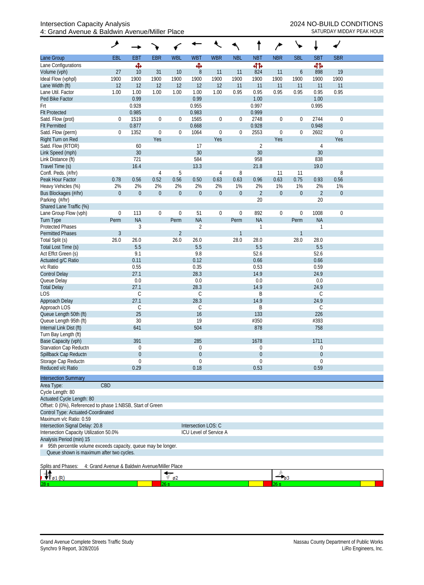| <b>EBT</b><br><b>EBR</b><br><b>WBL</b><br><b>WBT</b><br><b>NBT</b><br><b>NBR</b><br><b>SBL</b><br><b>SBT</b><br><b>SBR</b><br><b>EBL</b><br><b>WBR</b><br><b>NBL</b><br>बीर्क<br>ф,<br>Ф<br>412<br>10<br>$\, 8$<br>824<br>19<br>Volume (vph)<br>27<br>31<br>10<br>11<br>11<br>898<br>11<br>6<br>1900<br>Ideal Flow (vphpl)<br>1900<br>1900<br>1900<br>1900<br>1900<br>1900<br>1900<br>1900<br>1900<br>1900<br>1900<br>12<br>12<br>12<br>12<br>12<br>11<br>11<br>11<br>Lane Width (ft)<br>12<br>11<br>11<br>11<br>Lane Util. Factor<br>1.00<br>1.00<br>1.00<br>0.95<br>0.95<br>0.95<br>0.95<br>0.95<br>1.00<br>1.00<br>1.00<br>0.95<br>Ped Bike Factor<br>0.99<br>0.99<br>1.00<br>1.00<br>0.928<br>0.955<br>0.997<br>Frt<br>0.995<br><b>Flt Protected</b><br>0.985<br>0.983<br>0.999<br>1519<br>$\boldsymbol{0}$<br>1565<br>2748<br>Satd. Flow (prot)<br>$\boldsymbol{0}$<br>$\boldsymbol{0}$<br>$\boldsymbol{0}$<br>2744<br>$\mathbf 0$<br>0<br>$\boldsymbol{0}$<br>0<br>0.877<br>0.668<br>0.928<br>0.948<br><b>Flt Permitted</b><br>1352<br>$\boldsymbol{0}$<br>1064<br>Satd. Flow (perm)<br>$\boldsymbol{0}$<br>$\boldsymbol{0}$<br>2553<br>$\boldsymbol{0}$<br>$\boldsymbol{0}$<br>2602<br>$\mathbf 0$<br>0<br>0<br>Yes<br>Yes<br>Yes<br>Yes<br>$\overline{2}$<br>60<br>17<br>4<br>30<br>30<br>30<br>30<br>958<br>721<br>584<br>838<br>Link Distance (ft)<br>16.4<br>13.3<br>21.8<br>19.0<br>Travel Time (s)<br>8<br>Confl. Peds. (#/hr)<br>$\overline{4}$<br>5<br>8<br>4<br>11<br>11<br>0.52<br>0.56<br>0.63<br>0.96<br>0.63<br>0.56<br>Peak Hour Factor<br>0.78<br>0.56<br>0.50<br>0.63<br>0.75<br>0.93<br>2%<br>2%<br>$1\%$<br>2%<br>2%<br>2%<br>2%<br>1%<br>2%<br>1%<br>2%<br>1%<br>Heavy Vehicles (%)<br>$\overline{2}$<br>$\boldsymbol{0}$<br>$\boldsymbol{0}$<br>$\boldsymbol{0}$<br>$\overline{2}$<br>$\mathbf 0$<br>$\boldsymbol{0}$<br>$\boldsymbol{0}$<br>$\mathbf 0$<br>$\boldsymbol{0}$<br>$\boldsymbol{0}$<br>$\boldsymbol{0}$<br>Bus Blockages (#/hr)<br>20<br>20<br>Parking (#/hr)<br>Shared Lane Traffic (%)<br>$\boldsymbol{0}$<br>51<br>$\boldsymbol{0}$<br>Lane Group Flow (vph)<br>113<br>$\boldsymbol{0}$<br>$\mathbf 0$<br>$\boldsymbol{0}$<br>$\boldsymbol{0}$<br>892<br>$\boldsymbol{0}$<br>1008<br>$\mathbf 0$<br><b>NA</b><br><b>NA</b><br>$\sf NA$<br><b>NA</b><br><b>Turn Type</b><br>Perm<br>Perm<br>Perm<br>Perm<br><b>Protected Phases</b><br>3<br>$\sqrt{2}$<br>1<br>1<br>$\overline{2}$<br>$\mathfrak{Z}$<br><b>Permitted Phases</b><br>$\mathbf{1}$<br>1<br>26.0<br>28.0<br>Total Split (s)<br>26.0<br>26.0<br>26.0<br>28.0<br>28.0<br>28.0<br>5.5<br>5.5<br>5.5<br>5.5<br>Total Lost Time (s)<br>9.1<br>9.8<br>52.6<br>52.6<br>0.11<br>0.12<br>0.66<br>0.66<br>0.55<br>0.35<br>0.53<br>0.59<br>27.1<br>14.9<br>28.3<br>24.9<br><b>Control Delay</b><br>0.0<br>0.0<br>0.0<br>Queue Delay<br>0.0<br>27.1<br>28.3<br>14.9<br>24.9<br><b>Total Delay</b><br>$\mathsf C$<br>C<br>Β<br>С<br><b>LOS</b><br>27.1<br>28.3<br>14.9<br>24.9<br>Approach Delay<br>Approach LOS<br>C<br>С<br>C<br>Β<br>25<br>Queue Length 50th (ft)<br>16<br>133<br>226<br>Queue Length 95th (ft)<br>30<br>19<br>#350<br>#393<br>878<br>Internal Link Dist (ft)<br>641<br>504<br>758<br>Turn Bay Length (ft)<br>Base Capacity (vph)<br>391<br>285<br>1678<br>1711<br>0<br>0<br>$\mathbf 0$<br>0<br>$\mathbf 0$<br>$\boldsymbol{0}$<br>$\theta$<br>$\theta$<br>$\mathbf 0$<br>0<br>$\overline{0}$<br>0<br>Reduced v/c Ratio<br>0.29<br>0.53<br>0.18<br>0.59<br><b>Intersection Summary</b><br>CBD<br>Area Type:<br>Cycle Length: 80<br>Offset: 0 (0%), Referenced to phase 1:NBSB, Start of Green<br>Control Type: Actuated-Coordinated<br>Intersection LOS: C<br>Intersection Capacity Utilization 50.0%<br>ICU Level of Service A<br>95th percentile volume exceeds capacity, queue may be longer.<br>Queue shown is maximum after two cycles.<br>4: Grand Avenue & Baldwin Avenue/Miller Place<br>$\sqrt{\frac{62}{}}$<br>$-$ 03<br>$\emptyset1(\mathbb{R})$<br>26 s |                                 | ۶ |  |  |  |  | ÷ |  |
|----------------------------------------------------------------------------------------------------------------------------------------------------------------------------------------------------------------------------------------------------------------------------------------------------------------------------------------------------------------------------------------------------------------------------------------------------------------------------------------------------------------------------------------------------------------------------------------------------------------------------------------------------------------------------------------------------------------------------------------------------------------------------------------------------------------------------------------------------------------------------------------------------------------------------------------------------------------------------------------------------------------------------------------------------------------------------------------------------------------------------------------------------------------------------------------------------------------------------------------------------------------------------------------------------------------------------------------------------------------------------------------------------------------------------------------------------------------------------------------------------------------------------------------------------------------------------------------------------------------------------------------------------------------------------------------------------------------------------------------------------------------------------------------------------------------------------------------------------------------------------------------------------------------------------------------------------------------------------------------------------------------------------------------------------------------------------------------------------------------------------------------------------------------------------------------------------------------------------------------------------------------------------------------------------------------------------------------------------------------------------------------------------------------------------------------------------------------------------------------------------------------------------------------------------------------------------------------------------------------------------------------------------------------------------------------------------------------------------------------------------------------------------------------------------------------------------------------------------------------------------------------------------------------------------------------------------------------------------------------------------------------------------------------------------------------------------------------------------------------------------------------------------------------------------------------------------------------------------------------------------------------------------------------------------------------------------------------------------------------------------------------------------------------------------------------------------------------------------------------------------------------------------------------------------------------------------------------------------------------------------------------------------------------------------------------------------------------------------------------------------------------------------------------------------------------------------------------------------------------------------------------------------------------------------------------------------------------------------------|---------------------------------|---|--|--|--|--|---|--|
|                                                                                                                                                                                                                                                                                                                                                                                                                                                                                                                                                                                                                                                                                                                                                                                                                                                                                                                                                                                                                                                                                                                                                                                                                                                                                                                                                                                                                                                                                                                                                                                                                                                                                                                                                                                                                                                                                                                                                                                                                                                                                                                                                                                                                                                                                                                                                                                                                                                                                                                                                                                                                                                                                                                                                                                                                                                                                                                                                                                                                                                                                                                                                                                                                                                                                                                                                                                                                                                                                                                                                                                                                                                                                                                                                                                                                                                                                                                                                                                  | Lane Group                      |   |  |  |  |  |   |  |
|                                                                                                                                                                                                                                                                                                                                                                                                                                                                                                                                                                                                                                                                                                                                                                                                                                                                                                                                                                                                                                                                                                                                                                                                                                                                                                                                                                                                                                                                                                                                                                                                                                                                                                                                                                                                                                                                                                                                                                                                                                                                                                                                                                                                                                                                                                                                                                                                                                                                                                                                                                                                                                                                                                                                                                                                                                                                                                                                                                                                                                                                                                                                                                                                                                                                                                                                                                                                                                                                                                                                                                                                                                                                                                                                                                                                                                                                                                                                                                                  | Lane Configurations             |   |  |  |  |  |   |  |
|                                                                                                                                                                                                                                                                                                                                                                                                                                                                                                                                                                                                                                                                                                                                                                                                                                                                                                                                                                                                                                                                                                                                                                                                                                                                                                                                                                                                                                                                                                                                                                                                                                                                                                                                                                                                                                                                                                                                                                                                                                                                                                                                                                                                                                                                                                                                                                                                                                                                                                                                                                                                                                                                                                                                                                                                                                                                                                                                                                                                                                                                                                                                                                                                                                                                                                                                                                                                                                                                                                                                                                                                                                                                                                                                                                                                                                                                                                                                                                                  |                                 |   |  |  |  |  |   |  |
|                                                                                                                                                                                                                                                                                                                                                                                                                                                                                                                                                                                                                                                                                                                                                                                                                                                                                                                                                                                                                                                                                                                                                                                                                                                                                                                                                                                                                                                                                                                                                                                                                                                                                                                                                                                                                                                                                                                                                                                                                                                                                                                                                                                                                                                                                                                                                                                                                                                                                                                                                                                                                                                                                                                                                                                                                                                                                                                                                                                                                                                                                                                                                                                                                                                                                                                                                                                                                                                                                                                                                                                                                                                                                                                                                                                                                                                                                                                                                                                  |                                 |   |  |  |  |  |   |  |
|                                                                                                                                                                                                                                                                                                                                                                                                                                                                                                                                                                                                                                                                                                                                                                                                                                                                                                                                                                                                                                                                                                                                                                                                                                                                                                                                                                                                                                                                                                                                                                                                                                                                                                                                                                                                                                                                                                                                                                                                                                                                                                                                                                                                                                                                                                                                                                                                                                                                                                                                                                                                                                                                                                                                                                                                                                                                                                                                                                                                                                                                                                                                                                                                                                                                                                                                                                                                                                                                                                                                                                                                                                                                                                                                                                                                                                                                                                                                                                                  |                                 |   |  |  |  |  |   |  |
|                                                                                                                                                                                                                                                                                                                                                                                                                                                                                                                                                                                                                                                                                                                                                                                                                                                                                                                                                                                                                                                                                                                                                                                                                                                                                                                                                                                                                                                                                                                                                                                                                                                                                                                                                                                                                                                                                                                                                                                                                                                                                                                                                                                                                                                                                                                                                                                                                                                                                                                                                                                                                                                                                                                                                                                                                                                                                                                                                                                                                                                                                                                                                                                                                                                                                                                                                                                                                                                                                                                                                                                                                                                                                                                                                                                                                                                                                                                                                                                  |                                 |   |  |  |  |  |   |  |
|                                                                                                                                                                                                                                                                                                                                                                                                                                                                                                                                                                                                                                                                                                                                                                                                                                                                                                                                                                                                                                                                                                                                                                                                                                                                                                                                                                                                                                                                                                                                                                                                                                                                                                                                                                                                                                                                                                                                                                                                                                                                                                                                                                                                                                                                                                                                                                                                                                                                                                                                                                                                                                                                                                                                                                                                                                                                                                                                                                                                                                                                                                                                                                                                                                                                                                                                                                                                                                                                                                                                                                                                                                                                                                                                                                                                                                                                                                                                                                                  |                                 |   |  |  |  |  |   |  |
|                                                                                                                                                                                                                                                                                                                                                                                                                                                                                                                                                                                                                                                                                                                                                                                                                                                                                                                                                                                                                                                                                                                                                                                                                                                                                                                                                                                                                                                                                                                                                                                                                                                                                                                                                                                                                                                                                                                                                                                                                                                                                                                                                                                                                                                                                                                                                                                                                                                                                                                                                                                                                                                                                                                                                                                                                                                                                                                                                                                                                                                                                                                                                                                                                                                                                                                                                                                                                                                                                                                                                                                                                                                                                                                                                                                                                                                                                                                                                                                  |                                 |   |  |  |  |  |   |  |
|                                                                                                                                                                                                                                                                                                                                                                                                                                                                                                                                                                                                                                                                                                                                                                                                                                                                                                                                                                                                                                                                                                                                                                                                                                                                                                                                                                                                                                                                                                                                                                                                                                                                                                                                                                                                                                                                                                                                                                                                                                                                                                                                                                                                                                                                                                                                                                                                                                                                                                                                                                                                                                                                                                                                                                                                                                                                                                                                                                                                                                                                                                                                                                                                                                                                                                                                                                                                                                                                                                                                                                                                                                                                                                                                                                                                                                                                                                                                                                                  |                                 |   |  |  |  |  |   |  |
|                                                                                                                                                                                                                                                                                                                                                                                                                                                                                                                                                                                                                                                                                                                                                                                                                                                                                                                                                                                                                                                                                                                                                                                                                                                                                                                                                                                                                                                                                                                                                                                                                                                                                                                                                                                                                                                                                                                                                                                                                                                                                                                                                                                                                                                                                                                                                                                                                                                                                                                                                                                                                                                                                                                                                                                                                                                                                                                                                                                                                                                                                                                                                                                                                                                                                                                                                                                                                                                                                                                                                                                                                                                                                                                                                                                                                                                                                                                                                                                  |                                 |   |  |  |  |  |   |  |
|                                                                                                                                                                                                                                                                                                                                                                                                                                                                                                                                                                                                                                                                                                                                                                                                                                                                                                                                                                                                                                                                                                                                                                                                                                                                                                                                                                                                                                                                                                                                                                                                                                                                                                                                                                                                                                                                                                                                                                                                                                                                                                                                                                                                                                                                                                                                                                                                                                                                                                                                                                                                                                                                                                                                                                                                                                                                                                                                                                                                                                                                                                                                                                                                                                                                                                                                                                                                                                                                                                                                                                                                                                                                                                                                                                                                                                                                                                                                                                                  |                                 |   |  |  |  |  |   |  |
|                                                                                                                                                                                                                                                                                                                                                                                                                                                                                                                                                                                                                                                                                                                                                                                                                                                                                                                                                                                                                                                                                                                                                                                                                                                                                                                                                                                                                                                                                                                                                                                                                                                                                                                                                                                                                                                                                                                                                                                                                                                                                                                                                                                                                                                                                                                                                                                                                                                                                                                                                                                                                                                                                                                                                                                                                                                                                                                                                                                                                                                                                                                                                                                                                                                                                                                                                                                                                                                                                                                                                                                                                                                                                                                                                                                                                                                                                                                                                                                  | Right Turn on Red               |   |  |  |  |  |   |  |
|                                                                                                                                                                                                                                                                                                                                                                                                                                                                                                                                                                                                                                                                                                                                                                                                                                                                                                                                                                                                                                                                                                                                                                                                                                                                                                                                                                                                                                                                                                                                                                                                                                                                                                                                                                                                                                                                                                                                                                                                                                                                                                                                                                                                                                                                                                                                                                                                                                                                                                                                                                                                                                                                                                                                                                                                                                                                                                                                                                                                                                                                                                                                                                                                                                                                                                                                                                                                                                                                                                                                                                                                                                                                                                                                                                                                                                                                                                                                                                                  | Satd. Flow (RTOR)               |   |  |  |  |  |   |  |
|                                                                                                                                                                                                                                                                                                                                                                                                                                                                                                                                                                                                                                                                                                                                                                                                                                                                                                                                                                                                                                                                                                                                                                                                                                                                                                                                                                                                                                                                                                                                                                                                                                                                                                                                                                                                                                                                                                                                                                                                                                                                                                                                                                                                                                                                                                                                                                                                                                                                                                                                                                                                                                                                                                                                                                                                                                                                                                                                                                                                                                                                                                                                                                                                                                                                                                                                                                                                                                                                                                                                                                                                                                                                                                                                                                                                                                                                                                                                                                                  | Link Speed (mph)                |   |  |  |  |  |   |  |
|                                                                                                                                                                                                                                                                                                                                                                                                                                                                                                                                                                                                                                                                                                                                                                                                                                                                                                                                                                                                                                                                                                                                                                                                                                                                                                                                                                                                                                                                                                                                                                                                                                                                                                                                                                                                                                                                                                                                                                                                                                                                                                                                                                                                                                                                                                                                                                                                                                                                                                                                                                                                                                                                                                                                                                                                                                                                                                                                                                                                                                                                                                                                                                                                                                                                                                                                                                                                                                                                                                                                                                                                                                                                                                                                                                                                                                                                                                                                                                                  |                                 |   |  |  |  |  |   |  |
|                                                                                                                                                                                                                                                                                                                                                                                                                                                                                                                                                                                                                                                                                                                                                                                                                                                                                                                                                                                                                                                                                                                                                                                                                                                                                                                                                                                                                                                                                                                                                                                                                                                                                                                                                                                                                                                                                                                                                                                                                                                                                                                                                                                                                                                                                                                                                                                                                                                                                                                                                                                                                                                                                                                                                                                                                                                                                                                                                                                                                                                                                                                                                                                                                                                                                                                                                                                                                                                                                                                                                                                                                                                                                                                                                                                                                                                                                                                                                                                  |                                 |   |  |  |  |  |   |  |
|                                                                                                                                                                                                                                                                                                                                                                                                                                                                                                                                                                                                                                                                                                                                                                                                                                                                                                                                                                                                                                                                                                                                                                                                                                                                                                                                                                                                                                                                                                                                                                                                                                                                                                                                                                                                                                                                                                                                                                                                                                                                                                                                                                                                                                                                                                                                                                                                                                                                                                                                                                                                                                                                                                                                                                                                                                                                                                                                                                                                                                                                                                                                                                                                                                                                                                                                                                                                                                                                                                                                                                                                                                                                                                                                                                                                                                                                                                                                                                                  |                                 |   |  |  |  |  |   |  |
|                                                                                                                                                                                                                                                                                                                                                                                                                                                                                                                                                                                                                                                                                                                                                                                                                                                                                                                                                                                                                                                                                                                                                                                                                                                                                                                                                                                                                                                                                                                                                                                                                                                                                                                                                                                                                                                                                                                                                                                                                                                                                                                                                                                                                                                                                                                                                                                                                                                                                                                                                                                                                                                                                                                                                                                                                                                                                                                                                                                                                                                                                                                                                                                                                                                                                                                                                                                                                                                                                                                                                                                                                                                                                                                                                                                                                                                                                                                                                                                  |                                 |   |  |  |  |  |   |  |
|                                                                                                                                                                                                                                                                                                                                                                                                                                                                                                                                                                                                                                                                                                                                                                                                                                                                                                                                                                                                                                                                                                                                                                                                                                                                                                                                                                                                                                                                                                                                                                                                                                                                                                                                                                                                                                                                                                                                                                                                                                                                                                                                                                                                                                                                                                                                                                                                                                                                                                                                                                                                                                                                                                                                                                                                                                                                                                                                                                                                                                                                                                                                                                                                                                                                                                                                                                                                                                                                                                                                                                                                                                                                                                                                                                                                                                                                                                                                                                                  |                                 |   |  |  |  |  |   |  |
|                                                                                                                                                                                                                                                                                                                                                                                                                                                                                                                                                                                                                                                                                                                                                                                                                                                                                                                                                                                                                                                                                                                                                                                                                                                                                                                                                                                                                                                                                                                                                                                                                                                                                                                                                                                                                                                                                                                                                                                                                                                                                                                                                                                                                                                                                                                                                                                                                                                                                                                                                                                                                                                                                                                                                                                                                                                                                                                                                                                                                                                                                                                                                                                                                                                                                                                                                                                                                                                                                                                                                                                                                                                                                                                                                                                                                                                                                                                                                                                  |                                 |   |  |  |  |  |   |  |
|                                                                                                                                                                                                                                                                                                                                                                                                                                                                                                                                                                                                                                                                                                                                                                                                                                                                                                                                                                                                                                                                                                                                                                                                                                                                                                                                                                                                                                                                                                                                                                                                                                                                                                                                                                                                                                                                                                                                                                                                                                                                                                                                                                                                                                                                                                                                                                                                                                                                                                                                                                                                                                                                                                                                                                                                                                                                                                                                                                                                                                                                                                                                                                                                                                                                                                                                                                                                                                                                                                                                                                                                                                                                                                                                                                                                                                                                                                                                                                                  |                                 |   |  |  |  |  |   |  |
|                                                                                                                                                                                                                                                                                                                                                                                                                                                                                                                                                                                                                                                                                                                                                                                                                                                                                                                                                                                                                                                                                                                                                                                                                                                                                                                                                                                                                                                                                                                                                                                                                                                                                                                                                                                                                                                                                                                                                                                                                                                                                                                                                                                                                                                                                                                                                                                                                                                                                                                                                                                                                                                                                                                                                                                                                                                                                                                                                                                                                                                                                                                                                                                                                                                                                                                                                                                                                                                                                                                                                                                                                                                                                                                                                                                                                                                                                                                                                                                  |                                 |   |  |  |  |  |   |  |
|                                                                                                                                                                                                                                                                                                                                                                                                                                                                                                                                                                                                                                                                                                                                                                                                                                                                                                                                                                                                                                                                                                                                                                                                                                                                                                                                                                                                                                                                                                                                                                                                                                                                                                                                                                                                                                                                                                                                                                                                                                                                                                                                                                                                                                                                                                                                                                                                                                                                                                                                                                                                                                                                                                                                                                                                                                                                                                                                                                                                                                                                                                                                                                                                                                                                                                                                                                                                                                                                                                                                                                                                                                                                                                                                                                                                                                                                                                                                                                                  |                                 |   |  |  |  |  |   |  |
|                                                                                                                                                                                                                                                                                                                                                                                                                                                                                                                                                                                                                                                                                                                                                                                                                                                                                                                                                                                                                                                                                                                                                                                                                                                                                                                                                                                                                                                                                                                                                                                                                                                                                                                                                                                                                                                                                                                                                                                                                                                                                                                                                                                                                                                                                                                                                                                                                                                                                                                                                                                                                                                                                                                                                                                                                                                                                                                                                                                                                                                                                                                                                                                                                                                                                                                                                                                                                                                                                                                                                                                                                                                                                                                                                                                                                                                                                                                                                                                  |                                 |   |  |  |  |  |   |  |
|                                                                                                                                                                                                                                                                                                                                                                                                                                                                                                                                                                                                                                                                                                                                                                                                                                                                                                                                                                                                                                                                                                                                                                                                                                                                                                                                                                                                                                                                                                                                                                                                                                                                                                                                                                                                                                                                                                                                                                                                                                                                                                                                                                                                                                                                                                                                                                                                                                                                                                                                                                                                                                                                                                                                                                                                                                                                                                                                                                                                                                                                                                                                                                                                                                                                                                                                                                                                                                                                                                                                                                                                                                                                                                                                                                                                                                                                                                                                                                                  |                                 |   |  |  |  |  |   |  |
|                                                                                                                                                                                                                                                                                                                                                                                                                                                                                                                                                                                                                                                                                                                                                                                                                                                                                                                                                                                                                                                                                                                                                                                                                                                                                                                                                                                                                                                                                                                                                                                                                                                                                                                                                                                                                                                                                                                                                                                                                                                                                                                                                                                                                                                                                                                                                                                                                                                                                                                                                                                                                                                                                                                                                                                                                                                                                                                                                                                                                                                                                                                                                                                                                                                                                                                                                                                                                                                                                                                                                                                                                                                                                                                                                                                                                                                                                                                                                                                  |                                 |   |  |  |  |  |   |  |
|                                                                                                                                                                                                                                                                                                                                                                                                                                                                                                                                                                                                                                                                                                                                                                                                                                                                                                                                                                                                                                                                                                                                                                                                                                                                                                                                                                                                                                                                                                                                                                                                                                                                                                                                                                                                                                                                                                                                                                                                                                                                                                                                                                                                                                                                                                                                                                                                                                                                                                                                                                                                                                                                                                                                                                                                                                                                                                                                                                                                                                                                                                                                                                                                                                                                                                                                                                                                                                                                                                                                                                                                                                                                                                                                                                                                                                                                                                                                                                                  |                                 |   |  |  |  |  |   |  |
|                                                                                                                                                                                                                                                                                                                                                                                                                                                                                                                                                                                                                                                                                                                                                                                                                                                                                                                                                                                                                                                                                                                                                                                                                                                                                                                                                                                                                                                                                                                                                                                                                                                                                                                                                                                                                                                                                                                                                                                                                                                                                                                                                                                                                                                                                                                                                                                                                                                                                                                                                                                                                                                                                                                                                                                                                                                                                                                                                                                                                                                                                                                                                                                                                                                                                                                                                                                                                                                                                                                                                                                                                                                                                                                                                                                                                                                                                                                                                                                  | Act Effct Green (s)             |   |  |  |  |  |   |  |
|                                                                                                                                                                                                                                                                                                                                                                                                                                                                                                                                                                                                                                                                                                                                                                                                                                                                                                                                                                                                                                                                                                                                                                                                                                                                                                                                                                                                                                                                                                                                                                                                                                                                                                                                                                                                                                                                                                                                                                                                                                                                                                                                                                                                                                                                                                                                                                                                                                                                                                                                                                                                                                                                                                                                                                                                                                                                                                                                                                                                                                                                                                                                                                                                                                                                                                                                                                                                                                                                                                                                                                                                                                                                                                                                                                                                                                                                                                                                                                                  | Actuated g/C Ratio              |   |  |  |  |  |   |  |
|                                                                                                                                                                                                                                                                                                                                                                                                                                                                                                                                                                                                                                                                                                                                                                                                                                                                                                                                                                                                                                                                                                                                                                                                                                                                                                                                                                                                                                                                                                                                                                                                                                                                                                                                                                                                                                                                                                                                                                                                                                                                                                                                                                                                                                                                                                                                                                                                                                                                                                                                                                                                                                                                                                                                                                                                                                                                                                                                                                                                                                                                                                                                                                                                                                                                                                                                                                                                                                                                                                                                                                                                                                                                                                                                                                                                                                                                                                                                                                                  | v/c Ratio                       |   |  |  |  |  |   |  |
|                                                                                                                                                                                                                                                                                                                                                                                                                                                                                                                                                                                                                                                                                                                                                                                                                                                                                                                                                                                                                                                                                                                                                                                                                                                                                                                                                                                                                                                                                                                                                                                                                                                                                                                                                                                                                                                                                                                                                                                                                                                                                                                                                                                                                                                                                                                                                                                                                                                                                                                                                                                                                                                                                                                                                                                                                                                                                                                                                                                                                                                                                                                                                                                                                                                                                                                                                                                                                                                                                                                                                                                                                                                                                                                                                                                                                                                                                                                                                                                  |                                 |   |  |  |  |  |   |  |
|                                                                                                                                                                                                                                                                                                                                                                                                                                                                                                                                                                                                                                                                                                                                                                                                                                                                                                                                                                                                                                                                                                                                                                                                                                                                                                                                                                                                                                                                                                                                                                                                                                                                                                                                                                                                                                                                                                                                                                                                                                                                                                                                                                                                                                                                                                                                                                                                                                                                                                                                                                                                                                                                                                                                                                                                                                                                                                                                                                                                                                                                                                                                                                                                                                                                                                                                                                                                                                                                                                                                                                                                                                                                                                                                                                                                                                                                                                                                                                                  |                                 |   |  |  |  |  |   |  |
|                                                                                                                                                                                                                                                                                                                                                                                                                                                                                                                                                                                                                                                                                                                                                                                                                                                                                                                                                                                                                                                                                                                                                                                                                                                                                                                                                                                                                                                                                                                                                                                                                                                                                                                                                                                                                                                                                                                                                                                                                                                                                                                                                                                                                                                                                                                                                                                                                                                                                                                                                                                                                                                                                                                                                                                                                                                                                                                                                                                                                                                                                                                                                                                                                                                                                                                                                                                                                                                                                                                                                                                                                                                                                                                                                                                                                                                                                                                                                                                  |                                 |   |  |  |  |  |   |  |
|                                                                                                                                                                                                                                                                                                                                                                                                                                                                                                                                                                                                                                                                                                                                                                                                                                                                                                                                                                                                                                                                                                                                                                                                                                                                                                                                                                                                                                                                                                                                                                                                                                                                                                                                                                                                                                                                                                                                                                                                                                                                                                                                                                                                                                                                                                                                                                                                                                                                                                                                                                                                                                                                                                                                                                                                                                                                                                                                                                                                                                                                                                                                                                                                                                                                                                                                                                                                                                                                                                                                                                                                                                                                                                                                                                                                                                                                                                                                                                                  |                                 |   |  |  |  |  |   |  |
|                                                                                                                                                                                                                                                                                                                                                                                                                                                                                                                                                                                                                                                                                                                                                                                                                                                                                                                                                                                                                                                                                                                                                                                                                                                                                                                                                                                                                                                                                                                                                                                                                                                                                                                                                                                                                                                                                                                                                                                                                                                                                                                                                                                                                                                                                                                                                                                                                                                                                                                                                                                                                                                                                                                                                                                                                                                                                                                                                                                                                                                                                                                                                                                                                                                                                                                                                                                                                                                                                                                                                                                                                                                                                                                                                                                                                                                                                                                                                                                  |                                 |   |  |  |  |  |   |  |
|                                                                                                                                                                                                                                                                                                                                                                                                                                                                                                                                                                                                                                                                                                                                                                                                                                                                                                                                                                                                                                                                                                                                                                                                                                                                                                                                                                                                                                                                                                                                                                                                                                                                                                                                                                                                                                                                                                                                                                                                                                                                                                                                                                                                                                                                                                                                                                                                                                                                                                                                                                                                                                                                                                                                                                                                                                                                                                                                                                                                                                                                                                                                                                                                                                                                                                                                                                                                                                                                                                                                                                                                                                                                                                                                                                                                                                                                                                                                                                                  |                                 |   |  |  |  |  |   |  |
|                                                                                                                                                                                                                                                                                                                                                                                                                                                                                                                                                                                                                                                                                                                                                                                                                                                                                                                                                                                                                                                                                                                                                                                                                                                                                                                                                                                                                                                                                                                                                                                                                                                                                                                                                                                                                                                                                                                                                                                                                                                                                                                                                                                                                                                                                                                                                                                                                                                                                                                                                                                                                                                                                                                                                                                                                                                                                                                                                                                                                                                                                                                                                                                                                                                                                                                                                                                                                                                                                                                                                                                                                                                                                                                                                                                                                                                                                                                                                                                  |                                 |   |  |  |  |  |   |  |
|                                                                                                                                                                                                                                                                                                                                                                                                                                                                                                                                                                                                                                                                                                                                                                                                                                                                                                                                                                                                                                                                                                                                                                                                                                                                                                                                                                                                                                                                                                                                                                                                                                                                                                                                                                                                                                                                                                                                                                                                                                                                                                                                                                                                                                                                                                                                                                                                                                                                                                                                                                                                                                                                                                                                                                                                                                                                                                                                                                                                                                                                                                                                                                                                                                                                                                                                                                                                                                                                                                                                                                                                                                                                                                                                                                                                                                                                                                                                                                                  |                                 |   |  |  |  |  |   |  |
|                                                                                                                                                                                                                                                                                                                                                                                                                                                                                                                                                                                                                                                                                                                                                                                                                                                                                                                                                                                                                                                                                                                                                                                                                                                                                                                                                                                                                                                                                                                                                                                                                                                                                                                                                                                                                                                                                                                                                                                                                                                                                                                                                                                                                                                                                                                                                                                                                                                                                                                                                                                                                                                                                                                                                                                                                                                                                                                                                                                                                                                                                                                                                                                                                                                                                                                                                                                                                                                                                                                                                                                                                                                                                                                                                                                                                                                                                                                                                                                  |                                 |   |  |  |  |  |   |  |
|                                                                                                                                                                                                                                                                                                                                                                                                                                                                                                                                                                                                                                                                                                                                                                                                                                                                                                                                                                                                                                                                                                                                                                                                                                                                                                                                                                                                                                                                                                                                                                                                                                                                                                                                                                                                                                                                                                                                                                                                                                                                                                                                                                                                                                                                                                                                                                                                                                                                                                                                                                                                                                                                                                                                                                                                                                                                                                                                                                                                                                                                                                                                                                                                                                                                                                                                                                                                                                                                                                                                                                                                                                                                                                                                                                                                                                                                                                                                                                                  |                                 |   |  |  |  |  |   |  |
|                                                                                                                                                                                                                                                                                                                                                                                                                                                                                                                                                                                                                                                                                                                                                                                                                                                                                                                                                                                                                                                                                                                                                                                                                                                                                                                                                                                                                                                                                                                                                                                                                                                                                                                                                                                                                                                                                                                                                                                                                                                                                                                                                                                                                                                                                                                                                                                                                                                                                                                                                                                                                                                                                                                                                                                                                                                                                                                                                                                                                                                                                                                                                                                                                                                                                                                                                                                                                                                                                                                                                                                                                                                                                                                                                                                                                                                                                                                                                                                  | Starvation Cap Reductn          |   |  |  |  |  |   |  |
|                                                                                                                                                                                                                                                                                                                                                                                                                                                                                                                                                                                                                                                                                                                                                                                                                                                                                                                                                                                                                                                                                                                                                                                                                                                                                                                                                                                                                                                                                                                                                                                                                                                                                                                                                                                                                                                                                                                                                                                                                                                                                                                                                                                                                                                                                                                                                                                                                                                                                                                                                                                                                                                                                                                                                                                                                                                                                                                                                                                                                                                                                                                                                                                                                                                                                                                                                                                                                                                                                                                                                                                                                                                                                                                                                                                                                                                                                                                                                                                  | Spillback Cap Reductn           |   |  |  |  |  |   |  |
|                                                                                                                                                                                                                                                                                                                                                                                                                                                                                                                                                                                                                                                                                                                                                                                                                                                                                                                                                                                                                                                                                                                                                                                                                                                                                                                                                                                                                                                                                                                                                                                                                                                                                                                                                                                                                                                                                                                                                                                                                                                                                                                                                                                                                                                                                                                                                                                                                                                                                                                                                                                                                                                                                                                                                                                                                                                                                                                                                                                                                                                                                                                                                                                                                                                                                                                                                                                                                                                                                                                                                                                                                                                                                                                                                                                                                                                                                                                                                                                  | Storage Cap Reductn             |   |  |  |  |  |   |  |
|                                                                                                                                                                                                                                                                                                                                                                                                                                                                                                                                                                                                                                                                                                                                                                                                                                                                                                                                                                                                                                                                                                                                                                                                                                                                                                                                                                                                                                                                                                                                                                                                                                                                                                                                                                                                                                                                                                                                                                                                                                                                                                                                                                                                                                                                                                                                                                                                                                                                                                                                                                                                                                                                                                                                                                                                                                                                                                                                                                                                                                                                                                                                                                                                                                                                                                                                                                                                                                                                                                                                                                                                                                                                                                                                                                                                                                                                                                                                                                                  |                                 |   |  |  |  |  |   |  |
|                                                                                                                                                                                                                                                                                                                                                                                                                                                                                                                                                                                                                                                                                                                                                                                                                                                                                                                                                                                                                                                                                                                                                                                                                                                                                                                                                                                                                                                                                                                                                                                                                                                                                                                                                                                                                                                                                                                                                                                                                                                                                                                                                                                                                                                                                                                                                                                                                                                                                                                                                                                                                                                                                                                                                                                                                                                                                                                                                                                                                                                                                                                                                                                                                                                                                                                                                                                                                                                                                                                                                                                                                                                                                                                                                                                                                                                                                                                                                                                  |                                 |   |  |  |  |  |   |  |
|                                                                                                                                                                                                                                                                                                                                                                                                                                                                                                                                                                                                                                                                                                                                                                                                                                                                                                                                                                                                                                                                                                                                                                                                                                                                                                                                                                                                                                                                                                                                                                                                                                                                                                                                                                                                                                                                                                                                                                                                                                                                                                                                                                                                                                                                                                                                                                                                                                                                                                                                                                                                                                                                                                                                                                                                                                                                                                                                                                                                                                                                                                                                                                                                                                                                                                                                                                                                                                                                                                                                                                                                                                                                                                                                                                                                                                                                                                                                                                                  |                                 |   |  |  |  |  |   |  |
|                                                                                                                                                                                                                                                                                                                                                                                                                                                                                                                                                                                                                                                                                                                                                                                                                                                                                                                                                                                                                                                                                                                                                                                                                                                                                                                                                                                                                                                                                                                                                                                                                                                                                                                                                                                                                                                                                                                                                                                                                                                                                                                                                                                                                                                                                                                                                                                                                                                                                                                                                                                                                                                                                                                                                                                                                                                                                                                                                                                                                                                                                                                                                                                                                                                                                                                                                                                                                                                                                                                                                                                                                                                                                                                                                                                                                                                                                                                                                                                  |                                 |   |  |  |  |  |   |  |
|                                                                                                                                                                                                                                                                                                                                                                                                                                                                                                                                                                                                                                                                                                                                                                                                                                                                                                                                                                                                                                                                                                                                                                                                                                                                                                                                                                                                                                                                                                                                                                                                                                                                                                                                                                                                                                                                                                                                                                                                                                                                                                                                                                                                                                                                                                                                                                                                                                                                                                                                                                                                                                                                                                                                                                                                                                                                                                                                                                                                                                                                                                                                                                                                                                                                                                                                                                                                                                                                                                                                                                                                                                                                                                                                                                                                                                                                                                                                                                                  | Actuated Cycle Length: 80       |   |  |  |  |  |   |  |
|                                                                                                                                                                                                                                                                                                                                                                                                                                                                                                                                                                                                                                                                                                                                                                                                                                                                                                                                                                                                                                                                                                                                                                                                                                                                                                                                                                                                                                                                                                                                                                                                                                                                                                                                                                                                                                                                                                                                                                                                                                                                                                                                                                                                                                                                                                                                                                                                                                                                                                                                                                                                                                                                                                                                                                                                                                                                                                                                                                                                                                                                                                                                                                                                                                                                                                                                                                                                                                                                                                                                                                                                                                                                                                                                                                                                                                                                                                                                                                                  |                                 |   |  |  |  |  |   |  |
|                                                                                                                                                                                                                                                                                                                                                                                                                                                                                                                                                                                                                                                                                                                                                                                                                                                                                                                                                                                                                                                                                                                                                                                                                                                                                                                                                                                                                                                                                                                                                                                                                                                                                                                                                                                                                                                                                                                                                                                                                                                                                                                                                                                                                                                                                                                                                                                                                                                                                                                                                                                                                                                                                                                                                                                                                                                                                                                                                                                                                                                                                                                                                                                                                                                                                                                                                                                                                                                                                                                                                                                                                                                                                                                                                                                                                                                                                                                                                                                  |                                 |   |  |  |  |  |   |  |
|                                                                                                                                                                                                                                                                                                                                                                                                                                                                                                                                                                                                                                                                                                                                                                                                                                                                                                                                                                                                                                                                                                                                                                                                                                                                                                                                                                                                                                                                                                                                                                                                                                                                                                                                                                                                                                                                                                                                                                                                                                                                                                                                                                                                                                                                                                                                                                                                                                                                                                                                                                                                                                                                                                                                                                                                                                                                                                                                                                                                                                                                                                                                                                                                                                                                                                                                                                                                                                                                                                                                                                                                                                                                                                                                                                                                                                                                                                                                                                                  | Maximum v/c Ratio: 0.59         |   |  |  |  |  |   |  |
|                                                                                                                                                                                                                                                                                                                                                                                                                                                                                                                                                                                                                                                                                                                                                                                                                                                                                                                                                                                                                                                                                                                                                                                                                                                                                                                                                                                                                                                                                                                                                                                                                                                                                                                                                                                                                                                                                                                                                                                                                                                                                                                                                                                                                                                                                                                                                                                                                                                                                                                                                                                                                                                                                                                                                                                                                                                                                                                                                                                                                                                                                                                                                                                                                                                                                                                                                                                                                                                                                                                                                                                                                                                                                                                                                                                                                                                                                                                                                                                  | Intersection Signal Delay: 20.8 |   |  |  |  |  |   |  |
|                                                                                                                                                                                                                                                                                                                                                                                                                                                                                                                                                                                                                                                                                                                                                                                                                                                                                                                                                                                                                                                                                                                                                                                                                                                                                                                                                                                                                                                                                                                                                                                                                                                                                                                                                                                                                                                                                                                                                                                                                                                                                                                                                                                                                                                                                                                                                                                                                                                                                                                                                                                                                                                                                                                                                                                                                                                                                                                                                                                                                                                                                                                                                                                                                                                                                                                                                                                                                                                                                                                                                                                                                                                                                                                                                                                                                                                                                                                                                                                  | Analysis Period (min) 15        |   |  |  |  |  |   |  |
|                                                                                                                                                                                                                                                                                                                                                                                                                                                                                                                                                                                                                                                                                                                                                                                                                                                                                                                                                                                                                                                                                                                                                                                                                                                                                                                                                                                                                                                                                                                                                                                                                                                                                                                                                                                                                                                                                                                                                                                                                                                                                                                                                                                                                                                                                                                                                                                                                                                                                                                                                                                                                                                                                                                                                                                                                                                                                                                                                                                                                                                                                                                                                                                                                                                                                                                                                                                                                                                                                                                                                                                                                                                                                                                                                                                                                                                                                                                                                                                  | #                               |   |  |  |  |  |   |  |
|                                                                                                                                                                                                                                                                                                                                                                                                                                                                                                                                                                                                                                                                                                                                                                                                                                                                                                                                                                                                                                                                                                                                                                                                                                                                                                                                                                                                                                                                                                                                                                                                                                                                                                                                                                                                                                                                                                                                                                                                                                                                                                                                                                                                                                                                                                                                                                                                                                                                                                                                                                                                                                                                                                                                                                                                                                                                                                                                                                                                                                                                                                                                                                                                                                                                                                                                                                                                                                                                                                                                                                                                                                                                                                                                                                                                                                                                                                                                                                                  | Splits and Phases:              |   |  |  |  |  |   |  |
|                                                                                                                                                                                                                                                                                                                                                                                                                                                                                                                                                                                                                                                                                                                                                                                                                                                                                                                                                                                                                                                                                                                                                                                                                                                                                                                                                                                                                                                                                                                                                                                                                                                                                                                                                                                                                                                                                                                                                                                                                                                                                                                                                                                                                                                                                                                                                                                                                                                                                                                                                                                                                                                                                                                                                                                                                                                                                                                                                                                                                                                                                                                                                                                                                                                                                                                                                                                                                                                                                                                                                                                                                                                                                                                                                                                                                                                                                                                                                                                  |                                 |   |  |  |  |  |   |  |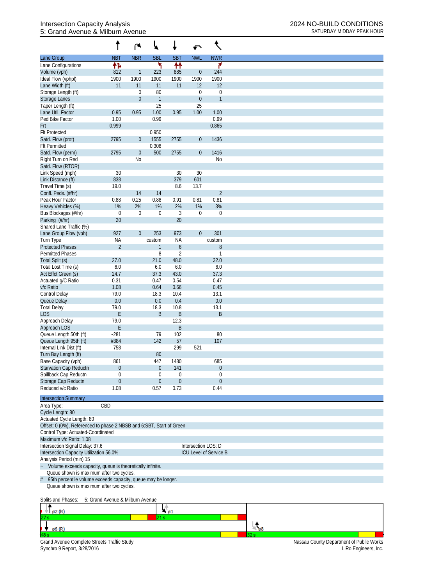## Intersection Capacity Analysis<br>
5: Grand Avenue & Milburn Avenue<br>
2024 NO-BUILD CONDITIONS<br>
SATURDAY MIDDAY PEAK HOUR 5: Grand Avenue & Milburn Avenue

|                                                                      |                                  | ۴                | ₩                     |                  | ↶                   |                         |
|----------------------------------------------------------------------|----------------------------------|------------------|-----------------------|------------------|---------------------|-------------------------|
| Lane Group                                                           | <b>NBT</b>                       | <b>NBR</b>       | <b>SBL</b>            | <b>SBT</b>       | <b>NWL</b>          | <b>NWR</b>              |
| Lane Configurations                                                  | 怍                                |                  | ۲                     | ↟↟               |                     | ۶                       |
| Volume (vph)                                                         | 812                              | 1                | 223                   | 885              | $\overline{0}$      | 244                     |
| Ideal Flow (vphpl)                                                   | 1900                             | 1900             | 1900                  | 1900             | 1900                | 1900                    |
| Lane Width (ft)                                                      | 11                               | 11               | 11                    | 11               | 12                  | 12                      |
| Storage Length (ft)                                                  |                                  | 0                | 80                    |                  | $\boldsymbol{0}$    | $\mathbf 0$             |
| <b>Storage Lanes</b>                                                 |                                  | $\boldsymbol{0}$ |                       |                  | $\boldsymbol{0}$    | $\mathbf{1}$            |
| Taper Length (ft)                                                    |                                  | 0.95             | 25                    | 0.95             | 25                  |                         |
| Lane Util. Factor<br>Ped Bike Factor                                 | 0.95<br>1.00                     |                  | 1.00<br>0.99          |                  | 1.00                | 1.00<br>0.99            |
| Frt                                                                  | 0.999                            |                  |                       |                  |                     | 0.865                   |
| <b>Flt Protected</b>                                                 |                                  |                  | 0.950                 |                  |                     |                         |
| Satd. Flow (prot)                                                    | 2795                             | $\boldsymbol{0}$ | 1555                  | 2755             | $\boldsymbol{0}$    | 1436                    |
| <b>Flt Permitted</b>                                                 |                                  |                  | 0.308                 |                  |                     |                         |
| Satd. Flow (perm)                                                    | 2795                             | $\boldsymbol{0}$ | 500                   | 2755             | $\overline{0}$      | 1416                    |
| Right Turn on Red                                                    |                                  | <b>No</b>        |                       |                  |                     | No                      |
| Satd. Flow (RTOR)                                                    |                                  |                  |                       |                  |                     |                         |
| Link Speed (mph)                                                     | 30                               |                  |                       | 30               | 30                  |                         |
| Link Distance (ft)                                                   | 838                              |                  |                       | 379              | 601                 |                         |
| Travel Time (s)                                                      | 19.0                             |                  |                       | 8.6              | 13.7                |                         |
| Confl. Peds. (#/hr)                                                  |                                  | 14               | 14                    |                  |                     | $\overline{2}$          |
| Peak Hour Factor                                                     | 0.88                             | 0.25             | 0.88                  | 0.91             | 0.81                | 0.81                    |
| Heavy Vehicles (%)                                                   | 1%                               | 2%               | 1%                    | 2%               | 1%                  | 3%                      |
| Bus Blockages (#/hr)                                                 | $\mathbf 0$                      | $\boldsymbol{0}$ | 0                     | 3                | $\boldsymbol{0}$    | $\mathbf 0$             |
| Parking (#/hr)                                                       | 20                               |                  |                       | 20               |                     |                         |
| Shared Lane Traffic (%)                                              |                                  |                  |                       |                  |                     |                         |
| Lane Group Flow (vph)                                                | 927                              | $\boldsymbol{0}$ | 253                   | 973              | $\overline{0}$      | 301                     |
| Turn Type                                                            | <b>NA</b>                        |                  | custom                | <b>NA</b>        |                     | custom                  |
| <b>Protected Phases</b>                                              | $\overline{2}$                   |                  | 1                     | $\boldsymbol{6}$ |                     | $8\,$                   |
| <b>Permitted Phases</b>                                              |                                  |                  | 8                     | $\overline{2}$   |                     | $\mathbf{1}$            |
| Total Split (s)                                                      | 27.0                             |                  | 21.0                  | 48.0             |                     | 32.0                    |
| Total Lost Time (s)                                                  | 6.0                              |                  | 6.0                   | 6.0              |                     | 6.0                     |
| Act Effct Green (s)                                                  | 24.7                             |                  | 37.3                  | 43.0             |                     | 37.3                    |
| Actuated g/C Ratio                                                   | 0.31                             |                  | 0.47                  | 0.54             |                     | 0.47                    |
| v/c Ratio                                                            | 1.08                             |                  | 0.64                  | 0.66             |                     | 0.45                    |
| <b>Control Delay</b>                                                 | 79.0                             |                  | 18.3                  | 10.4             |                     | 13.1                    |
| Queue Delay                                                          | 0.0                              |                  | 0.0                   | 0.4              |                     | 0.0                     |
| <b>Total Delay</b>                                                   | 79.0                             |                  | 18.3                  | 10.8             |                     | 13.1                    |
| <b>LOS</b>                                                           | E                                |                  | B                     | $\sf B$          |                     | B                       |
| Approach Delay                                                       | 79.0                             |                  |                       | 12.3             |                     |                         |
| Approach LOS                                                         | E                                |                  |                       | B                |                     |                         |
| Queue Length 50th (ft)                                               | $-281$                           |                  | 79                    | 102              |                     | 80                      |
| Queue Length 95th (ft)                                               | #384                             |                  | 142                   | 57               |                     | 107                     |
| Internal Link Dist (ft)                                              | 758                              |                  |                       | 299              | 521                 |                         |
| Turn Bay Length (ft)                                                 |                                  |                  | 80                    |                  |                     |                         |
| Base Capacity (vph)                                                  | 861<br>$\boldsymbol{0}$          |                  | 447<br>$\overline{0}$ | 1480<br>141      |                     | 685<br>$\boldsymbol{0}$ |
| Starvation Cap Reductn<br>Spillback Cap Reductn                      | 0                                |                  | 0                     | 0                |                     | $\theta$                |
| Storage Cap Reductn                                                  | $\boldsymbol{0}$                 |                  | $\mathbf 0$           | $\boldsymbol{0}$ |                     | $\theta$                |
| Reduced v/c Ratio                                                    | 1.08                             |                  | 0.57                  | 0.73             |                     | 0.44                    |
|                                                                      |                                  |                  |                       |                  |                     |                         |
| <b>Intersection Summary</b>                                          |                                  |                  |                       |                  |                     |                         |
| Area Type:                                                           | CBD                              |                  |                       |                  |                     |                         |
| Cycle Length: 80                                                     |                                  |                  |                       |                  |                     |                         |
| Actuated Cycle Length: 80                                            |                                  |                  |                       |                  |                     |                         |
| Offset: 0 (0%), Referenced to phase 2:NBSB and 6:SBT, Start of Green |                                  |                  |                       |                  |                     |                         |
| Control Type: Actuated-Coordinated                                   |                                  |                  |                       |                  |                     |                         |
| Maximum v/c Ratio: 1.08                                              |                                  |                  |                       |                  |                     |                         |
| Intersection Signal Delay: 37.6                                      |                                  |                  |                       |                  | Intersection LOS: D |                         |
| Intersection Capacity Utilization 56.0%                              |                                  |                  |                       |                  |                     | ICU Level of Service B  |
| Analysis Period (min) 15                                             |                                  |                  |                       |                  |                     |                         |
| Volume exceeds capacity, queue is theoretically infinite.            |                                  |                  |                       |                  |                     |                         |
| Queue shown is maximum after two cycles.                             |                                  |                  |                       |                  |                     |                         |
| 95th percentile volume exceeds capacity, queue may be longer.<br>#   |                                  |                  |                       |                  |                     |                         |
| Queue shown is maximum after two cycles.                             |                                  |                  |                       |                  |                     |                         |
|                                                                      |                                  |                  |                       |                  |                     |                         |
| Splits and Phases:                                                   | 5: Grand Avenue & Milburn Avenue |                  |                       |                  |                     |                         |
|                                                                      |                                  |                  | Lê                    |                  |                     |                         |

| $\varnothing$ 2 (R)                                                               | ø    |     |                                                                  |
|-----------------------------------------------------------------------------------|------|-----|------------------------------------------------------------------|
| 27:                                                                               | 21 S |     |                                                                  |
| ø6 (R)                                                                            |      | -68 |                                                                  |
|                                                                                   |      |     |                                                                  |
| <b>Grand Avenue Complete Streets Traffic Study</b><br>Synchro 9 Report, 3/28/2016 |      |     | Nassau County Department of Public Works<br>LiRo Engineers, Inc. |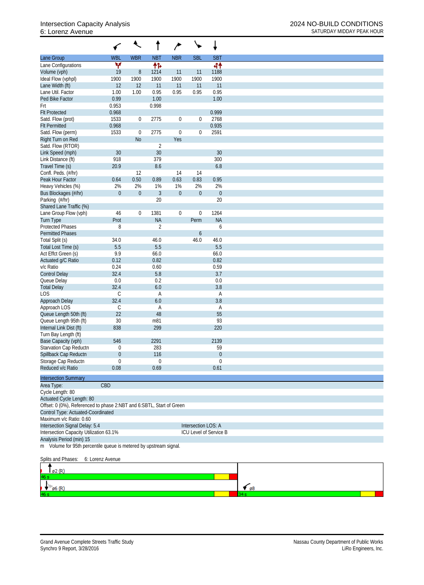## 6: Lorenz Avenue SATURDAY MIDDAY PEAK HOUR

|                                                                      |                  | $\overline{\phantom{a}}$ |                  | ∕                |                     | ↓                      |
|----------------------------------------------------------------------|------------------|--------------------------|------------------|------------------|---------------------|------------------------|
| Lane Group                                                           | <b>WBL</b>       | <b>WBR</b>               | <b>NBT</b>       | <b>NBR</b>       | <b>SBL</b>          | <b>SBT</b>             |
| Lane Configurations                                                  | ۷                |                          | 怍                |                  |                     | 41                     |
| Volume (vph)                                                         | 19               | $\, 8$                   | 1214             | 11               | 11                  | 1188                   |
| Ideal Flow (vphpl)                                                   | 1900             | 1900                     | 1900             | 1900             | 1900                | 1900                   |
| Lane Width (ft)                                                      | 12               | 12                       | 11               | 11               | 11                  | 11                     |
| Lane Util. Factor                                                    | 1.00             | 1.00                     | 0.95             | 0.95             | 0.95                | 0.95                   |
| Ped Bike Factor                                                      | 0.99             |                          | 1.00             |                  |                     | 1.00                   |
| Frt                                                                  | 0.953            |                          | 0.998            |                  |                     |                        |
| <b>Flt Protected</b>                                                 | 0.968            |                          |                  |                  |                     | 0.999                  |
| Satd. Flow (prot)                                                    | 1533             | $\overline{0}$           | 2775             | $\boldsymbol{0}$ | 0                   | 2768                   |
| <b>Flt Permitted</b>                                                 | 0.968            |                          |                  |                  |                     | 0.935                  |
| Satd. Flow (perm)                                                    | 1533             | $\boldsymbol{0}$         | 2775             | $\mathbf 0$      | 0                   | 2591                   |
| Right Turn on Red                                                    |                  | <b>No</b>                |                  | Yes              |                     |                        |
| Satd. Flow (RTOR)                                                    |                  |                          | $\overline{2}$   |                  |                     |                        |
| Link Speed (mph)                                                     | 30               |                          | 30               |                  |                     | 30                     |
| Link Distance (ft)                                                   | 918              |                          | 379              |                  |                     | 300                    |
| Travel Time (s)                                                      | 20.9             |                          | 8.6              |                  |                     | 6.8                    |
| Confl. Peds. (#/hr)<br>Peak Hour Factor                              |                  | 12                       |                  | 14<br>0.63       | 14                  |                        |
| Heavy Vehicles (%)                                                   | 0.64<br>2%       | 0.50<br>2%               | 0.89<br>1%       | 1%               | 0.83<br>2%          | 0.95<br>2%             |
|                                                                      | $\boldsymbol{0}$ | $\mathbf{0}$             | $\mathfrak{Z}$   | $\mathbf 0$      | $\boldsymbol{0}$    | $\boldsymbol{0}$       |
| Bus Blockages (#/hr)                                                 |                  |                          | 20               |                  |                     | 20                     |
| Parking (#/hr)<br>Shared Lane Traffic (%)                            |                  |                          |                  |                  |                     |                        |
|                                                                      | 46               | $\boldsymbol{0}$         | 1381             | $\boldsymbol{0}$ | $\mathbf 0$         | 1264                   |
| Lane Group Flow (vph)                                                | Prot             |                          | <b>NA</b>        |                  | Perm                | <b>NA</b>              |
| <b>Turn Type</b><br><b>Protected Phases</b>                          | 8                |                          | $\overline{2}$   |                  |                     | 6                      |
| <b>Permitted Phases</b>                                              |                  |                          |                  |                  | 6                   |                        |
| Total Split (s)                                                      | 34.0             |                          | 46.0             |                  | 46.0                | 46.0                   |
| Total Lost Time (s)                                                  | 5.5              |                          | 5.5              |                  |                     | 5.5                    |
| Act Effct Green (s)                                                  | 9.9              |                          | 66.0             |                  |                     | 66.0                   |
| Actuated g/C Ratio                                                   | 0.12             |                          | 0.82             |                  |                     | 0.82                   |
| v/c Ratio                                                            | 0.24             |                          | 0.60             |                  |                     | 0.59                   |
| <b>Control Delay</b>                                                 | 32.4             |                          | 5.8              |                  |                     | 3.7                    |
| Queue Delay                                                          | 0.0              |                          | 0.2              |                  |                     | 0.0                    |
| <b>Total Delay</b>                                                   | 32.4             |                          | 6.0              |                  |                     | 3.8                    |
| <b>LOS</b>                                                           | $\mathsf C$      |                          | А                |                  |                     | Α                      |
| Approach Delay                                                       | 32.4             |                          | 6.0              |                  |                     | 3.8                    |
| Approach LOS                                                         | С                |                          | Α                |                  |                     | Α                      |
| Queue Length 50th (ft)                                               | 22               |                          | 48               |                  |                     | 55                     |
| Queue Length 95th (ft)                                               | 30               |                          | m81              |                  |                     | 93                     |
| Internal Link Dist (ft)                                              | 838              |                          | 299              |                  |                     | 220                    |
| Turn Bay Length (ft)                                                 |                  |                          |                  |                  |                     |                        |
| Base Capacity (vph)                                                  | 546              |                          | 2291             |                  |                     | 2139                   |
| Starvation Cap Reductn                                               | 0                |                          | 283              |                  |                     | 59                     |
| Spillback Cap Reductn                                                | 0                |                          | 116              |                  |                     | $\boldsymbol{0}$       |
| Storage Cap Reductn                                                  | $\boldsymbol{0}$ |                          | $\boldsymbol{0}$ |                  |                     | $\boldsymbol{0}$       |
| Reduced v/c Ratio                                                    | 0.08             |                          | 0.69             |                  |                     | 0.61                   |
|                                                                      |                  |                          |                  |                  |                     |                        |
| <b>Intersection Summary</b>                                          |                  |                          |                  |                  |                     |                        |
| Area Type:                                                           | CBD              |                          |                  |                  |                     |                        |
| Cycle Length: 80                                                     |                  |                          |                  |                  |                     |                        |
| Actuated Cycle Length: 80                                            |                  |                          |                  |                  |                     |                        |
| Offset: 0 (0%), Referenced to phase 2:NBT and 6:SBTL, Start of Green |                  |                          |                  |                  |                     |                        |
| Control Type: Actuated-Coordinated                                   |                  |                          |                  |                  |                     |                        |
| Maximum v/c Ratio: 0.60                                              |                  |                          |                  |                  |                     |                        |
| Intersection Signal Delay: 5.4                                       |                  |                          |                  |                  | Intersection LOS: A |                        |
| Intersection Capacity Utilization 63.1%                              |                  |                          |                  |                  |                     | ICU Level of Service B |
| Analysis Period (min) 15                                             |                  |                          |                  |                  |                     |                        |
| m Volume for 95th percentile queue is metered by upstream signal.    |                  |                          |                  |                  |                     |                        |
|                                                                      |                  |                          |                  |                  |                     |                        |
| Splits and Phases:                                                   | 6: Lorenz Avenue |                          |                  |                  |                     |                        |
| った                                                                   |                  |                          |                  |                  |                     |                        |

| .62(R)         |            |
|----------------|------------|
| 46 s           |            |
| $\sqrt{6}$ (R) | $\sqrt{8}$ |
| 46 s           |            |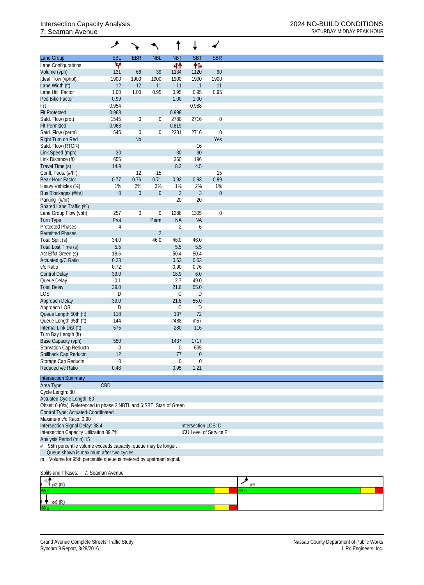## 7: Seaman Avenue SATURDAY MIDDAY PEAK HOUR

|                                                                       | ۶                |                  |                  |                |                     |                        |
|-----------------------------------------------------------------------|------------------|------------------|------------------|----------------|---------------------|------------------------|
| Lane Group                                                            | <b>EBL</b>       | <b>EBR</b>       | <b>NBL</b>       | <b>NBT</b>     | <b>SBT</b>          | <b>SBR</b>             |
| Lane Configurations                                                   | ۷                |                  |                  | 44             | 伟                   |                        |
| Volume (vph)                                                          | 131              | 66               | 39               | 1134           | 1120                | 90                     |
| Ideal Flow (vphpl)                                                    | 1900             | 1900             | 1900             | 1900           | 1900                | 1900                   |
| Lane Width (ft)                                                       | 12               | 12               | 11               | 11             | 11                  | 11                     |
| Lane Util. Factor                                                     | 1.00             | 1.00             | 0.95             | 0.95           | 0.95                | 0.95                   |
| Ped Bike Factor                                                       | 0.99             |                  |                  | 1.00           | 1.00                |                        |
| Frt                                                                   | 0.954            |                  |                  |                | 0.988               |                        |
| <b>Flt Protected</b>                                                  | 0.968            |                  |                  | 0.998          |                     |                        |
| Satd. Flow (prot)                                                     | 1545             | $\boldsymbol{0}$ | $\boldsymbol{0}$ | 2780           | 2716                | $\boldsymbol{0}$       |
| <b>Flt Permitted</b>                                                  | 0.968            |                  |                  | 0.819          |                     |                        |
| Satd. Flow (perm)                                                     | 1545             | $\mathbf{0}$     | $\boldsymbol{0}$ | 2281           | 2716                | $\boldsymbol{0}$       |
| Right Turn on Red                                                     |                  | N <sub>o</sub>   |                  |                |                     | Yes                    |
| Satd. Flow (RTOR)                                                     |                  |                  |                  |                | 16                  |                        |
| Link Speed (mph)                                                      | 30               |                  |                  | 30             | 30                  |                        |
| Link Distance (ft)                                                    | 655              |                  |                  | 360            | 196                 |                        |
| Travel Time (s)                                                       | 14.9             |                  |                  | 8.2            | 4.5                 |                        |
| Confl. Peds. (#/hr)                                                   |                  | 12               | 15               |                |                     | 15                     |
| Peak Hour Factor                                                      | 0.77             | 0.76             | 0.71             | 0.92           | 0.93                | 0.89                   |
| Heavy Vehicles (%)                                                    | 1%               | 2%               | 3%               | 1%             | 2%                  | 1%                     |
| Bus Blockages (#/hr)                                                  | $\mathbf{0}$     | $\overline{0}$   | $\boldsymbol{0}$ | $\overline{2}$ | $\mathfrak{Z}$      | $\boldsymbol{0}$       |
| Parking (#/hr)                                                        |                  |                  |                  | 20             | 20                  |                        |
| Shared Lane Traffic (%)                                               |                  |                  |                  |                |                     |                        |
| Lane Group Flow (vph)                                                 | 257              | $\boldsymbol{0}$ | $\boldsymbol{0}$ | 1288           | 1305                | $\boldsymbol{0}$       |
| <b>Turn Type</b>                                                      | Prot             |                  | Perm             | <b>NA</b>      | <b>NA</b>           |                        |
| <b>Protected Phases</b>                                               | 4                |                  |                  | $\overline{2}$ | 6                   |                        |
| <b>Permitted Phases</b>                                               |                  |                  | $\overline{2}$   |                |                     |                        |
| Total Split (s)                                                       | 34.0             |                  | 46.0             | 46.0           | 46.0                |                        |
| Total Lost Time (s)                                                   | 5.5              |                  |                  | 5.5            | 5.5                 |                        |
| Act Effct Green (s)                                                   | 18.6             |                  |                  | 50.4           | 50.4                |                        |
| Actuated g/C Ratio                                                    | 0.23             |                  |                  | 0.63           | 0.63                |                        |
| v/c Ratio                                                             | 0.72             |                  |                  | 0.90           | 0.76                |                        |
| <b>Control Delay</b>                                                  | 39.0             |                  |                  | 18.9           | 6.0                 |                        |
| Queue Delay                                                           | 0.1              |                  |                  | 2.7            | 49.0                |                        |
| <b>Total Delay</b>                                                    | 39.0             |                  |                  | 21.6           | 55.0                |                        |
| LOS                                                                   | D                |                  |                  | $\mathsf C$    | D                   |                        |
| Approach Delay                                                        | 39.0             |                  |                  | 21.6           | 55.0                |                        |
| Approach LOS                                                          | D                |                  |                  | C              | D                   |                        |
| Queue Length 50th (ft)                                                | 118              |                  |                  | 137            | 72                  |                        |
| Queue Length 95th (ft)                                                | 144              |                  |                  | #488           | m <sub>57</sub>     |                        |
| Internal Link Dist (ft)                                               | 575              |                  |                  | 280            | 116                 |                        |
| Turn Bay Length (ft)                                                  |                  |                  |                  |                |                     |                        |
| Base Capacity (vph)                                                   | 550              |                  |                  | 1437           | 1717                |                        |
| Starvation Cap Reductn                                                | $\boldsymbol{0}$ |                  |                  | $\theta$       | 635                 |                        |
| Spillback Cap Reductn                                                 | 12               |                  |                  | 77             | $\boldsymbol{0}$    |                        |
| Storage Cap Reductn                                                   | $\mathbf 0$      |                  |                  | $\theta$       | $\theta$            |                        |
| Reduced v/c Ratio                                                     | 0.48             |                  |                  | 0.95           | 1.21                |                        |
|                                                                       |                  |                  |                  |                |                     |                        |
| <b>Intersection Summary</b>                                           |                  |                  |                  |                |                     |                        |
| Area Type:                                                            | CBD              |                  |                  |                |                     |                        |
| Cycle Length: 80                                                      |                  |                  |                  |                |                     |                        |
| Actuated Cycle Length: 80                                             |                  |                  |                  |                |                     |                        |
| Offset: 0 (0%), Referenced to phase 2:NBTL and 6:SBT, Start of Green  |                  |                  |                  |                |                     |                        |
| Control Type: Actuated-Coordinated                                    |                  |                  |                  |                |                     |                        |
| Maximum v/c Ratio: 0.90                                               |                  |                  |                  |                |                     |                        |
| Intersection Signal Delay: 38.4                                       |                  |                  |                  |                | Intersection LOS: D |                        |
| Intersection Capacity Utilization 89.7%                               |                  |                  |                  |                |                     | ICU Level of Service E |
| Analysis Period (min) 15                                              |                  |                  |                  |                |                     |                        |
| $\#$<br>95th percentile volume exceeds capacity, queue may be longer. |                  |                  |                  |                |                     |                        |
| Queue shown is maximum after two cycles.                              |                  |                  |                  |                |                     |                        |
| Volume for 95th percentile queue is metered by upstream signal.<br>m  |                  |                  |                  |                |                     |                        |
|                                                                       |                  |                  |                  |                |                     |                        |
| Splits and Phases:                                                    | 7: Seaman Avenue |                  |                  |                |                     |                        |
|                                                                       |                  |                  |                  |                |                     |                        |

| $\sqrt{92}$ (R)              |  |  |
|------------------------------|--|--|
|                              |  |  |
| $\blacktriangleright$ 96 (R) |  |  |
|                              |  |  |
|                              |  |  |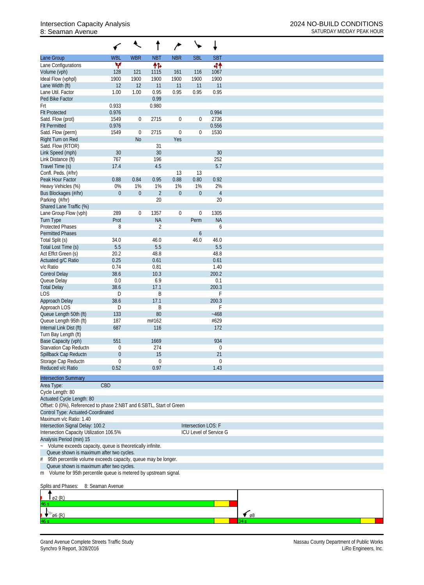## 8: Seaman Avenue SATURDAY MIDDAY PEAK HOUR

|                                                                                       |                  | $\ddot{\phantom{0}}$ |                | ∕              |                     | ↓                      |
|---------------------------------------------------------------------------------------|------------------|----------------------|----------------|----------------|---------------------|------------------------|
| Lane Group                                                                            | <b>WBL</b>       | <b>WBR</b>           | <b>NBT</b>     | <b>NBR</b>     | <b>SBL</b>          | <b>SBT</b>             |
| Lane Configurations                                                                   | Y                |                      | 怍              |                |                     | 44                     |
| Volume (vph)                                                                          | 128              | 121                  | 1115           | 161            | 116                 | 1067                   |
| Ideal Flow (vphpl)                                                                    | 1900             | 1900                 | 1900           | 1900           | 1900                | 1900                   |
| Lane Width (ft)                                                                       | 12               | 12                   | 11             | 11             | 11                  | 11                     |
| Lane Util. Factor                                                                     | 1.00             | 1.00                 | 0.95           | 0.95           | 0.95                | 0.95                   |
| Ped Bike Factor                                                                       |                  |                      | 0.99           |                |                     |                        |
| Frt                                                                                   | 0.933            |                      | 0.980          |                |                     |                        |
| <b>Flt Protected</b>                                                                  | 0.976            |                      |                |                |                     | 0.994                  |
| Satd. Flow (prot)                                                                     | 1549             | $\overline{0}$       | 2715           | $\overline{0}$ | $\boldsymbol{0}$    | 2736                   |
| <b>Flt Permitted</b>                                                                  | 0.976            |                      |                |                |                     | 0.556                  |
| Satd. Flow (perm)                                                                     | 1549             | $\boldsymbol{0}$     | 2715           | $\mathbf 0$    | $\mathbf 0$         | 1530                   |
| Right Turn on Red                                                                     |                  | <b>No</b>            |                | Yes            |                     |                        |
| Satd. Flow (RTOR)                                                                     |                  |                      | 31             |                |                     |                        |
| Link Speed (mph)                                                                      | 30               |                      | 30             |                |                     | 30                     |
| Link Distance (ft)                                                                    | 767              |                      | 196            |                |                     | 252                    |
| Travel Time (s)                                                                       | 17.4             |                      | 4.5            |                |                     | 5.7                    |
| Confl. Peds. (#/hr)                                                                   |                  |                      |                | 13             | 13                  |                        |
| Peak Hour Factor                                                                      | 0.88             | 0.84                 | 0.95           | 0.88           | 0.80                | 0.92                   |
| Heavy Vehicles (%)                                                                    | $0\%$            | 1%                   | 1%             | 1%             | 1%                  | 2%                     |
| Bus Blockages (#/hr)                                                                  | $\boldsymbol{0}$ | $\mathbf 0$          | $\overline{2}$ | $\mathbf{0}$   | $\boldsymbol{0}$    | $\overline{4}$         |
| Parking (#/hr)                                                                        |                  |                      | 20             |                |                     | 20                     |
| Shared Lane Traffic (%)                                                               |                  |                      |                |                |                     |                        |
| Lane Group Flow (vph)                                                                 | 289              | $\mathbf{0}$         | 1357           | $\overline{0}$ | $\boldsymbol{0}$    | 1305                   |
| <b>Turn Type</b>                                                                      | Prot             |                      | <b>NA</b>      |                | Perm                | <b>NA</b>              |
| <b>Protected Phases</b>                                                               | 8                |                      | $\overline{2}$ |                |                     | 6                      |
| <b>Permitted Phases</b>                                                               |                  |                      |                |                | 6                   |                        |
| Total Split (s)                                                                       | 34.0             |                      | 46.0           |                | 46.0                | 46.0                   |
| Total Lost Time (s)                                                                   | 5.5              |                      | 5.5            |                |                     | 5.5                    |
| Act Effct Green (s)                                                                   | 20.2             |                      | 48.8           |                |                     | 48.8                   |
| Actuated g/C Ratio                                                                    | 0.25             |                      | 0.61           |                |                     | 0.61                   |
| v/c Ratio                                                                             | 0.74             |                      | 0.81           |                |                     | 1.40                   |
| <b>Control Delay</b>                                                                  | 38.6             |                      | 10.3           |                |                     | 200.2                  |
| Queue Delay                                                                           | 0.0              |                      | 6.9            |                |                     | 0.1                    |
| <b>Total Delay</b>                                                                    | 38.6             |                      | 17.1           |                |                     | 200.3                  |
| <b>LOS</b>                                                                            | D                |                      | B              |                |                     | F                      |
| Approach Delay                                                                        | 38.6             |                      | 17.1           |                |                     | 200.3                  |
| Approach LOS                                                                          | D                |                      | Β              |                |                     | F                      |
| Queue Length 50th (ft)                                                                | 133              |                      | 80             |                |                     | $-468$                 |
| Queue Length 95th (ft)                                                                | 187              |                      | m#162          |                |                     | #629                   |
| Internal Link Dist (ft)                                                               | 687              |                      | 116            |                |                     | 172                    |
| Turn Bay Length (ft)                                                                  |                  |                      |                |                |                     |                        |
| Base Capacity (vph)                                                                   | 551              |                      | 1669           |                |                     | 934                    |
| Starvation Cap Reductn                                                                | 0                |                      | 274            |                |                     | $\boldsymbol{0}$       |
| Spillback Cap Reductn                                                                 | 0                |                      | 15             |                |                     | 21                     |
| Storage Cap Reductn                                                                   | $\boldsymbol{0}$ |                      | $\mathbf 0$    |                |                     | $\boldsymbol{0}$       |
| Reduced v/c Ratio                                                                     | 0.52             |                      | 0.97           |                |                     | 1.43                   |
|                                                                                       |                  |                      |                |                |                     |                        |
| <b>Intersection Summary</b>                                                           |                  |                      |                |                |                     |                        |
| Area Type:                                                                            | CBD              |                      |                |                |                     |                        |
| Cycle Length: 80                                                                      |                  |                      |                |                |                     |                        |
| Actuated Cycle Length: 80                                                             |                  |                      |                |                |                     |                        |
| Offset: 0 (0%), Referenced to phase 2:NBT and 6:SBTL, Start of Green                  |                  |                      |                |                |                     |                        |
| Control Type: Actuated-Coordinated                                                    |                  |                      |                |                |                     |                        |
| Maximum v/c Ratio: 1.40                                                               |                  |                      |                |                |                     |                        |
| Intersection Signal Delay: 100.2                                                      |                  |                      |                |                | Intersection LOS: F |                        |
| Intersection Capacity Utilization 106.5%                                              |                  |                      |                |                |                     | ICU Level of Service G |
| Analysis Period (min) 15                                                              |                  |                      |                |                |                     |                        |
| Volume exceeds capacity, queue is theoretically infinite.<br>$\overline{\phantom{a}}$ |                  |                      |                |                |                     |                        |
| Queue shown is maximum after two cycles.                                              |                  |                      |                |                |                     |                        |
| 95th percentile volume exceeds capacity, queue may be longer.<br>#                    |                  |                      |                |                |                     |                        |
| Queue shown is maximum after two cycles.                                              |                  |                      |                |                |                     |                        |
| m Volume for 95th percentile queue is metered by upstream signal.                     |                  |                      |                |                |                     |                        |
|                                                                                       |                  |                      |                |                |                     |                        |
| Splits and Phases:                                                                    | 8: Seaman Avenue |                      |                |                |                     |                        |
|                                                                                       |                  |                      |                |                |                     |                        |



Grand Avenue Complete Streets Traffic Study<br>Synchro 9 Report, 3/28/2016<br>LiRo Engineers, Inc. Synchro 9 Report, 3/28/2016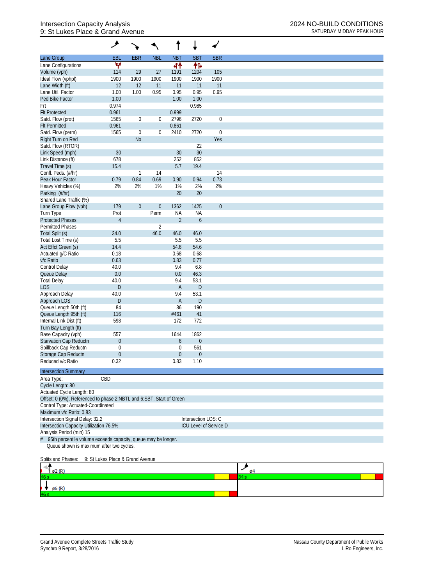## Intersection Capacity Analysis 2024 NO-BUILD CONDITIONS 9: St Lukes Place & Grand Avenue SATURDAY MIDDAY PEAK HOUR

|                                                                      | مر                               |                  |                  |                  |                     |                        |
|----------------------------------------------------------------------|----------------------------------|------------------|------------------|------------------|---------------------|------------------------|
| Lane Group                                                           | <b>EBL</b>                       | <b>EBR</b>       | <b>NBL</b>       | <b>NBT</b>       | <b>SBT</b>          | <b>SBR</b>             |
| Lane Configurations                                                  | v                                |                  |                  | 44               | 怍                   |                        |
| Volume (vph)                                                         | 114                              | 29               | 27               | 1191             | 1204                | 105                    |
| Ideal Flow (vphpl)                                                   | 1900                             | 1900             | 1900             | 1900             | 1900                | 1900                   |
| Lane Width (ft)                                                      | 12                               | 12               | 11               | 11               | 11                  | 11                     |
| Lane Util. Factor                                                    | 1.00                             | 1.00             | 0.95             | 0.95             | 0.95                | 0.95                   |
| Ped Bike Factor                                                      | 1.00                             |                  |                  | 1.00             | 1.00                |                        |
| Frt                                                                  | 0.974                            |                  |                  |                  | 0.985               |                        |
| <b>Flt Protected</b>                                                 | 0.961                            |                  |                  | 0.999            |                     |                        |
| Satd. Flow (prot)                                                    | 1565                             | $\boldsymbol{0}$ | $\boldsymbol{0}$ | 2796             | 2720                | $\boldsymbol{0}$       |
| <b>Flt Permitted</b>                                                 | 0.961                            |                  |                  | 0.861            |                     |                        |
| Satd. Flow (perm)                                                    | 1565                             | $\mathbf 0$      | $\boldsymbol{0}$ | 2410             | 2720                | $\boldsymbol{0}$       |
| Right Turn on Red                                                    |                                  | <b>No</b>        |                  |                  |                     | Yes                    |
| Satd. Flow (RTOR)                                                    |                                  |                  |                  |                  | 22                  |                        |
| Link Speed (mph)                                                     | 30                               |                  |                  | 30               | 30                  |                        |
| Link Distance (ft)                                                   | 678                              |                  |                  | 252              | 852                 |                        |
| Travel Time (s)                                                      | 15.4                             |                  |                  | 5.7              | 19.4                |                        |
| Confl. Peds. (#/hr)                                                  |                                  | $\mathbf{1}$     | 14               |                  |                     | 14                     |
| Peak Hour Factor                                                     | 0.79                             | 0.84             | 0.69             | 0.90             | 0.94                | 0.73                   |
| Heavy Vehicles (%)                                                   | 2%                               | 2%               | 1%               | 1%               | 2%                  | 2%                     |
| Parking (#/hr)                                                       |                                  |                  |                  | 20               | 20                  |                        |
| Shared Lane Traffic (%)                                              |                                  |                  |                  |                  |                     |                        |
| Lane Group Flow (vph)                                                | 179                              | $\boldsymbol{0}$ | $\mathbf 0$      | 1362             | 1425                | $\boldsymbol{0}$       |
| Turn Type                                                            | Prot                             |                  | Perm             | <b>NA</b>        | ΝA                  |                        |
| <b>Protected Phases</b>                                              | $\overline{4}$                   |                  |                  | $\overline{2}$   | 6                   |                        |
| <b>Permitted Phases</b>                                              |                                  |                  | $\overline{2}$   |                  |                     |                        |
| Total Split (s)                                                      | 34.0                             |                  | 46.0             | 46.0             | 46.0                |                        |
| Total Lost Time (s)                                                  | 5.5                              |                  |                  | 5.5              | 5.5                 |                        |
| Act Effct Green (s)                                                  | 14.4                             |                  |                  | 54.6             | 54.6                |                        |
| Actuated g/C Ratio                                                   | 0.18                             |                  |                  | 0.68             | 0.68                |                        |
| v/c Ratio                                                            | 0.63                             |                  |                  | 0.83             | 0.77                |                        |
| Control Delay                                                        | 40.0                             |                  |                  | 9.4              | 6.8                 |                        |
| Queue Delay                                                          | 0.0                              |                  |                  | 0.0              | 46.3                |                        |
| <b>Total Delay</b>                                                   | 40.0                             |                  |                  | 9.4              | 53.1                |                        |
| <b>LOS</b>                                                           | D.                               |                  |                  | A                | D                   |                        |
| Approach Delay                                                       | 40.0                             |                  |                  | 9.4              | 53.1                |                        |
| Approach LOS                                                         |                                  |                  |                  | $\mathsf A$      | $\mathsf{D}$        |                        |
|                                                                      | D                                |                  |                  |                  |                     |                        |
| Queue Length 50th (ft)                                               | 84                               |                  |                  | 86               | 190                 |                        |
| Queue Length 95th (ft)                                               | 116                              |                  |                  | #461             | 41                  |                        |
| Internal Link Dist (ft)                                              | 598                              |                  |                  | 172              | 772                 |                        |
| Turn Bay Length (ft)                                                 |                                  |                  |                  |                  |                     |                        |
| Base Capacity (vph)                                                  | 557                              |                  |                  | 1644             | 1862                |                        |
| Starvation Cap Reductn                                               | $\mathbf 0$                      |                  |                  | 6                | $\boldsymbol{0}$    |                        |
| Spillback Cap Reductn                                                | 0                                |                  |                  | $\overline{0}$   | 561                 |                        |
| Storage Cap Reductn                                                  | $\boldsymbol{0}$                 |                  |                  | $\boldsymbol{0}$ | $\boldsymbol{0}$    |                        |
| Reduced v/c Ratio                                                    | 0.32                             |                  |                  | 0.83             | 1.10                |                        |
| <b>Intersection Summary</b>                                          |                                  |                  |                  |                  |                     |                        |
| Area Type:                                                           | CBD                              |                  |                  |                  |                     |                        |
| Cycle Length: 80                                                     |                                  |                  |                  |                  |                     |                        |
| Actuated Cycle Length: 80                                            |                                  |                  |                  |                  |                     |                        |
| Offset: 0 (0%), Referenced to phase 2:NBTL and 6:SBT, Start of Green |                                  |                  |                  |                  |                     |                        |
| Control Type: Actuated-Coordinated                                   |                                  |                  |                  |                  |                     |                        |
| Maximum v/c Ratio: 0.83                                              |                                  |                  |                  |                  |                     |                        |
| Intersection Signal Delay: 32.2                                      |                                  |                  |                  |                  | Intersection LOS: C |                        |
|                                                                      |                                  |                  |                  |                  |                     | ICU Level of Service D |
| Intersection Capacity Utilization 76.5%<br>Analysis Period (min) 15  |                                  |                  |                  |                  |                     |                        |
| #                                                                    |                                  |                  |                  |                  |                     |                        |
| 95th percentile volume exceeds capacity, queue may be longer.        |                                  |                  |                  |                  |                     |                        |
| Queue shown is maximum after two cycles.                             |                                  |                  |                  |                  |                     |                        |
| Splits and Phases:                                                   | 9: St Lukes Place & Grand Avenue |                  |                  |                  |                     |                        |
|                                                                      |                                  |                  |                  |                  |                     |                        |

| $\mathfrak{g}(R)$ | ø4 |  |
|-------------------|----|--|
| 46 s              |    |  |
| ø6 (R)<br>и.      |    |  |
| 46 s              |    |  |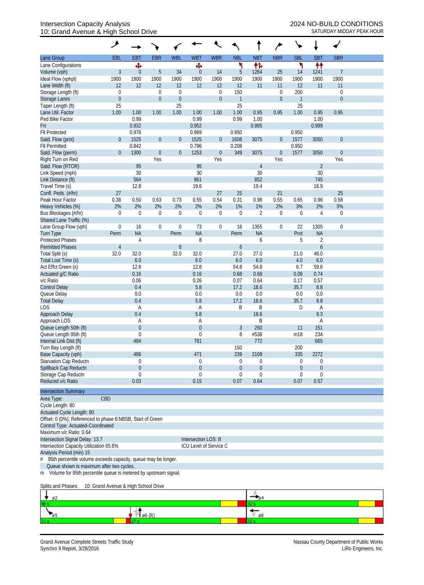## Intersection Capacity Analysis 2024 NO-BUILD CONDITIONS 10: Grand Avenue & High School Drive SATURDAY MIDDAY PEAK HOUR

|                                                               | ᢣ                |             |                  |                  |                     |                        |                  |                  |                  | $\sqrt{2}$     |                  |                  |  |
|---------------------------------------------------------------|------------------|-------------|------------------|------------------|---------------------|------------------------|------------------|------------------|------------------|----------------|------------------|------------------|--|
| Lane Group                                                    | EBL              | <b>EBT</b>  | <b>EBR</b>       | <b>WBL</b>       | <b>WBT</b>          | <b>WBR</b>             | <b>NBL</b>       | <b>NBT</b>       | <b>NBR</b>       | <b>SBL</b>     | <b>SBT</b>       | <b>SBR</b>       |  |
| Lane Configurations                                           |                  | Ф           |                  |                  | Ф                   |                        | ۲                | 怍                |                  | ۲              | 林                |                  |  |
| Volume (vph)                                                  | 3                | $\theta$    | $\overline{5}$   | 34               | $\theta$            | 14                     | 5                | 1284             | 25               | 14             | 1241             | $\overline{7}$   |  |
| Ideal Flow (vphpl)                                            | 1900             | 1900        | 1900             | 1900             | 1900                | 1900                   | 1900             | 1900             | 1900             | 1900           | 1900             | 1900             |  |
| Lane Width (ft)                                               | 12               | 12          | 12               | 12               | 12                  | 12                     | 12               | 11               | 11               | 12             | 11               | 11               |  |
| Storage Length (ft)                                           | 0                |             | $\boldsymbol{0}$ | $\mathbf 0$      |                     | $\boldsymbol{0}$       | 150              |                  | $\mathbf 0$      | 200            |                  | $\boldsymbol{0}$ |  |
| Storage Lanes                                                 | $\boldsymbol{0}$ |             | $\boldsymbol{0}$ | $\boldsymbol{0}$ |                     | $\boldsymbol{0}$       | $\mathbf{1}$     |                  | $\boldsymbol{0}$ | $\overline{1}$ |                  | $\mathbf{0}$     |  |
| Taper Length (ft)                                             | 25               |             |                  | 25               |                     |                        | 25               |                  |                  | 25             |                  |                  |  |
| Lane Util. Factor                                             | 1.00             | 1.00        | 1.00             | 1.00             | 1.00                | 1.00                   | 1.00             | 0.95             | 0.95             | 1.00           | 0.95             | 0.95             |  |
| Ped Bike Factor                                               |                  | 0.99        |                  |                  | 0.99                |                        | 0.99             | 1.00             |                  |                | 1.00             |                  |  |
| <b>Frt</b>                                                    |                  | 0.932       |                  |                  | 0.952               |                        |                  | 0.995            |                  |                | 0.999            |                  |  |
| <b>Flt Protected</b>                                          |                  | 0.976       |                  |                  | 0.969               |                        | 0.950            |                  |                  | 0.950          |                  |                  |  |
| Satd. Flow (prot)                                             | $\mathbf{0}$     | 1525        | $\boldsymbol{0}$ | $\theta$         | 1525                | $\overline{0}$         | 1608             | 3075             | $\boldsymbol{0}$ | 1577           | 3050             | $\mathbf{0}$     |  |
| <b>Flt Permitted</b>                                          |                  | 0.842       |                  |                  | 0.796               |                        | 0.208            |                  |                  | 0.950          |                  |                  |  |
| Satd. Flow (perm)                                             | $\mathbf{0}$     | 1300        | $\boldsymbol{0}$ | $\boldsymbol{0}$ | 1253                | $\boldsymbol{0}$       | 349              | 3075             | $\boldsymbol{0}$ | 1577           | 3050             | $\mathbf{0}$     |  |
| Right Turn on Red                                             |                  |             | Yes              |                  |                     | Yes                    |                  |                  | Yes              |                |                  | Yes              |  |
| Satd. Flow (RTOR)                                             |                  | 95          |                  |                  | 95                  |                        |                  | $\overline{4}$   |                  |                | $\overline{2}$   |                  |  |
| Link Speed (mph)                                              |                  | 30          |                  |                  | 30                  |                        |                  | 30               |                  |                | 30               |                  |  |
| Link Distance (ft)                                            |                  | 564         |                  |                  | 861                 |                        |                  | 852              |                  |                | 745              |                  |  |
| Travel Time (s)                                               |                  | 12.8        |                  |                  | 19.6                |                        |                  | 19.4             |                  |                | 16.9             |                  |  |
|                                                               | 27               |             |                  |                  |                     | 27                     | 25               |                  | 21               |                |                  | 25               |  |
| Confl. Peds. (#/hr)                                           |                  |             |                  |                  |                     |                        |                  |                  |                  |                |                  |                  |  |
| Peak Hour Factor                                              | 0.38             | 0.50        | 0.63             | 0.73             | 0.55                | 0.54                   | 0.31             | 0.98             | 0.55             | 0.65           | 0.96             | 0.58             |  |
| Heavy Vehicles (%)                                            | 2%               | 2%          | 2%               | 2%               | 2%                  | 2%                     | 1%               | 1%               | 2%               | 3%             | 2%               | 3%               |  |
| Bus Blockages (#/hr)                                          | $\mathbf 0$      | $\mathbf 0$ | $\boldsymbol{0}$ | $\boldsymbol{0}$ | $\mathbf 0$         | $\boldsymbol{0}$       | $\mathbf 0$      | $\overline{2}$   | 0                | $\theta$       | $\overline{4}$   | $\boldsymbol{0}$ |  |
| Shared Lane Traffic (%)                                       |                  |             |                  |                  |                     |                        |                  |                  |                  |                |                  |                  |  |
| Lane Group Flow (vph)                                         | $\boldsymbol{0}$ | 16          | $\boldsymbol{0}$ | $\boldsymbol{0}$ | 73                  | $\boldsymbol{0}$       | 16               | 1355             | $\boldsymbol{0}$ | 22             | 1305             | $\mathbf 0$      |  |
| <b>Turn Type</b>                                              | Perm             | <b>NA</b>   |                  | Perm             | <b>NA</b>           |                        | Perm             | <b>NA</b>        |                  | Prot           | <b>NA</b>        |                  |  |
| <b>Protected Phases</b>                                       |                  | 4           |                  |                  | 8                   |                        |                  | 6                |                  | 5              | $\overline{2}$   |                  |  |
| <b>Permitted Phases</b>                                       | $\overline{4}$   |             |                  | 8                |                     |                        | 6                |                  |                  |                | $\boldsymbol{6}$ |                  |  |
| Total Split (s)                                               | 32.0             | 32.0        |                  | 32.0             | 32.0                |                        | 27.0             | 27.0             |                  | 21.0           | 48.0             |                  |  |
| Total Lost Time (s)                                           |                  | 6.0         |                  |                  | $6.0\,$             |                        | 6.0              | 6.0              |                  | 4.0            | 6.0              |                  |  |
| Act Effct Green (s)                                           |                  | 12.8        |                  |                  | 12.8                |                        | 54.8             | 54.8             |                  | 6.7            | 59.6             |                  |  |
| Actuated g/C Ratio                                            |                  | 0.16        |                  |                  | 0.16                |                        | 0.68             | 0.68             |                  | 0.08           | 0.74             |                  |  |
| v/c Ratio                                                     |                  | 0.06        |                  |                  | 0.26                |                        | 0.07             | 0.64             |                  | 0.17           | 0.57             |                  |  |
| <b>Control Delay</b>                                          |                  | 0.4         |                  |                  | 5.8                 |                        | 17.2             | 18.6             |                  | 35.7           | 8.8              |                  |  |
| Queue Delay                                                   |                  | 0.0         |                  |                  | 0.0                 |                        | 0.0              | 0.0              |                  | 0.0            | 0.0              |                  |  |
| <b>Total Delay</b>                                            |                  | 0.4         |                  |                  | 5.8                 |                        | 17.2             | 18.6             |                  | 35.7           | 8.8              |                  |  |
| LOS                                                           |                  | A           |                  |                  | Α                   |                        | B                | Β                |                  | D              | A                |                  |  |
| Approach Delay                                                |                  | 0.4         |                  |                  | 5.8                 |                        |                  | 18.6             |                  |                | 9.3              |                  |  |
| Approach LOS                                                  |                  | A           |                  |                  | Α                   |                        |                  | Β                |                  |                | Α                |                  |  |
| Queue Length 50th (ft)                                        |                  | $\mathbf 0$ |                  |                  | $\boldsymbol{0}$    |                        | 3                | 260              |                  | 11             | 151              |                  |  |
| Queue Length 95th (ft)                                        |                  | $\mathbf 0$ |                  |                  | 0                   |                        | 8                | #538             |                  | m18            | 234              |                  |  |
| Internal Link Dist (ft)                                       |                  | 484         |                  |                  | 781                 |                        |                  | 772              |                  |                | 665              |                  |  |
| Turn Bay Length (ft)                                          |                  |             |                  |                  |                     |                        | 150              |                  |                  | 200            |                  |                  |  |
| Base Capacity (vph)                                           |                  | 486         |                  |                  | 471                 |                        | 239              | 2108             |                  | 335            | 2272             |                  |  |
| Starvation Cap Reductn                                        |                  | 0           |                  |                  | 0                   |                        | 0                | 0                |                  | 0              | 0                |                  |  |
| Spillback Cap Reductn                                         |                  | $\mathbf 0$ |                  |                  | $\boldsymbol{0}$    |                        | $\boldsymbol{0}$ | $\boldsymbol{0}$ |                  | $\theta$       | $\theta$         |                  |  |
| Storage Cap Reductn                                           |                  | $\theta$    |                  |                  | $\Omega$            |                        | 0                | 0                |                  | 0              | $\mathbf 0$      |                  |  |
| Reduced v/c Ratio                                             |                  | 0.03        |                  |                  | 0.15                |                        | 0.07             | 0.64             |                  | 0.07           | 0.57             |                  |  |
|                                                               |                  |             |                  |                  |                     |                        |                  |                  |                  |                |                  |                  |  |
| <b>Intersection Summary</b>                                   |                  |             |                  |                  |                     |                        |                  |                  |                  |                |                  |                  |  |
| Area Type:                                                    | CBD              |             |                  |                  |                     |                        |                  |                  |                  |                |                  |                  |  |
| Cycle Length: 80                                              |                  |             |                  |                  |                     |                        |                  |                  |                  |                |                  |                  |  |
| Actuated Cycle Length: 80                                     |                  |             |                  |                  |                     |                        |                  |                  |                  |                |                  |                  |  |
| Offset: 0 (0%), Referenced to phase 6:NBSB, Start of Green    |                  |             |                  |                  |                     |                        |                  |                  |                  |                |                  |                  |  |
| Control Type: Actuated-Coordinated                            |                  |             |                  |                  |                     |                        |                  |                  |                  |                |                  |                  |  |
| Maximum v/c Ratio: 0.64                                       |                  |             |                  |                  |                     |                        |                  |                  |                  |                |                  |                  |  |
| Intersection Signal Delay: 13.7                               |                  |             |                  |                  | Intersection LOS: B |                        |                  |                  |                  |                |                  |                  |  |
| Intersection Capacity Utilization 65.6%                       |                  |             |                  |                  |                     | ICU Level of Service C |                  |                  |                  |                |                  |                  |  |
| Analysis Period (min) 15                                      |                  |             |                  |                  |                     |                        |                  |                  |                  |                |                  |                  |  |
| 95th percentile volume exceeds capacity, queue may be longer. |                  |             |                  |                  |                     |                        |                  |                  |                  |                |                  |                  |  |
| Queue shown is maximum after two cycles.                      |                  |             |                  |                  |                     |                        |                  |                  |                  |                |                  |                  |  |

m Volume for 95th percentile queue is metered by upstream signal.

Splits and Phases: 10: Grand Avenue & High School Drive

|      | ø2 |         |    |  |
|------|----|---------|----|--|
| 48 s |    |         |    |  |
|      |    | m<br>Øб | ø8 |  |
| 21s  |    |         |    |  |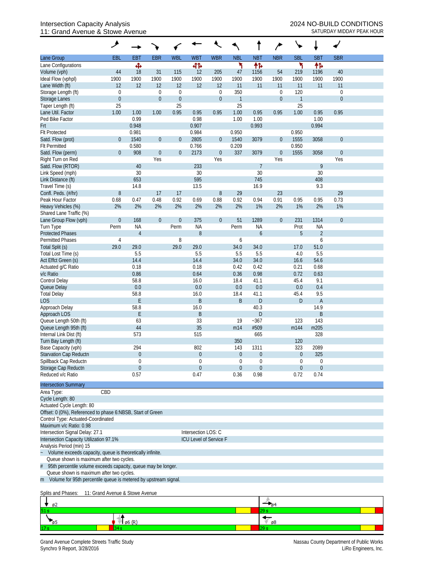## Intersection Capacity Analysis<br>
11: Grand Avenue & Stowe Avenue<br>
2024 NO-BUILD CONDITIONS<br>
SATURDAY MIDDAY PEAK HOUR 11: Grand Avenue & Stowe Avenue

|                                                                    | ۶                               |                |                  |                  |                     |                        |                  |                  |                  |                  |                     |              |  |
|--------------------------------------------------------------------|---------------------------------|----------------|------------------|------------------|---------------------|------------------------|------------------|------------------|------------------|------------------|---------------------|--------------|--|
| Lane Group                                                         | <b>EBL</b>                      | <b>EBT</b>     | <b>EBR</b>       | <b>WBL</b>       | <b>WBT</b>          | <b>WBR</b>             | <b>NBL</b>       | <b>NBT</b>       | <b>NBR</b>       | <b>SBL</b>       | <b>SBT</b>          | <b>SBR</b>   |  |
| Lane Configurations                                                |                                 | Ф              |                  |                  | बीर्क               |                        | ۲                | 怍                |                  | ኻ                | ተኈ                  |              |  |
| Volume (vph)                                                       | 44                              | 18             | 31               | 115              | 12                  | 205                    | 47               | 1156             | 54               | 219              | 1196                | 40           |  |
| Ideal Flow (vphpl)                                                 | 1900                            | 1900           | 1900             | 1900             | 1900                | 1900                   | 1900             | 1900             | 1900             | 1900             | 1900                | 1900         |  |
| Lane Width (ft)                                                    | 12                              | 12             | 12               | 12               | 12                  | 12                     | 11               | 11               | 11               | 11               | 11                  | 11           |  |
| Storage Length (ft)                                                | $\boldsymbol{0}$                |                | 0                | $\boldsymbol{0}$ |                     | $\boldsymbol{0}$       | 350              |                  | $\boldsymbol{0}$ | 120              |                     | $\mathbf 0$  |  |
| Storage Lanes                                                      | $\boldsymbol{0}$                |                | $\mathbf 0$      | $\boldsymbol{0}$ |                     | $\boldsymbol{0}$       | $\mathbf{1}$     |                  | $\boldsymbol{0}$ | $\overline{1}$   |                     | $\mathbf{0}$ |  |
| Taper Length (ft)<br>Lane Util. Factor                             | 25                              | 1.00           | 1.00             | 25<br>0.95       |                     | 0.95                   | 25<br>1.00       | 0.95             | 0.95             | 25<br>1.00       | 0.95                | 0.95         |  |
| Ped Bike Factor                                                    | 1.00                            | 0.99           |                  |                  | 0.95<br>0.98        |                        | 1.00             | 1.00             |                  |                  | 1.00                |              |  |
| Frt                                                                |                                 | 0.948          |                  |                  | 0.907               |                        |                  | 0.993            |                  |                  | 0.994               |              |  |
| <b>Flt Protected</b>                                               |                                 | 0.981          |                  |                  | 0.984               |                        | 0.950            |                  |                  | 0.950            |                     |              |  |
| Satd. Flow (prot)                                                  | $\mathbf 0$                     | 1540           | $\boldsymbol{0}$ | $\theta$         | 2805                | $\overline{0}$         | 1540             | 3079             | $\boldsymbol{0}$ | 1555             | 3058                | $\theta$     |  |
| <b>Flt Permitted</b>                                               |                                 | 0.580          |                  |                  | 0.766               |                        | 0.209            |                  |                  | 0.950            |                     |              |  |
| Satd. Flow (perm)                                                  | $\mathbf{0}$                    | 908            | $\boldsymbol{0}$ | $\boldsymbol{0}$ | 2173                | $\boldsymbol{0}$       | 337              | 3079             | $\boldsymbol{0}$ | 1555             | 3058                | $\theta$     |  |
| Right Turn on Red                                                  |                                 |                | Yes              |                  |                     | Yes                    |                  |                  | Yes              |                  |                     | Yes          |  |
| Satd. Flow (RTOR)                                                  |                                 | 40             |                  |                  | 233                 |                        |                  | 7                |                  |                  | 9                   |              |  |
| Link Speed (mph)                                                   |                                 | 30             |                  |                  | 30                  |                        |                  | 30               |                  |                  | 30                  |              |  |
| Link Distance (ft)                                                 |                                 | 653            |                  |                  | 595                 |                        |                  | 745              |                  |                  | 408                 |              |  |
| Travel Time (s)                                                    |                                 | 14.8           |                  |                  | 13.5                |                        |                  | 16.9             |                  |                  | 9.3                 |              |  |
| Confl. Peds. (#/hr)                                                | 8                               |                | 17               | 17               |                     | $\, 8$                 | 29               |                  | 23               |                  |                     | 29           |  |
| Peak Hour Factor                                                   | 0.68                            | 0.47           | 0.48             | 0.92             | 0.69                | 0.88                   | 0.92             | 0.94             | 0.91             | 0.95             | 0.95                | 0.73         |  |
| Heavy Vehicles (%)                                                 | 2%                              | 2%             | 2%               | 2%               | 2%                  | 2%                     | 2%               | 1%               | 2%               | 1%               | 2%                  | 1%           |  |
| Shared Lane Traffic (%)                                            |                                 |                |                  |                  |                     |                        |                  |                  |                  |                  |                     |              |  |
| Lane Group Flow (vph)                                              | $\boldsymbol{0}$                | 168            | $\mathbf 0$      | $\boldsymbol{0}$ | 375                 | $\mathbf 0$            | 51               | 1289             | $\boldsymbol{0}$ | 231              | 1314                | $\mathbf{0}$ |  |
| Turn Type                                                          | Perm                            | <b>NA</b>      |                  | Perm             | <b>NA</b>           |                        | Perm             | <b>NA</b>        |                  | Prot<br>5        | <b>NA</b>           |              |  |
| <b>Protected Phases</b><br><b>Permitted Phases</b>                 |                                 | $\overline{4}$ |                  | 8                | 8                   |                        | 6                | 6                |                  |                  | $\overline{2}$<br>6 |              |  |
| Total Split (s)                                                    | 4<br>29.0                       | 29.0           |                  | 29.0             | 29.0                |                        | 34.0             | 34.0             |                  | 17.0             | 51.0                |              |  |
| Total Lost Time (s)                                                |                                 | 5.5            |                  |                  | 5.5                 |                        | 5.5              | 5.5              |                  | 4.0              | 5.5                 |              |  |
| Act Effct Green (s)                                                |                                 | 14.4           |                  |                  | 14.4                |                        | 34.0             | 34.0             |                  | 16.6             | 54.6                |              |  |
| Actuated g/C Ratio                                                 |                                 | 0.18           |                  |                  | 0.18                |                        | 0.42             | 0.42             |                  | 0.21             | 0.68                |              |  |
| v/c Ratio                                                          |                                 | 0.86           |                  |                  | 0.64                |                        | 0.36             | 0.98             |                  | 0.72             | 0.63                |              |  |
| Control Delay                                                      |                                 | 58.8           |                  |                  | 16.0                |                        | 18.4             | 41.1             |                  | 45.4             | 9.1                 |              |  |
| Queue Delay                                                        |                                 | 0.0            |                  |                  | 0.0                 |                        | 0.0              | 0.0              |                  | 0.0              | 0.4                 |              |  |
| <b>Total Delay</b>                                                 |                                 | 58.8           |                  |                  | 16.0                |                        | 18.4             | 41.1             |                  | 45.4             | 9.5                 |              |  |
| <b>LOS</b>                                                         |                                 | E              |                  |                  | B                   |                        | B                | D                |                  | D                | $\mathsf{A}$        |              |  |
| Approach Delay                                                     |                                 | 58.8           |                  |                  | 16.0                |                        |                  | 40.3             |                  |                  | 14.9                |              |  |
| Approach LOS                                                       |                                 | E              |                  |                  | $\sf B$             |                        |                  | D                |                  |                  | B                   |              |  |
| Queue Length 50th (ft)                                             |                                 | 63             |                  |                  | 33                  |                        | 19               | $-367$           |                  | 123              | 143                 |              |  |
| Queue Length 95th (ft)                                             |                                 | 44             |                  |                  | 35                  |                        | m14              | #509             |                  | m144             | m205                |              |  |
| Internal Link Dist (ft)                                            |                                 | 573            |                  |                  | 515                 |                        |                  | 665              |                  |                  | 328                 |              |  |
| Turn Bay Length (ft)<br>Base Capacity (vph)                        |                                 | 294            |                  |                  | 802                 |                        | 350<br>143       | 1311             |                  | 120<br>323       | 2089                |              |  |
| Starvation Cap Reductn                                             |                                 | $\overline{0}$ |                  |                  | $\boldsymbol{0}$    |                        | $\boldsymbol{0}$ | $\boldsymbol{0}$ |                  | $\boldsymbol{0}$ | 325                 |              |  |
| Spillback Cap Reductn                                              |                                 | $\theta$       |                  |                  | 0                   |                        | 0                | 0                |                  | $\Omega$         | 0                   |              |  |
| Storage Cap Reductn                                                |                                 | $\theta$       |                  |                  | $\overline{0}$      |                        | $\mathbf 0$      | 0                |                  | $\overline{0}$   | $\mathbf 0$         |              |  |
| Reduced v/c Ratio                                                  |                                 | 0.57           |                  |                  | 0.47                |                        | 0.36             | 0.98             |                  | 0.72             | 0.74                |              |  |
|                                                                    |                                 |                |                  |                  |                     |                        |                  |                  |                  |                  |                     |              |  |
| <b>Intersection Summary</b>                                        | CBD                             |                |                  |                  |                     |                        |                  |                  |                  |                  |                     |              |  |
| Area Type:<br>Cycle Length: 80                                     |                                 |                |                  |                  |                     |                        |                  |                  |                  |                  |                     |              |  |
| Actuated Cycle Length: 80                                          |                                 |                |                  |                  |                     |                        |                  |                  |                  |                  |                     |              |  |
| Offset: 0 (0%), Referenced to phase 6:NBSB, Start of Green         |                                 |                |                  |                  |                     |                        |                  |                  |                  |                  |                     |              |  |
| Control Type: Actuated-Coordinated                                 |                                 |                |                  |                  |                     |                        |                  |                  |                  |                  |                     |              |  |
| Maximum v/c Ratio: 0.98                                            |                                 |                |                  |                  |                     |                        |                  |                  |                  |                  |                     |              |  |
| Intersection Signal Delay: 27.1                                    |                                 |                |                  |                  | Intersection LOS: C |                        |                  |                  |                  |                  |                     |              |  |
| Intersection Capacity Utilization 97.1%                            |                                 |                |                  |                  |                     | ICU Level of Service F |                  |                  |                  |                  |                     |              |  |
| Analysis Period (min) 15                                           |                                 |                |                  |                  |                     |                        |                  |                  |                  |                  |                     |              |  |
| Volume exceeds capacity, queue is theoretically infinite.          |                                 |                |                  |                  |                     |                        |                  |                  |                  |                  |                     |              |  |
| Queue shown is maximum after two cycles.                           |                                 |                |                  |                  |                     |                        |                  |                  |                  |                  |                     |              |  |
| 95th percentile volume exceeds capacity, queue may be longer.<br># |                                 |                |                  |                  |                     |                        |                  |                  |                  |                  |                     |              |  |
| Queue shown is maximum after two cycles.                           |                                 |                |                  |                  |                     |                        |                  |                  |                  |                  |                     |              |  |
| m Volume for 95th percentile queue is metered by upstream signal.  |                                 |                |                  |                  |                     |                        |                  |                  |                  |                  |                     |              |  |
| Splits and Phases:                                                 | 11: Grand Avenue & Stowe Avenue |                |                  |                  |                     |                        |                  |                  |                  |                  |                     |              |  |

| –<br>$\sqrt{92}$ |                |         |
|------------------|----------------|---------|
| 51 s             |                | $\sim$  |
| <b>Pa</b>        | $\sqrt{6}$ (R) | ø8<br>v |
| 17 <sub>s</sub>  |                |         |

Grand Avenue Complete Streets Traffic Study<br>Synchro 9 Report, 3/28/2016<br>LiRo Engineers, Inc. Synchro 9 Report, 3/28/2016